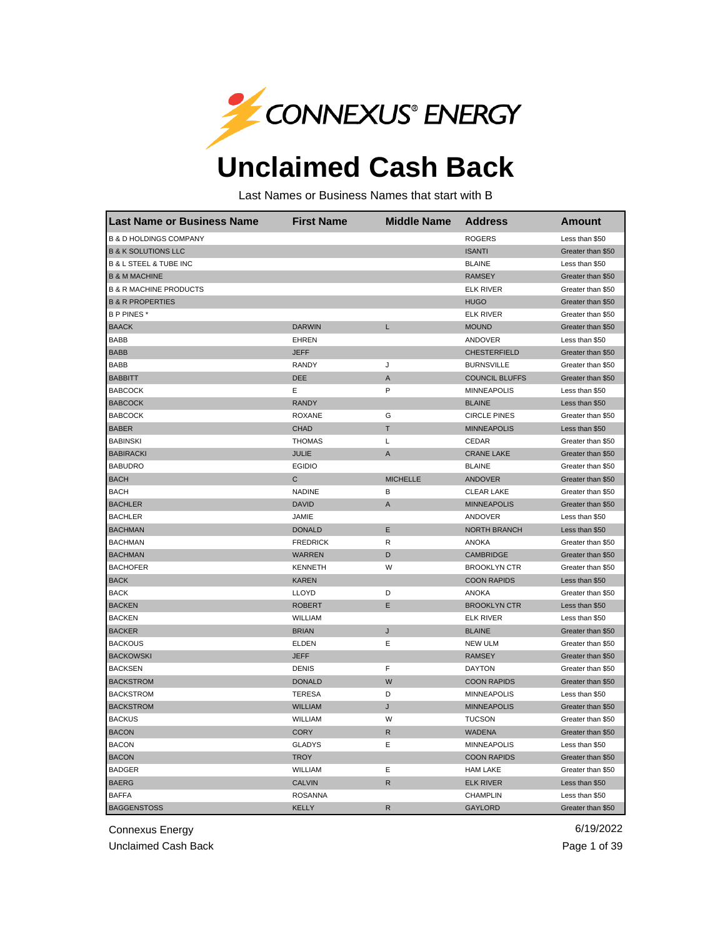

## **Unclaimed Cash Back**

Last Names or Business Names that start with B

| <b>Last Name or Business Name</b>     | <b>First Name</b> | <b>Middle Name</b> | <b>Address</b>        | <b>Amount</b>     |
|---------------------------------------|-------------------|--------------------|-----------------------|-------------------|
| <b>B &amp; D HOLDINGS COMPANY</b>     |                   |                    | <b>ROGERS</b>         | Less than \$50    |
| <b>B &amp; K SOLUTIONS LLC</b>        |                   |                    | <b>ISANTI</b>         | Greater than \$50 |
| <b>B &amp; L STEEL &amp; TUBE INC</b> |                   |                    | <b>BLAINE</b>         | Less than \$50    |
| <b>B &amp; M MACHINE</b>              |                   |                    | <b>RAMSEY</b>         | Greater than \$50 |
| <b>B &amp; R MACHINE PRODUCTS</b>     |                   |                    | <b>ELK RIVER</b>      | Greater than \$50 |
| <b>B &amp; R PROPERTIES</b>           |                   |                    | <b>HUGO</b>           | Greater than \$50 |
| B P PINES*                            |                   |                    | <b>ELK RIVER</b>      | Greater than \$50 |
| <b>BAACK</b>                          | <b>DARWIN</b>     | L                  | <b>MOUND</b>          | Greater than \$50 |
| <b>BABB</b>                           | <b>EHREN</b>      |                    | ANDOVER               | Less than \$50    |
| <b>BABB</b>                           | <b>JEFF</b>       |                    | <b>CHESTERFIELD</b>   | Greater than \$50 |
| <b>BABB</b>                           | <b>RANDY</b>      | J                  | <b>BURNSVILLE</b>     | Greater than \$50 |
| <b>BABBITT</b>                        | <b>DEE</b>        | A                  | <b>COUNCIL BLUFFS</b> | Greater than \$50 |
| <b>BABCOCK</b>                        | Е                 | P                  | <b>MINNEAPOLIS</b>    | Less than \$50    |
| <b>BABCOCK</b>                        | <b>RANDY</b>      |                    | <b>BLAINE</b>         | Less than \$50    |
| <b>BABCOCK</b>                        | <b>ROXANE</b>     | G                  | <b>CIRCLE PINES</b>   | Greater than \$50 |
| <b>BABER</b>                          | <b>CHAD</b>       | Τ                  | <b>MINNEAPOLIS</b>    | Less than \$50    |
| <b>BABINSKI</b>                       | <b>THOMAS</b>     | Г                  | CEDAR                 | Greater than \$50 |
| <b>BABIRACKI</b>                      | <b>JULIE</b>      | A                  | <b>CRANE LAKE</b>     | Greater than \$50 |
| <b>BABUDRO</b>                        | <b>EGIDIO</b>     |                    | <b>BLAINE</b>         | Greater than \$50 |
| <b>BACH</b>                           | C                 | <b>MICHELLE</b>    | <b>ANDOVER</b>        | Greater than \$50 |
| <b>BACH</b>                           | <b>NADINE</b>     | B                  | <b>CLEAR LAKE</b>     | Greater than \$50 |
| <b>BACHLER</b>                        | <b>DAVID</b>      | A                  | <b>MINNEAPOLIS</b>    | Greater than \$50 |
| <b>BACHLER</b>                        | JAMIE             |                    | ANDOVER               | Less than \$50    |
| <b>BACHMAN</b>                        | <b>DONALD</b>     | Ε                  | <b>NORTH BRANCH</b>   | Less than \$50    |
| <b>BACHMAN</b>                        | <b>FREDRICK</b>   | $\mathsf R$        | <b>ANOKA</b>          | Greater than \$50 |
| <b>BACHMAN</b>                        | <b>WARREN</b>     | D                  | <b>CAMBRIDGE</b>      | Greater than \$50 |
| <b>BACHOFER</b>                       | <b>KENNETH</b>    | W                  | <b>BROOKLYN CTR</b>   | Greater than \$50 |
| <b>BACK</b>                           | <b>KAREN</b>      |                    | <b>COON RAPIDS</b>    | Less than \$50    |
| <b>BACK</b>                           | LLOYD             | D                  | ANOKA                 | Greater than \$50 |
| <b>BACKEN</b>                         | <b>ROBERT</b>     | Ε                  | <b>BROOKLYN CTR</b>   | Less than \$50    |
| <b>BACKEN</b>                         | WILLIAM           |                    | <b>ELK RIVER</b>      | Less than \$50    |
| <b>BACKER</b>                         | <b>BRIAN</b>      | J                  | <b>BLAINE</b>         | Greater than \$50 |
| <b>BACKOUS</b>                        | <b>ELDEN</b>      | Ε                  | <b>NEW ULM</b>        | Greater than \$50 |
| <b>BACKOWSKI</b>                      | <b>JEFF</b>       |                    | <b>RAMSEY</b>         | Greater than \$50 |
| <b>BACKSEN</b>                        | <b>DENIS</b>      | F                  | <b>DAYTON</b>         | Greater than \$50 |
| <b>BACKSTROM</b>                      | <b>DONALD</b>     | W                  | <b>COON RAPIDS</b>    | Greater than \$50 |
| <b>BACKSTROM</b>                      | <b>TERESA</b>     | D                  | <b>MINNEAPOLIS</b>    | Less than \$50    |
| <b>BACKSTROM</b>                      | <b>WILLIAM</b>    | J                  | <b>MINNEAPOLIS</b>    | Greater than \$50 |
| <b>BACKUS</b>                         | WILLIAM           | W                  | <b>TUCSON</b>         | Greater than \$50 |
| <b>BACON</b>                          | <b>CORY</b>       | R                  | <b>WADENA</b>         | Greater than \$50 |
| <b>BACON</b>                          | <b>GLADYS</b>     | Ε                  | <b>MINNEAPOLIS</b>    | Less than \$50    |
| <b>BACON</b>                          | <b>TROY</b>       |                    | <b>COON RAPIDS</b>    | Greater than \$50 |
| <b>BADGER</b>                         | <b>WILLIAM</b>    | Ε                  | <b>HAM LAKE</b>       | Greater than \$50 |
| <b>BAERG</b>                          | <b>CALVIN</b>     | ${\sf R}$          | <b>ELK RIVER</b>      | Less than \$50    |
| <b>BAFFA</b>                          | <b>ROSANNA</b>    |                    | <b>CHAMPLIN</b>       | Less than \$50    |
| <b>BAGGENSTOSS</b>                    | <b>KELLY</b>      | $\mathsf{R}$       | <b>GAYLORD</b>        | Greater than \$50 |

Connexus Energy 6/19/2022

Unclaimed Cash Back **Page 1 of 39**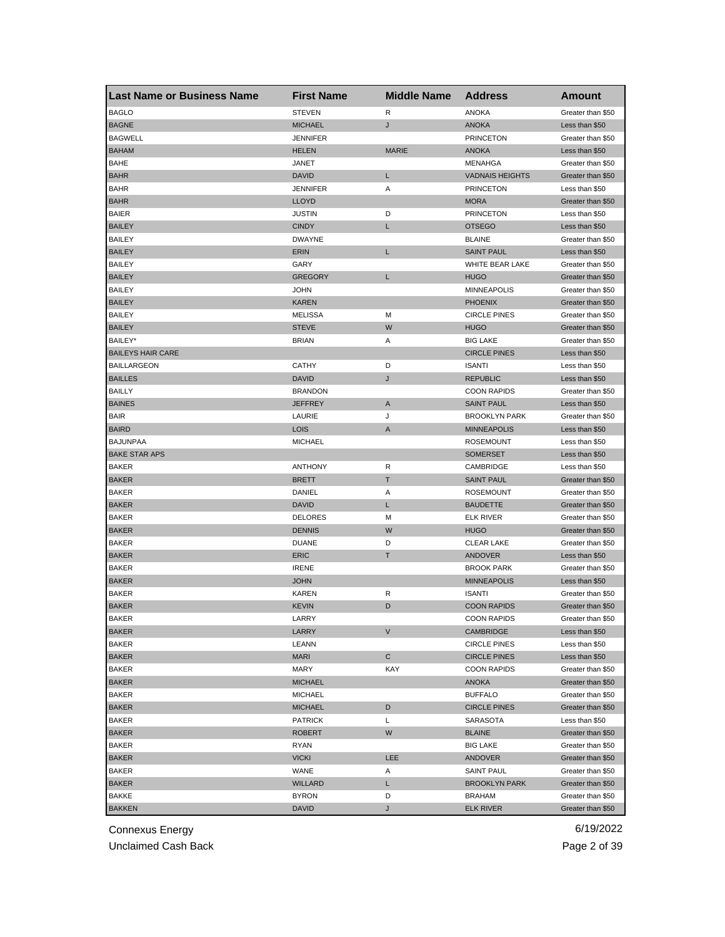| <b>Last Name or Business Name</b> | <b>First Name</b> | <b>Middle Name</b> | <b>Address</b>         | <b>Amount</b>     |
|-----------------------------------|-------------------|--------------------|------------------------|-------------------|
| <b>BAGLO</b>                      | <b>STEVEN</b>     | R                  | <b>ANOKA</b>           | Greater than \$50 |
| <b>BAGNE</b>                      | <b>MICHAEL</b>    | J                  | <b>ANOKA</b>           | Less than \$50    |
| <b>BAGWELL</b>                    | <b>JENNIFER</b>   |                    | <b>PRINCETON</b>       | Greater than \$50 |
| <b>BAHAM</b>                      | <b>HELEN</b>      | <b>MARIE</b>       | <b>ANOKA</b>           | Less than \$50    |
| BAHE                              | JANET             |                    | MENAHGA                | Greater than \$50 |
| <b>BAHR</b>                       | <b>DAVID</b>      | L                  | <b>VADNAIS HEIGHTS</b> | Greater than \$50 |
| <b>BAHR</b>                       | JENNIFER          | Α                  | <b>PRINCETON</b>       | Less than \$50    |
| <b>BAHR</b>                       | LLOYD             |                    | <b>MORA</b>            | Greater than \$50 |
| BAIER                             | <b>JUSTIN</b>     | D                  | <b>PRINCETON</b>       | Less than \$50    |
| <b>BAILEY</b>                     | <b>CINDY</b>      | L                  | <b>OTSEGO</b>          | Less than \$50    |
| <b>BAILEY</b>                     | <b>DWAYNE</b>     |                    | <b>BLAINE</b>          | Greater than \$50 |
| <b>BAILEY</b>                     | ERIN              | L                  | <b>SAINT PAUL</b>      | Less than \$50    |
| BAILEY                            | GARY              |                    | WHITE BEAR LAKE        | Greater than \$50 |
| <b>BAILEY</b>                     | <b>GREGORY</b>    | L                  | <b>HUGO</b>            | Greater than \$50 |
| <b>BAILEY</b>                     | JOHN              |                    | <b>MINNEAPOLIS</b>     | Greater than \$50 |
| <b>BAILEY</b>                     | KAREN             |                    | <b>PHOENIX</b>         | Greater than \$50 |
| <b>BAILEY</b>                     | <b>MELISSA</b>    | M                  | <b>CIRCLE PINES</b>    | Greater than \$50 |
| <b>BAILEY</b>                     | <b>STEVE</b>      | W                  | <b>HUGO</b>            | Greater than \$50 |
| BAILEY*                           | <b>BRIAN</b>      | Α                  | <b>BIG LAKE</b>        | Greater than \$50 |
| <b>BAILEYS HAIR CARE</b>          |                   |                    | <b>CIRCLE PINES</b>    | Less than \$50    |
| <b>BAILLARGEON</b>                | <b>CATHY</b>      | D                  | <b>ISANTI</b>          | Less than \$50    |
| <b>BAILLES</b>                    | <b>DAVID</b>      | J                  | <b>REPUBLIC</b>        | Less than \$50    |
| <b>BAILLY</b>                     | <b>BRANDON</b>    |                    | <b>COON RAPIDS</b>     | Greater than \$50 |
| <b>BAINES</b>                     | <b>JEFFREY</b>    | Α                  | <b>SAINT PAUL</b>      | Less than \$50    |
| <b>BAIR</b>                       | LAURIE            | J                  | <b>BROOKLYN PARK</b>   | Greater than \$50 |
| <b>BAIRD</b>                      | LOIS              | A                  | <b>MINNEAPOLIS</b>     | Less than \$50    |
| <b>BAJUNPAA</b>                   | <b>MICHAEL</b>    |                    | <b>ROSEMOUNT</b>       | Less than \$50    |
| <b>BAKE STAR APS</b>              |                   |                    | <b>SOMERSET</b>        | Less than \$50    |
| BAKER                             | <b>ANTHONY</b>    | R                  | CAMBRIDGE              | Less than \$50    |
| <b>BAKER</b>                      | <b>BRETT</b>      | т                  | <b>SAINT PAUL</b>      | Greater than \$50 |
| BAKER                             | DANIEL            | Α                  | <b>ROSEMOUNT</b>       | Greater than \$50 |
| <b>BAKER</b>                      | <b>DAVID</b>      | L                  | <b>BAUDETTE</b>        | Greater than \$50 |
| <b>BAKER</b>                      | <b>DELORES</b>    | M                  | <b>ELK RIVER</b>       | Greater than \$50 |
| <b>BAKER</b>                      | <b>DENNIS</b>     | W                  | <b>HUGO</b>            | Greater than \$50 |
| <b>BAKER</b>                      | <b>DUANE</b>      | D                  | <b>CLEAR LAKE</b>      | Greater than \$50 |
| <b>BAKER</b>                      | <b>ERIC</b>       | T                  | ANDOVER                | Less than \$50    |
| <b>BAKER</b>                      | <b>IRENE</b>      |                    | <b>BROOK PARK</b>      | Greater than \$50 |
| <b>BAKER</b>                      | <b>JOHN</b>       |                    | <b>MINNEAPOLIS</b>     | Less than \$50    |
| <b>BAKER</b>                      | <b>KAREN</b>      | R                  | <b>ISANTI</b>          | Greater than \$50 |
| <b>BAKER</b>                      | KEVIN             | D                  | <b>COON RAPIDS</b>     | Greater than \$50 |
| BAKER                             | LARRY             |                    | COON RAPIDS            | Greater than \$50 |
| <b>BAKER</b>                      | LARRY             | V                  | CAMBRIDGE              | Less than \$50    |
| <b>BAKER</b>                      | LEANN             |                    | <b>CIRCLE PINES</b>    | Less than \$50    |
| <b>BAKER</b>                      | MARI              | С                  | <b>CIRCLE PINES</b>    | Less than \$50    |
| BAKER                             | MARY              | KAY                | <b>COON RAPIDS</b>     | Greater than \$50 |
| <b>BAKER</b>                      | <b>MICHAEL</b>    |                    | <b>ANOKA</b>           | Greater than \$50 |
| BAKER                             | <b>MICHAEL</b>    |                    | <b>BUFFALO</b>         | Greater than \$50 |
| <b>BAKER</b>                      | <b>MICHAEL</b>    | D                  | <b>CIRCLE PINES</b>    | Greater than \$50 |
| <b>BAKER</b>                      | <b>PATRICK</b>    | L                  | SARASOTA               | Less than \$50    |
| <b>BAKER</b>                      | ROBERT            | W                  | <b>BLAINE</b>          | Greater than \$50 |
| <b>BAKER</b>                      | RYAN              |                    | <b>BIG LAKE</b>        | Greater than \$50 |
| <b>BAKER</b>                      | <b>VICKI</b>      | <b>LEE</b>         | ANDOVER                | Greater than \$50 |
| <b>BAKER</b>                      | WANE              | Α                  | <b>SAINT PAUL</b>      | Greater than \$50 |
| <b>BAKER</b>                      | WILLARD           | L                  | <b>BROOKLYN PARK</b>   | Greater than \$50 |
| BAKKE                             | <b>BYRON</b>      | D                  | <b>BRAHAM</b>          | Greater than \$50 |
| <b>BAKKEN</b>                     | <b>DAVID</b>      | J                  | <b>ELK RIVER</b>       | Greater than \$50 |
|                                   |                   |                    |                        |                   |

Unclaimed Cash Back **Page 2 of 39**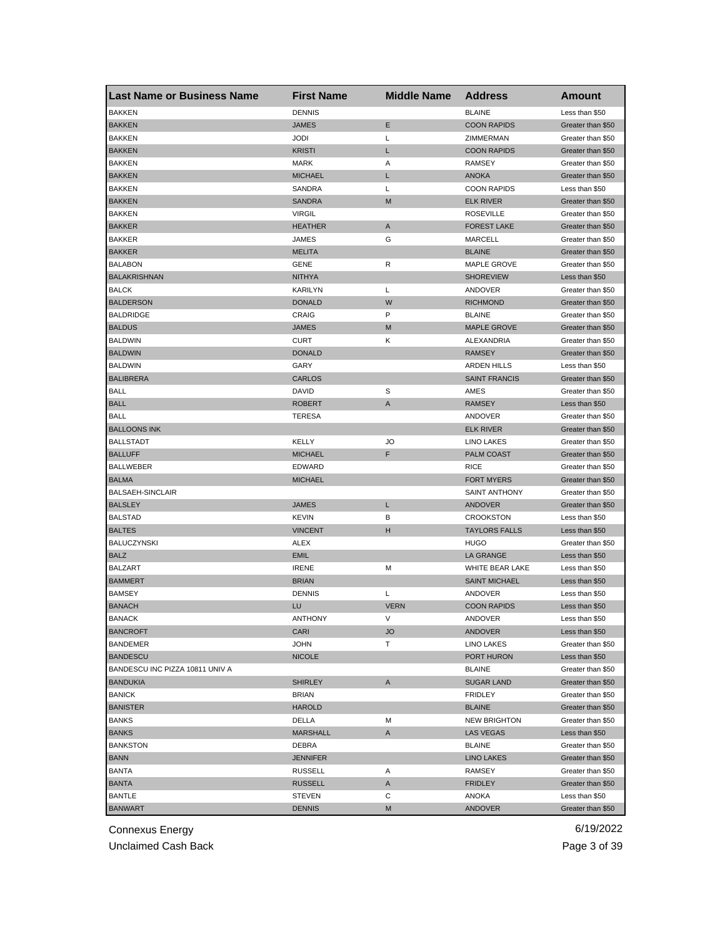| <b>Last Name or Business Name</b> | <b>First Name</b> | <b>Middle Name</b> | <b>Address</b>       | <b>Amount</b>     |
|-----------------------------------|-------------------|--------------------|----------------------|-------------------|
| <b>BAKKEN</b>                     | <b>DENNIS</b>     |                    | <b>BLAINE</b>        | Less than \$50    |
| <b>BAKKEN</b>                     | JAMES             | Ε                  | <b>COON RAPIDS</b>   | Greater than \$50 |
| <b>BAKKEN</b>                     | JODI              | Г                  | ZIMMERMAN            | Greater than \$50 |
| <b>BAKKEN</b>                     | <b>KRISTI</b>     | L                  | <b>COON RAPIDS</b>   | Greater than \$50 |
| <b>BAKKEN</b>                     | <b>MARK</b>       | Α                  | <b>RAMSEY</b>        | Greater than \$50 |
| <b>BAKKEN</b>                     | <b>MICHAEL</b>    | L                  | <b>ANOKA</b>         | Greater than \$50 |
| <b>BAKKEN</b>                     | SANDRA            | Г                  | <b>COON RAPIDS</b>   | Less than \$50    |
| <b>BAKKEN</b>                     | <b>SANDRA</b>     | M                  | <b>ELK RIVER</b>     | Greater than \$50 |
| BAKKEN                            | <b>VIRGIL</b>     |                    | <b>ROSEVILLE</b>     | Greater than \$50 |
| <b>BAKKER</b>                     | HEATHER           | A                  | <b>FOREST LAKE</b>   | Greater than \$50 |
| <b>BAKKER</b>                     | JAMES             | G                  | MARCELL              | Greater than \$50 |
| <b>BAKKER</b>                     | <b>MELITA</b>     |                    | <b>BLAINE</b>        | Greater than \$50 |
| <b>BALABON</b>                    | GENE              | R                  | MAPLE GROVE          | Greater than \$50 |
| <b>BALAKRISHNAN</b>               | NITHYA            |                    | <b>SHOREVIEW</b>     | Less than \$50    |
| <b>BALCK</b>                      | KARILYN           | L                  | ANDOVER              | Greater than \$50 |
| <b>BALDERSON</b>                  | <b>DONALD</b>     | W                  | <b>RICHMOND</b>      | Greater than \$50 |
| BALDRIDGE                         | CRAIG             | P                  | <b>BLAINE</b>        | Greater than \$50 |
| <b>BALDUS</b>                     | <b>JAMES</b>      | M                  | <b>MAPLE GROVE</b>   | Greater than \$50 |
| <b>BALDWIN</b>                    | CURT              | Κ                  | ALEXANDRIA           | Greater than \$50 |
| <b>BALDWIN</b>                    | <b>DONALD</b>     |                    | <b>RAMSEY</b>        | Greater than \$50 |
| <b>BALDWIN</b>                    | GARY              |                    | <b>ARDEN HILLS</b>   | Less than \$50    |
| <b>BALIBRERA</b>                  | <b>CARLOS</b>     |                    | <b>SAINT FRANCIS</b> | Greater than \$50 |
| <b>BALL</b>                       | DAVID             | S                  | AMES                 | Greater than \$50 |
| <b>BALL</b>                       | <b>ROBERT</b>     | A                  | <b>RAMSEY</b>        | Less than \$50    |
| <b>BALL</b>                       | TERESA            |                    | ANDOVER              | Greater than \$50 |
| <b>BALLOONS INK</b>               |                   |                    | <b>ELK RIVER</b>     | Greater than \$50 |
| <b>BALLSTADT</b>                  | KELLY             | JO                 | LINO LAKES           | Greater than \$50 |
| <b>BALLUFF</b>                    | <b>MICHAEL</b>    | F                  | PALM COAST           | Greater than \$50 |
| <b>BALLWEBER</b>                  | <b>EDWARD</b>     |                    | <b>RICE</b>          | Greater than \$50 |
| <b>BALMA</b>                      | <b>MICHAEL</b>    |                    | <b>FORT MYERS</b>    | Greater than \$50 |
| <b>BALSAEH-SINCLAIR</b>           |                   |                    | SAINT ANTHONY        | Greater than \$50 |
| <b>BALSLEY</b>                    | JAMES             | L                  | <b>ANDOVER</b>       | Greater than \$50 |
| <b>BALSTAD</b>                    | <b>KEVIN</b>      | в                  | <b>CROOKSTON</b>     | Less than \$50    |
| <b>BALTES</b>                     | <b>VINCENT</b>    | н                  | <b>TAYLORS FALLS</b> | Less than \$50    |
| <b>BALUCZYNSKI</b>                | ALEX              |                    | <b>HUGO</b>          | Greater than \$50 |
| <b>BALZ</b>                       | EMIL              |                    | <b>LA GRANGE</b>     | Less than \$50    |
| <b>BALZART</b>                    | <b>IRENE</b>      | M                  | WHITE BEAR LAKE      | Less than \$50    |
| <b>BAMMERT</b>                    | <b>BRIAN</b>      |                    | <b>SAINT MICHAEL</b> | Less than \$50    |
| <b>BAMSEY</b>                     | <b>DENNIS</b>     | Г                  | ANDOVER              | Less than \$50    |
| <b>BANACH</b>                     | LU                | <b>VERN</b>        | <b>COON RAPIDS</b>   | Less than \$50    |
| BANACK                            | ANTHONY           |                    | ANDOVER              | Less than \$50    |
| <b>BANCROFT</b>                   | CARI              | JO                 | ANDOVER              | Less than \$50    |
| <b>BANDEMER</b>                   | JOHN              | Τ                  | LINO LAKES           | Greater than \$50 |
| <b>BANDESCU</b>                   | <b>NICOLE</b>     |                    | PORT HURON           | Less than \$50    |
| BANDESCU INC PIZZA 10811 UNIV A   |                   |                    | <b>BLAINE</b>        | Greater than \$50 |
| <b>BANDUKIA</b>                   | <b>SHIRLEY</b>    | A                  | <b>SUGAR LAND</b>    | Greater than \$50 |
| <b>BANICK</b>                     | <b>BRIAN</b>      |                    | <b>FRIDLEY</b>       |                   |
|                                   |                   |                    |                      | Greater than \$50 |
| <b>BANISTER</b>                   | <b>HAROLD</b>     |                    | <b>BLAINE</b>        | Greater than \$50 |
| <b>BANKS</b>                      | DELLA             | М                  | <b>NEW BRIGHTON</b>  | Greater than \$50 |
| <b>BANKS</b>                      | MARSHALL          | A                  | <b>LAS VEGAS</b>     | Less than \$50    |
| <b>BANKSTON</b>                   | DEBRA             |                    | <b>BLAINE</b>        | Greater than \$50 |
| <b>BANN</b>                       | JENNIFER          |                    | <b>LINO LAKES</b>    | Greater than \$50 |
| <b>BANTA</b>                      | <b>RUSSELL</b>    | Α                  | RAMSEY               | Greater than \$50 |
| <b>BANTA</b>                      | <b>RUSSELL</b>    | A                  | <b>FRIDLEY</b>       | Greater than \$50 |
| <b>BANTLE</b>                     | STEVEN            | С                  | ANOKA                | Less than \$50    |
| <b>BANWART</b>                    | <b>DENNIS</b>     | М                  | <b>ANDOVER</b>       | Greater than \$50 |

Unclaimed Cash Back **Page 3 of 39**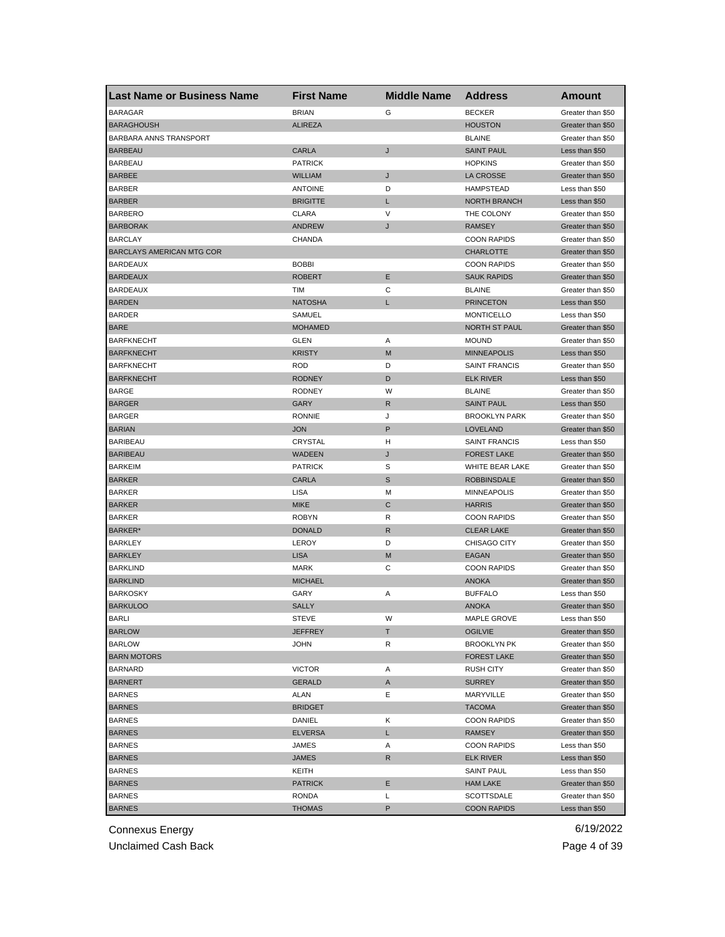| <b>Last Name or Business Name</b> | <b>First Name</b> | <b>Middle Name</b> | <b>Address</b>       | Amount                                 |
|-----------------------------------|-------------------|--------------------|----------------------|----------------------------------------|
| <b>BARAGAR</b>                    | <b>BRIAN</b>      | G                  | <b>BECKER</b>        | Greater than \$50                      |
| <b>BARAGHOUSH</b>                 | <b>ALIREZA</b>    |                    | <b>HOUSTON</b>       | Greater than \$50                      |
| BARBARA ANNS TRANSPORT            |                   |                    | <b>BLAINE</b>        | Greater than \$50                      |
| <b>BARBEAU</b>                    | CARLA             | J                  | <b>SAINT PAUL</b>    | Less than \$50                         |
| <b>BARBEAU</b>                    | <b>PATRICK</b>    |                    | <b>HOPKINS</b>       | Greater than \$50                      |
| <b>BARBEE</b>                     | <b>WILLIAM</b>    | J                  | LA CROSSE            | Greater than \$50                      |
| <b>BARBER</b>                     | <b>ANTOINE</b>    | D                  | <b>HAMPSTEAD</b>     | Less than \$50                         |
| <b>BARBER</b>                     | <b>BRIGITTE</b>   | L                  | <b>NORTH BRANCH</b>  | Less than \$50                         |
| <b>BARBERO</b>                    | CLARA             | V                  | THE COLONY           | Greater than \$50                      |
| <b>BARBORAK</b>                   | <b>ANDREW</b>     | J                  | <b>RAMSEY</b>        | Greater than \$50                      |
| <b>BARCLAY</b>                    | CHANDA            |                    | <b>COON RAPIDS</b>   | Greater than \$50                      |
| <b>BARCLAYS AMERICAN MTG COR</b>  |                   |                    | <b>CHARLOTTE</b>     | Greater than \$50                      |
| <b>BARDEAUX</b>                   | <b>BOBBI</b>      |                    | <b>COON RAPIDS</b>   | Greater than \$50                      |
| <b>BARDEAUX</b>                   | <b>ROBERT</b>     | Ε                  | <b>SAUK RAPIDS</b>   | Greater than \$50                      |
| <b>BARDEAUX</b>                   | TIM               | С                  | <b>BLAINE</b>        | Greater than \$50                      |
| <b>BARDEN</b>                     | <b>NATOSHA</b>    | L                  | <b>PRINCETON</b>     | Less than \$50                         |
| <b>BARDER</b>                     | SAMUEL            |                    | <b>MONTICELLO</b>    | Less than \$50                         |
| <b>BARE</b>                       | <b>MOHAMED</b>    |                    | <b>NORTH ST PAUL</b> | Greater than \$50                      |
| <b>BARFKNECHT</b>                 | GLEN              | Α                  | <b>MOUND</b>         | Greater than \$50                      |
| <b>BARFKNECHT</b>                 | <b>KRISTY</b>     | M                  | <b>MINNEAPOLIS</b>   | Less than \$50                         |
| <b>BARFKNECHT</b>                 | <b>ROD</b>        | D                  | <b>SAINT FRANCIS</b> | Greater than \$50                      |
| <b>BARFKNECHT</b>                 | <b>RODNEY</b>     | D                  | <b>ELK RIVER</b>     | Less than \$50                         |
| <b>BARGE</b>                      | <b>RODNEY</b>     | W                  | <b>BLAINE</b>        | Greater than \$50                      |
| <b>BARGER</b>                     | <b>GARY</b>       | R                  | <b>SAINT PAUL</b>    | Less than \$50                         |
| <b>BARGER</b>                     | <b>RONNIE</b>     | J                  | <b>BROOKLYN PARK</b> | Greater than \$50                      |
| <b>BARIAN</b>                     | <b>JON</b>        | P                  | LOVELAND             | Greater than \$50                      |
| <b>BARIBEAU</b>                   | CRYSTAL           | н                  | <b>SAINT FRANCIS</b> | Less than \$50                         |
| <b>BARIBEAU</b>                   | <b>WADEEN</b>     | J                  | <b>FOREST LAKE</b>   | Greater than \$50                      |
| <b>BARKEIM</b>                    | <b>PATRICK</b>    | S                  | WHITE BEAR LAKE      | Greater than \$50                      |
| <b>BARKER</b>                     | CARLA             | S                  | <b>ROBBINSDALE</b>   | Greater than \$50                      |
| <b>BARKER</b>                     | LISA              | M                  | <b>MINNEAPOLIS</b>   | Greater than \$50                      |
| <b>BARKER</b>                     | <b>MIKE</b>       | C                  | <b>HARRIS</b>        | Greater than \$50                      |
| <b>BARKER</b>                     | <b>ROBYN</b>      | R                  | <b>COON RAPIDS</b>   | Greater than \$50                      |
| BARKER*                           | <b>DONALD</b>     | R                  | <b>CLEAR LAKE</b>    | Greater than \$50                      |
| <b>BARKLEY</b>                    | LEROY             | D                  | CHISAGO CITY         | Greater than \$50                      |
| <b>BARKLEY</b>                    | <b>LISA</b>       | M                  | EAGAN                | Greater than \$50                      |
| <b>BARKLIND</b>                   | <b>MARK</b>       | С                  | <b>COON RAPIDS</b>   | Greater than \$50                      |
| <b>BARKLIND</b>                   | <b>MICHAEL</b>    |                    | <b>ANOKA</b>         | Greater than \$50                      |
| <b>BARKOSKY</b>                   | GARY              | Α                  | <b>BUFFALO</b>       | Less than \$50                         |
| <b>BARKULOO</b>                   | <b>SALLY</b>      |                    | <b>ANOKA</b>         | Greater than \$50                      |
| BARLI                             | STEVE             | w                  | MAPLE GROVE          | Less than \$50                         |
| <b>BARLOW</b>                     | <b>JEFFREY</b>    | Т                  | <b>OGILVIE</b>       | Greater than \$50                      |
| <b>BARLOW</b>                     | <b>JOHN</b>       | R                  | <b>BROOKLYN PK</b>   | Greater than \$50                      |
| <b>BARN MOTORS</b>                |                   |                    | <b>FOREST LAKE</b>   | Greater than \$50                      |
| <b>BARNARD</b>                    | <b>VICTOR</b>     | Α                  | <b>RUSH CITY</b>     | Greater than \$50                      |
| <b>BARNERT</b>                    | <b>GERALD</b>     | A                  | <b>SURREY</b>        | Greater than \$50                      |
| <b>BARNES</b>                     | ALAN              | Е                  | MARYVILLE            | Greater than \$50                      |
| <b>BARNES</b>                     | <b>BRIDGET</b>    |                    | <b>TACOMA</b>        | Greater than \$50                      |
| <b>BARNES</b>                     | DANIEL            | Κ                  | <b>COON RAPIDS</b>   | Greater than \$50                      |
| <b>BARNES</b>                     | <b>ELVERSA</b>    | L                  | RAMSEY               | Greater than \$50                      |
| <b>BARNES</b>                     | JAMES             | Α                  | <b>COON RAPIDS</b>   | Less than \$50                         |
| <b>BARNES</b>                     | JAMES             | R                  | <b>ELK RIVER</b>     | Less than \$50                         |
| <b>BARNES</b>                     | KEITH             |                    | <b>SAINT PAUL</b>    | Less than \$50                         |
|                                   |                   |                    |                      |                                        |
| <b>BARNES</b><br><b>BARNES</b>    | <b>PATRICK</b>    | Е<br>Г             | <b>HAM LAKE</b>      | Greater than \$50<br>Greater than \$50 |
|                                   | RONDA             |                    | SCOTTSDALE           |                                        |
| <b>BARNES</b>                     | <b>THOMAS</b>     | P                  | <b>COON RAPIDS</b>   | Less than \$50                         |

Unclaimed Cash Back **Page 4 of 39**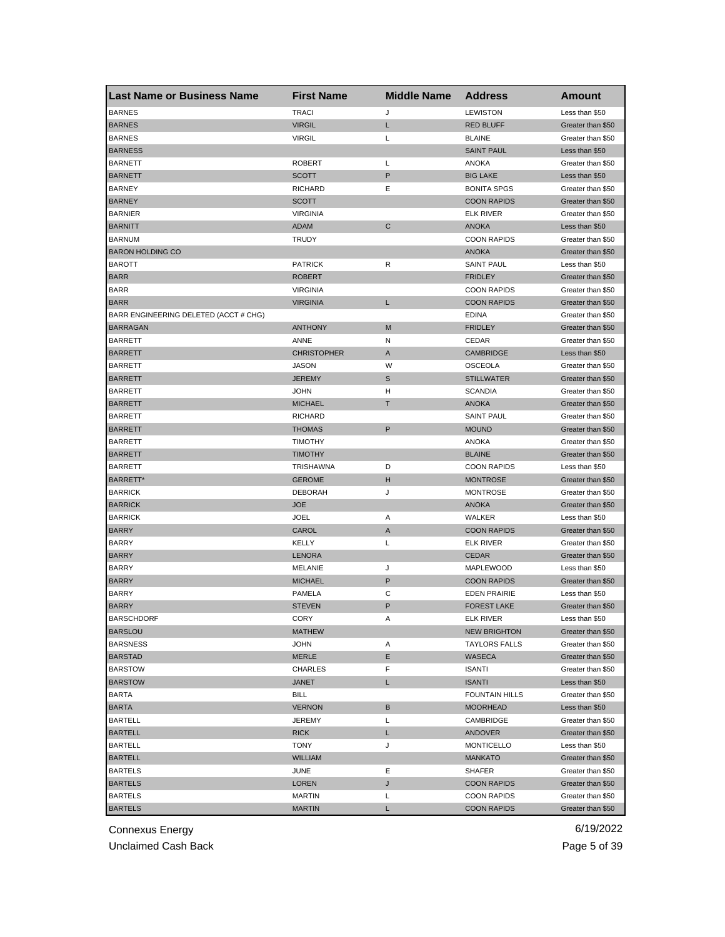| <b>Last Name or Business Name</b>     | <b>First Name</b>  | <b>Middle Name</b> | <b>Address</b>        | <b>Amount</b>     |
|---------------------------------------|--------------------|--------------------|-----------------------|-------------------|
| <b>BARNES</b>                         | <b>TRACI</b>       | J                  | <b>LEWISTON</b>       | Less than \$50    |
| <b>BARNES</b>                         | <b>VIRGIL</b>      | L                  | <b>RED BLUFF</b>      | Greater than \$50 |
| <b>BARNES</b>                         | <b>VIRGIL</b>      | Г                  | <b>BLAINE</b>         | Greater than \$50 |
| <b>BARNESS</b>                        |                    |                    | <b>SAINT PAUL</b>     | Less than \$50    |
| <b>BARNETT</b>                        | <b>ROBERT</b>      | L                  | <b>ANOKA</b>          | Greater than \$50 |
| <b>BARNETT</b>                        | <b>SCOTT</b>       | P                  | <b>BIG LAKE</b>       | Less than \$50    |
| <b>BARNEY</b>                         | <b>RICHARD</b>     | Ε                  | <b>BONITA SPGS</b>    | Greater than \$50 |
| <b>BARNEY</b>                         | <b>SCOTT</b>       |                    | <b>COON RAPIDS</b>    | Greater than \$50 |
| <b>BARNIER</b>                        | <b>VIRGINIA</b>    |                    | <b>ELK RIVER</b>      | Greater than \$50 |
| <b>BARNITT</b>                        | ADAM               | C                  | <b>ANOKA</b>          | Less than \$50    |
| <b>BARNUM</b>                         | TRUDY              |                    | <b>COON RAPIDS</b>    | Greater than \$50 |
| <b>BARON HOLDING CO</b>               |                    |                    | <b>ANOKA</b>          | Greater than \$50 |
| <b>BAROTT</b>                         | <b>PATRICK</b>     | R                  | <b>SAINT PAUL</b>     | Less than \$50    |
| <b>BARR</b>                           | <b>ROBERT</b>      |                    | <b>FRIDLEY</b>        | Greater than \$50 |
| <b>BARR</b>                           | <b>VIRGINIA</b>    |                    | <b>COON RAPIDS</b>    | Greater than \$50 |
| <b>BARR</b>                           | <b>VIRGINIA</b>    | L.                 | <b>COON RAPIDS</b>    | Greater than \$50 |
| BARR ENGINEERING DELETED (ACCT # CHG) |                    |                    | <b>EDINA</b>          | Greater than \$50 |
| <b>BARRAGAN</b>                       | <b>ANTHONY</b>     | M                  | <b>FRIDLEY</b>        | Greater than \$50 |
| <b>BARRETT</b>                        | ANNE               | N                  | CEDAR                 | Greater than \$50 |
| <b>BARRETT</b>                        | <b>CHRISTOPHER</b> | Α                  | <b>CAMBRIDGE</b>      | Less than \$50    |
| <b>BARRETT</b>                        | <b>JASON</b>       | W                  | <b>OSCEOLA</b>        | Greater than \$50 |
| <b>BARRETT</b>                        | <b>JEREMY</b>      | S                  | <b>STILLWATER</b>     | Greater than \$50 |
| <b>BARRETT</b>                        | JOHN               | н                  | <b>SCANDIA</b>        | Greater than \$50 |
| <b>BARRETT</b>                        | <b>MICHAEL</b>     | т                  | <b>ANOKA</b>          | Greater than \$50 |
| <b>BARRETT</b>                        | <b>RICHARD</b>     |                    | <b>SAINT PAUL</b>     | Greater than \$50 |
| <b>BARRETT</b>                        | <b>THOMAS</b>      | P                  | <b>MOUND</b>          | Greater than \$50 |
| <b>BARRETT</b>                        | TIMOTHY            |                    | ANOKA                 | Greater than \$50 |
| <b>BARRETT</b>                        | <b>TIMOTHY</b>     |                    | <b>BLAINE</b>         | Greater than \$50 |
| <b>BARRETT</b>                        | TRISHAWNA          | D                  | <b>COON RAPIDS</b>    | Less than \$50    |
| BARRETT*                              | <b>GEROME</b>      | н                  | <b>MONTROSE</b>       | Greater than \$50 |
| <b>BARRICK</b>                        | <b>DEBORAH</b>     | J                  | <b>MONTROSE</b>       | Greater than \$50 |
| <b>BARRICK</b>                        | <b>JOE</b>         |                    | <b>ANOKA</b>          | Greater than \$50 |
| <b>BARRICK</b>                        | JOEL               | Α                  | WALKER                | Less than \$50    |
| <b>BARRY</b>                          | CAROL              | Α                  | <b>COON RAPIDS</b>    | Greater than \$50 |
| <b>BARRY</b>                          | <b>KELLY</b>       | Г                  | <b>ELK RIVER</b>      | Greater than \$50 |
| <b>BARRY</b>                          | <b>LENORA</b>      |                    | <b>CEDAR</b>          | Greater than \$50 |
| <b>BARRY</b>                          | <b>MELANIE</b>     | J                  | <b>MAPLEWOOD</b>      | Less than \$50    |
| <b>BARRY</b>                          | <b>MICHAEL</b>     | P                  | <b>COON RAPIDS</b>    | Greater than \$50 |
| <b>BARRY</b>                          | PAMELA             | С                  | <b>EDEN PRAIRIE</b>   | Less than \$50    |
| <b>BARRY</b>                          | <b>STEVEN</b>      | P                  | <b>FOREST LAKE</b>    | Greater than \$50 |
| <b>BARSCHDORF</b>                     | CORY               | A                  | ELK RIVER             | Less than \$50    |
| <b>BARSLOU</b>                        | MATHEW             |                    | <b>NEW BRIGHTON</b>   | Greater than \$50 |
| <b>BARSNESS</b>                       | JOHN               | Α                  | <b>TAYLORS FALLS</b>  | Greater than \$50 |
| <b>BARSTAD</b>                        | MERLE              | Е                  | WASECA                | Greater than \$50 |
| <b>BARSTOW</b>                        | CHARLES            | F                  | <b>ISANTI</b>         | Greater than \$50 |
| <b>BARSTOW</b>                        | JANET              | L.                 | <b>ISANTI</b>         | Less than \$50    |
| <b>BARTA</b>                          | <b>BILL</b>        |                    | <b>FOUNTAIN HILLS</b> | Greater than \$50 |
| <b>BARTA</b>                          | <b>VERNON</b>      | В                  | <b>MOORHEAD</b>       | Less than \$50    |
| <b>BARTELL</b>                        | JEREMY             | Г                  | CAMBRIDGE             | Greater than \$50 |
| <b>BARTELL</b>                        | <b>RICK</b>        | L                  | <b>ANDOVER</b>        | Greater than \$50 |
| <b>BARTELL</b>                        | TONY               | J                  | <b>MONTICELLO</b>     | Less than \$50    |
| <b>BARTELL</b>                        | <b>WILLIAM</b>     |                    | <b>MANKATO</b>        | Greater than \$50 |
| <b>BARTELS</b>                        | JUNE               | Е                  | SHAFER                | Greater than \$50 |
| <b>BARTELS</b>                        | LOREN              | J                  | <b>COON RAPIDS</b>    | Greater than \$50 |
| <b>BARTELS</b>                        | <b>MARTIN</b>      | Г                  | <b>COON RAPIDS</b>    | Greater than \$50 |
| <b>BARTELS</b>                        | <b>MARTIN</b>      | L                  | <b>COON RAPIDS</b>    | Greater than \$50 |
|                                       |                    |                    |                       |                   |

Unclaimed Cash Back **Page 5 of 39**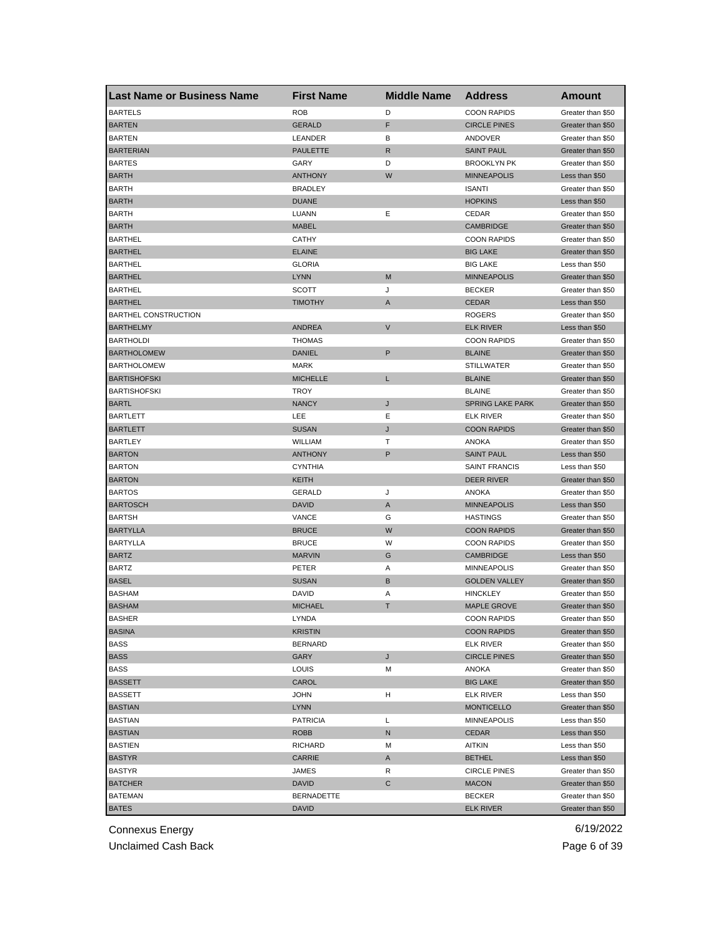| <b>Last Name or Business Name</b> | <b>First Name</b> | <b>Middle Name</b> | <b>Address</b>       | Amount            |
|-----------------------------------|-------------------|--------------------|----------------------|-------------------|
| <b>BARTELS</b>                    | <b>ROB</b>        | D                  | <b>COON RAPIDS</b>   | Greater than \$50 |
| <b>BARTEN</b>                     | <b>GERALD</b>     | F                  | <b>CIRCLE PINES</b>  | Greater than \$50 |
| <b>BARTEN</b>                     | LEANDER           | В                  | ANDOVER              | Greater than \$50 |
| <b>BARTERIAN</b>                  | <b>PAULETTE</b>   | R                  | <b>SAINT PAUL</b>    | Greater than \$50 |
| <b>BARTES</b>                     | GARY              | D                  | <b>BROOKLYN PK</b>   | Greater than \$50 |
| <b>BARTH</b>                      | <b>ANTHONY</b>    | W                  | <b>MINNEAPOLIS</b>   | Less than \$50    |
| <b>BARTH</b>                      | <b>BRADLEY</b>    |                    | <b>ISANTI</b>        | Greater than \$50 |
| <b>BARTH</b>                      | <b>DUANE</b>      |                    | <b>HOPKINS</b>       | Less than \$50    |
| <b>BARTH</b>                      | LUANN             | Ε                  | CEDAR                | Greater than \$50 |
| <b>BARTH</b>                      | <b>MABEL</b>      |                    | <b>CAMBRIDGE</b>     | Greater than \$50 |
| <b>BARTHEL</b>                    | <b>CATHY</b>      |                    | <b>COON RAPIDS</b>   | Greater than \$50 |
| <b>BARTHEL</b>                    | <b>ELAINE</b>     |                    | <b>BIG LAKE</b>      | Greater than \$50 |
| <b>BARTHEL</b>                    | <b>GLORIA</b>     |                    | <b>BIG LAKE</b>      | Less than \$50    |
| <b>BARTHEL</b>                    | <b>LYNN</b>       | M                  | <b>MINNEAPOLIS</b>   | Greater than \$50 |
| <b>BARTHEL</b>                    | <b>SCOTT</b>      | J                  | <b>BECKER</b>        | Greater than \$50 |
| <b>BARTHEL</b>                    | <b>TIMOTHY</b>    | A                  | <b>CEDAR</b>         | Less than \$50    |
| <b>BARTHEL CONSTRUCTION</b>       |                   |                    | <b>ROGERS</b>        | Greater than \$50 |
| <b>BARTHELMY</b>                  | <b>ANDREA</b>     | V                  | <b>ELK RIVER</b>     | Less than \$50    |
| <b>BARTHOLDI</b>                  | <b>THOMAS</b>     |                    | <b>COON RAPIDS</b>   | Greater than \$50 |
| <b>BARTHOLOMEW</b>                | <b>DANIEL</b>     | P                  | <b>BLAINE</b>        | Greater than \$50 |
| <b>BARTHOLOMEW</b>                | <b>MARK</b>       |                    | <b>STILLWATER</b>    | Greater than \$50 |
| <b>BARTISHOFSKI</b>               | <b>MICHELLE</b>   | L                  | <b>BLAINE</b>        | Greater than \$50 |
| <b>BARTISHOFSKI</b>               | <b>TROY</b>       |                    | <b>BLAINE</b>        | Greater than \$50 |
| <b>BARTL</b>                      | <b>NANCY</b>      | J                  | SPRING LAKE PARK     | Greater than \$50 |
| BARTLETT                          | LEE               | Ε                  | ELK RIVER            | Greater than \$50 |
| <b>BARTLETT</b>                   | <b>SUSAN</b>      | J                  | <b>COON RAPIDS</b>   | Greater than \$50 |
| <b>BARTLEY</b>                    | WILLIAM           | т                  | ANOKA                | Greater than \$50 |
| <b>BARTON</b>                     | <b>ANTHONY</b>    | P                  | <b>SAINT PAUL</b>    | Less than \$50    |
| <b>BARTON</b>                     | <b>CYNTHIA</b>    |                    | <b>SAINT FRANCIS</b> | Less than \$50    |
| <b>BARTON</b>                     | KEITH             |                    | DEER RIVER           | Greater than \$50 |
| <b>BARTOS</b>                     | <b>GERALD</b>     | J                  | <b>ANOKA</b>         | Greater than \$50 |
| <b>BARTOSCH</b>                   | <b>DAVID</b>      | A                  | <b>MINNEAPOLIS</b>   | Less than \$50    |
| <b>BARTSH</b>                     | VANCE             | G                  | <b>HASTINGS</b>      | Greater than \$50 |
| <b>BARTYLLA</b>                   | <b>BRUCE</b>      | W                  | <b>COON RAPIDS</b>   | Greater than \$50 |
| <b>BARTYLLA</b>                   | <b>BRUCE</b>      | W                  | <b>COON RAPIDS</b>   | Greater than \$50 |
| <b>BARTZ</b>                      | <b>MARVIN</b>     | G                  | <b>CAMBRIDGE</b>     | Less than \$50    |
| <b>BARTZ</b>                      | PETER             | Α                  | <b>MINNEAPOLIS</b>   | Greater than \$50 |
| <b>BASEL</b>                      | <b>SUSAN</b>      | B                  | <b>GOLDEN VALLEY</b> | Greater than \$50 |
| <b>BASHAM</b>                     | <b>DAVID</b>      | Α                  | <b>HINCKLEY</b>      | Greater than \$50 |
| <b>BASHAM</b>                     | <b>MICHAEL</b>    | Τ                  | <b>MAPLE GROVE</b>   | Greater than \$50 |
| <b>BASHER</b>                     | LYNDA             |                    | <b>COON RAPIDS</b>   | Greater than \$50 |
| <b>BASINA</b>                     | <b>KRISTIN</b>    |                    | <b>COON RAPIDS</b>   | Greater than \$50 |
| <b>BASS</b>                       | <b>BERNARD</b>    |                    | <b>ELK RIVER</b>     | Greater than \$50 |
| <b>BASS</b>                       | GARY              | J                  | <b>CIRCLE PINES</b>  | Greater than \$50 |
| <b>BASS</b>                       | LOUIS             | M                  | ANOKA                | Greater than \$50 |
| <b>BASSETT</b>                    | CAROL             |                    | <b>BIG LAKE</b>      | Greater than \$50 |
| <b>BASSETT</b>                    | <b>JOHN</b>       | н                  | <b>ELK RIVER</b>     | Less than \$50    |
| <b>BASTIAN</b>                    | <b>LYNN</b>       |                    | <b>MONTICELLO</b>    | Greater than \$50 |
| <b>BASTIAN</b>                    | <b>PATRICIA</b>   | Г                  | <b>MINNEAPOLIS</b>   | Less than \$50    |
| <b>BASTIAN</b>                    | <b>ROBB</b>       | N                  | <b>CEDAR</b>         | Less than \$50    |
| <b>BASTIEN</b>                    | <b>RICHARD</b>    | М                  | AITKIN               | Less than \$50    |
| <b>BASTYR</b>                     | CARRIE            | A                  | <b>BETHEL</b>        | Less than \$50    |
| BASTYR                            | JAMES             | R                  | <b>CIRCLE PINES</b>  | Greater than \$50 |
| <b>BATCHER</b>                    | <b>DAVID</b>      | С                  | <b>MACON</b>         | Greater than \$50 |
| <b>BATEMAN</b>                    | <b>BERNADETTE</b> |                    | <b>BECKER</b>        | Greater than \$50 |
| <b>BATES</b>                      | <b>DAVID</b>      |                    | <b>ELK RIVER</b>     | Greater than \$50 |

Unclaimed Cash Back **Page 6 of 39**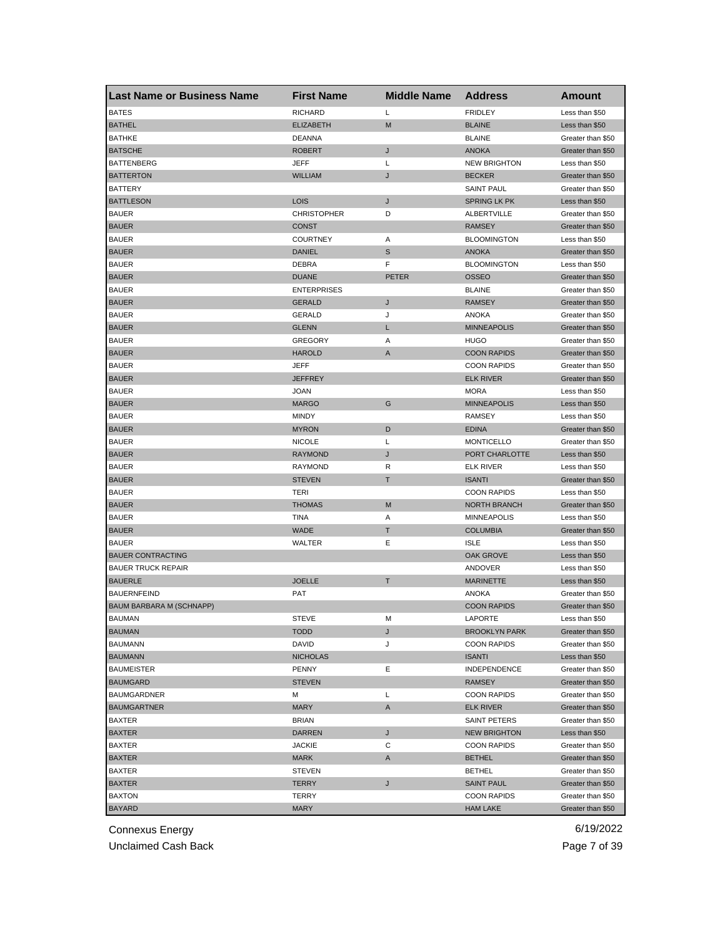| <b>Last Name or Business Name</b> | <b>First Name</b>  | <b>Middle Name</b> | <b>Address</b>       | Amount            |
|-----------------------------------|--------------------|--------------------|----------------------|-------------------|
| <b>BATES</b>                      | <b>RICHARD</b>     | Г                  | <b>FRIDLEY</b>       | Less than \$50    |
| <b>BATHEL</b>                     | <b>ELIZABETH</b>   | M                  | <b>BLAINE</b>        | Less than \$50    |
| <b>BATHKE</b>                     | <b>DEANNA</b>      |                    | <b>BLAINE</b>        | Greater than \$50 |
| <b>BATSCHE</b>                    | <b>ROBERT</b>      | J                  | <b>ANOKA</b>         | Greater than \$50 |
| <b>BATTENBERG</b>                 | <b>JEFF</b>        | Г                  | <b>NEW BRIGHTON</b>  | Less than \$50    |
| <b>BATTERTON</b>                  | <b>WILLIAM</b>     | J                  | <b>BECKER</b>        | Greater than \$50 |
| <b>BATTERY</b>                    |                    |                    | <b>SAINT PAUL</b>    | Greater than \$50 |
| <b>BATTLESON</b>                  | LOIS               | J                  | <b>SPRING LK PK</b>  | Less than \$50    |
| <b>BAUER</b>                      | <b>CHRISTOPHER</b> | D                  | ALBERTVILLE          | Greater than \$50 |
| <b>BAUER</b>                      | CONST              |                    | <b>RAMSEY</b>        | Greater than \$50 |
| <b>BAUER</b>                      | <b>COURTNEY</b>    | Α                  | <b>BLOOMINGTON</b>   | Less than \$50    |
| <b>BAUER</b>                      | <b>DANIEL</b>      | S                  | <b>ANOKA</b>         | Greater than \$50 |
| <b>BAUER</b>                      | DEBRA              | F                  | <b>BLOOMINGTON</b>   | Less than \$50    |
| <b>BAUER</b>                      | <b>DUANE</b>       | <b>PETER</b>       | <b>OSSEO</b>         | Greater than \$50 |
| <b>BAUER</b>                      | <b>ENTERPRISES</b> |                    | <b>BLAINE</b>        | Greater than \$50 |
| <b>BAUER</b>                      | <b>GERALD</b>      | J                  | <b>RAMSEY</b>        | Greater than \$50 |
| <b>BAUER</b>                      | <b>GERALD</b>      | J                  | <b>ANOKA</b>         | Greater than \$50 |
| <b>BAUER</b>                      | <b>GLENN</b>       | Г                  | <b>MINNEAPOLIS</b>   | Greater than \$50 |
| <b>BAUER</b>                      | <b>GREGORY</b>     | Α                  | HUGO                 | Greater than \$50 |
| <b>BAUER</b>                      | <b>HAROLD</b>      | A                  | <b>COON RAPIDS</b>   | Greater than \$50 |
| <b>BAUER</b>                      | JEFF               |                    | <b>COON RAPIDS</b>   | Greater than \$50 |
| <b>BAUER</b>                      | <b>JEFFREY</b>     |                    | <b>ELK RIVER</b>     | Greater than \$50 |
| <b>BAUER</b>                      | <b>JOAN</b>        |                    | <b>MORA</b>          | Less than \$50    |
| <b>BAUER</b>                      | <b>MARGO</b>       | G                  | <b>MINNEAPOLIS</b>   | Less than \$50    |
| <b>BAUER</b>                      | <b>MINDY</b>       |                    | RAMSEY               | Less than \$50    |
| <b>BAUER</b>                      | <b>MYRON</b>       | D                  | <b>EDINA</b>         | Greater than \$50 |
| <b>BAUER</b>                      | <b>NICOLE</b>      | Г                  | <b>MONTICELLO</b>    | Greater than \$50 |
| <b>BAUER</b>                      | <b>RAYMOND</b>     | J                  | PORT CHARLOTTE       | Less than \$50    |
| <b>BAUER</b>                      | <b>RAYMOND</b>     | R                  | <b>ELK RIVER</b>     | Less than \$50    |
| <b>BAUER</b>                      | <b>STEVEN</b>      | т                  | <b>ISANTI</b>        | Greater than \$50 |
| <b>BAUER</b>                      | TERI               |                    | <b>COON RAPIDS</b>   | Less than \$50    |
| <b>BAUER</b>                      | <b>THOMAS</b>      | M                  | <b>NORTH BRANCH</b>  | Greater than \$50 |
| <b>BAUER</b>                      | <b>TINA</b>        | Α                  | <b>MINNEAPOLIS</b>   | Less than \$50    |
| <b>BAUER</b>                      | <b>WADE</b>        | Τ                  | <b>COLUMBIA</b>      | Greater than \$50 |
| <b>BAUER</b>                      | WALTER             | Ε                  | <b>ISLE</b>          | Less than \$50    |
| <b>BAUER CONTRACTING</b>          |                    |                    | OAK GROVE            | Less than \$50    |
| <b>BAUER TRUCK REPAIR</b>         |                    |                    | ANDOVER              | Less than \$50    |
| <b>BAUERLE</b>                    | <b>JOELLE</b>      | т                  | <b>MARINETTE</b>     | Less than \$50    |
| <b>BAUERNFEIND</b>                | <b>PAT</b>         |                    | <b>ANOKA</b>         | Greater than \$50 |
| BAUM BARBARA M (SCHNAPP)          |                    |                    | <b>COON RAPIDS</b>   | Greater than \$50 |
| BAUMAN                            | STEVE              | м                  | LAPORTE              | Less than \$50    |
| <b>BAUMAN</b>                     | <b>TODD</b>        | J                  | <b>BROOKLYN PARK</b> | Greater than \$50 |
| <b>BAUMANN</b>                    | DAVID              | J                  | <b>COON RAPIDS</b>   | Greater than \$50 |
| <b>BAUMANN</b>                    | <b>NICHOLAS</b>    |                    | <b>ISANTI</b>        | Less than \$50    |
| <b>BAUMEISTER</b>                 | <b>PENNY</b>       | Ε                  | INDEPENDENCE         | Greater than \$50 |
| <b>BAUMGARD</b>                   | <b>STEVEN</b>      |                    | RAMSEY               | Greater than \$50 |
| <b>BAUMGARDNER</b>                | М                  | Г                  | <b>COON RAPIDS</b>   | Greater than \$50 |
| <b>BAUMGARTNER</b>                | <b>MARY</b>        | A                  | <b>ELK RIVER</b>     | Greater than \$50 |
| BAXTER                            | <b>BRIAN</b>       |                    | SAINT PETERS         | Greater than \$50 |
| <b>BAXTER</b>                     | <b>DARREN</b>      | J                  | <b>NEW BRIGHTON</b>  | Less than \$50    |
| BAXTER                            | <b>JACKIE</b>      | С                  | <b>COON RAPIDS</b>   | Greater than \$50 |
| <b>BAXTER</b>                     | MARK               | A                  | <b>BETHEL</b>        | Greater than \$50 |
| BAXTER                            | <b>STEVEN</b>      |                    | <b>BETHEL</b>        | Greater than \$50 |
| BAXTER                            | <b>TERRY</b>       | J                  | <b>SAINT PAUL</b>    | Greater than \$50 |
| <b>BAXTON</b>                     | TERRY              |                    | <b>COON RAPIDS</b>   | Greater than \$50 |
| <b>BAYARD</b>                     | <b>MARY</b>        |                    | <b>HAM LAKE</b>      | Greater than \$50 |

Unclaimed Cash Back **Page 7 of 39**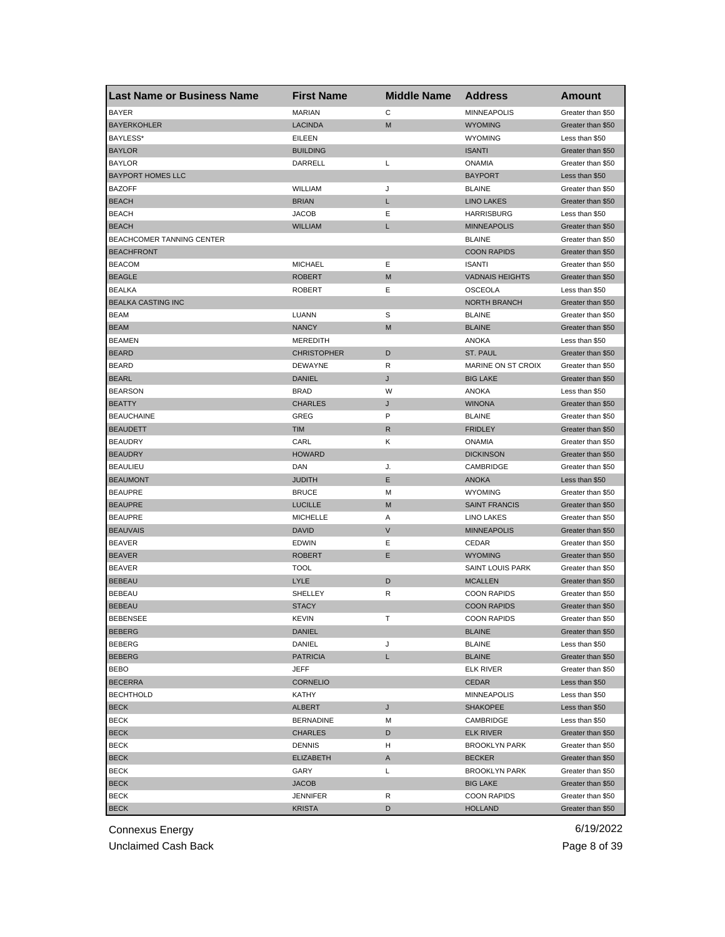| <b>Last Name or Business Name</b> | <b>First Name</b>  | <b>Middle Name</b> | <b>Address</b>          | <b>Amount</b>     |
|-----------------------------------|--------------------|--------------------|-------------------------|-------------------|
| <b>BAYER</b>                      | <b>MARIAN</b>      | С                  | <b>MINNEAPOLIS</b>      | Greater than \$50 |
| <b>BAYERKOHLER</b>                | <b>LACINDA</b>     | M                  | <b>WYOMING</b>          | Greater than \$50 |
| BAYLESS*                          | EILEEN             |                    | <b>WYOMING</b>          | Less than \$50    |
| <b>BAYLOR</b>                     | <b>BUILDING</b>    |                    | <b>ISANTI</b>           | Greater than \$50 |
| <b>BAYLOR</b>                     | DARRELL            | Г                  | <b>ONAMIA</b>           | Greater than \$50 |
| <b>BAYPORT HOMES LLC</b>          |                    |                    | <b>BAYPORT</b>          | Less than \$50    |
| <b>BAZOFF</b>                     | <b>WILLIAM</b>     | J                  | <b>BLAINE</b>           | Greater than \$50 |
| <b>BEACH</b>                      | <b>BRIAN</b>       | L                  | <b>LINO LAKES</b>       | Greater than \$50 |
| <b>BEACH</b>                      | <b>JACOB</b>       | Ε                  | <b>HARRISBURG</b>       | Less than \$50    |
| <b>BEACH</b>                      | <b>WILLIAM</b>     | L                  | <b>MINNEAPOLIS</b>      | Greater than \$50 |
| BEACHCOMER TANNING CENTER         |                    |                    | <b>BLAINE</b>           | Greater than \$50 |
| <b>BEACHFRONT</b>                 |                    |                    | <b>COON RAPIDS</b>      | Greater than \$50 |
| <b>BEACOM</b>                     | <b>MICHAEL</b>     | Ε                  | <b>ISANTI</b>           | Greater than \$50 |
| <b>BEAGLE</b>                     | <b>ROBERT</b>      | M                  | <b>VADNAIS HEIGHTS</b>  | Greater than \$50 |
| <b>BEALKA</b>                     | <b>ROBERT</b>      | Ε                  | <b>OSCEOLA</b>          | Less than \$50    |
| <b>BEALKA CASTING INC</b>         |                    |                    | <b>NORTH BRANCH</b>     | Greater than \$50 |
| <b>BEAM</b>                       | LUANN              | S                  | <b>BLAINE</b>           | Greater than \$50 |
| <b>BEAM</b>                       | <b>NANCY</b>       | M                  | <b>BLAINE</b>           | Greater than \$50 |
| <b>BEAMEN</b>                     | <b>MEREDITH</b>    |                    | ANOKA                   | Less than \$50    |
| <b>BEARD</b>                      | <b>CHRISTOPHER</b> | D                  | ST. PAUL                | Greater than \$50 |
| <b>BEARD</b>                      | <b>DEWAYNE</b>     | R                  | MARINE ON ST CROIX      | Greater than \$50 |
| <b>BEARL</b>                      | <b>DANIEL</b>      | J                  | <b>BIG LAKE</b>         | Greater than \$50 |
| <b>BEARSON</b>                    | <b>BRAD</b>        | W                  | <b>ANOKA</b>            | Less than \$50    |
| <b>BEATTY</b>                     | <b>CHARLES</b>     | J                  | <b>WINONA</b>           | Greater than \$50 |
| <b>BEAUCHAINE</b>                 | GREG               | P                  | <b>BLAINE</b>           | Greater than \$50 |
| <b>BEAUDETT</b>                   | <b>TIM</b>         | R                  | <b>FRIDLEY</b>          | Greater than \$50 |
| <b>BEAUDRY</b>                    | CARL               | Κ                  | <b>ONAMIA</b>           | Greater than \$50 |
| <b>BEAUDRY</b>                    | <b>HOWARD</b>      |                    | <b>DICKINSON</b>        | Greater than \$50 |
| <b>BEAULIEU</b>                   | DAN                | J.                 | CAMBRIDGE               | Greater than \$50 |
| <b>BEAUMONT</b>                   | <b>JUDITH</b>      | Ε                  | <b>ANOKA</b>            | Less than \$50    |
| <b>BEAUPRE</b>                    | <b>BRUCE</b>       | M                  | <b>WYOMING</b>          |                   |
| <b>BEAUPRE</b>                    | <b>LUCILLE</b>     | M                  | <b>SAINT FRANCIS</b>    | Greater than \$50 |
|                                   |                    |                    |                         | Greater than \$50 |
| <b>BEAUPRE</b>                    | <b>MICHELLE</b>    | Α<br>$\vee$        | LINO LAKES              | Greater than \$50 |
| <b>BEAUVAIS</b>                   | <b>DAVID</b>       |                    | <b>MINNEAPOLIS</b>      | Greater than \$50 |
| <b>BEAVER</b>                     | <b>EDWIN</b>       | Ε<br>Ε             | CEDAR                   | Greater than \$50 |
| <b>BEAVER</b>                     | <b>ROBERT</b>      |                    | <b>WYOMING</b>          | Greater than \$50 |
| <b>BEAVER</b>                     | <b>TOOL</b>        |                    | <b>SAINT LOUIS PARK</b> | Greater than \$50 |
| <b>BEBEAU</b>                     | <b>LYLE</b>        | D                  | <b>MCALLEN</b>          | Greater than \$50 |
| <b>BEBEAU</b>                     | SHELLEY            | R                  | <b>COON RAPIDS</b>      | Greater than \$50 |
| <b>BEBEAU</b>                     | <b>STACY</b>       |                    | <b>COON RAPIDS</b>      | Greater than \$50 |
| <b>BEBENSEE</b>                   | KEVIN              |                    | <b>COON RAPIDS</b>      | Greater than \$50 |
| <b>BEBERG</b>                     | DANIEL             |                    | <b>BLAINE</b>           | Greater than \$50 |
| BEBERG                            | DANIEL             | J                  | <b>BLAINE</b>           | Less than \$50    |
| <b>BEBERG</b>                     | <b>PATRICIA</b>    | L                  | <b>BLAINE</b>           | Greater than \$50 |
| <b>BEBO</b>                       | JEFF               |                    | <b>ELK RIVER</b>        | Greater than \$50 |
| <b>BECERRA</b>                    | <b>CORNELIO</b>    |                    | CEDAR                   | Less than \$50    |
| <b>BECHTHOLD</b>                  | KATHY              |                    | <b>MINNEAPOLIS</b>      | Less than \$50    |
| <b>BECK</b>                       | <b>ALBERT</b>      | J                  | <b>SHAKOPEE</b>         | Less than \$50    |
| <b>BECK</b>                       | <b>BERNADINE</b>   | M                  | CAMBRIDGE               | Less than \$50    |
| <b>BECK</b>                       | <b>CHARLES</b>     | D                  | <b>ELK RIVER</b>        | Greater than \$50 |
| <b>BECK</b>                       | <b>DENNIS</b>      | H                  | <b>BROOKLYN PARK</b>    | Greater than \$50 |
| <b>BECK</b>                       | <b>ELIZABETH</b>   | A                  | <b>BECKER</b>           | Greater than \$50 |
| <b>BECK</b>                       | GARY               | L                  | <b>BROOKLYN PARK</b>    | Greater than \$50 |
| <b>BECK</b>                       | <b>JACOB</b>       |                    | <b>BIG LAKE</b>         | Greater than \$50 |
| <b>BECK</b>                       | JENNIFER           | R                  | <b>COON RAPIDS</b>      | Greater than \$50 |
| <b>BECK</b>                       | <b>KRISTA</b>      | D                  | <b>HOLLAND</b>          | Greater than \$50 |

Unclaimed Cash Back **Page 8 of 39**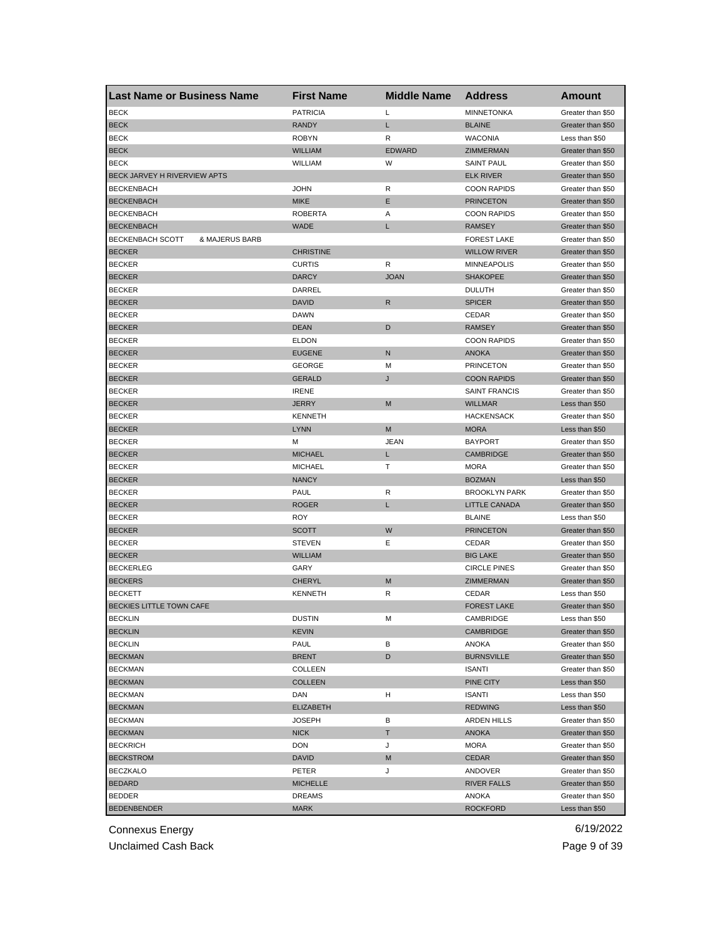| <b>Last Name or Business Name</b>         | <b>First Name</b> | <b>Middle Name</b> | <b>Address</b>              | Amount                                 |
|-------------------------------------------|-------------------|--------------------|-----------------------------|----------------------------------------|
| <b>BECK</b>                               | <b>PATRICIA</b>   | Г                  | <b>MINNETONKA</b>           | Greater than \$50                      |
| <b>BECK</b>                               | <b>RANDY</b>      | L                  | <b>BLAINE</b>               | Greater than \$50                      |
| <b>BECK</b>                               | <b>ROBYN</b>      | R                  | <b>WACONIA</b>              | Less than \$50                         |
| <b>BECK</b>                               | <b>WILLIAM</b>    | <b>EDWARD</b>      | ZIMMERMAN                   | Greater than \$50                      |
| <b>BECK</b>                               | WILLIAM           | W                  | <b>SAINT PAUL</b>           | Greater than \$50                      |
| BECK JARVEY H RIVERVIEW APTS              |                   |                    | <b>ELK RIVER</b>            | Greater than \$50                      |
| <b>BECKENBACH</b>                         | <b>JOHN</b>       | R                  | <b>COON RAPIDS</b>          | Greater than \$50                      |
| <b>BECKENBACH</b>                         | <b>MIKE</b>       | Ε                  | <b>PRINCETON</b>            | Greater than \$50                      |
| <b>BECKENBACH</b>                         | <b>ROBERTA</b>    | Α                  | <b>COON RAPIDS</b>          | Greater than \$50                      |
| <b>BECKENBACH</b>                         | <b>WADE</b>       | L                  | <b>RAMSEY</b>               | Greater than \$50                      |
| <b>BECKENBACH SCOTT</b><br>& MAJERUS BARB |                   |                    | <b>FOREST LAKE</b>          | Greater than \$50                      |
| <b>BECKER</b>                             | <b>CHRISTINE</b>  |                    | <b>WILLOW RIVER</b>         | Greater than \$50                      |
| <b>BECKER</b>                             | <b>CURTIS</b>     | R                  | <b>MINNEAPOLIS</b>          | Greater than \$50                      |
| <b>BECKER</b>                             | <b>DARCY</b>      | <b>JOAN</b>        | <b>SHAKOPEE</b>             | Greater than \$50                      |
| <b>BECKER</b>                             | DARREL            |                    | <b>DULUTH</b>               | Greater than \$50                      |
| <b>BECKER</b>                             | <b>DAVID</b>      | $\mathsf{R}$       | <b>SPICER</b>               | Greater than \$50                      |
| <b>BECKER</b>                             | <b>DAWN</b>       |                    | CEDAR                       | Greater than \$50                      |
| <b>BECKER</b>                             | <b>DEAN</b>       | D                  | <b>RAMSEY</b>               | Greater than \$50                      |
| <b>BECKER</b>                             | <b>ELDON</b>      |                    | <b>COON RAPIDS</b>          | Greater than \$50                      |
| <b>BECKER</b>                             | <b>EUGENE</b>     | N                  | <b>ANOKA</b>                | Greater than \$50                      |
| <b>BECKER</b>                             | <b>GEORGE</b>     | M                  | <b>PRINCETON</b>            | Greater than \$50                      |
| <b>BECKER</b>                             | <b>GERALD</b>     | J                  | <b>COON RAPIDS</b>          | Greater than \$50                      |
| <b>BECKER</b>                             | <b>IRENE</b>      |                    | <b>SAINT FRANCIS</b>        | Greater than \$50                      |
| <b>BECKER</b>                             | <b>JERRY</b>      | M                  | <b>WILLMAR</b>              | Less than \$50                         |
| <b>BECKER</b>                             | <b>KENNETH</b>    |                    | <b>HACKENSACK</b>           | Greater than \$50                      |
| <b>BECKER</b>                             | <b>LYNN</b>       | M                  | <b>MORA</b>                 | Less than \$50                         |
| <b>BECKER</b>                             | M                 | JEAN               | <b>BAYPORT</b>              | Greater than \$50                      |
| <b>BECKER</b>                             | <b>MICHAEL</b>    | L                  | <b>CAMBRIDGE</b>            | Greater than \$50                      |
| <b>BECKER</b>                             | <b>MICHAEL</b>    | т                  | <b>MORA</b>                 | Greater than \$50                      |
| <b>BECKER</b>                             | <b>NANCY</b>      |                    | <b>BOZMAN</b>               | Less than \$50                         |
| <b>BECKER</b>                             | <b>PAUL</b>       | R                  | <b>BROOKLYN PARK</b>        | Greater than \$50                      |
| <b>BECKER</b>                             | <b>ROGER</b>      | Г                  | <b>LITTLE CANADA</b>        | Greater than \$50                      |
| <b>BECKER</b>                             | ROY               |                    | <b>BLAINE</b>               | Less than \$50                         |
| <b>BECKER</b>                             | <b>SCOTT</b>      | W                  | <b>PRINCETON</b>            | Greater than \$50                      |
| <b>BECKER</b>                             | <b>STEVEN</b>     | Ε                  | CEDAR                       | Greater than \$50                      |
| <b>BECKER</b>                             | <b>WILLIAM</b>    |                    | <b>BIG LAKE</b>             | Greater than \$50                      |
| <b>BECKERLEG</b>                          | GARY              |                    | <b>CIRCLE PINES</b>         | Greater than \$50                      |
| <b>BECKERS</b>                            | CHERYL            | M                  | ZIMMERMAN                   |                                        |
| <b>BECKETT</b>                            | <b>KENNETH</b>    | R                  |                             | Greater than \$50                      |
| BECKIES LITTLE TOWN CAFE                  |                   |                    | CEDAR<br><b>FOREST LAKE</b> | Less than \$50<br>Greater than \$50    |
|                                           |                   |                    |                             |                                        |
| <b>BECKLIN</b>                            | <b>DUSTIN</b>     | M                  | CAMBRIDGE                   | Less than \$50                         |
| <b>BECKLIN</b>                            | <b>KEVIN</b>      |                    | <b>CAMBRIDGE</b>            | Greater than \$50<br>Greater than \$50 |
| <b>BECKLIN</b>                            | PAUL              | В                  | ANOKA                       |                                        |
| <b>BECKMAN</b>                            | <b>BRENT</b>      | D                  | <b>BURNSVILLE</b>           | Greater than \$50                      |
| <b>BECKMAN</b>                            | COLLEEN           |                    | <b>ISANTI</b>               | Greater than \$50                      |
| <b>BECKMAN</b>                            | <b>COLLEEN</b>    |                    | PINE CITY                   | Less than \$50                         |
| <b>BECKMAN</b>                            | DAN               | н                  | <b>ISANTI</b>               | Less than \$50                         |
| <b>BECKMAN</b>                            | <b>ELIZABETH</b>  |                    | <b>REDWING</b>              | Less than \$50                         |
| <b>BECKMAN</b>                            | <b>JOSEPH</b>     | В                  | <b>ARDEN HILLS</b>          | Greater than \$50                      |
| <b>BECKMAN</b>                            | <b>NICK</b>       | т                  | <b>ANOKA</b>                | Greater than \$50                      |
| <b>BECKRICH</b>                           | <b>DON</b>        | J                  | <b>MORA</b>                 | Greater than \$50                      |
| <b>BECKSTROM</b>                          | <b>DAVID</b>      | M                  | <b>CEDAR</b>                | Greater than \$50                      |
| <b>BECZKALO</b>                           | PETER             | J                  | ANDOVER                     | Greater than \$50                      |
| <b>BEDARD</b>                             | <b>MICHELLE</b>   |                    | <b>RIVER FALLS</b>          | Greater than \$50                      |
| BEDDER                                    | DREAMS            |                    | ANOKA                       | Greater than \$50                      |
| <b>BEDENBENDER</b>                        | <b>MARK</b>       |                    | <b>ROCKFORD</b>             | Less than \$50                         |

Unclaimed Cash Back **Page 9 of 39**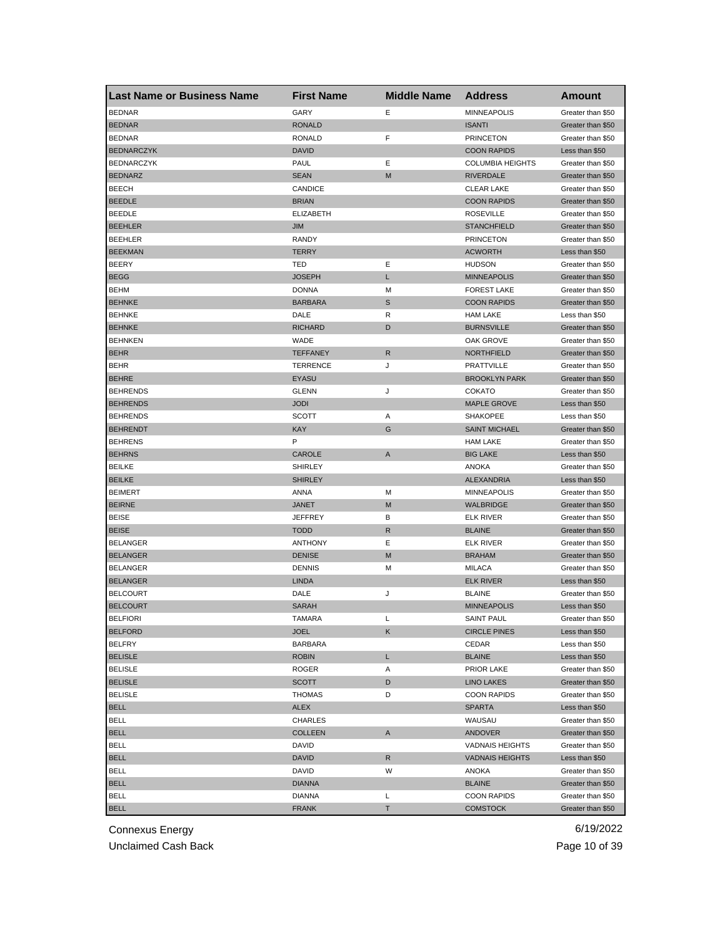| <b>Last Name or Business Name</b> | <b>First Name</b> | <b>Middle Name</b> | <b>Address</b>                                   | <b>Amount</b>                       |
|-----------------------------------|-------------------|--------------------|--------------------------------------------------|-------------------------------------|
| <b>BEDNAR</b>                     | GARY              | Е                  | <b>MINNEAPOLIS</b>                               | Greater than \$50                   |
| <b>BEDNAR</b>                     | <b>RONALD</b>     |                    | <b>ISANTI</b>                                    | Greater than \$50                   |
| <b>BEDNAR</b>                     | <b>RONALD</b>     | F                  | <b>PRINCETON</b>                                 | Greater than \$50                   |
| <b>BEDNARCZYK</b>                 | DAVID             |                    | <b>COON RAPIDS</b>                               | Less than \$50                      |
| <b>BEDNARCZYK</b>                 | PAUL              | Ε                  | <b>COLUMBIA HEIGHTS</b>                          | Greater than \$50                   |
| <b>BEDNARZ</b>                    | <b>SEAN</b>       | M                  | <b>RIVERDALE</b>                                 | Greater than \$50                   |
| <b>BEECH</b>                      | CANDICE           |                    | <b>CLEAR LAKE</b>                                | Greater than \$50                   |
| <b>BEEDLE</b>                     | <b>BRIAN</b>      |                    | <b>COON RAPIDS</b>                               | Greater than \$50                   |
| <b>BEEDLE</b>                     | <b>ELIZABETH</b>  |                    | <b>ROSEVILLE</b>                                 | Greater than \$50                   |
| <b>BEEHLER</b>                    | JIM               |                    | <b>STANCHFIELD</b>                               | Greater than \$50                   |
| <b>BEEHLER</b>                    | RANDY             |                    | <b>PRINCETON</b>                                 | Greater than \$50                   |
| <b>BEEKMAN</b>                    | <b>TERRY</b>      |                    | <b>ACWORTH</b>                                   | Less than \$50                      |
| BEERY                             | TED               | Ε                  | <b>HUDSON</b>                                    | Greater than \$50                   |
| <b>BEGG</b>                       | JOSEPH            | Г                  | <b>MINNEAPOLIS</b>                               | Greater than \$50                   |
| <b>BEHM</b>                       | <b>DONNA</b>      | M                  | <b>FOREST LAKE</b>                               | Greater than \$50                   |
| <b>BEHNKE</b>                     | <b>BARBARA</b>    | $\mathbb S$        | <b>COON RAPIDS</b>                               | Greater than \$50                   |
| <b>BEHNKE</b>                     | DALE              | R                  | <b>HAM LAKE</b>                                  | Less than \$50                      |
| <b>BEHNKE</b>                     | <b>RICHARD</b>    | D                  | <b>BURNSVILLE</b>                                | Greater than \$50                   |
| <b>BEHNKEN</b>                    | WADE              |                    | OAK GROVE                                        | Greater than \$50                   |
| <b>BEHR</b>                       | <b>TEFFANEY</b>   | R                  | <b>NORTHFIELD</b>                                | Greater than \$50                   |
| <b>BEHR</b>                       | <b>TERRENCE</b>   | J                  | <b>PRATTVILLE</b>                                | Greater than \$50                   |
| <b>BEHRE</b>                      | <b>EYASU</b>      |                    | <b>BROOKLYN PARK</b>                             | Greater than \$50                   |
| <b>BEHRENDS</b>                   | <b>GLENN</b>      | J                  | <b>COKATO</b>                                    | Greater than \$50                   |
| <b>BEHRENDS</b>                   | <b>JODI</b>       |                    | <b>MAPLE GROVE</b>                               | Less than \$50                      |
| <b>BEHRENDS</b>                   | <b>SCOTT</b>      | Α                  | <b>SHAKOPEE</b>                                  | Less than \$50                      |
| <b>BEHRENDT</b>                   | KAY               | G                  | <b>SAINT MICHAEL</b>                             | Greater than \$50                   |
| <b>BEHRENS</b>                    | Ρ                 |                    | <b>HAM LAKE</b>                                  | Greater than \$50                   |
| <b>BEHRNS</b>                     | CAROLE            | A                  | <b>BIG LAKE</b>                                  | Less than \$50                      |
| <b>BEILKE</b>                     | SHIRLEY           |                    | ANOKA                                            | Greater than \$50                   |
| <b>BEILKE</b>                     | <b>SHIRLEY</b>    |                    | ALEXANDRIA                                       | Less than \$50                      |
| <b>BEIMERT</b>                    | ANNA              | M                  | <b>MINNEAPOLIS</b>                               | Greater than \$50                   |
| <b>BEIRNE</b>                     | JANET             | M                  | <b>WALBRIDGE</b>                                 | Greater than \$50                   |
| <b>BEISE</b>                      | JEFFREY           | в                  | <b>ELK RIVER</b>                                 | Greater than \$50                   |
| <b>BEISE</b>                      | <b>TODD</b>       | R                  | <b>BLAINE</b>                                    | Greater than \$50                   |
| <b>BELANGER</b>                   | <b>ANTHONY</b>    | Е                  | <b>ELK RIVER</b>                                 | Greater than \$50                   |
| <b>BELANGER</b>                   | <b>DENISE</b>     | M                  | <b>BRAHAM</b>                                    | Greater than \$50                   |
| <b>BELANGER</b>                   | <b>DENNIS</b>     | M                  | <b>MILACA</b>                                    | Greater than \$50                   |
| <b>BELANGER</b>                   | <b>LINDA</b>      |                    | <b>ELK RIVER</b>                                 | Less than \$50                      |
| <b>BELCOURT</b>                   | DALE              | J                  | <b>BLAINE</b>                                    | Greater than \$50                   |
| <b>BELCOURT</b>                   | <b>SARAH</b>      |                    | <b>MINNEAPOLIS</b>                               | Less than \$50                      |
| <b>BELFIORI</b>                   | <b>I AMARA</b>    | L                  | SAINT PAUL                                       | Greater than \$50                   |
| <b>BELFORD</b>                    | JOEL              | Κ                  | <b>CIRCLE PINES</b>                              | Less than \$50                      |
| <b>BELFRY</b>                     | <b>BARBARA</b>    |                    | CEDAR                                            | Less than \$50                      |
| <b>BELISLE</b>                    | <b>ROBIN</b>      | L                  | <b>BLAINE</b>                                    | Less than \$50                      |
| <b>BELISLE</b>                    | ROGER             | Α                  | <b>PRIOR LAKE</b>                                | Greater than \$50                   |
| <b>BELISLE</b>                    | <b>SCOTT</b>      | D                  | <b>LINO LAKES</b>                                | Greater than \$50                   |
| <b>BELISLE</b>                    | <b>THOMAS</b>     | D                  | <b>COON RAPIDS</b>                               | Greater than \$50                   |
| <b>BELL</b>                       | ALEX              |                    | <b>SPARTA</b>                                    | Less than \$50                      |
| <b>BELL</b>                       | CHARLES           |                    | WAUSAU                                           | Greater than \$50                   |
| <b>BELL</b>                       | COLLEEN           | A                  | <b>ANDOVER</b>                                   | Greater than \$50                   |
| <b>BELL</b>                       | DAVID             |                    |                                                  | Greater than \$50                   |
|                                   |                   |                    | <b>VADNAIS HEIGHTS</b><br><b>VADNAIS HEIGHTS</b> |                                     |
| <b>BELL</b><br><b>BELL</b>        | DAVID<br>DAVID    | R<br>W             | ANOKA                                            | Less than \$50<br>Greater than \$50 |
|                                   |                   |                    |                                                  |                                     |
| <b>BELL</b>                       | <b>DIANNA</b>     |                    | <b>BLAINE</b>                                    | Greater than \$50                   |
| <b>BELL</b>                       | <b>DIANNA</b>     | L                  | <b>COON RAPIDS</b>                               | Greater than \$50                   |
| <b>BELL</b>                       | <b>FRANK</b>      | T.                 | <b>COMSTOCK</b>                                  | Greater than \$50                   |

Unclaimed Cash Back **Page 10 of 39**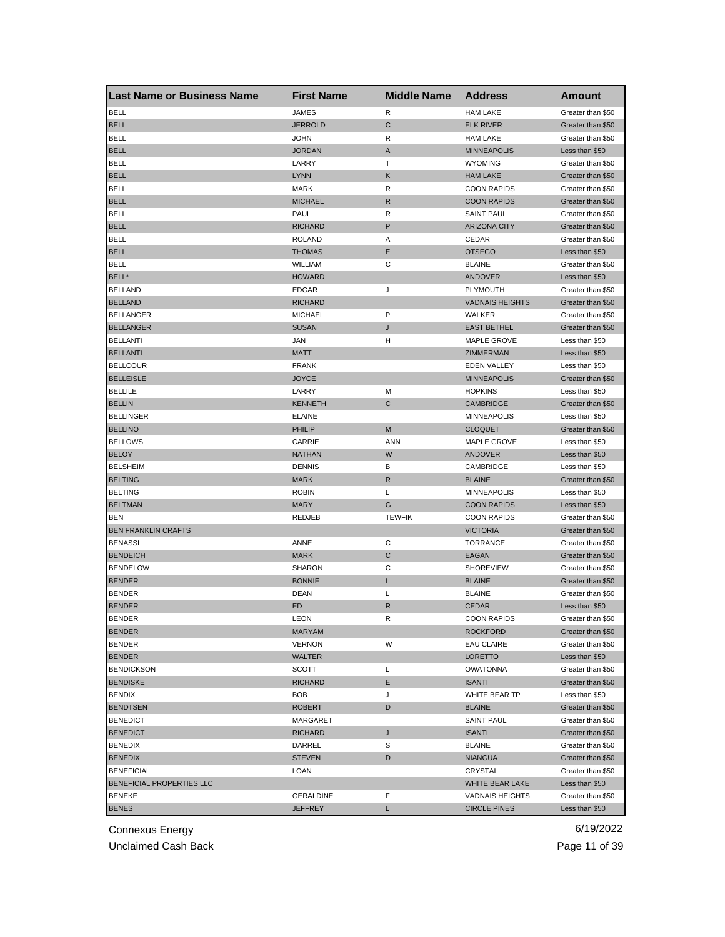| Last Name or Business Name | <b>First Name</b> | <b>Middle Name</b> | <b>Address</b>         | <b>Amount</b>                          |
|----------------------------|-------------------|--------------------|------------------------|----------------------------------------|
| <b>BELL</b>                | <b>JAMES</b>      | R                  | <b>HAM LAKE</b>        | Greater than \$50                      |
| <b>BELL</b>                | <b>JERROLD</b>    | C                  | <b>ELK RIVER</b>       | Greater than \$50                      |
| <b>BELL</b>                | <b>JOHN</b>       | R                  | <b>HAM LAKE</b>        | Greater than \$50                      |
| <b>BELL</b>                | <b>JORDAN</b>     | A                  | <b>MINNEAPOLIS</b>     | Less than \$50                         |
| <b>BELL</b>                | LARRY             | Т                  | <b>WYOMING</b>         | Greater than \$50                      |
| <b>BELL</b>                | <b>LYNN</b>       | Κ                  | <b>HAM LAKE</b>        | Greater than \$50                      |
| <b>BELL</b>                | <b>MARK</b>       | R                  | <b>COON RAPIDS</b>     | Greater than \$50                      |
| <b>BELL</b>                | <b>MICHAEL</b>    | R                  | <b>COON RAPIDS</b>     | Greater than \$50                      |
| <b>BELL</b>                | PAUL              | R                  | <b>SAINT PAUL</b>      | Greater than \$50                      |
| <b>BELL</b>                | <b>RICHARD</b>    | P                  | <b>ARIZONA CITY</b>    | Greater than \$50                      |
| <b>BELL</b>                | <b>ROLAND</b>     | Α                  | CEDAR                  | Greater than \$50                      |
| <b>BELL</b>                | <b>THOMAS</b>     | Ε                  | <b>OTSEGO</b>          | Less than \$50                         |
| BELL                       | WILLIAM           | С                  | <b>BLAINE</b>          | Greater than \$50                      |
| BELL*                      | <b>HOWARD</b>     |                    | <b>ANDOVER</b>         | Less than \$50                         |
| <b>BELLAND</b>             | <b>EDGAR</b>      | J                  | PLYMOUTH               | Greater than \$50                      |
| <b>BELLAND</b>             | <b>RICHARD</b>    |                    | <b>VADNAIS HEIGHTS</b> | Greater than \$50                      |
| <b>BELLANGER</b>           | <b>MICHAEL</b>    | P                  | WALKER                 | Greater than \$50                      |
| <b>BELLANGER</b>           | <b>SUSAN</b>      | J                  | <b>EAST BETHEL</b>     | Greater than \$50                      |
| <b>BELLANTI</b>            | JAN               | н                  | <b>MAPLE GROVE</b>     | Less than \$50                         |
| <b>BELLANTI</b>            | <b>MATT</b>       |                    | <b>ZIMMERMAN</b>       | Less than \$50                         |
| <b>BELLCOUR</b>            | <b>FRANK</b>      |                    | <b>EDEN VALLEY</b>     | Less than \$50                         |
| <b>BELLEISLE</b>           | <b>JOYCE</b>      |                    | <b>MINNEAPOLIS</b>     | Greater than \$50                      |
| <b>BELLILE</b>             | LARRY             | M                  | <b>HOPKINS</b>         | Less than \$50                         |
| <b>BELLIN</b>              | <b>KENNETH</b>    | С                  | CAMBRIDGE              | Greater than \$50                      |
| <b>BELLINGER</b>           | <b>ELAINE</b>     |                    | <b>MINNEAPOLIS</b>     | Less than \$50                         |
| <b>BELLINO</b>             | PHILIP            | M                  | <b>CLOQUET</b>         | Greater than \$50                      |
| <b>BELLOWS</b>             | CARRIE            | ANN                | <b>MAPLE GROVE</b>     | Less than \$50                         |
| <b>BELOY</b>               | <b>NATHAN</b>     | W                  | <b>ANDOVER</b>         | Less than \$50                         |
| <b>BELSHEIM</b>            | <b>DENNIS</b>     | В                  | CAMBRIDGE              | Less than \$50                         |
| <b>BELTING</b>             | <b>MARK</b>       | R                  | <b>BLAINE</b>          | Greater than \$50                      |
| <b>BELTING</b>             | <b>ROBIN</b>      | L                  | <b>MINNEAPOLIS</b>     | Less than \$50                         |
| <b>BELTMAN</b>             | <b>MARY</b>       | G                  | <b>COON RAPIDS</b>     | Less than \$50                         |
| <b>BEN</b>                 | <b>REDJEB</b>     | <b>TEWFIK</b>      | <b>COON RAPIDS</b>     | Greater than \$50                      |
| <b>BEN FRANKLIN CRAFTS</b> |                   |                    | <b>VICTORIA</b>        | Greater than \$50                      |
| <b>BENASSI</b>             | ANNE              | С                  | <b>TORRANCE</b>        | Greater than \$50                      |
| <b>BENDEICH</b>            | <b>MARK</b>       | С                  | EAGAN                  | Greater than \$50                      |
| <b>BENDELOW</b>            | <b>SHARON</b>     | С                  | <b>SHOREVIEW</b>       | Greater than \$50                      |
| <b>BENDER</b>              | <b>BONNIE</b>     | L                  | <b>BLAINE</b>          | Greater than \$50                      |
| <b>BENDER</b>              | <b>DEAN</b>       | L                  | <b>BLAINE</b>          | Greater than \$50                      |
| <b>BENDER</b>              | ED                | R                  | <b>CEDAR</b>           | Less than \$50                         |
| BENDER                     | LEON              | к                  | <b>COON RAPIDS</b>     | Greater than \$50                      |
| <b>BENDER</b>              | <b>MARYAM</b>     |                    | <b>ROCKFORD</b>        | Greater than \$50                      |
| <b>BENDER</b>              | <b>VERNON</b>     | W                  | <b>EAU CLAIRE</b>      | Greater than \$50                      |
| <b>BENDER</b>              | WALTER            |                    | LORETTO                | Less than \$50                         |
| <b>BENDICKSON</b>          | <b>SCOTT</b>      | L                  | OWATONNA               | Greater than \$50                      |
| <b>BENDISKE</b>            | <b>RICHARD</b>    | Е                  | <b>ISANTI</b>          | Greater than \$50                      |
| BENDIX                     | <b>BOB</b>        | J                  | WHITE BEAR TP          | Less than \$50                         |
|                            |                   |                    |                        |                                        |
| <b>BENDTSEN</b>            | <b>ROBERT</b>     | D                  | <b>BLAINE</b>          | Greater than \$50<br>Greater than \$50 |
| <b>BENEDICT</b>            | MARGARET          |                    | <b>SAINT PAUL</b>      |                                        |
| <b>BENEDICT</b>            | <b>RICHARD</b>    | J                  | <b>ISANTI</b>          | Greater than \$50                      |
| <b>BENEDIX</b>             | DARREL            | S                  | <b>BLAINE</b>          | Greater than \$50                      |
| <b>BENEDIX</b>             | <b>STEVEN</b>     | D                  | <b>NIANGUA</b>         | Greater than \$50                      |
| <b>BENEFICIAL</b>          | LOAN              |                    | CRYSTAL                | Greater than \$50                      |
| BENEFICIAL PROPERTIES LLC  |                   |                    | WHITE BEAR LAKE        | Less than \$50                         |
| <b>BENEKE</b>              | <b>GERALDINE</b>  | F                  | <b>VADNAIS HEIGHTS</b> | Greater than \$50                      |
| <b>BENES</b>               | <b>JEFFREY</b>    | L                  | <b>CIRCLE PINES</b>    | Less than \$50                         |

Unclaimed Cash Back **Page 11 of 39**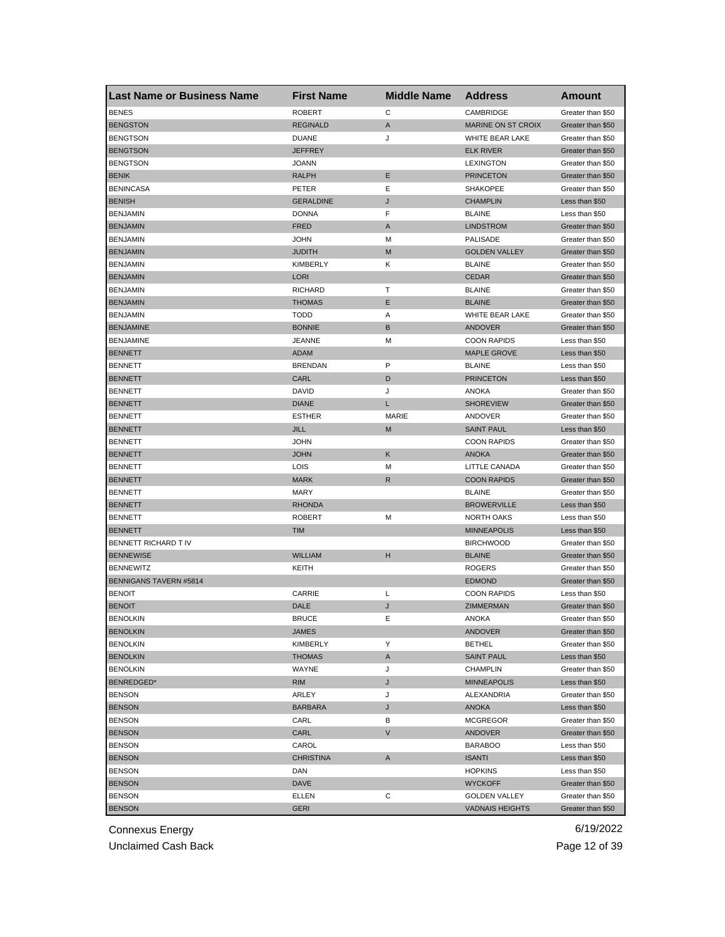| <b>Last Name or Business Name</b> | <b>First Name</b>      | <b>Middle Name</b> | <b>Address</b>                  | Amount                              |
|-----------------------------------|------------------------|--------------------|---------------------------------|-------------------------------------|
| <b>BENES</b>                      | <b>ROBERT</b>          | C                  | CAMBRIDGE                       | Greater than \$50                   |
| <b>BENGSTON</b>                   | <b>REGINALD</b>        | A                  | <b>MARINE ON ST CROIX</b>       | Greater than \$50                   |
| <b>BENGTSON</b>                   | <b>DUANE</b>           | J                  | WHITE BEAR LAKE                 | Greater than \$50                   |
| <b>BENGTSON</b>                   | JEFFREY                |                    | <b>ELK RIVER</b>                | Greater than \$50                   |
| <b>BENGTSON</b>                   | JOANN                  |                    | <b>LEXINGTON</b>                | Greater than \$50                   |
| <b>BENIK</b>                      | <b>RALPH</b>           | Ε                  | <b>PRINCETON</b>                | Greater than \$50                   |
| <b>BENINCASA</b>                  | PETER                  | Ε                  | <b>SHAKOPEE</b>                 | Greater than \$50                   |
| <b>BENISH</b>                     | <b>GERALDINE</b>       | J                  | <b>CHAMPLIN</b>                 | Less than \$50                      |
| <b>BENJAMIN</b>                   | <b>DONNA</b>           | F                  | <b>BLAINE</b>                   | Less than \$50                      |
| <b>BENJAMIN</b>                   | <b>FRED</b>            | A                  | <b>LINDSTROM</b>                | Greater than \$50                   |
| <b>BENJAMIN</b>                   | JOHN                   | М                  | <b>PALISADE</b>                 | Greater than \$50                   |
| <b>BENJAMIN</b>                   | JUDITH                 | M                  | <b>GOLDEN VALLEY</b>            | Greater than \$50                   |
| <b>BENJAMIN</b>                   | <b>KIMBERLY</b>        | Κ                  | <b>BLAINE</b>                   | Greater than \$50                   |
| <b>BENJAMIN</b>                   | LORI                   |                    | <b>CEDAR</b>                    | Greater than \$50                   |
| <b>BENJAMIN</b>                   | <b>RICHARD</b>         | Т                  | <b>BLAINE</b>                   | Greater than \$50                   |
| <b>BENJAMIN</b>                   | <b>THOMAS</b>          | Ε                  | <b>BLAINE</b>                   | Greater than \$50                   |
| <b>BENJAMIN</b>                   | <b>TODD</b>            | Α                  | WHITE BEAR LAKE                 | Greater than \$50                   |
| <b>BENJAMINE</b>                  | <b>BONNIE</b>          | B                  | ANDOVER                         | Greater than \$50                   |
| <b>BENJAMINE</b>                  | JEANNE                 | м                  | <b>COON RAPIDS</b>              | Less than \$50                      |
| <b>BENNETT</b>                    | ADAM                   |                    | <b>MAPLE GROVE</b>              | Less than \$50                      |
| <b>BENNETT</b>                    | <b>BRENDAN</b>         | P                  | <b>BLAINE</b>                   | Less than \$50                      |
| <b>BENNETT</b>                    | CARL                   | D                  | <b>PRINCETON</b>                | Less than \$50                      |
| <b>BENNETT</b>                    | DAVID                  | J                  | <b>ANOKA</b>                    | Greater than \$50                   |
| <b>BENNETT</b>                    | <b>DIANE</b>           | L                  | <b>SHOREVIEW</b>                | Greater than \$50                   |
| <b>BENNETT</b>                    | <b>ESTHER</b>          | MARIE              | ANDOVER                         | Greater than \$50                   |
| <b>BENNETT</b>                    | JILL                   | M                  | <b>SAINT PAUL</b>               | Less than \$50                      |
| <b>BENNETT</b>                    | JOHN                   |                    | <b>COON RAPIDS</b>              | Greater than \$50                   |
| <b>BENNETT</b>                    | <b>JOHN</b>            | Κ                  | <b>ANOKA</b>                    | Greater than \$50                   |
| <b>BENNETT</b>                    | LOIS                   | М                  | LITTLE CANADA                   | Greater than \$50                   |
| <b>BENNETT</b>                    | <b>MARK</b>            | R                  | <b>COON RAPIDS</b>              | Greater than \$50                   |
| <b>BENNETT</b>                    | <b>MARY</b>            |                    | <b>BLAINE</b>                   | Greater than \$50                   |
| <b>BENNETT</b>                    | <b>RHONDA</b>          |                    | <b>BROWERVILLE</b>              | Less than \$50                      |
| <b>BENNETT</b>                    | ROBERT                 | M                  | <b>NORTH OAKS</b>               | Less than \$50                      |
| <b>BENNETT</b>                    | TIM                    |                    | <b>MINNEAPOLIS</b>              | Less than \$50                      |
| BENNETT RICHARD T IV              |                        |                    | <b>BIRCHWOOD</b>                | Greater than \$50                   |
| <b>BENNEWISE</b>                  | <b>WILLIAM</b>         | H                  | <b>BLAINE</b>                   | Greater than \$50                   |
| <b>BENNEWITZ</b>                  | KEITH                  |                    | <b>ROGERS</b>                   | Greater than \$50                   |
| <b>BENNIGANS TAVERN #5814</b>     |                        |                    | <b>EDMOND</b>                   | Greater than \$50                   |
| <b>BENOIT</b>                     | CARRIE                 | Г                  | <b>COON RAPIDS</b>              | Less than \$50                      |
| <b>BENOIT</b>                     | DALE                   | J                  | ZIMMERMAN                       | Greater than \$50                   |
| <b>BENOLKIN</b>                   | <b>BRUCE</b>           | Е                  | ANOKA                           | Greater than \$50                   |
| <b>BENOLKIN</b>                   | JAMES                  |                    | <b>ANDOVER</b>                  | Greater than \$50                   |
| <b>BENOLKIN</b>                   | KIMBERLY               | Υ                  | <b>BETHEL</b>                   | Greater than \$50                   |
| <b>BENOLKIN</b>                   | <b>THOMAS</b>          | A                  | <b>SAINT PAUL</b>               | Less than \$50                      |
| <b>BENOLKIN</b>                   | WAYNE                  | J                  | <b>CHAMPLIN</b>                 | Greater than \$50                   |
| BENREDGED*                        | <b>RIM</b>             | J                  | <b>MINNEAPOLIS</b>              | Less than \$50                      |
| <b>BENSON</b>                     | ARLEY                  | J                  | ALEXANDRIA                      | Greater than \$50                   |
|                                   |                        |                    |                                 |                                     |
| <b>BENSON</b><br><b>BENSON</b>    | <b>BARBARA</b><br>CARL | J<br>В             | <b>ANOKA</b><br><b>MCGREGOR</b> | Less than \$50<br>Greater than \$50 |
|                                   |                        |                    |                                 |                                     |
| <b>BENSON</b>                     | CARL                   | V                  | <b>ANDOVER</b>                  | Greater than \$50                   |
| <b>BENSON</b>                     | CAROL                  |                    | <b>BARABOO</b>                  | Less than \$50                      |
| <b>BENSON</b>                     | <b>CHRISTINA</b>       | A                  | <b>ISANTI</b>                   | Less than \$50                      |
| <b>BENSON</b>                     | DAN                    |                    | <b>HOPKINS</b>                  | Less than \$50                      |
| <b>BENSON</b>                     | DAVE                   |                    | <b>WYCKOFF</b>                  | Greater than \$50                   |
| <b>BENSON</b>                     | ELLEN                  | С                  | <b>GOLDEN VALLEY</b>            | Greater than \$50                   |
| <b>BENSON</b>                     | <b>GERI</b>            |                    | <b>VADNAIS HEIGHTS</b>          | Greater than \$50                   |

Unclaimed Cash Back **Page 12 of 39**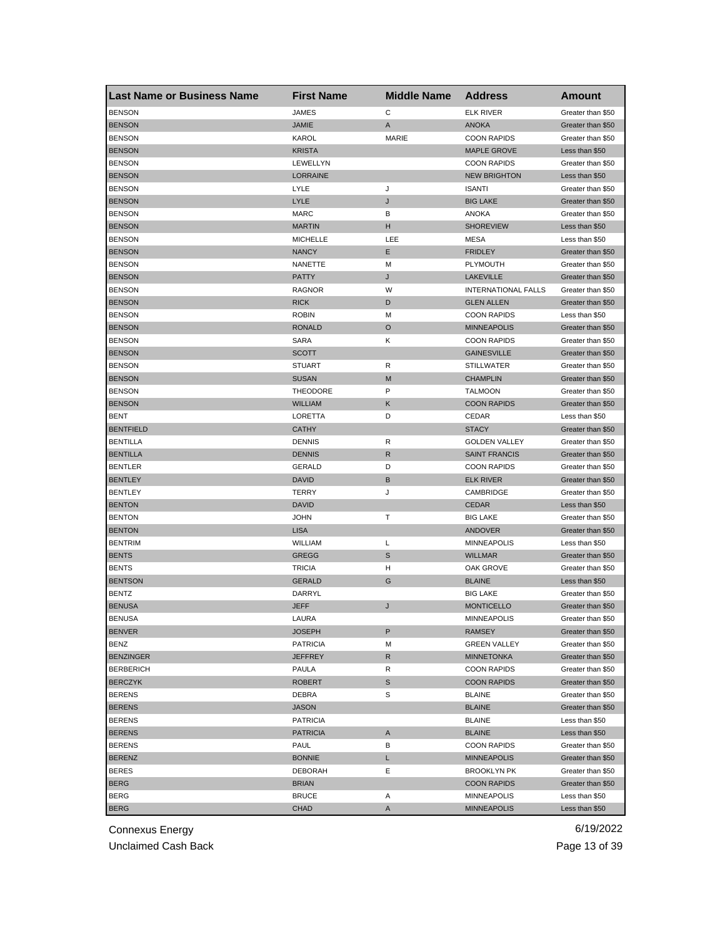| <b>Last Name or Business Name</b> | <b>First Name</b>      | <b>Middle Name</b> | <b>Address</b>             | Amount                                 |
|-----------------------------------|------------------------|--------------------|----------------------------|----------------------------------------|
| <b>BENSON</b>                     | <b>JAMES</b>           | С                  | <b>ELK RIVER</b>           | Greater than \$50                      |
| <b>BENSON</b>                     | <b>JAMIE</b>           | A                  | <b>ANOKA</b>               | Greater than \$50                      |
| <b>BENSON</b>                     | KAROL                  | <b>MARIE</b>       | <b>COON RAPIDS</b>         | Greater than \$50                      |
| <b>BENSON</b>                     | <b>KRISTA</b>          |                    | <b>MAPLE GROVE</b>         | Less than \$50                         |
| <b>BENSON</b>                     | LEWELLYN               |                    | <b>COON RAPIDS</b>         | Greater than \$50                      |
| <b>BENSON</b>                     | <b>LORRAINE</b>        |                    | <b>NEW BRIGHTON</b>        | Less than \$50                         |
| <b>BENSON</b>                     | LYLE                   | J                  | <b>ISANTI</b>              | Greater than \$50                      |
| <b>BENSON</b>                     | LYLE                   | J                  | <b>BIG LAKE</b>            | Greater than \$50                      |
| <b>BENSON</b>                     | <b>MARC</b>            | В                  | <b>ANOKA</b>               | Greater than \$50                      |
| <b>BENSON</b>                     | <b>MARTIN</b>          | н                  | <b>SHOREVIEW</b>           | Less than \$50                         |
| <b>BENSON</b>                     | <b>MICHELLE</b>        | LEE                | <b>MESA</b>                | Less than \$50                         |
| <b>BENSON</b>                     | <b>NANCY</b>           | Ε                  | <b>FRIDLEY</b>             | Greater than \$50                      |
| <b>BENSON</b>                     | NANETTE                | M                  | <b>PLYMOUTH</b>            | Greater than \$50                      |
| <b>BENSON</b>                     | <b>PATTY</b>           | J                  | <b>LAKEVILLE</b>           | Greater than \$50                      |
| <b>BENSON</b>                     | <b>RAGNOR</b>          | W                  | <b>INTERNATIONAL FALLS</b> | Greater than \$50                      |
| <b>BENSON</b>                     | <b>RICK</b>            | D                  | <b>GLEN ALLEN</b>          | Greater than \$50                      |
| <b>BENSON</b>                     | <b>ROBIN</b>           | M                  | <b>COON RAPIDS</b>         | Less than \$50                         |
| <b>BENSON</b>                     | <b>RONALD</b>          | $\circ$            | <b>MINNEAPOLIS</b>         | Greater than \$50                      |
| <b>BENSON</b>                     | <b>SARA</b>            | Κ                  | <b>COON RAPIDS</b>         | Greater than \$50                      |
| <b>BENSON</b>                     | <b>SCOTT</b>           |                    | <b>GAINESVILLE</b>         | Greater than \$50                      |
| <b>BENSON</b>                     | <b>STUART</b>          | R                  | <b>STILLWATER</b>          | Greater than \$50                      |
| <b>BENSON</b>                     | <b>SUSAN</b>           | M                  | <b>CHAMPLIN</b>            | Greater than \$50                      |
| <b>BENSON</b>                     | <b>THEODORE</b>        | P                  | <b>TALMOON</b>             | Greater than \$50                      |
| <b>BENSON</b>                     | <b>WILLIAM</b>         | Κ                  | <b>COON RAPIDS</b>         | Greater than \$50                      |
| <b>BENT</b>                       | LORETTA                | D                  | CEDAR                      | Less than \$50                         |
| <b>BENTFIELD</b>                  | <b>CATHY</b>           |                    | <b>STACY</b>               | Greater than \$50                      |
| <b>BENTILLA</b>                   | <b>DENNIS</b>          | R                  | <b>GOLDEN VALLEY</b>       | Greater than \$50                      |
| <b>BENTILLA</b>                   | <b>DENNIS</b>          | R                  | <b>SAINT FRANCIS</b>       | Greater than \$50                      |
| <b>BENTLER</b>                    | GERALD                 | D                  | <b>COON RAPIDS</b>         | Greater than \$50                      |
| <b>BENTLEY</b>                    | <b>DAVID</b>           | В                  | <b>ELK RIVER</b>           | Greater than \$50                      |
| <b>BENTLEY</b>                    | <b>TERRY</b>           | J                  | CAMBRIDGE                  | Greater than \$50                      |
| <b>BENTON</b>                     | DAVID                  |                    | <b>CEDAR</b>               | Less than \$50                         |
| <b>BENTON</b>                     | <b>JOHN</b>            | т                  | <b>BIG LAKE</b>            | Greater than \$50                      |
| <b>BENTON</b>                     | <b>LISA</b>            |                    | ANDOVER                    | Greater than \$50                      |
| <b>BENTRIM</b>                    | WILLIAM                | L                  | <b>MINNEAPOLIS</b>         | Less than \$50                         |
| <b>BENTS</b>                      | <b>GREGG</b>           | S                  | <b>WILLMAR</b>             | Greater than \$50                      |
| <b>BENTS</b>                      | <b>TRICIA</b>          | н                  | <b>OAK GROVE</b>           | Greater than \$50                      |
| <b>BENTSON</b>                    | <b>GERALD</b>          | G                  | <b>BLAINE</b>              | Less than \$50                         |
| <b>BENTZ</b>                      | DARRYL                 |                    | <b>BIG LAKE</b>            | Greater than \$50                      |
| <b>BENUSA</b>                     | JEFF                   | J                  | <b>MONTICELLO</b>          | Greater than \$50                      |
|                                   |                        |                    | <b>MINNEAPOLIS</b>         |                                        |
| <b>BENUSA</b><br><b>BENVER</b>    | LAURA<br><b>JOSEPH</b> | P                  | <b>RAMSEY</b>              | Greater than \$50<br>Greater than \$50 |
| <b>BENZ</b>                       | <b>PATRICIA</b>        | M                  | <b>GREEN VALLEY</b>        | Greater than \$50                      |
| <b>BENZINGER</b>                  | JEFFREY                | R                  | <b>MINNETONKA</b>          | Greater than \$50                      |
| <b>BERBERICH</b>                  | PAULA                  | R                  | <b>COON RAPIDS</b>         | Greater than \$50                      |
| <b>BERCZYK</b>                    | ROBERT                 | $\mathbb S$        | <b>COON RAPIDS</b>         | Greater than \$50                      |
| <b>BERENS</b>                     | DEBRA                  | S                  | <b>BLAINE</b>              | Greater than \$50                      |
|                                   |                        |                    |                            |                                        |
| <b>BERENS</b>                     | <b>JASON</b>           |                    | <b>BLAINE</b>              | Greater than \$50                      |
| <b>BERENS</b>                     | <b>PATRICIA</b>        |                    | <b>BLAINE</b>              | Less than \$50                         |
| <b>BERENS</b>                     | <b>PATRICIA</b>        | A                  | <b>BLAINE</b>              | Less than \$50                         |
| <b>BERENS</b>                     | PAUL                   | в                  | <b>COON RAPIDS</b>         | Greater than \$50                      |
| <b>BERENZ</b>                     | <b>BONNIE</b>          | L                  | <b>MINNEAPOLIS</b>         | Greater than \$50                      |
| <b>BERES</b>                      | DEBORAH                | Ε                  | <b>BROOKLYN PK</b>         | Greater than \$50                      |
| <b>BERG</b>                       | <b>BRIAN</b>           |                    | <b>COON RAPIDS</b>         | Greater than \$50                      |
| <b>BERG</b>                       | <b>BRUCE</b>           | Α                  | MINNEAPOLIS                | Less than \$50                         |
| <b>BERG</b>                       | <b>CHAD</b>            | Α                  | <b>MINNEAPOLIS</b>         | Less than \$50                         |

Unclaimed Cash Back **Page 13 of 39**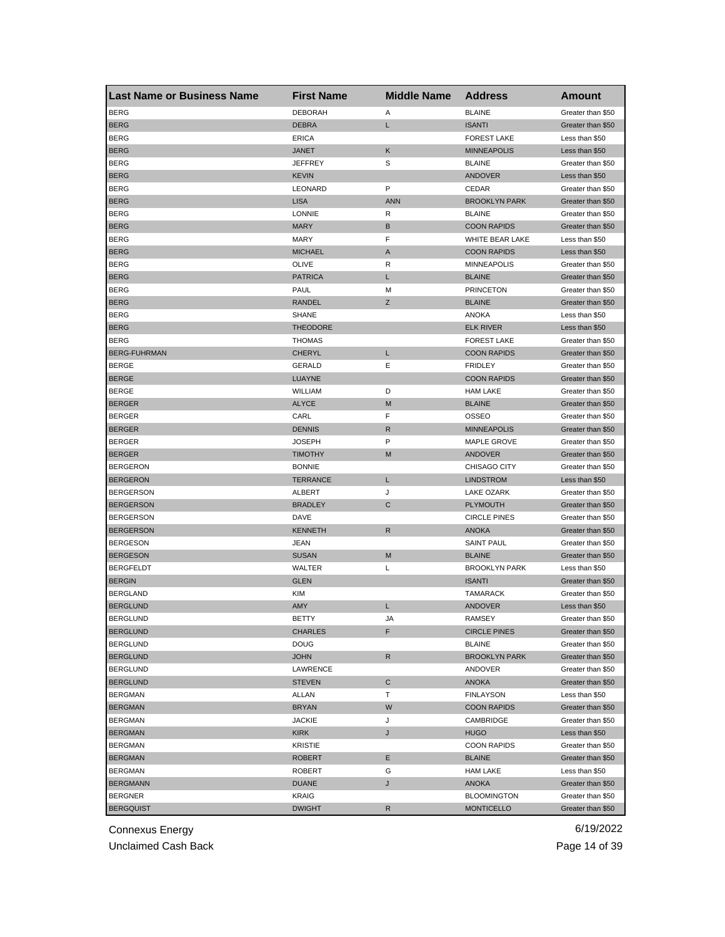| <b>Last Name or Business Name</b>    | <b>First Name</b> | <b>Middle Name</b> | <b>Address</b>                      | <b>Amount</b>                          |
|--------------------------------------|-------------------|--------------------|-------------------------------------|----------------------------------------|
| <b>BERG</b>                          | <b>DEBORAH</b>    | Α                  | <b>BLAINE</b>                       | Greater than \$50                      |
| <b>BERG</b>                          | <b>DEBRA</b>      | Г                  | <b>ISANTI</b>                       | Greater than \$50                      |
| <b>BERG</b>                          | <b>ERICA</b>      |                    | <b>FOREST LAKE</b>                  | Less than \$50                         |
| <b>BERG</b>                          | <b>JANET</b>      | Κ                  | <b>MINNEAPOLIS</b>                  | Less than \$50                         |
| <b>BERG</b>                          | <b>JEFFREY</b>    | S                  | <b>BLAINE</b>                       | Greater than \$50                      |
| <b>BERG</b>                          | <b>KEVIN</b>      |                    | <b>ANDOVER</b>                      | Less than \$50                         |
| <b>BERG</b>                          | LEONARD           | P                  | CEDAR                               | Greater than \$50                      |
| <b>BERG</b>                          | <b>LISA</b>       | <b>ANN</b>         | <b>BROOKLYN PARK</b>                | Greater than \$50                      |
| <b>BERG</b>                          | <b>LONNIE</b>     | R                  | <b>BLAINE</b>                       | Greater than \$50                      |
| <b>BERG</b>                          | <b>MARY</b>       | В                  | <b>COON RAPIDS</b>                  | Greater than \$50                      |
| <b>BERG</b>                          | <b>MARY</b>       | F                  | WHITE BEAR LAKE                     | Less than \$50                         |
| <b>BERG</b>                          | <b>MICHAEL</b>    | A                  | <b>COON RAPIDS</b>                  | Less than \$50                         |
| <b>BERG</b>                          | OLIVE             | R                  | <b>MINNEAPOLIS</b>                  | Greater than \$50                      |
| <b>BERG</b>                          | <b>PATRICA</b>    | Г                  | <b>BLAINE</b>                       | Greater than \$50                      |
| <b>BERG</b>                          | PAUL              | М                  | <b>PRINCETON</b>                    | Greater than \$50                      |
| <b>BERG</b>                          | <b>RANDEL</b>     | Ζ                  | <b>BLAINE</b>                       | Greater than \$50                      |
| <b>BERG</b>                          | <b>SHANE</b>      |                    | <b>ANOKA</b>                        | Less than \$50                         |
| <b>BERG</b>                          | <b>THEODORE</b>   |                    | <b>ELK RIVER</b>                    | Less than \$50                         |
| <b>BERG</b>                          | <b>THOMAS</b>     |                    | <b>FOREST LAKE</b>                  | Greater than \$50                      |
| <b>BERG-FUHRMAN</b>                  | <b>CHERYL</b>     | L                  | <b>COON RAPIDS</b>                  | Greater than \$50                      |
| <b>BERGE</b>                         | <b>GERALD</b>     | Ε                  | <b>FRIDLEY</b>                      | Greater than \$50                      |
| <b>BERGE</b>                         | LUAYNE            |                    | <b>COON RAPIDS</b>                  | Greater than \$50                      |
| <b>BERGE</b>                         | WILLIAM           | D                  | <b>HAM LAKE</b>                     | Greater than \$50                      |
| <b>BERGER</b>                        | <b>ALYCE</b>      | M                  | <b>BLAINE</b>                       | Greater than \$50                      |
| <b>BERGER</b>                        | CARL              | F                  | OSSEO                               | Greater than \$50                      |
| <b>BERGER</b>                        | <b>DENNIS</b>     | R                  | <b>MINNEAPOLIS</b>                  | Greater than \$50                      |
| <b>BERGER</b>                        | <b>JOSEPH</b>     | P                  | MAPLE GROVE                         | Greater than \$50                      |
| <b>BERGER</b>                        | <b>TIMOTHY</b>    | M                  | <b>ANDOVER</b>                      | Greater than \$50                      |
| <b>BERGERON</b>                      | <b>BONNIE</b>     |                    | CHISAGO CITY                        | Greater than \$50                      |
| <b>BERGERON</b>                      | <b>TERRANCE</b>   | Г                  | <b>LINDSTROM</b>                    | Less than \$50                         |
| <b>BERGERSON</b>                     | ALBERT            | J                  | LAKE OZARK                          | Greater than \$50                      |
| <b>BERGERSON</b>                     | <b>BRADLEY</b>    | C                  | <b>PLYMOUTH</b>                     | Greater than \$50                      |
|                                      |                   |                    |                                     |                                        |
| <b>BERGERSON</b><br><b>BERGERSON</b> | DAVE              | R                  | <b>CIRCLE PINES</b><br><b>ANOKA</b> | Greater than \$50                      |
| <b>BERGESON</b>                      | <b>KENNETH</b>    |                    | <b>SAINT PAUL</b>                   | Greater than \$50                      |
|                                      | JEAN              | M                  |                                     | Greater than \$50<br>Greater than \$50 |
| <b>BERGESON</b>                      | <b>SUSAN</b>      |                    | <b>BLAINE</b>                       |                                        |
| <b>BERGFELDT</b>                     | WALTER            | L                  | <b>BROOKLYN PARK</b>                | Less than \$50                         |
| <b>BERGIN</b>                        | <b>GLEN</b>       |                    | <b>ISANTI</b>                       | Greater than \$50                      |
| <b>BERGLAND</b>                      | <b>KIM</b>        |                    | <b>TAMARACK</b>                     | Greater than \$50                      |
| <b>BERGLUND</b>                      | AMY               | L                  | <b>ANDOVER</b>                      | Less than \$50                         |
| <b>BERGLUND</b>                      | BETTY             | JA                 | RAMSEY                              | Greater than \$50                      |
| <b>BERGLUND</b>                      | CHARLES           | F                  | <b>CIRCLE PINES</b>                 | Greater than \$50                      |
| <b>BERGLUND</b>                      | <b>DOUG</b>       |                    | <b>BLAINE</b>                       | Greater than \$50                      |
| <b>BERGLUND</b>                      | <b>JOHN</b>       | R                  | <b>BROOKLYN PARK</b>                | Greater than \$50                      |
| <b>BERGLUND</b>                      | LAWRENCE          |                    | ANDOVER                             | Greater than \$50                      |
| <b>BERGLUND</b>                      | <b>STEVEN</b>     | С                  | ANOKA                               | Greater than \$50                      |
| <b>BERGMAN</b>                       | <b>ALLAN</b>      | Т                  | <b>FINLAYSON</b>                    | Less than \$50                         |
| <b>BERGMAN</b>                       | <b>BRYAN</b>      | W                  | <b>COON RAPIDS</b>                  | Greater than \$50                      |
| <b>BERGMAN</b>                       | <b>JACKIE</b>     | J                  | CAMBRIDGE                           | Greater than \$50                      |
| <b>BERGMAN</b>                       | KIRK              | J                  | <b>HUGO</b>                         | Less than \$50                         |
| <b>BERGMAN</b>                       | <b>KRISTIE</b>    |                    | <b>COON RAPIDS</b>                  | Greater than \$50                      |
| <b>BERGMAN</b>                       | <b>ROBERT</b>     | Е                  | <b>BLAINE</b>                       | Greater than \$50                      |
| <b>BERGMAN</b>                       | ROBERT            | G                  | <b>HAM LAKE</b>                     | Less than \$50                         |
| <b>BERGMANN</b>                      | DUANE             | J                  | <b>ANOKA</b>                        | Greater than \$50                      |
| <b>BERGNER</b>                       | KRAIG             |                    | <b>BLOOMINGTON</b>                  | Greater than \$50                      |
| <b>BERGQUIST</b>                     | <b>DWIGHT</b>     | R                  | <b>MONTICELLO</b>                   | Greater than \$50                      |

Unclaimed Cash Back **Page 14 of 39**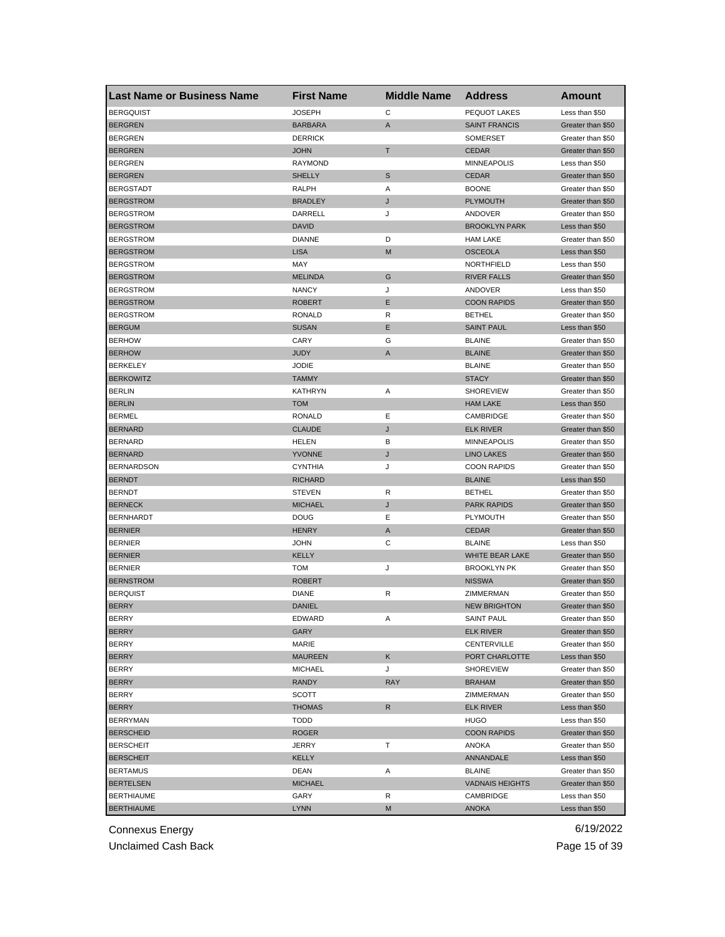| <b>Last Name or Business Name</b> | <b>First Name</b>     | <b>Middle Name</b> | <b>Address</b>         | Amount                                 |
|-----------------------------------|-----------------------|--------------------|------------------------|----------------------------------------|
| <b>BERGQUIST</b>                  | <b>JOSEPH</b>         | C                  | PEQUOT LAKES           | Less than \$50                         |
| <b>BERGREN</b>                    | <b>BARBARA</b>        | A                  | <b>SAINT FRANCIS</b>   | Greater than \$50                      |
| <b>BERGREN</b>                    | <b>DERRICK</b>        |                    | <b>SOMERSET</b>        | Greater than \$50                      |
| <b>BERGREN</b>                    | <b>JOHN</b>           | T                  | <b>CEDAR</b>           | Greater than \$50                      |
| <b>BERGREN</b>                    | <b>RAYMOND</b>        |                    | <b>MINNEAPOLIS</b>     | Less than \$50                         |
| <b>BERGREN</b>                    | <b>SHELLY</b>         | S                  | <b>CEDAR</b>           | Greater than \$50                      |
| <b>BERGSTADT</b>                  | RALPH                 | Α                  | <b>BOONE</b>           | Greater than \$50                      |
| <b>BERGSTROM</b>                  | <b>BRADLEY</b>        | J                  | <b>PLYMOUTH</b>        | Greater than \$50                      |
| BERGSTROM                         | <b>DARRELL</b>        | J                  | ANDOVER                | Greater than \$50                      |
| <b>BERGSTROM</b>                  | <b>DAVID</b>          |                    | <b>BROOKLYN PARK</b>   | Less than \$50                         |
| <b>BERGSTROM</b>                  | <b>DIANNE</b>         | D                  | <b>HAM LAKE</b>        | Greater than \$50                      |
| <b>BERGSTROM</b>                  | <b>LISA</b>           | M                  | <b>OSCEOLA</b>         | Less than \$50                         |
| <b>BERGSTROM</b>                  | MAY                   |                    | NORTHFIELD             | Less than \$50                         |
| <b>BERGSTROM</b>                  | <b>MELINDA</b>        | G                  | <b>RIVER FALLS</b>     | Greater than \$50                      |
| <b>BERGSTROM</b>                  | <b>NANCY</b>          | J                  | ANDOVER                | Less than \$50                         |
| <b>BERGSTROM</b>                  | <b>ROBERT</b>         | Ε                  | <b>COON RAPIDS</b>     | Greater than \$50                      |
| <b>BERGSTROM</b>                  | RONALD                | R                  | <b>BETHEL</b>          | Greater than \$50                      |
| <b>BERGUM</b>                     | <b>SUSAN</b>          | Ε                  | <b>SAINT PAUL</b>      | Less than \$50                         |
| <b>BERHOW</b>                     | CARY                  | G                  | <b>BLAINE</b>          | Greater than \$50                      |
| <b>BERHOW</b>                     | <b>JUDY</b>           | A                  | <b>BLAINE</b>          | Greater than \$50                      |
| <b>BERKELEY</b>                   | <b>JODIE</b>          |                    | <b>BLAINE</b>          | Greater than \$50                      |
| <b>BERKOWITZ</b>                  | <b>TAMMY</b>          |                    | <b>STACY</b>           | Greater than \$50                      |
| <b>BERLIN</b>                     | <b>KATHRYN</b>        | Α                  | <b>SHOREVIEW</b>       | Greater than \$50                      |
| <b>BERLIN</b>                     | <b>TOM</b>            |                    | <b>HAM LAKE</b>        | Less than \$50                         |
| <b>BERMEL</b>                     | RONALD                | Ε                  | CAMBRIDGE              | Greater than \$50                      |
| <b>BERNARD</b>                    | <b>CLAUDE</b>         | J                  | <b>ELK RIVER</b>       | Greater than \$50                      |
| <b>BERNARD</b>                    | HELEN                 | В                  | <b>MINNEAPOLIS</b>     | Greater than \$50                      |
| <b>BERNARD</b>                    | <b>YVONNE</b>         | J                  | <b>LINO LAKES</b>      | Greater than \$50                      |
| <b>BERNARDSON</b>                 | <b>CYNTHIA</b>        | J                  | <b>COON RAPIDS</b>     | Greater than \$50                      |
| <b>BERNDT</b>                     | <b>RICHARD</b>        |                    | <b>BLAINE</b>          | Less than \$50                         |
| <b>BERNDT</b>                     | <b>STEVEN</b>         | R                  | <b>BETHEL</b>          | Greater than \$50                      |
| <b>BERNECK</b>                    | <b>MICHAEL</b>        | J                  | <b>PARK RAPIDS</b>     | Greater than \$50                      |
| <b>BERNHARDT</b>                  | DOUG                  | Е                  | <b>PLYMOUTH</b>        | Greater than \$50                      |
| <b>BERNIER</b>                    | <b>HENRY</b>          | A                  | <b>CEDAR</b>           | Greater than \$50                      |
| <b>BERNIER</b>                    | <b>JOHN</b>           | С                  | <b>BLAINE</b>          | Less than \$50                         |
| <b>BERNIER</b>                    | KELLY                 |                    | WHITE BEAR LAKE        | Greater than \$50                      |
| <b>BERNIER</b>                    | <b>TOM</b>            | J                  | <b>BROOKLYN PK</b>     | Greater than \$50                      |
| <b>BERNSTROM</b>                  | <b>ROBERT</b>         |                    | <b>NISSWA</b>          | Greater than \$50                      |
| <b>BERQUIST</b>                   | <b>DIANE</b>          | R                  | ZIMMERMAN              | Greater than \$50                      |
| <b>BERRY</b>                      | <b>DANIEL</b>         |                    | <b>NEW BRIGHTON</b>    | Greater than \$50                      |
| BERRY                             |                       |                    | SAINT PAUL             |                                        |
| <b>BERRY</b>                      | EDWARD<br><b>GARY</b> | A                  | <b>ELK RIVER</b>       | Greater than \$50<br>Greater than \$50 |
| BERRY                             | MARIE                 |                    | CENTERVILLE            | Greater than \$50                      |
| BERRY                             | <b>MAUREEN</b>        | Κ                  | PORT CHARLOTTE         | Less than \$50                         |
|                                   | <b>MICHAEL</b>        | J                  | <b>SHOREVIEW</b>       | Greater than \$50                      |
| BERRY                             | <b>RANDY</b>          | <b>RAY</b>         |                        | Greater than \$50                      |
| <b>BERRY</b>                      |                       |                    | <b>BRAHAM</b>          | Greater than \$50                      |
| BERRY                             | SCOTT                 |                    | ZIMMERMAN              |                                        |
| <b>BERRY</b>                      | <b>THOMAS</b>         | R                  | <b>ELK RIVER</b>       | Less than \$50                         |
| <b>BERRYMAN</b>                   | <b>TODD</b>           |                    | <b>HUGO</b>            | Less than \$50                         |
| <b>BERSCHEID</b>                  | ROGER                 |                    | <b>COON RAPIDS</b>     | Greater than \$50                      |
| <b>BERSCHEIT</b>                  | JERRY                 | т                  | ANOKA                  | Greater than \$50                      |
| <b>BERSCHEIT</b>                  | KELLY                 |                    | ANNANDALE              | Less than \$50                         |
| <b>BERTAMUS</b>                   | DEAN                  | Α                  | <b>BLAINE</b>          | Greater than \$50                      |
| <b>BERTELSEN</b>                  | <b>MICHAEL</b>        |                    | <b>VADNAIS HEIGHTS</b> | Greater than \$50                      |
| <b>BERTHIAUME</b>                 | GARY                  | R                  | CAMBRIDGE              | Less than \$50                         |
| <b>BERTHIAUME</b>                 | <b>LYNN</b>           | М                  | <b>ANOKA</b>           | Less than \$50                         |

Unclaimed Cash Back **Page 15 of 39**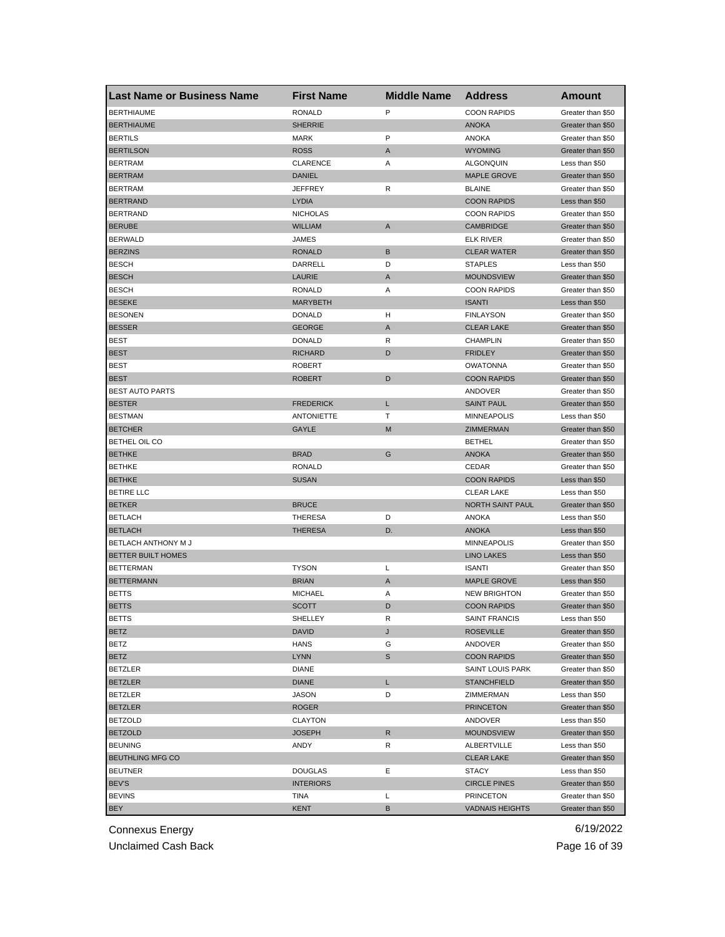| <b>Last Name or Business Name</b> | <b>First Name</b> | <b>Middle Name</b> | <b>Address</b>         | Amount            |
|-----------------------------------|-------------------|--------------------|------------------------|-------------------|
| <b>BERTHIAUME</b>                 | <b>RONALD</b>     | P                  | <b>COON RAPIDS</b>     | Greater than \$50 |
| <b>BERTHIAUME</b>                 | <b>SHERRIE</b>    |                    | <b>ANOKA</b>           | Greater than \$50 |
| <b>BERTILS</b>                    | <b>MARK</b>       | P                  | <b>ANOKA</b>           | Greater than \$50 |
| <b>BERTILSON</b>                  | <b>ROSS</b>       | A                  | <b>WYOMING</b>         | Greater than \$50 |
| <b>BERTRAM</b>                    | <b>CLARENCE</b>   | Α                  | <b>ALGONQUIN</b>       | Less than \$50    |
| <b>BERTRAM</b>                    | <b>DANIEL</b>     |                    | <b>MAPLE GROVE</b>     | Greater than \$50 |
| <b>BERTRAM</b>                    | JEFFREY           | R                  | <b>BLAINE</b>          | Greater than \$50 |
| <b>BERTRAND</b>                   | LYDIA             |                    | <b>COON RAPIDS</b>     | Less than \$50    |
| <b>BERTRAND</b>                   | <b>NICHOLAS</b>   |                    | <b>COON RAPIDS</b>     | Greater than \$50 |
| <b>BERUBE</b>                     | <b>WILLIAM</b>    | A                  | <b>CAMBRIDGE</b>       | Greater than \$50 |
| <b>BERWALD</b>                    | JAMES             |                    | ELK RIVER              | Greater than \$50 |
| <b>BERZINS</b>                    | <b>RONALD</b>     | B                  | <b>CLEAR WATER</b>     | Greater than \$50 |
| <b>BESCH</b>                      | DARRELL           | D                  | <b>STAPLES</b>         | Less than \$50    |
| <b>BESCH</b>                      | LAURIE            | A                  | <b>MOUNDSVIEW</b>      | Greater than \$50 |
| <b>BESCH</b>                      | <b>RONALD</b>     | Α                  | <b>COON RAPIDS</b>     | Greater than \$50 |
| <b>BESEKE</b>                     | <b>MARYBETH</b>   |                    | <b>ISANTI</b>          | Less than \$50    |
| <b>BESONEN</b>                    | <b>DONALD</b>     | н                  | <b>FINLAYSON</b>       | Greater than \$50 |
| <b>BESSER</b>                     | <b>GEORGE</b>     | A                  | <b>CLEAR LAKE</b>      | Greater than \$50 |
| <b>BEST</b>                       | <b>DONALD</b>     | R                  | <b>CHAMPLIN</b>        | Greater than \$50 |
| <b>BEST</b>                       | <b>RICHARD</b>    | D                  | <b>FRIDLEY</b>         | Greater than \$50 |
| <b>BEST</b>                       | <b>ROBERT</b>     |                    | <b>OWATONNA</b>        | Greater than \$50 |
| <b>BEST</b>                       | <b>ROBERT</b>     | D                  | <b>COON RAPIDS</b>     | Greater than \$50 |
| <b>BEST AUTO PARTS</b>            |                   |                    | ANDOVER                | Greater than \$50 |
| <b>BESTER</b>                     | <b>FREDERICK</b>  | L                  | <b>SAINT PAUL</b>      | Greater than \$50 |
| <b>BESTMAN</b>                    | <b>ANTONIETTE</b> | т                  | <b>MINNEAPOLIS</b>     | Less than \$50    |
| <b>BETCHER</b>                    | GAYLE             | M                  | <b>ZIMMERMAN</b>       | Greater than \$50 |
| BETHEL OIL CO                     |                   |                    | <b>BETHEL</b>          | Greater than \$50 |
| <b>BETHKE</b>                     | <b>BRAD</b>       | G                  | <b>ANOKA</b>           | Greater than \$50 |
| <b>BETHKE</b>                     | <b>RONALD</b>     |                    | CEDAR                  | Greater than \$50 |
| <b>BETHKE</b>                     | <b>SUSAN</b>      |                    | <b>COON RAPIDS</b>     | Less than \$50    |
| BETIRE LLC                        |                   |                    | <b>CLEAR LAKE</b>      | Less than \$50    |
| <b>BETKER</b>                     | <b>BRUCE</b>      |                    | NORTH SAINT PAUL       | Greater than \$50 |
| <b>BETLACH</b>                    | THERESA           | D                  | ANOKA                  | Less than \$50    |
| <b>BETLACH</b>                    | THERESA           | D.                 | <b>ANOKA</b>           | Less than \$50    |
| BETLACH ANTHONY M J               |                   |                    | <b>MINNEAPOLIS</b>     | Greater than \$50 |
| BETTER BUILT HOMES                |                   |                    | <b>LINO LAKES</b>      | Less than \$50    |
| <b>BETTERMAN</b>                  | <b>TYSON</b>      | Г                  | <b>ISANTI</b>          | Greater than \$50 |
| <b>BETTERMANN</b>                 | <b>BRIAN</b>      | A                  | MAPLE GROVE            | Less than \$50    |
| <b>BETTS</b>                      | <b>MICHAEL</b>    | Α                  | <b>NEW BRIGHTON</b>    | Greater than \$50 |
| <b>BETTS</b>                      | SCOTT             | D                  | <b>COON RAPIDS</b>     | Greater than \$50 |
| <b>BETTS</b>                      | SHELLEY           | R                  | SAINT FRANCIS          | Less than \$50    |
| <b>BETZ</b>                       | DAVID             | J                  | <b>ROSEVILLE</b>       | Greater than \$50 |
| BETZ                              | HANS              | G                  | ANDOVER                | Greater than \$50 |
| <b>BETZ</b>                       | LYNN              | S                  | <b>COON RAPIDS</b>     | Greater than \$50 |
| <b>BETZLER</b>                    | <b>DIANE</b>      |                    | SAINT LOUIS PARK       | Greater than \$50 |
| <b>BETZLER</b>                    | <b>DIANE</b>      | L.                 | <b>STANCHFIELD</b>     | Greater than \$50 |
| <b>BETZLER</b>                    | <b>JASON</b>      | D                  | ZIMMERMAN              | Less than \$50    |
| <b>BETZLER</b>                    | <b>ROGER</b>      |                    | <b>PRINCETON</b>       | Greater than \$50 |
| <b>BETZOLD</b>                    | CLAYTON           |                    | ANDOVER                | Less than \$50    |
| <b>BETZOLD</b>                    | <b>JOSEPH</b>     | R                  | <b>MOUNDSVIEW</b>      | Greater than \$50 |
| <b>BEUNING</b>                    | ANDY              | R                  | ALBERTVILLE            | Less than \$50    |
| <b>BEUTHLING MFG CO</b>           |                   |                    | <b>CLEAR LAKE</b>      | Greater than \$50 |
| <b>BEUTNER</b>                    | DOUGLAS           | Е                  | STACY                  | Less than \$50    |
| <b>BEV'S</b>                      | <b>INTERIORS</b>  |                    | <b>CIRCLE PINES</b>    | Greater than \$50 |
| <b>BEVINS</b>                     | TINA              | L                  | <b>PRINCETON</b>       | Greater than \$50 |
| <b>BEY</b>                        | KENT              | В                  | <b>VADNAIS HEIGHTS</b> | Greater than \$50 |
|                                   |                   |                    |                        |                   |

Unclaimed Cash Back **Page 16 of 39**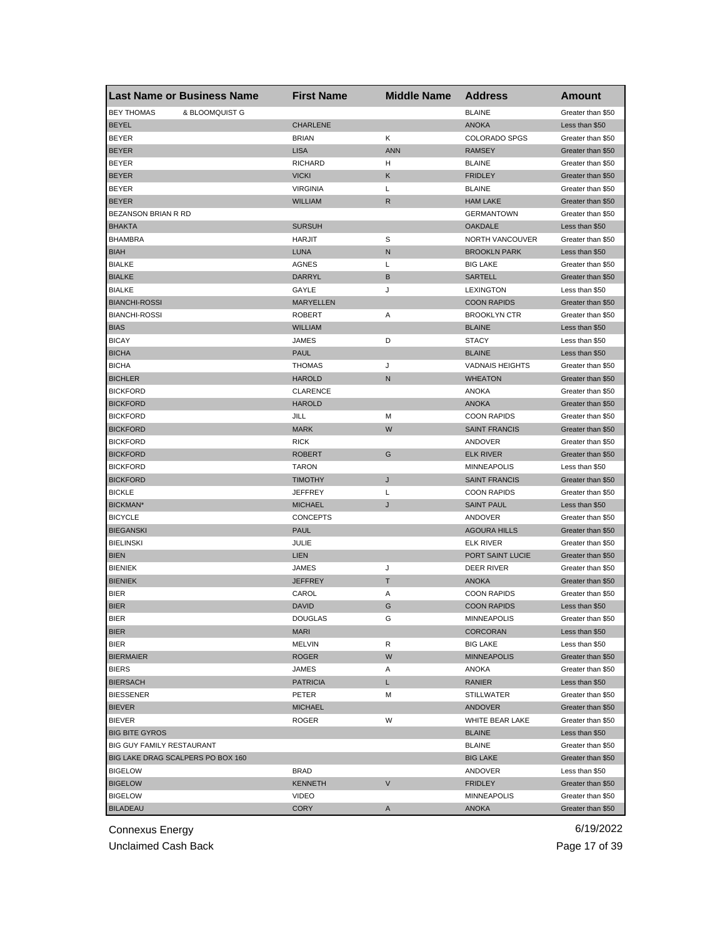| <b>Last Name or Business Name</b>   | <b>First Name</b>             | <b>Middle Name</b> | <b>Address</b>          | <b>Amount</b>                       |
|-------------------------------------|-------------------------------|--------------------|-------------------------|-------------------------------------|
| <b>BEY THOMAS</b><br>& BLOOMQUIST G |                               |                    | <b>BLAINE</b>           | Greater than \$50                   |
| <b>BEYEL</b>                        | <b>CHARLENE</b>               |                    | <b>ANOKA</b>            | Less than \$50                      |
| <b>BEYER</b>                        | <b>BRIAN</b>                  | Κ                  | <b>COLORADO SPGS</b>    | Greater than \$50                   |
| <b>BEYER</b>                        | <b>LISA</b>                   | <b>ANN</b>         | <b>RAMSEY</b>           | Greater than \$50                   |
| <b>BEYER</b>                        | <b>RICHARD</b>                | н                  | <b>BLAINE</b>           | Greater than \$50                   |
| <b>BEYER</b>                        | <b>VICKI</b>                  | Κ                  | <b>FRIDLEY</b>          | Greater than \$50                   |
| <b>BEYER</b>                        | <b>VIRGINIA</b>               | Г                  | <b>BLAINE</b>           | Greater than \$50                   |
| <b>BEYER</b>                        | <b>WILLIAM</b>                | R                  | <b>HAM LAKE</b>         | Greater than \$50                   |
| BEZANSON BRIAN R RD                 |                               |                    | <b>GERMANTOWN</b>       | Greater than \$50                   |
| <b>BHAKTA</b>                       | <b>SURSUH</b>                 |                    | <b>OAKDALE</b>          | Less than \$50                      |
| <b>BHAMBRA</b>                      | <b>HARJIT</b>                 | S                  | NORTH VANCOUVER         | Greater than \$50                   |
| <b>BIAH</b>                         | <b>LUNA</b>                   | N                  | <b>BROOKLN PARK</b>     | Less than \$50                      |
| <b>BIALKE</b>                       | <b>AGNES</b>                  | L                  | <b>BIG LAKE</b>         | Greater than \$50                   |
| <b>BIALKE</b>                       | DARRYL                        | B                  | <b>SARTELL</b>          | Greater than \$50                   |
| <b>BIALKE</b>                       | GAYLE                         | J                  | <b>LEXINGTON</b>        | Less than \$50                      |
| <b>BIANCHI-ROSSI</b>                | <b>MARYELLEN</b>              |                    | <b>COON RAPIDS</b>      | Greater than \$50                   |
| <b>BIANCHI-ROSSI</b>                | <b>ROBERT</b>                 | Α                  | <b>BROOKLYN CTR</b>     | Greater than \$50                   |
| <b>BIAS</b>                         | <b>WILLIAM</b>                |                    | <b>BLAINE</b>           | Less than \$50                      |
| <b>BICAY</b>                        | JAMES                         | D                  | <b>STACY</b>            | Less than \$50                      |
| <b>BICHA</b>                        | <b>PAUL</b>                   |                    | <b>BLAINE</b>           | Less than \$50                      |
| <b>BICHA</b>                        | <b>THOMAS</b>                 | J                  | <b>VADNAIS HEIGHTS</b>  | Greater than \$50                   |
| <b>BICHLER</b>                      | <b>HAROLD</b>                 | N                  | <b>WHEATON</b>          | Greater than \$50                   |
| <b>BICKFORD</b>                     | <b>CLARENCE</b>               |                    | ANOKA                   | Greater than \$50                   |
| <b>BICKFORD</b>                     | <b>HAROLD</b>                 |                    | <b>ANOKA</b>            | Greater than \$50                   |
| <b>BICKFORD</b>                     | JILL                          | M                  | <b>COON RAPIDS</b>      | Greater than \$50                   |
| <b>BICKFORD</b>                     | <b>MARK</b>                   | W                  | <b>SAINT FRANCIS</b>    | Greater than \$50                   |
| <b>BICKFORD</b>                     | <b>RICK</b>                   |                    | ANDOVER                 | Greater than \$50                   |
| <b>BICKFORD</b>                     | <b>ROBERT</b>                 | G                  | <b>ELK RIVER</b>        | Greater than \$50                   |
| <b>BICKFORD</b>                     | <b>TARON</b>                  |                    | <b>MINNEAPOLIS</b>      | Less than \$50                      |
| <b>BICKFORD</b>                     | <b>TIMOTHY</b>                | J                  | <b>SAINT FRANCIS</b>    | Greater than \$50                   |
| <b>BICKLE</b>                       | <b>JEFFREY</b>                | L                  | <b>COON RAPIDS</b>      | Greater than \$50                   |
| BICKMAN*                            | <b>MICHAEL</b>                | J                  | <b>SAINT PAUL</b>       | Less than \$50                      |
| <b>BICYCLE</b>                      | <b>CONCEPTS</b>               |                    | ANDOVER                 | Greater than \$50                   |
| <b>BIEGANSKI</b>                    | <b>PAUL</b>                   |                    | <b>AGOURA HILLS</b>     | Greater than \$50                   |
| <b>BIELINSKI</b>                    | JULIE                         |                    | <b>ELK RIVER</b>        | Greater than \$50                   |
| <b>BIEN</b>                         | <b>LIEN</b>                   |                    | PORT SAINT LUCIE        | Greater than \$50                   |
| <b>BIENIEK</b>                      | JAMES                         | J                  | DEER RIVER              | Greater than \$50                   |
| <b>BIENIEK</b>                      | <b>JEFFREY</b>                | Т                  | <b>ANOKA</b>            | Greater than \$50                   |
| <b>BIER</b>                         | CAROL                         | Α                  | <b>COON RAPIDS</b>      | Greater than \$50                   |
| <b>BIER</b>                         | <b>DAVID</b>                  | G                  | <b>COON RAPIDS</b>      | Less than \$50                      |
|                                     |                               | G                  |                         |                                     |
| <b>BIER</b><br><b>BIER</b>          | <b>DOUGLAS</b><br><b>MARI</b> |                    | MINNEAPOLIS<br>CORCORAN | Greater than \$50<br>Less than \$50 |
| <b>BIER</b>                         | <b>MELVIN</b>                 | R                  | <b>BIG LAKE</b>         | Less than \$50                      |
| <b>BIERMAIER</b>                    | <b>ROGER</b>                  | W                  |                         |                                     |
|                                     |                               |                    | <b>MINNEAPOLIS</b>      | Greater than \$50                   |
| <b>BIERS</b>                        | JAMES                         | Α                  | ANOKA                   | Greater than \$50                   |
| <b>BIERSACH</b>                     | <b>PATRICIA</b>               | L.                 | RANIER                  | Less than \$50                      |
| <b>BIESSENER</b>                    | PETER                         | м                  | <b>STILLWATER</b>       | Greater than \$50                   |
| <b>BIEVER</b>                       | <b>MICHAEL</b>                |                    | <b>ANDOVER</b>          | Greater than \$50                   |
| <b>BIEVER</b>                       | ROGER                         | W                  | WHITE BEAR LAKE         | Greater than \$50                   |
| <b>BIG BITE GYROS</b>               |                               |                    | <b>BLAINE</b>           | Less than \$50                      |
| BIG GUY FAMILY RESTAURANT           |                               |                    | <b>BLAINE</b>           | Greater than \$50                   |
| BIG LAKE DRAG SCALPERS PO BOX 160   |                               |                    | <b>BIG LAKE</b>         | Greater than \$50                   |
| <b>BIGELOW</b>                      | <b>BRAD</b>                   |                    | ANDOVER                 | Less than \$50                      |
| <b>BIGELOW</b>                      | <b>KENNETH</b>                | V                  | <b>FRIDLEY</b>          | Greater than \$50                   |
| <b>BIGELOW</b>                      | <b>VIDEO</b>                  |                    | MINNEAPOLIS             | Greater than \$50                   |
| <b>BILADEAU</b>                     | <b>CORY</b>                   | A                  | <b>ANOKA</b>            | Greater than \$50                   |

Unclaimed Cash Back **Page 17 of 39**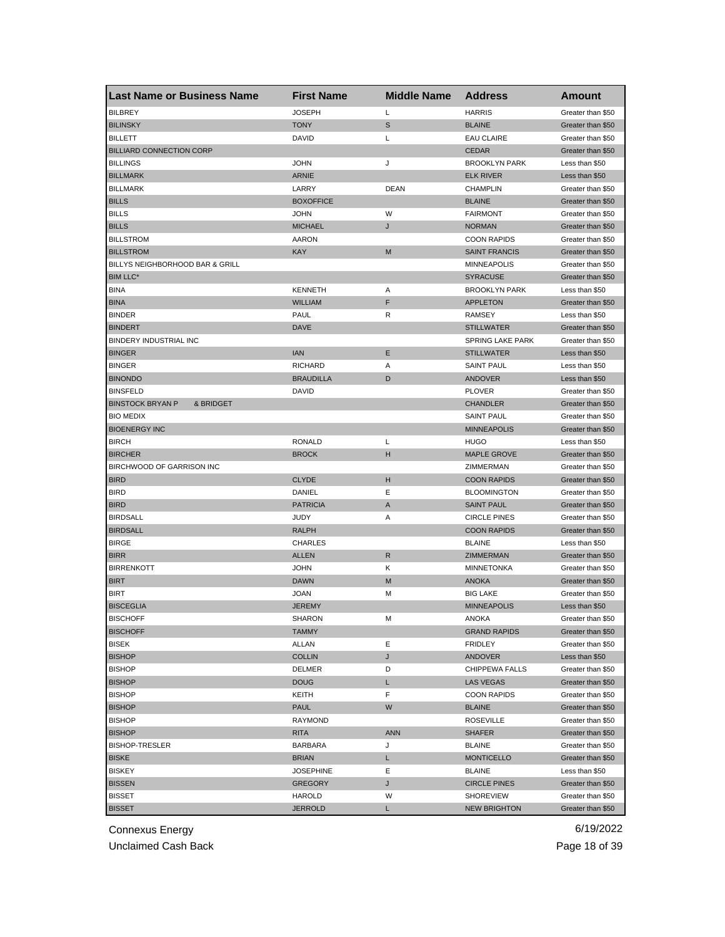| <b>Last Name or Business Name</b>    | <b>First Name</b> | <b>Middle Name</b> | <b>Address</b>          | Amount            |
|--------------------------------------|-------------------|--------------------|-------------------------|-------------------|
| <b>BILBREY</b>                       | <b>JOSEPH</b>     | Г                  | <b>HARRIS</b>           | Greater than \$50 |
| <b>BILINSKY</b>                      | <b>TONY</b>       | S                  | <b>BLAINE</b>           | Greater than \$50 |
| <b>BILLETT</b>                       | DAVID             | Г                  | <b>EAU CLAIRE</b>       | Greater than \$50 |
| <b>BILLIARD CONNECTION CORP</b>      |                   |                    | <b>CEDAR</b>            | Greater than \$50 |
| <b>BILLINGS</b>                      | <b>JOHN</b>       | J                  | <b>BROOKLYN PARK</b>    | Less than \$50    |
| <b>BILLMARK</b>                      | <b>ARNIE</b>      |                    | <b>ELK RIVER</b>        | Less than \$50    |
| <b>BILLMARK</b>                      | LARRY             | <b>DEAN</b>        | <b>CHAMPLIN</b>         | Greater than \$50 |
| <b>BILLS</b>                         | <b>BOXOFFICE</b>  |                    | <b>BLAINE</b>           | Greater than \$50 |
| <b>BILLS</b>                         | <b>JOHN</b>       | W                  | <b>FAIRMONT</b>         | Greater than \$50 |
| <b>BILLS</b>                         | <b>MICHAEL</b>    | J                  | <b>NORMAN</b>           | Greater than \$50 |
| <b>BILLSTROM</b>                     | <b>AARON</b>      |                    | <b>COON RAPIDS</b>      | Greater than \$50 |
| <b>BILLSTROM</b>                     | <b>KAY</b>        | M                  | <b>SAINT FRANCIS</b>    | Greater than \$50 |
| BILLYS NEIGHBORHOOD BAR & GRILL      |                   |                    | <b>MINNEAPOLIS</b>      | Greater than \$50 |
| <b>BIM LLC*</b>                      |                   |                    | <b>SYRACUSE</b>         | Greater than \$50 |
| <b>BINA</b>                          | <b>KENNETH</b>    | Α                  | <b>BROOKLYN PARK</b>    | Less than \$50    |
| <b>BINA</b>                          | <b>WILLIAM</b>    | F                  | <b>APPLETON</b>         | Greater than \$50 |
| <b>BINDER</b>                        | <b>PAUL</b>       | R                  | <b>RAMSEY</b>           | Less than \$50    |
| <b>BINDERT</b>                       | <b>DAVE</b>       |                    | <b>STILLWATER</b>       | Greater than \$50 |
| BINDERY INDUSTRIAL INC               |                   |                    | <b>SPRING LAKE PARK</b> | Greater than \$50 |
| <b>BINGER</b>                        | <b>IAN</b>        | Ε                  | <b>STILLWATER</b>       | Less than \$50    |
| <b>BINGER</b>                        | <b>RICHARD</b>    | Α                  | <b>SAINT PAUL</b>       | Less than \$50    |
| <b>BINONDO</b>                       | <b>BRAUDILLA</b>  | D                  | <b>ANDOVER</b>          | Less than \$50    |
| <b>BINSFELD</b>                      | <b>DAVID</b>      |                    | <b>PLOVER</b>           | Greater than \$50 |
| <b>BINSTOCK BRYAN P</b><br>& BRIDGET |                   |                    | <b>CHANDLER</b>         | Greater than \$50 |
| <b>BIO MEDIX</b>                     |                   |                    | <b>SAINT PAUL</b>       | Greater than \$50 |
| <b>BIOENERGY INC</b>                 |                   |                    | <b>MINNEAPOLIS</b>      | Greater than \$50 |
| <b>BIRCH</b>                         | <b>RONALD</b>     | Г                  | <b>HUGO</b>             | Less than \$50    |
| <b>BIRCHER</b>                       | <b>BROCK</b>      | н                  | <b>MAPLE GROVE</b>      | Greater than \$50 |
| BIRCHWOOD OF GARRISON INC            |                   |                    | ZIMMERMAN               | Greater than \$50 |
| <b>BIRD</b>                          | <b>CLYDE</b>      | н                  | <b>COON RAPIDS</b>      | Greater than \$50 |
| <b>BIRD</b>                          | DANIEL            | Ε                  | <b>BLOOMINGTON</b>      | Greater than \$50 |
| <b>BIRD</b>                          | <b>PATRICIA</b>   | A                  | <b>SAINT PAUL</b>       | Greater than \$50 |
| <b>BIRDSALL</b>                      | <b>JUDY</b>       | Α                  | <b>CIRCLE PINES</b>     | Greater than \$50 |
| <b>BIRDSALL</b>                      | <b>RALPH</b>      |                    | <b>COON RAPIDS</b>      | Greater than \$50 |
| <b>BIRGE</b>                         | <b>CHARLES</b>    |                    | <b>BLAINE</b>           | Less than \$50    |
| <b>BIRR</b>                          | <b>ALLEN</b>      | $\mathsf{R}$       | ZIMMERMAN               | Greater than \$50 |
| <b>BIRRENKOTT</b>                    | <b>JOHN</b>       | κ                  | <b>MINNETONKA</b>       | Greater than \$50 |
| <b>BIRT</b>                          | <b>DAWN</b>       | M                  | <b>ANOKA</b>            | Greater than \$50 |
| <b>BIRT</b>                          | <b>JOAN</b>       | М                  | <b>BIG LAKE</b>         | Greater than \$50 |
| <b>BISCEGLIA</b>                     | <b>JEREMY</b>     |                    | <b>MINNEAPOLIS</b>      | Less than \$50    |
| <b>BISCHOFF</b>                      | SHARON            | M                  | ANOKA                   | Greater than \$50 |
| <b>BISCHOFF</b>                      | <b>TAMMY</b>      |                    | <b>GRAND RAPIDS</b>     | Greater than \$50 |
| <b>BISEK</b>                         | <b>ALLAN</b>      | Ε                  | FRIDLEY                 | Greater than \$50 |
| <b>BISHOP</b>                        | <b>COLLIN</b>     | J                  | ANDOVER                 | Less than \$50    |
| <b>BISHOP</b>                        | DELMER            | D                  | CHIPPEWA FALLS          | Greater than \$50 |
| <b>BISHOP</b>                        | <b>DOUG</b>       | L.                 | LAS VEGAS               | Greater than \$50 |
| <b>BISHOP</b>                        | KEITH             | F                  | <b>COON RAPIDS</b>      | Greater than \$50 |
| <b>BISHOP</b>                        | <b>PAUL</b>       | W                  | <b>BLAINE</b>           | Greater than \$50 |
| <b>BISHOP</b>                        | RAYMOND           |                    | <b>ROSEVILLE</b>        | Greater than \$50 |
| <b>BISHOP</b>                        | <b>RITA</b>       | <b>ANN</b>         | <b>SHAFER</b>           | Greater than \$50 |
| <b>BISHOP-TRESLER</b>                | <b>BARBARA</b>    | J                  | <b>BLAINE</b>           | Greater than \$50 |
| <b>BISKE</b>                         | <b>BRIAN</b>      | L                  | <b>MONTICELLO</b>       | Greater than \$50 |
| <b>BISKEY</b>                        | <b>JOSEPHINE</b>  | Ε                  | <b>BLAINE</b>           | Less than \$50    |
| <b>BISSEN</b>                        | <b>GREGORY</b>    | J                  | <b>CIRCLE PINES</b>     | Greater than \$50 |
| <b>BISSET</b>                        | HAROLD            | W                  | <b>SHOREVIEW</b>        | Greater than \$50 |
| <b>BISSET</b>                        | <b>JERROLD</b>    | L                  | <b>NEW BRIGHTON</b>     | Greater than \$50 |

Unclaimed Cash Back **Page 18 of 39**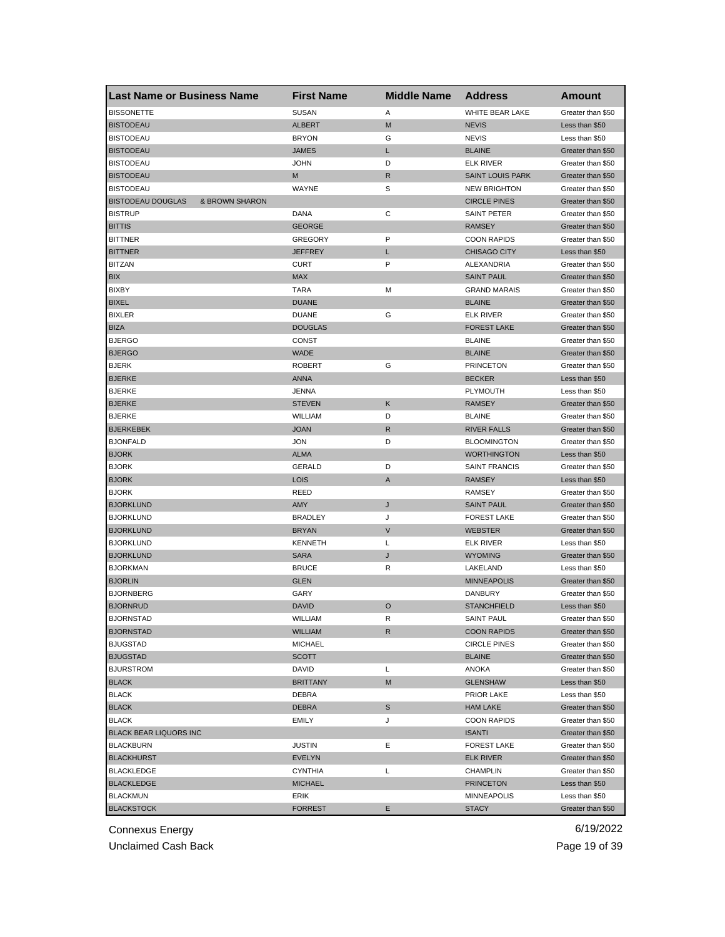| <b>Last Name or Business Name</b>          | <b>First Name</b> | <b>Middle Name</b> | <b>Address</b>          | Amount            |
|--------------------------------------------|-------------------|--------------------|-------------------------|-------------------|
| <b>BISSONETTE</b>                          | <b>SUSAN</b>      | Α                  | WHITE BEAR LAKE         | Greater than \$50 |
| <b>BISTODEAU</b>                           | <b>ALBERT</b>     | M                  | <b>NEVIS</b>            | Less than \$50    |
| <b>BISTODEAU</b>                           | <b>BRYON</b>      | G                  | <b>NEVIS</b>            | Less than \$50    |
| <b>BISTODEAU</b>                           | <b>JAMES</b>      | L                  | <b>BLAINE</b>           | Greater than \$50 |
| <b>BISTODEAU</b>                           | <b>JOHN</b>       | D                  | <b>ELK RIVER</b>        | Greater than \$50 |
| <b>BISTODEAU</b>                           | M                 | R                  | <b>SAINT LOUIS PARK</b> | Greater than \$50 |
| <b>BISTODEAU</b>                           | WAYNE             | S                  | <b>NEW BRIGHTON</b>     | Greater than \$50 |
| <b>BISTODEAU DOUGLAS</b><br>& BROWN SHARON |                   |                    | <b>CIRCLE PINES</b>     | Greater than \$50 |
| <b>BISTRUP</b>                             | DANA              | С                  | SAINT PETER             | Greater than \$50 |
| <b>BITTIS</b>                              | <b>GEORGE</b>     |                    | <b>RAMSEY</b>           | Greater than \$50 |
| <b>BITTNER</b>                             | <b>GREGORY</b>    | P                  | <b>COON RAPIDS</b>      | Greater than \$50 |
| <b>BITTNER</b>                             | <b>JEFFREY</b>    | L                  | <b>CHISAGO CITY</b>     | Less than \$50    |
| <b>BITZAN</b>                              | <b>CURT</b>       | P                  | ALEXANDRIA              | Greater than \$50 |
| <b>BIX</b>                                 | <b>MAX</b>        |                    | <b>SAINT PAUL</b>       | Greater than \$50 |
| <b>BIXBY</b>                               | TARA              | M                  | <b>GRAND MARAIS</b>     | Greater than \$50 |
| <b>BIXEL</b>                               | <b>DUANE</b>      |                    | <b>BLAINE</b>           | Greater than \$50 |
| <b>BIXLER</b>                              | <b>DUANE</b>      | G                  | <b>ELK RIVER</b>        | Greater than \$50 |
| <b>BIZA</b>                                | <b>DOUGLAS</b>    |                    | <b>FOREST LAKE</b>      | Greater than \$50 |
| <b>BJERGO</b>                              | CONST             |                    | <b>BLAINE</b>           | Greater than \$50 |
| <b>BJERGO</b>                              | <b>WADE</b>       |                    | <b>BLAINE</b>           | Greater than \$50 |
| <b>BJERK</b>                               | <b>ROBERT</b>     | G                  | <b>PRINCETON</b>        | Greater than \$50 |
| <b>BJERKE</b>                              | <b>ANNA</b>       |                    | <b>BECKER</b>           | Less than \$50    |
| <b>BJERKE</b>                              | JENNA             |                    | PLYMOUTH                | Less than \$50    |
| <b>BJERKE</b>                              | <b>STEVEN</b>     | Κ                  | <b>RAMSEY</b>           | Greater than \$50 |
| <b>BJERKE</b>                              | WILLIAM           | D                  | <b>BLAINE</b>           | Greater than \$50 |
| <b>BJERKEBEK</b>                           | <b>JOAN</b>       | R                  | <b>RIVER FALLS</b>      | Greater than \$50 |
| <b>BJONFALD</b>                            | <b>JON</b>        | D                  | <b>BLOOMINGTON</b>      | Greater than \$50 |
| <b>BJORK</b>                               | <b>ALMA</b>       |                    | <b>WORTHINGTON</b>      | Less than \$50    |
| <b>BJORK</b>                               | <b>GERALD</b>     | D                  | <b>SAINT FRANCIS</b>    | Greater than \$50 |
| <b>BJORK</b>                               | <b>LOIS</b>       | A                  | <b>RAMSEY</b>           | Less than \$50    |
| <b>BJORK</b>                               | <b>REED</b>       |                    | <b>RAMSEY</b>           | Greater than \$50 |
| <b>BJORKLUND</b>                           | AMY               | J                  | <b>SAINT PAUL</b>       | Greater than \$50 |
| <b>BJORKLUND</b>                           | <b>BRADLEY</b>    | J                  | <b>FOREST LAKE</b>      | Greater than \$50 |
| <b>BJORKLUND</b>                           | <b>BRYAN</b>      | $\vee$             | <b>WEBSTER</b>          | Greater than \$50 |
| <b>BJORKLUND</b>                           | <b>KENNETH</b>    | L                  | <b>ELK RIVER</b>        | Less than \$50    |
| <b>BJORKLUND</b>                           | <b>SARA</b>       | J                  | <b>WYOMING</b>          | Greater than \$50 |
| <b>BJORKMAN</b>                            | <b>BRUCE</b>      | R                  | LAKELAND                | Less than \$50    |
| <b>BJORLIN</b>                             | <b>GLEN</b>       |                    | <b>MINNEAPOLIS</b>      | Greater than \$50 |
| <b>BJORNBERG</b>                           | GARY              |                    | DANBURY                 | Greater than \$50 |
| <b>BJORNRUD</b>                            | <b>DAVID</b>      | $\circ$            | <b>STANCHFIELD</b>      | Less than \$50    |
| <b>BJORNSTAD</b>                           | WILLIAM           | R                  | SAINT PAUL              | Greater than \$50 |
| <b>BJORNSTAD</b>                           | <b>WILLIAM</b>    | R                  | <b>COON RAPIDS</b>      | Greater than \$50 |
| <b>BJUGSTAD</b>                            | <b>MICHAEL</b>    |                    | <b>CIRCLE PINES</b>     | Greater than \$50 |
| <b>BJUGSTAD</b>                            | SCOTT             |                    | <b>BLAINE</b>           | Greater than \$50 |
| <b>BJURSTROM</b>                           | DAVID             | L                  | ANOKA                   | Greater than \$50 |
| <b>BLACK</b>                               | <b>BRITTANY</b>   | M                  | <b>GLENSHAW</b>         | Less than \$50    |
| <b>BLACK</b>                               | DEBRA             |                    | PRIOR LAKE              | Less than \$50    |
| <b>BLACK</b>                               | <b>DEBRA</b>      | $\mathbb S$        | <b>HAM LAKE</b>         | Greater than \$50 |
| <b>BLACK</b>                               | <b>EMILY</b>      | J                  | <b>COON RAPIDS</b>      | Greater than \$50 |
| <b>BLACK BEAR LIQUORS INC</b>              |                   |                    | <b>ISANTI</b>           | Greater than \$50 |
| <b>BLACKBURN</b>                           | <b>JUSTIN</b>     | Е                  | <b>FOREST LAKE</b>      | Greater than \$50 |
| <b>BLACKHURST</b>                          | <b>EVELYN</b>     |                    | <b>ELK RIVER</b>        | Greater than \$50 |
| <b>BLACKLEDGE</b>                          | <b>CYNTHIA</b>    | L                  | CHAMPLIN                | Greater than \$50 |
| <b>BLACKLEDGE</b>                          | <b>MICHAEL</b>    |                    | <b>PRINCETON</b>        | Less than \$50    |
| <b>BLACKMUN</b>                            | ERIK              |                    | MINNEAPOLIS             | Less than \$50    |
| <b>BLACKSTOCK</b>                          | <b>FORREST</b>    | Ε                  | <b>STACY</b>            | Greater than \$50 |
|                                            |                   |                    |                         |                   |

Unclaimed Cash Back **Page 19 of 39**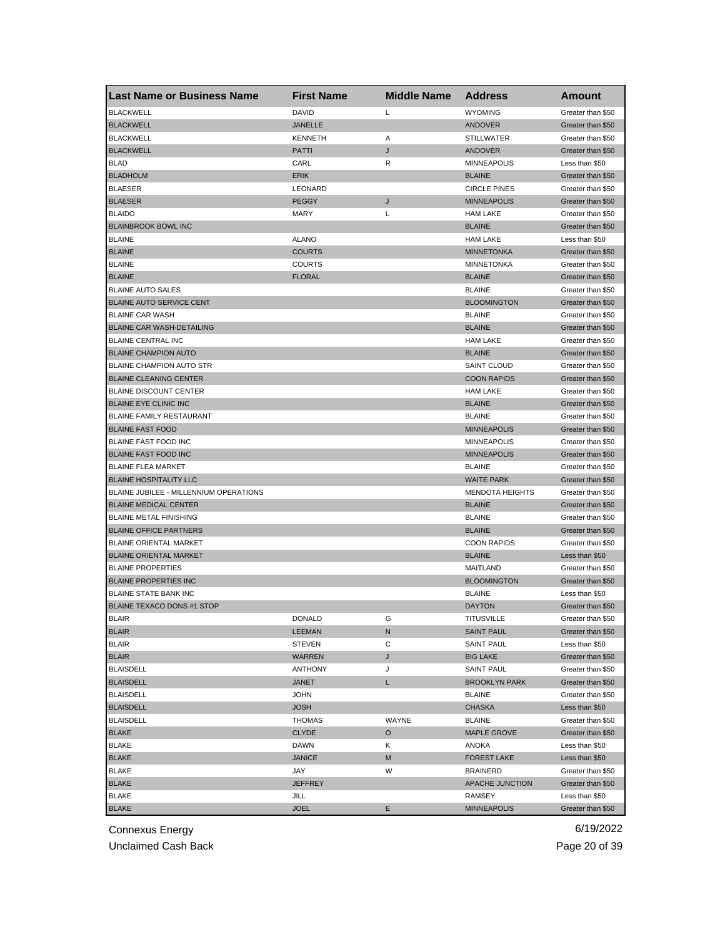| <b>DAVID</b><br>Г<br><b>WYOMING</b><br><b>BLACKWELL</b><br>Greater than \$50<br><b>BLACKWELL</b><br><b>JANELLE</b><br>ANDOVER<br>Greater than \$50<br><b>BLACKWELL</b><br><b>KENNETH</b><br>Α<br><b>STILLWATER</b><br>Greater than \$50<br>J<br><b>BLACKWELL</b><br>PATTI<br><b>ANDOVER</b><br>Greater than \$50<br><b>BLAD</b><br>CARL<br>R<br><b>MINNEAPOLIS</b><br>Less than \$50<br><b>BLADHOLM</b><br><b>ERIK</b><br><b>BLAINE</b><br>Greater than \$50<br><b>BLAESER</b><br>LEONARD<br><b>CIRCLE PINES</b><br>Greater than \$50<br><b>BLAESER</b><br><b>PEGGY</b><br><b>MINNEAPOLIS</b><br>J<br>Greater than \$50<br><b>BLAIDO</b><br><b>MARY</b><br>Г<br><b>HAM LAKE</b><br>Greater than \$50<br><b>BLAINBROOK BOWL INC</b><br><b>BLAINE</b><br>Greater than \$50<br><b>BLAINE</b><br><b>ALANO</b><br><b>HAM LAKE</b><br>Less than \$50<br><b>BLAINE</b><br><b>COURTS</b><br><b>MINNETONKA</b><br>Greater than \$50<br><b>BLAINE</b><br><b>COURTS</b><br><b>MINNETONKA</b><br>Greater than \$50<br><b>BLAINE</b><br><b>FLORAL</b><br><b>BLAINE</b><br>Greater than \$50<br><b>BLAINE AUTO SALES</b><br><b>BLAINE</b><br>Greater than \$50<br>BLAINE AUTO SERVICE CENT<br><b>BLOOMINGTON</b><br>Greater than \$50<br><b>BLAINE CAR WASH</b><br><b>BLAINE</b><br>Greater than \$50<br><b>BLAINE CAR WASH-DETAILING</b><br><b>BLAINE</b><br>Greater than \$50<br><b>BLAINE CENTRAL INC</b><br><b>HAM LAKE</b><br>Greater than \$50<br><b>BLAINE CHAMPION AUTO</b><br><b>BLAINE</b><br>Greater than \$50<br><b>BLAINE CHAMPION AUTO STR</b><br><b>SAINT CLOUD</b><br>Greater than \$50<br><b>BLAINE CLEANING CENTER</b><br><b>COON RAPIDS</b><br>Greater than \$50<br><b>BLAINE DISCOUNT CENTER</b><br><b>HAM LAKE</b><br>Greater than \$50<br><b>BLAINE EYE CLINIC INC</b><br><b>BLAINE</b><br>Greater than \$50<br>BLAINE FAMILY RESTAURANT<br><b>BLAINE</b><br>Greater than \$50<br><b>BLAINE FAST FOOD</b><br><b>MINNEAPOLIS</b><br>Greater than \$50<br>BLAINE FAST FOOD INC<br><b>MINNEAPOLIS</b><br>Greater than \$50<br><b>BLAINE FAST FOOD INC</b><br><b>MINNEAPOLIS</b><br>Greater than \$50<br><b>BLAINE FLEA MARKET</b><br><b>BLAINE</b><br>Greater than \$50<br><b>BLAINE HOSPITALITY LLC</b><br><b>WAITE PARK</b><br>Greater than \$50<br>BLAINE JUBILEE - MILLENNIUM OPERATIONS<br><b>MENDOTA HEIGHTS</b><br>Greater than \$50<br><b>BLAINE MEDICAL CENTER</b><br><b>BLAINE</b><br>Greater than \$50<br><b>BLAINE METAL FINISHING</b><br><b>BLAINE</b><br>Greater than \$50<br><b>BLAINE OFFICE PARTNERS</b><br><b>BLAINE</b><br>Greater than \$50<br><b>BLAINE ORIENTAL MARKET</b><br><b>COON RAPIDS</b><br>Greater than \$50<br><b>BLAINE ORIENTAL MARKET</b><br><b>BLAINE</b><br>Less than \$50<br><b>BLAINE PROPERTIES</b><br>MAITLAND<br>Greater than \$50<br><b>BLAINE PROPERTIES INC</b><br><b>BLOOMINGTON</b><br>Greater than \$50<br>BLAINE STATE BANK INC<br><b>BLAINE</b><br>Less than \$50<br><b>BLAINE TEXACO DONS #1 STOP</b><br><b>DAYTON</b><br>Greater than \$50<br><b>BLAIR</b><br>DONALD<br>G<br>TITUSVILLE<br>Greater than \$50<br><b>BLAIR</b><br>LEEMAN<br>N<br><b>SAINT PAUL</b><br>Greater than \$50<br><b>BLAIR</b><br>STEVEN<br>С<br><b>SAINT PAUL</b><br>Less than \$50<br><b>BLAIR</b><br>WARREN<br>J<br><b>BIG LAKE</b><br>Greater than \$50<br><b>BLAISDELL</b><br>ANTHONY<br>J<br><b>SAINT PAUL</b><br>Greater than \$50<br><b>BLAISDELL</b><br>L.<br>JANET<br><b>BROOKLYN PARK</b><br>Greater than \$50<br><b>BLAISDELL</b><br>JOHN<br><b>BLAINE</b><br>Greater than \$50<br><b>BLAISDELL</b><br><b>JOSH</b><br><b>CHASKA</b><br>Less than \$50<br><b>BLAISDELL</b><br>THOMAS<br>WAYNE<br><b>BLAINE</b><br>Greater than \$50<br><b>BLAKE</b><br><b>CLYDE</b><br>O<br><b>MAPLE GROVE</b><br>Greater than \$50<br>BLAKE<br>DAWN<br>Κ<br>ANOKA<br>Less than \$50<br><b>BLAKE</b><br>JANICE<br><b>FOREST LAKE</b><br>Less than \$50<br>M<br><b>BLAKE</b><br>JAY<br>W<br><b>BRAINERD</b><br>Greater than \$50<br><b>BLAKE</b><br>JEFFREY<br>APACHE JUNCTION<br>Greater than \$50<br><b>BLAKE</b><br>JILL<br>RAMSEY<br>Less than \$50<br><b>BLAKE</b><br><b>JOEL</b><br>E.<br><b>MINNEAPOLIS</b><br>Greater than \$50 | <b>Last Name or Business Name</b> | <b>First Name</b> | <b>Middle Name</b> | <b>Address</b> | Amount |
|-------------------------------------------------------------------------------------------------------------------------------------------------------------------------------------------------------------------------------------------------------------------------------------------------------------------------------------------------------------------------------------------------------------------------------------------------------------------------------------------------------------------------------------------------------------------------------------------------------------------------------------------------------------------------------------------------------------------------------------------------------------------------------------------------------------------------------------------------------------------------------------------------------------------------------------------------------------------------------------------------------------------------------------------------------------------------------------------------------------------------------------------------------------------------------------------------------------------------------------------------------------------------------------------------------------------------------------------------------------------------------------------------------------------------------------------------------------------------------------------------------------------------------------------------------------------------------------------------------------------------------------------------------------------------------------------------------------------------------------------------------------------------------------------------------------------------------------------------------------------------------------------------------------------------------------------------------------------------------------------------------------------------------------------------------------------------------------------------------------------------------------------------------------------------------------------------------------------------------------------------------------------------------------------------------------------------------------------------------------------------------------------------------------------------------------------------------------------------------------------------------------------------------------------------------------------------------------------------------------------------------------------------------------------------------------------------------------------------------------------------------------------------------------------------------------------------------------------------------------------------------------------------------------------------------------------------------------------------------------------------------------------------------------------------------------------------------------------------------------------------------------------------------------------------------------------------------------------------------------------------------------------------------------------------------------------------------------------------------------------------------------------------------------------------------------------------------------------------------------------------------------------------------------------------------------------------------------------------------------------------------------------------------------------------------------------------------------------------------------------------------------------------------------------------------------------------------------------------------------------------------------------------------------------------------------------------------------------------------------------------------------------------------------------------------------------------------------------------------------------------------------------------------------------|-----------------------------------|-------------------|--------------------|----------------|--------|
|                                                                                                                                                                                                                                                                                                                                                                                                                                                                                                                                                                                                                                                                                                                                                                                                                                                                                                                                                                                                                                                                                                                                                                                                                                                                                                                                                                                                                                                                                                                                                                                                                                                                                                                                                                                                                                                                                                                                                                                                                                                                                                                                                                                                                                                                                                                                                                                                                                                                                                                                                                                                                                                                                                                                                                                                                                                                                                                                                                                                                                                                                                                                                                                                                                                                                                                                                                                                                                                                                                                                                                                                                                                                                                                                                                                                                                                                                                                                                                                                                                                                                                                                                                   |                                   |                   |                    |                |        |
|                                                                                                                                                                                                                                                                                                                                                                                                                                                                                                                                                                                                                                                                                                                                                                                                                                                                                                                                                                                                                                                                                                                                                                                                                                                                                                                                                                                                                                                                                                                                                                                                                                                                                                                                                                                                                                                                                                                                                                                                                                                                                                                                                                                                                                                                                                                                                                                                                                                                                                                                                                                                                                                                                                                                                                                                                                                                                                                                                                                                                                                                                                                                                                                                                                                                                                                                                                                                                                                                                                                                                                                                                                                                                                                                                                                                                                                                                                                                                                                                                                                                                                                                                                   |                                   |                   |                    |                |        |
|                                                                                                                                                                                                                                                                                                                                                                                                                                                                                                                                                                                                                                                                                                                                                                                                                                                                                                                                                                                                                                                                                                                                                                                                                                                                                                                                                                                                                                                                                                                                                                                                                                                                                                                                                                                                                                                                                                                                                                                                                                                                                                                                                                                                                                                                                                                                                                                                                                                                                                                                                                                                                                                                                                                                                                                                                                                                                                                                                                                                                                                                                                                                                                                                                                                                                                                                                                                                                                                                                                                                                                                                                                                                                                                                                                                                                                                                                                                                                                                                                                                                                                                                                                   |                                   |                   |                    |                |        |
|                                                                                                                                                                                                                                                                                                                                                                                                                                                                                                                                                                                                                                                                                                                                                                                                                                                                                                                                                                                                                                                                                                                                                                                                                                                                                                                                                                                                                                                                                                                                                                                                                                                                                                                                                                                                                                                                                                                                                                                                                                                                                                                                                                                                                                                                                                                                                                                                                                                                                                                                                                                                                                                                                                                                                                                                                                                                                                                                                                                                                                                                                                                                                                                                                                                                                                                                                                                                                                                                                                                                                                                                                                                                                                                                                                                                                                                                                                                                                                                                                                                                                                                                                                   |                                   |                   |                    |                |        |
|                                                                                                                                                                                                                                                                                                                                                                                                                                                                                                                                                                                                                                                                                                                                                                                                                                                                                                                                                                                                                                                                                                                                                                                                                                                                                                                                                                                                                                                                                                                                                                                                                                                                                                                                                                                                                                                                                                                                                                                                                                                                                                                                                                                                                                                                                                                                                                                                                                                                                                                                                                                                                                                                                                                                                                                                                                                                                                                                                                                                                                                                                                                                                                                                                                                                                                                                                                                                                                                                                                                                                                                                                                                                                                                                                                                                                                                                                                                                                                                                                                                                                                                                                                   |                                   |                   |                    |                |        |
|                                                                                                                                                                                                                                                                                                                                                                                                                                                                                                                                                                                                                                                                                                                                                                                                                                                                                                                                                                                                                                                                                                                                                                                                                                                                                                                                                                                                                                                                                                                                                                                                                                                                                                                                                                                                                                                                                                                                                                                                                                                                                                                                                                                                                                                                                                                                                                                                                                                                                                                                                                                                                                                                                                                                                                                                                                                                                                                                                                                                                                                                                                                                                                                                                                                                                                                                                                                                                                                                                                                                                                                                                                                                                                                                                                                                                                                                                                                                                                                                                                                                                                                                                                   |                                   |                   |                    |                |        |
|                                                                                                                                                                                                                                                                                                                                                                                                                                                                                                                                                                                                                                                                                                                                                                                                                                                                                                                                                                                                                                                                                                                                                                                                                                                                                                                                                                                                                                                                                                                                                                                                                                                                                                                                                                                                                                                                                                                                                                                                                                                                                                                                                                                                                                                                                                                                                                                                                                                                                                                                                                                                                                                                                                                                                                                                                                                                                                                                                                                                                                                                                                                                                                                                                                                                                                                                                                                                                                                                                                                                                                                                                                                                                                                                                                                                                                                                                                                                                                                                                                                                                                                                                                   |                                   |                   |                    |                |        |
|                                                                                                                                                                                                                                                                                                                                                                                                                                                                                                                                                                                                                                                                                                                                                                                                                                                                                                                                                                                                                                                                                                                                                                                                                                                                                                                                                                                                                                                                                                                                                                                                                                                                                                                                                                                                                                                                                                                                                                                                                                                                                                                                                                                                                                                                                                                                                                                                                                                                                                                                                                                                                                                                                                                                                                                                                                                                                                                                                                                                                                                                                                                                                                                                                                                                                                                                                                                                                                                                                                                                                                                                                                                                                                                                                                                                                                                                                                                                                                                                                                                                                                                                                                   |                                   |                   |                    |                |        |
|                                                                                                                                                                                                                                                                                                                                                                                                                                                                                                                                                                                                                                                                                                                                                                                                                                                                                                                                                                                                                                                                                                                                                                                                                                                                                                                                                                                                                                                                                                                                                                                                                                                                                                                                                                                                                                                                                                                                                                                                                                                                                                                                                                                                                                                                                                                                                                                                                                                                                                                                                                                                                                                                                                                                                                                                                                                                                                                                                                                                                                                                                                                                                                                                                                                                                                                                                                                                                                                                                                                                                                                                                                                                                                                                                                                                                                                                                                                                                                                                                                                                                                                                                                   |                                   |                   |                    |                |        |
|                                                                                                                                                                                                                                                                                                                                                                                                                                                                                                                                                                                                                                                                                                                                                                                                                                                                                                                                                                                                                                                                                                                                                                                                                                                                                                                                                                                                                                                                                                                                                                                                                                                                                                                                                                                                                                                                                                                                                                                                                                                                                                                                                                                                                                                                                                                                                                                                                                                                                                                                                                                                                                                                                                                                                                                                                                                                                                                                                                                                                                                                                                                                                                                                                                                                                                                                                                                                                                                                                                                                                                                                                                                                                                                                                                                                                                                                                                                                                                                                                                                                                                                                                                   |                                   |                   |                    |                |        |
|                                                                                                                                                                                                                                                                                                                                                                                                                                                                                                                                                                                                                                                                                                                                                                                                                                                                                                                                                                                                                                                                                                                                                                                                                                                                                                                                                                                                                                                                                                                                                                                                                                                                                                                                                                                                                                                                                                                                                                                                                                                                                                                                                                                                                                                                                                                                                                                                                                                                                                                                                                                                                                                                                                                                                                                                                                                                                                                                                                                                                                                                                                                                                                                                                                                                                                                                                                                                                                                                                                                                                                                                                                                                                                                                                                                                                                                                                                                                                                                                                                                                                                                                                                   |                                   |                   |                    |                |        |
|                                                                                                                                                                                                                                                                                                                                                                                                                                                                                                                                                                                                                                                                                                                                                                                                                                                                                                                                                                                                                                                                                                                                                                                                                                                                                                                                                                                                                                                                                                                                                                                                                                                                                                                                                                                                                                                                                                                                                                                                                                                                                                                                                                                                                                                                                                                                                                                                                                                                                                                                                                                                                                                                                                                                                                                                                                                                                                                                                                                                                                                                                                                                                                                                                                                                                                                                                                                                                                                                                                                                                                                                                                                                                                                                                                                                                                                                                                                                                                                                                                                                                                                                                                   |                                   |                   |                    |                |        |
|                                                                                                                                                                                                                                                                                                                                                                                                                                                                                                                                                                                                                                                                                                                                                                                                                                                                                                                                                                                                                                                                                                                                                                                                                                                                                                                                                                                                                                                                                                                                                                                                                                                                                                                                                                                                                                                                                                                                                                                                                                                                                                                                                                                                                                                                                                                                                                                                                                                                                                                                                                                                                                                                                                                                                                                                                                                                                                                                                                                                                                                                                                                                                                                                                                                                                                                                                                                                                                                                                                                                                                                                                                                                                                                                                                                                                                                                                                                                                                                                                                                                                                                                                                   |                                   |                   |                    |                |        |
|                                                                                                                                                                                                                                                                                                                                                                                                                                                                                                                                                                                                                                                                                                                                                                                                                                                                                                                                                                                                                                                                                                                                                                                                                                                                                                                                                                                                                                                                                                                                                                                                                                                                                                                                                                                                                                                                                                                                                                                                                                                                                                                                                                                                                                                                                                                                                                                                                                                                                                                                                                                                                                                                                                                                                                                                                                                                                                                                                                                                                                                                                                                                                                                                                                                                                                                                                                                                                                                                                                                                                                                                                                                                                                                                                                                                                                                                                                                                                                                                                                                                                                                                                                   |                                   |                   |                    |                |        |
|                                                                                                                                                                                                                                                                                                                                                                                                                                                                                                                                                                                                                                                                                                                                                                                                                                                                                                                                                                                                                                                                                                                                                                                                                                                                                                                                                                                                                                                                                                                                                                                                                                                                                                                                                                                                                                                                                                                                                                                                                                                                                                                                                                                                                                                                                                                                                                                                                                                                                                                                                                                                                                                                                                                                                                                                                                                                                                                                                                                                                                                                                                                                                                                                                                                                                                                                                                                                                                                                                                                                                                                                                                                                                                                                                                                                                                                                                                                                                                                                                                                                                                                                                                   |                                   |                   |                    |                |        |
|                                                                                                                                                                                                                                                                                                                                                                                                                                                                                                                                                                                                                                                                                                                                                                                                                                                                                                                                                                                                                                                                                                                                                                                                                                                                                                                                                                                                                                                                                                                                                                                                                                                                                                                                                                                                                                                                                                                                                                                                                                                                                                                                                                                                                                                                                                                                                                                                                                                                                                                                                                                                                                                                                                                                                                                                                                                                                                                                                                                                                                                                                                                                                                                                                                                                                                                                                                                                                                                                                                                                                                                                                                                                                                                                                                                                                                                                                                                                                                                                                                                                                                                                                                   |                                   |                   |                    |                |        |
|                                                                                                                                                                                                                                                                                                                                                                                                                                                                                                                                                                                                                                                                                                                                                                                                                                                                                                                                                                                                                                                                                                                                                                                                                                                                                                                                                                                                                                                                                                                                                                                                                                                                                                                                                                                                                                                                                                                                                                                                                                                                                                                                                                                                                                                                                                                                                                                                                                                                                                                                                                                                                                                                                                                                                                                                                                                                                                                                                                                                                                                                                                                                                                                                                                                                                                                                                                                                                                                                                                                                                                                                                                                                                                                                                                                                                                                                                                                                                                                                                                                                                                                                                                   |                                   |                   |                    |                |        |
|                                                                                                                                                                                                                                                                                                                                                                                                                                                                                                                                                                                                                                                                                                                                                                                                                                                                                                                                                                                                                                                                                                                                                                                                                                                                                                                                                                                                                                                                                                                                                                                                                                                                                                                                                                                                                                                                                                                                                                                                                                                                                                                                                                                                                                                                                                                                                                                                                                                                                                                                                                                                                                                                                                                                                                                                                                                                                                                                                                                                                                                                                                                                                                                                                                                                                                                                                                                                                                                                                                                                                                                                                                                                                                                                                                                                                                                                                                                                                                                                                                                                                                                                                                   |                                   |                   |                    |                |        |
|                                                                                                                                                                                                                                                                                                                                                                                                                                                                                                                                                                                                                                                                                                                                                                                                                                                                                                                                                                                                                                                                                                                                                                                                                                                                                                                                                                                                                                                                                                                                                                                                                                                                                                                                                                                                                                                                                                                                                                                                                                                                                                                                                                                                                                                                                                                                                                                                                                                                                                                                                                                                                                                                                                                                                                                                                                                                                                                                                                                                                                                                                                                                                                                                                                                                                                                                                                                                                                                                                                                                                                                                                                                                                                                                                                                                                                                                                                                                                                                                                                                                                                                                                                   |                                   |                   |                    |                |        |
|                                                                                                                                                                                                                                                                                                                                                                                                                                                                                                                                                                                                                                                                                                                                                                                                                                                                                                                                                                                                                                                                                                                                                                                                                                                                                                                                                                                                                                                                                                                                                                                                                                                                                                                                                                                                                                                                                                                                                                                                                                                                                                                                                                                                                                                                                                                                                                                                                                                                                                                                                                                                                                                                                                                                                                                                                                                                                                                                                                                                                                                                                                                                                                                                                                                                                                                                                                                                                                                                                                                                                                                                                                                                                                                                                                                                                                                                                                                                                                                                                                                                                                                                                                   |                                   |                   |                    |                |        |
|                                                                                                                                                                                                                                                                                                                                                                                                                                                                                                                                                                                                                                                                                                                                                                                                                                                                                                                                                                                                                                                                                                                                                                                                                                                                                                                                                                                                                                                                                                                                                                                                                                                                                                                                                                                                                                                                                                                                                                                                                                                                                                                                                                                                                                                                                                                                                                                                                                                                                                                                                                                                                                                                                                                                                                                                                                                                                                                                                                                                                                                                                                                                                                                                                                                                                                                                                                                                                                                                                                                                                                                                                                                                                                                                                                                                                                                                                                                                                                                                                                                                                                                                                                   |                                   |                   |                    |                |        |
|                                                                                                                                                                                                                                                                                                                                                                                                                                                                                                                                                                                                                                                                                                                                                                                                                                                                                                                                                                                                                                                                                                                                                                                                                                                                                                                                                                                                                                                                                                                                                                                                                                                                                                                                                                                                                                                                                                                                                                                                                                                                                                                                                                                                                                                                                                                                                                                                                                                                                                                                                                                                                                                                                                                                                                                                                                                                                                                                                                                                                                                                                                                                                                                                                                                                                                                                                                                                                                                                                                                                                                                                                                                                                                                                                                                                                                                                                                                                                                                                                                                                                                                                                                   |                                   |                   |                    |                |        |
|                                                                                                                                                                                                                                                                                                                                                                                                                                                                                                                                                                                                                                                                                                                                                                                                                                                                                                                                                                                                                                                                                                                                                                                                                                                                                                                                                                                                                                                                                                                                                                                                                                                                                                                                                                                                                                                                                                                                                                                                                                                                                                                                                                                                                                                                                                                                                                                                                                                                                                                                                                                                                                                                                                                                                                                                                                                                                                                                                                                                                                                                                                                                                                                                                                                                                                                                                                                                                                                                                                                                                                                                                                                                                                                                                                                                                                                                                                                                                                                                                                                                                                                                                                   |                                   |                   |                    |                |        |
|                                                                                                                                                                                                                                                                                                                                                                                                                                                                                                                                                                                                                                                                                                                                                                                                                                                                                                                                                                                                                                                                                                                                                                                                                                                                                                                                                                                                                                                                                                                                                                                                                                                                                                                                                                                                                                                                                                                                                                                                                                                                                                                                                                                                                                                                                                                                                                                                                                                                                                                                                                                                                                                                                                                                                                                                                                                                                                                                                                                                                                                                                                                                                                                                                                                                                                                                                                                                                                                                                                                                                                                                                                                                                                                                                                                                                                                                                                                                                                                                                                                                                                                                                                   |                                   |                   |                    |                |        |
|                                                                                                                                                                                                                                                                                                                                                                                                                                                                                                                                                                                                                                                                                                                                                                                                                                                                                                                                                                                                                                                                                                                                                                                                                                                                                                                                                                                                                                                                                                                                                                                                                                                                                                                                                                                                                                                                                                                                                                                                                                                                                                                                                                                                                                                                                                                                                                                                                                                                                                                                                                                                                                                                                                                                                                                                                                                                                                                                                                                                                                                                                                                                                                                                                                                                                                                                                                                                                                                                                                                                                                                                                                                                                                                                                                                                                                                                                                                                                                                                                                                                                                                                                                   |                                   |                   |                    |                |        |
|                                                                                                                                                                                                                                                                                                                                                                                                                                                                                                                                                                                                                                                                                                                                                                                                                                                                                                                                                                                                                                                                                                                                                                                                                                                                                                                                                                                                                                                                                                                                                                                                                                                                                                                                                                                                                                                                                                                                                                                                                                                                                                                                                                                                                                                                                                                                                                                                                                                                                                                                                                                                                                                                                                                                                                                                                                                                                                                                                                                                                                                                                                                                                                                                                                                                                                                                                                                                                                                                                                                                                                                                                                                                                                                                                                                                                                                                                                                                                                                                                                                                                                                                                                   |                                   |                   |                    |                |        |
|                                                                                                                                                                                                                                                                                                                                                                                                                                                                                                                                                                                                                                                                                                                                                                                                                                                                                                                                                                                                                                                                                                                                                                                                                                                                                                                                                                                                                                                                                                                                                                                                                                                                                                                                                                                                                                                                                                                                                                                                                                                                                                                                                                                                                                                                                                                                                                                                                                                                                                                                                                                                                                                                                                                                                                                                                                                                                                                                                                                                                                                                                                                                                                                                                                                                                                                                                                                                                                                                                                                                                                                                                                                                                                                                                                                                                                                                                                                                                                                                                                                                                                                                                                   |                                   |                   |                    |                |        |
|                                                                                                                                                                                                                                                                                                                                                                                                                                                                                                                                                                                                                                                                                                                                                                                                                                                                                                                                                                                                                                                                                                                                                                                                                                                                                                                                                                                                                                                                                                                                                                                                                                                                                                                                                                                                                                                                                                                                                                                                                                                                                                                                                                                                                                                                                                                                                                                                                                                                                                                                                                                                                                                                                                                                                                                                                                                                                                                                                                                                                                                                                                                                                                                                                                                                                                                                                                                                                                                                                                                                                                                                                                                                                                                                                                                                                                                                                                                                                                                                                                                                                                                                                                   |                                   |                   |                    |                |        |
|                                                                                                                                                                                                                                                                                                                                                                                                                                                                                                                                                                                                                                                                                                                                                                                                                                                                                                                                                                                                                                                                                                                                                                                                                                                                                                                                                                                                                                                                                                                                                                                                                                                                                                                                                                                                                                                                                                                                                                                                                                                                                                                                                                                                                                                                                                                                                                                                                                                                                                                                                                                                                                                                                                                                                                                                                                                                                                                                                                                                                                                                                                                                                                                                                                                                                                                                                                                                                                                                                                                                                                                                                                                                                                                                                                                                                                                                                                                                                                                                                                                                                                                                                                   |                                   |                   |                    |                |        |
|                                                                                                                                                                                                                                                                                                                                                                                                                                                                                                                                                                                                                                                                                                                                                                                                                                                                                                                                                                                                                                                                                                                                                                                                                                                                                                                                                                                                                                                                                                                                                                                                                                                                                                                                                                                                                                                                                                                                                                                                                                                                                                                                                                                                                                                                                                                                                                                                                                                                                                                                                                                                                                                                                                                                                                                                                                                                                                                                                                                                                                                                                                                                                                                                                                                                                                                                                                                                                                                                                                                                                                                                                                                                                                                                                                                                                                                                                                                                                                                                                                                                                                                                                                   |                                   |                   |                    |                |        |
|                                                                                                                                                                                                                                                                                                                                                                                                                                                                                                                                                                                                                                                                                                                                                                                                                                                                                                                                                                                                                                                                                                                                                                                                                                                                                                                                                                                                                                                                                                                                                                                                                                                                                                                                                                                                                                                                                                                                                                                                                                                                                                                                                                                                                                                                                                                                                                                                                                                                                                                                                                                                                                                                                                                                                                                                                                                                                                                                                                                                                                                                                                                                                                                                                                                                                                                                                                                                                                                                                                                                                                                                                                                                                                                                                                                                                                                                                                                                                                                                                                                                                                                                                                   |                                   |                   |                    |                |        |
|                                                                                                                                                                                                                                                                                                                                                                                                                                                                                                                                                                                                                                                                                                                                                                                                                                                                                                                                                                                                                                                                                                                                                                                                                                                                                                                                                                                                                                                                                                                                                                                                                                                                                                                                                                                                                                                                                                                                                                                                                                                                                                                                                                                                                                                                                                                                                                                                                                                                                                                                                                                                                                                                                                                                                                                                                                                                                                                                                                                                                                                                                                                                                                                                                                                                                                                                                                                                                                                                                                                                                                                                                                                                                                                                                                                                                                                                                                                                                                                                                                                                                                                                                                   |                                   |                   |                    |                |        |
|                                                                                                                                                                                                                                                                                                                                                                                                                                                                                                                                                                                                                                                                                                                                                                                                                                                                                                                                                                                                                                                                                                                                                                                                                                                                                                                                                                                                                                                                                                                                                                                                                                                                                                                                                                                                                                                                                                                                                                                                                                                                                                                                                                                                                                                                                                                                                                                                                                                                                                                                                                                                                                                                                                                                                                                                                                                                                                                                                                                                                                                                                                                                                                                                                                                                                                                                                                                                                                                                                                                                                                                                                                                                                                                                                                                                                                                                                                                                                                                                                                                                                                                                                                   |                                   |                   |                    |                |        |
|                                                                                                                                                                                                                                                                                                                                                                                                                                                                                                                                                                                                                                                                                                                                                                                                                                                                                                                                                                                                                                                                                                                                                                                                                                                                                                                                                                                                                                                                                                                                                                                                                                                                                                                                                                                                                                                                                                                                                                                                                                                                                                                                                                                                                                                                                                                                                                                                                                                                                                                                                                                                                                                                                                                                                                                                                                                                                                                                                                                                                                                                                                                                                                                                                                                                                                                                                                                                                                                                                                                                                                                                                                                                                                                                                                                                                                                                                                                                                                                                                                                                                                                                                                   |                                   |                   |                    |                |        |
|                                                                                                                                                                                                                                                                                                                                                                                                                                                                                                                                                                                                                                                                                                                                                                                                                                                                                                                                                                                                                                                                                                                                                                                                                                                                                                                                                                                                                                                                                                                                                                                                                                                                                                                                                                                                                                                                                                                                                                                                                                                                                                                                                                                                                                                                                                                                                                                                                                                                                                                                                                                                                                                                                                                                                                                                                                                                                                                                                                                                                                                                                                                                                                                                                                                                                                                                                                                                                                                                                                                                                                                                                                                                                                                                                                                                                                                                                                                                                                                                                                                                                                                                                                   |                                   |                   |                    |                |        |
|                                                                                                                                                                                                                                                                                                                                                                                                                                                                                                                                                                                                                                                                                                                                                                                                                                                                                                                                                                                                                                                                                                                                                                                                                                                                                                                                                                                                                                                                                                                                                                                                                                                                                                                                                                                                                                                                                                                                                                                                                                                                                                                                                                                                                                                                                                                                                                                                                                                                                                                                                                                                                                                                                                                                                                                                                                                                                                                                                                                                                                                                                                                                                                                                                                                                                                                                                                                                                                                                                                                                                                                                                                                                                                                                                                                                                                                                                                                                                                                                                                                                                                                                                                   |                                   |                   |                    |                |        |
|                                                                                                                                                                                                                                                                                                                                                                                                                                                                                                                                                                                                                                                                                                                                                                                                                                                                                                                                                                                                                                                                                                                                                                                                                                                                                                                                                                                                                                                                                                                                                                                                                                                                                                                                                                                                                                                                                                                                                                                                                                                                                                                                                                                                                                                                                                                                                                                                                                                                                                                                                                                                                                                                                                                                                                                                                                                                                                                                                                                                                                                                                                                                                                                                                                                                                                                                                                                                                                                                                                                                                                                                                                                                                                                                                                                                                                                                                                                                                                                                                                                                                                                                                                   |                                   |                   |                    |                |        |
|                                                                                                                                                                                                                                                                                                                                                                                                                                                                                                                                                                                                                                                                                                                                                                                                                                                                                                                                                                                                                                                                                                                                                                                                                                                                                                                                                                                                                                                                                                                                                                                                                                                                                                                                                                                                                                                                                                                                                                                                                                                                                                                                                                                                                                                                                                                                                                                                                                                                                                                                                                                                                                                                                                                                                                                                                                                                                                                                                                                                                                                                                                                                                                                                                                                                                                                                                                                                                                                                                                                                                                                                                                                                                                                                                                                                                                                                                                                                                                                                                                                                                                                                                                   |                                   |                   |                    |                |        |
|                                                                                                                                                                                                                                                                                                                                                                                                                                                                                                                                                                                                                                                                                                                                                                                                                                                                                                                                                                                                                                                                                                                                                                                                                                                                                                                                                                                                                                                                                                                                                                                                                                                                                                                                                                                                                                                                                                                                                                                                                                                                                                                                                                                                                                                                                                                                                                                                                                                                                                                                                                                                                                                                                                                                                                                                                                                                                                                                                                                                                                                                                                                                                                                                                                                                                                                                                                                                                                                                                                                                                                                                                                                                                                                                                                                                                                                                                                                                                                                                                                                                                                                                                                   |                                   |                   |                    |                |        |
|                                                                                                                                                                                                                                                                                                                                                                                                                                                                                                                                                                                                                                                                                                                                                                                                                                                                                                                                                                                                                                                                                                                                                                                                                                                                                                                                                                                                                                                                                                                                                                                                                                                                                                                                                                                                                                                                                                                                                                                                                                                                                                                                                                                                                                                                                                                                                                                                                                                                                                                                                                                                                                                                                                                                                                                                                                                                                                                                                                                                                                                                                                                                                                                                                                                                                                                                                                                                                                                                                                                                                                                                                                                                                                                                                                                                                                                                                                                                                                                                                                                                                                                                                                   |                                   |                   |                    |                |        |
|                                                                                                                                                                                                                                                                                                                                                                                                                                                                                                                                                                                                                                                                                                                                                                                                                                                                                                                                                                                                                                                                                                                                                                                                                                                                                                                                                                                                                                                                                                                                                                                                                                                                                                                                                                                                                                                                                                                                                                                                                                                                                                                                                                                                                                                                                                                                                                                                                                                                                                                                                                                                                                                                                                                                                                                                                                                                                                                                                                                                                                                                                                                                                                                                                                                                                                                                                                                                                                                                                                                                                                                                                                                                                                                                                                                                                                                                                                                                                                                                                                                                                                                                                                   |                                   |                   |                    |                |        |
|                                                                                                                                                                                                                                                                                                                                                                                                                                                                                                                                                                                                                                                                                                                                                                                                                                                                                                                                                                                                                                                                                                                                                                                                                                                                                                                                                                                                                                                                                                                                                                                                                                                                                                                                                                                                                                                                                                                                                                                                                                                                                                                                                                                                                                                                                                                                                                                                                                                                                                                                                                                                                                                                                                                                                                                                                                                                                                                                                                                                                                                                                                                                                                                                                                                                                                                                                                                                                                                                                                                                                                                                                                                                                                                                                                                                                                                                                                                                                                                                                                                                                                                                                                   |                                   |                   |                    |                |        |
|                                                                                                                                                                                                                                                                                                                                                                                                                                                                                                                                                                                                                                                                                                                                                                                                                                                                                                                                                                                                                                                                                                                                                                                                                                                                                                                                                                                                                                                                                                                                                                                                                                                                                                                                                                                                                                                                                                                                                                                                                                                                                                                                                                                                                                                                                                                                                                                                                                                                                                                                                                                                                                                                                                                                                                                                                                                                                                                                                                                                                                                                                                                                                                                                                                                                                                                                                                                                                                                                                                                                                                                                                                                                                                                                                                                                                                                                                                                                                                                                                                                                                                                                                                   |                                   |                   |                    |                |        |
|                                                                                                                                                                                                                                                                                                                                                                                                                                                                                                                                                                                                                                                                                                                                                                                                                                                                                                                                                                                                                                                                                                                                                                                                                                                                                                                                                                                                                                                                                                                                                                                                                                                                                                                                                                                                                                                                                                                                                                                                                                                                                                                                                                                                                                                                                                                                                                                                                                                                                                                                                                                                                                                                                                                                                                                                                                                                                                                                                                                                                                                                                                                                                                                                                                                                                                                                                                                                                                                                                                                                                                                                                                                                                                                                                                                                                                                                                                                                                                                                                                                                                                                                                                   |                                   |                   |                    |                |        |
|                                                                                                                                                                                                                                                                                                                                                                                                                                                                                                                                                                                                                                                                                                                                                                                                                                                                                                                                                                                                                                                                                                                                                                                                                                                                                                                                                                                                                                                                                                                                                                                                                                                                                                                                                                                                                                                                                                                                                                                                                                                                                                                                                                                                                                                                                                                                                                                                                                                                                                                                                                                                                                                                                                                                                                                                                                                                                                                                                                                                                                                                                                                                                                                                                                                                                                                                                                                                                                                                                                                                                                                                                                                                                                                                                                                                                                                                                                                                                                                                                                                                                                                                                                   |                                   |                   |                    |                |        |
|                                                                                                                                                                                                                                                                                                                                                                                                                                                                                                                                                                                                                                                                                                                                                                                                                                                                                                                                                                                                                                                                                                                                                                                                                                                                                                                                                                                                                                                                                                                                                                                                                                                                                                                                                                                                                                                                                                                                                                                                                                                                                                                                                                                                                                                                                                                                                                                                                                                                                                                                                                                                                                                                                                                                                                                                                                                                                                                                                                                                                                                                                                                                                                                                                                                                                                                                                                                                                                                                                                                                                                                                                                                                                                                                                                                                                                                                                                                                                                                                                                                                                                                                                                   |                                   |                   |                    |                |        |
|                                                                                                                                                                                                                                                                                                                                                                                                                                                                                                                                                                                                                                                                                                                                                                                                                                                                                                                                                                                                                                                                                                                                                                                                                                                                                                                                                                                                                                                                                                                                                                                                                                                                                                                                                                                                                                                                                                                                                                                                                                                                                                                                                                                                                                                                                                                                                                                                                                                                                                                                                                                                                                                                                                                                                                                                                                                                                                                                                                                                                                                                                                                                                                                                                                                                                                                                                                                                                                                                                                                                                                                                                                                                                                                                                                                                                                                                                                                                                                                                                                                                                                                                                                   |                                   |                   |                    |                |        |
|                                                                                                                                                                                                                                                                                                                                                                                                                                                                                                                                                                                                                                                                                                                                                                                                                                                                                                                                                                                                                                                                                                                                                                                                                                                                                                                                                                                                                                                                                                                                                                                                                                                                                                                                                                                                                                                                                                                                                                                                                                                                                                                                                                                                                                                                                                                                                                                                                                                                                                                                                                                                                                                                                                                                                                                                                                                                                                                                                                                                                                                                                                                                                                                                                                                                                                                                                                                                                                                                                                                                                                                                                                                                                                                                                                                                                                                                                                                                                                                                                                                                                                                                                                   |                                   |                   |                    |                |        |
|                                                                                                                                                                                                                                                                                                                                                                                                                                                                                                                                                                                                                                                                                                                                                                                                                                                                                                                                                                                                                                                                                                                                                                                                                                                                                                                                                                                                                                                                                                                                                                                                                                                                                                                                                                                                                                                                                                                                                                                                                                                                                                                                                                                                                                                                                                                                                                                                                                                                                                                                                                                                                                                                                                                                                                                                                                                                                                                                                                                                                                                                                                                                                                                                                                                                                                                                                                                                                                                                                                                                                                                                                                                                                                                                                                                                                                                                                                                                                                                                                                                                                                                                                                   |                                   |                   |                    |                |        |
|                                                                                                                                                                                                                                                                                                                                                                                                                                                                                                                                                                                                                                                                                                                                                                                                                                                                                                                                                                                                                                                                                                                                                                                                                                                                                                                                                                                                                                                                                                                                                                                                                                                                                                                                                                                                                                                                                                                                                                                                                                                                                                                                                                                                                                                                                                                                                                                                                                                                                                                                                                                                                                                                                                                                                                                                                                                                                                                                                                                                                                                                                                                                                                                                                                                                                                                                                                                                                                                                                                                                                                                                                                                                                                                                                                                                                                                                                                                                                                                                                                                                                                                                                                   |                                   |                   |                    |                |        |
|                                                                                                                                                                                                                                                                                                                                                                                                                                                                                                                                                                                                                                                                                                                                                                                                                                                                                                                                                                                                                                                                                                                                                                                                                                                                                                                                                                                                                                                                                                                                                                                                                                                                                                                                                                                                                                                                                                                                                                                                                                                                                                                                                                                                                                                                                                                                                                                                                                                                                                                                                                                                                                                                                                                                                                                                                                                                                                                                                                                                                                                                                                                                                                                                                                                                                                                                                                                                                                                                                                                                                                                                                                                                                                                                                                                                                                                                                                                                                                                                                                                                                                                                                                   |                                   |                   |                    |                |        |
|                                                                                                                                                                                                                                                                                                                                                                                                                                                                                                                                                                                                                                                                                                                                                                                                                                                                                                                                                                                                                                                                                                                                                                                                                                                                                                                                                                                                                                                                                                                                                                                                                                                                                                                                                                                                                                                                                                                                                                                                                                                                                                                                                                                                                                                                                                                                                                                                                                                                                                                                                                                                                                                                                                                                                                                                                                                                                                                                                                                                                                                                                                                                                                                                                                                                                                                                                                                                                                                                                                                                                                                                                                                                                                                                                                                                                                                                                                                                                                                                                                                                                                                                                                   |                                   |                   |                    |                |        |
|                                                                                                                                                                                                                                                                                                                                                                                                                                                                                                                                                                                                                                                                                                                                                                                                                                                                                                                                                                                                                                                                                                                                                                                                                                                                                                                                                                                                                                                                                                                                                                                                                                                                                                                                                                                                                                                                                                                                                                                                                                                                                                                                                                                                                                                                                                                                                                                                                                                                                                                                                                                                                                                                                                                                                                                                                                                                                                                                                                                                                                                                                                                                                                                                                                                                                                                                                                                                                                                                                                                                                                                                                                                                                                                                                                                                                                                                                                                                                                                                                                                                                                                                                                   |                                   |                   |                    |                |        |
|                                                                                                                                                                                                                                                                                                                                                                                                                                                                                                                                                                                                                                                                                                                                                                                                                                                                                                                                                                                                                                                                                                                                                                                                                                                                                                                                                                                                                                                                                                                                                                                                                                                                                                                                                                                                                                                                                                                                                                                                                                                                                                                                                                                                                                                                                                                                                                                                                                                                                                                                                                                                                                                                                                                                                                                                                                                                                                                                                                                                                                                                                                                                                                                                                                                                                                                                                                                                                                                                                                                                                                                                                                                                                                                                                                                                                                                                                                                                                                                                                                                                                                                                                                   |                                   |                   |                    |                |        |
|                                                                                                                                                                                                                                                                                                                                                                                                                                                                                                                                                                                                                                                                                                                                                                                                                                                                                                                                                                                                                                                                                                                                                                                                                                                                                                                                                                                                                                                                                                                                                                                                                                                                                                                                                                                                                                                                                                                                                                                                                                                                                                                                                                                                                                                                                                                                                                                                                                                                                                                                                                                                                                                                                                                                                                                                                                                                                                                                                                                                                                                                                                                                                                                                                                                                                                                                                                                                                                                                                                                                                                                                                                                                                                                                                                                                                                                                                                                                                                                                                                                                                                                                                                   |                                   |                   |                    |                |        |
|                                                                                                                                                                                                                                                                                                                                                                                                                                                                                                                                                                                                                                                                                                                                                                                                                                                                                                                                                                                                                                                                                                                                                                                                                                                                                                                                                                                                                                                                                                                                                                                                                                                                                                                                                                                                                                                                                                                                                                                                                                                                                                                                                                                                                                                                                                                                                                                                                                                                                                                                                                                                                                                                                                                                                                                                                                                                                                                                                                                                                                                                                                                                                                                                                                                                                                                                                                                                                                                                                                                                                                                                                                                                                                                                                                                                                                                                                                                                                                                                                                                                                                                                                                   |                                   |                   |                    |                |        |

Unclaimed Cash Back **Page 20 of 39**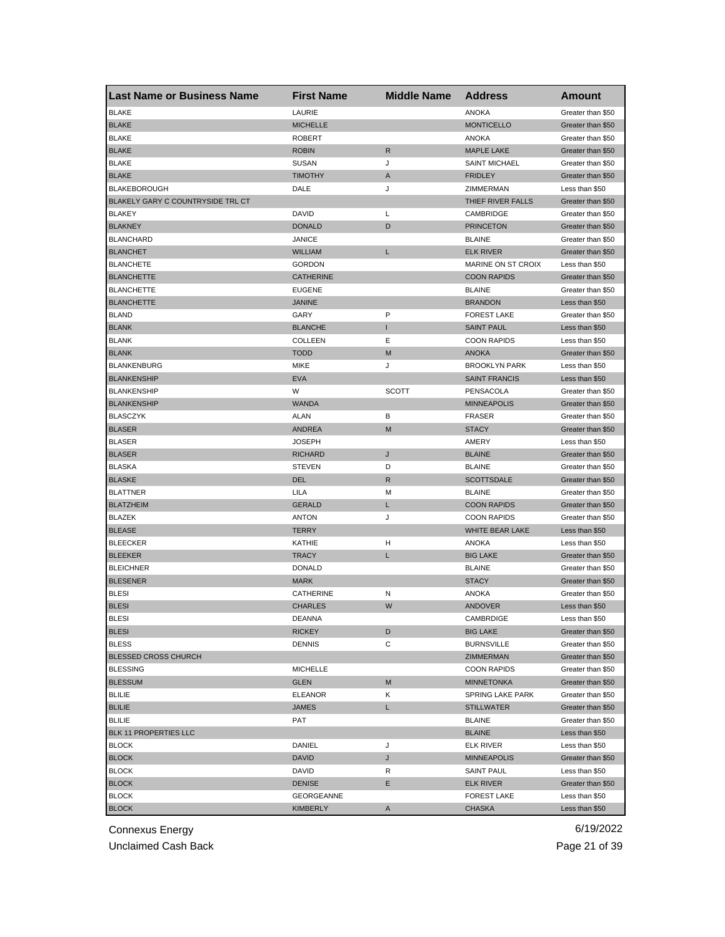| <b>Last Name or Business Name</b> | <b>First Name</b> | <b>Middle Name</b> | <b>Address</b>          | <b>Amount</b>                       |
|-----------------------------------|-------------------|--------------------|-------------------------|-------------------------------------|
| <b>BLAKE</b>                      | LAURIE            |                    | <b>ANOKA</b>            | Greater than \$50                   |
| <b>BLAKE</b>                      | <b>MICHELLE</b>   |                    | <b>MONTICELLO</b>       | Greater than \$50                   |
| <b>BLAKE</b>                      | <b>ROBERT</b>     |                    | <b>ANOKA</b>            | Greater than \$50                   |
| <b>BLAKE</b>                      | <b>ROBIN</b>      | $\mathsf{R}$       | <b>MAPLE LAKE</b>       | Greater than \$50                   |
| <b>BLAKE</b>                      | <b>SUSAN</b>      | J                  | <b>SAINT MICHAEL</b>    | Greater than \$50                   |
| <b>BLAKE</b>                      | <b>TIMOTHY</b>    | A                  | <b>FRIDLEY</b>          | Greater than \$50                   |
| <b>BLAKEBOROUGH</b>               | DALE              | J                  | ZIMMERMAN               | Less than \$50                      |
| BLAKELY GARY C COUNTRYSIDE TRL CT |                   |                    | THIEF RIVER FALLS       | Greater than \$50                   |
| <b>BLAKEY</b>                     | DAVID             | Г                  | CAMBRIDGE               | Greater than \$50                   |
| <b>BLAKNEY</b>                    | <b>DONALD</b>     | D                  | <b>PRINCETON</b>        | Greater than \$50                   |
| <b>BLANCHARD</b>                  | JANICE            |                    | <b>BLAINE</b>           | Greater than \$50                   |
| <b>BLANCHET</b>                   | WILLIAM           | L                  | <b>ELK RIVER</b>        | Greater than \$50                   |
| <b>BLANCHETE</b>                  | <b>GORDON</b>     |                    | MARINE ON ST CROIX      | Less than \$50                      |
| <b>BLANCHETTE</b>                 | <b>CATHERINE</b>  |                    | <b>COON RAPIDS</b>      | Greater than \$50                   |
| <b>BLANCHETTE</b>                 | <b>EUGENE</b>     |                    | <b>BLAINE</b>           | Greater than \$50                   |
| <b>BLANCHETTE</b>                 | <b>JANINE</b>     |                    | <b>BRANDON</b>          | Less than \$50                      |
| <b>BLAND</b>                      | GARY              | P                  | <b>FOREST LAKE</b>      | Greater than \$50                   |
| <b>BLANK</b>                      | <b>BLANCHE</b>    | Т                  | <b>SAINT PAUL</b>       | Less than \$50                      |
| <b>BLANK</b>                      | COLLEEN           | Ε                  | <b>COON RAPIDS</b>      | Less than \$50                      |
| <b>BLANK</b>                      | <b>TODD</b>       | M                  | <b>ANOKA</b>            | Greater than \$50                   |
| <b>BLANKENBURG</b>                | <b>MIKE</b>       | J                  | <b>BROOKLYN PARK</b>    | Less than \$50                      |
| <b>BLANKENSHIP</b>                | <b>EVA</b>        |                    | <b>SAINT FRANCIS</b>    | Less than \$50                      |
| <b>BLANKENSHIP</b>                | W                 | <b>SCOTT</b>       | PENSACOLA               | Greater than \$50                   |
| <b>BLANKENSHIP</b>                | <b>WANDA</b>      |                    | <b>MINNEAPOLIS</b>      | Greater than \$50                   |
| <b>BLASCZYK</b>                   | ALAN              | В                  | <b>FRASER</b>           | Greater than \$50                   |
| <b>BLASER</b>                     | <b>ANDREA</b>     | M                  | <b>STACY</b>            | Greater than \$50                   |
| <b>BLASER</b>                     | JOSEPH            |                    | AMERY                   | Less than \$50                      |
| <b>BLASER</b>                     | RICHARD           | J                  | <b>BLAINE</b>           | Greater than \$50                   |
| <b>BLASKA</b>                     | <b>STEVEN</b>     | D                  | <b>BLAINE</b>           | Greater than \$50                   |
| <b>BLASKE</b>                     | DEL               | R                  | <b>SCOTTSDALE</b>       | Greater than \$50                   |
| <b>BLATTNER</b>                   | LILA              | M                  | <b>BLAINE</b>           | Greater than \$50                   |
| <b>BLATZHEIM</b>                  | <b>GERALD</b>     | L                  | <b>COON RAPIDS</b>      | Greater than \$50                   |
| <b>BLAZEK</b>                     | <b>ANTON</b>      | J                  | <b>COON RAPIDS</b>      | Greater than \$50                   |
| <b>BLEASE</b>                     | <b>TERRY</b>      |                    | WHITE BEAR LAKE         | Less than \$50                      |
|                                   | <b>KATHIE</b>     |                    | <b>ANOKA</b>            |                                     |
| <b>BLEECKER</b><br><b>BLEEKER</b> | <b>TRACY</b>      | н<br>L             | <b>BIG LAKE</b>         | Less than \$50<br>Greater than \$50 |
| <b>BLEICHNER</b>                  |                   |                    |                         |                                     |
|                                   | <b>DONALD</b>     |                    | <b>BLAINE</b>           | Greater than \$50                   |
| <b>BLESENER</b>                   | <b>MARK</b>       |                    | <b>STACY</b>            | Greater than \$50                   |
| <b>BLESI</b>                      | CATHERINE         | Ν                  | <b>ANOKA</b>            | Greater than \$50                   |
| <b>BLESI</b>                      | <b>CHARLES</b>    | W                  | <b>ANDOVER</b>          | Less than \$50                      |
| BLESI                             | DEANNA            |                    | CAMBRDIGE               | Less than \$50                      |
| <b>BLESI</b>                      | <b>RICKEY</b>     | D                  | <b>BIG LAKE</b>         | Greater than \$50                   |
| <b>BLESS</b>                      | <b>DENNIS</b>     | С                  | <b>BURNSVILLE</b>       | Greater than \$50                   |
| <b>BLESSED CROSS CHURCH</b>       |                   |                    | ZIMMERMAN               | Greater than \$50                   |
| <b>BLESSING</b>                   | <b>MICHELLE</b>   |                    | <b>COON RAPIDS</b>      | Greater than \$50                   |
| <b>BLESSUM</b>                    | <b>GLEN</b>       | M                  | <b>MINNETONKA</b>       | Greater than \$50                   |
| <b>BLILIE</b>                     | <b>ELEANOR</b>    | Κ                  | <b>SPRING LAKE PARK</b> | Greater than \$50                   |
| <b>BLILIE</b>                     | JAMES             | L.                 | <b>STILLWATER</b>       | Greater than \$50                   |
| <b>BLILIE</b>                     | PAT               |                    | <b>BLAINE</b>           | Greater than \$50                   |
| BLK 11 PROPERTIES LLC             |                   |                    | <b>BLAINE</b>           | Less than \$50                      |
| <b>BLOCK</b>                      | DANIEL            | J                  | <b>ELK RIVER</b>        | Less than \$50                      |
| <b>BLOCK</b>                      | DAVID             | J                  | <b>MINNEAPOLIS</b>      | Greater than \$50                   |
| <b>BLOCK</b>                      | DAVID             | R                  | SAINT PAUL              | Less than \$50                      |
| <b>BLOCK</b>                      | <b>DENISE</b>     | Е                  | <b>ELK RIVER</b>        | Greater than \$50                   |
| <b>BLOCK</b>                      | GEORGEANNE        |                    | <b>FOREST LAKE</b>      | Less than \$50                      |
| <b>BLOCK</b>                      | KIMBERLY          | Α                  | <b>CHASKA</b>           | Less than \$50                      |

Unclaimed Cash Back **Page 21 of 39**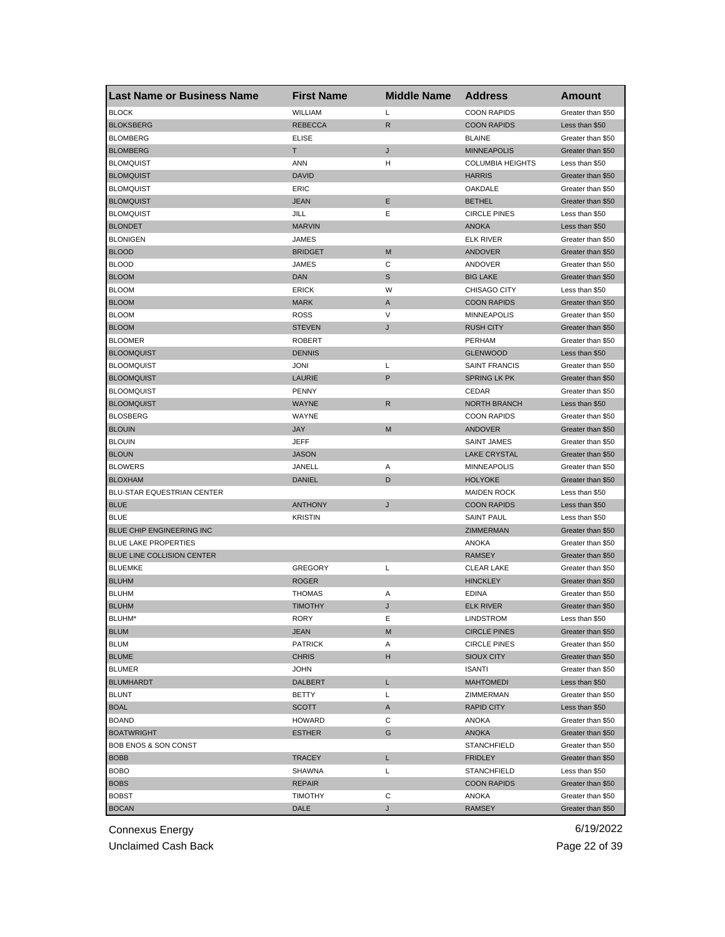| <b>Last Name or Business Name</b> | <b>First Name</b> | <b>Middle Name</b> | <b>Address</b>          | Amount            |
|-----------------------------------|-------------------|--------------------|-------------------------|-------------------|
| <b>BLOCK</b>                      | WILLIAM           | Г                  | <b>COON RAPIDS</b>      | Greater than \$50 |
| <b>BLOKSBERG</b>                  | <b>REBECCA</b>    | $\mathsf{R}$       | <b>COON RAPIDS</b>      | Less than \$50    |
| <b>BLOMBERG</b>                   | <b>ELISE</b>      |                    | <b>BLAINE</b>           | Greater than \$50 |
| <b>BLOMBERG</b>                   | T                 | J                  | <b>MINNEAPOLIS</b>      | Greater than \$50 |
| <b>BLOMQUIST</b>                  | <b>ANN</b>        | н                  | <b>COLUMBIA HEIGHTS</b> | Less than \$50    |
| <b>BLOMQUIST</b>                  | <b>DAVID</b>      |                    | <b>HARRIS</b>           | Greater than \$50 |
| <b>BLOMQUIST</b>                  | ERIC              |                    | OAKDALE                 | Greater than \$50 |
| <b>BLOMQUIST</b>                  | <b>JEAN</b>       | Ε                  | <b>BETHEL</b>           | Greater than \$50 |
| <b>BLOMQUIST</b>                  | JILL              | Ε                  | <b>CIRCLE PINES</b>     | Less than \$50    |
| <b>BLONDET</b>                    | <b>MARVIN</b>     |                    | <b>ANOKA</b>            | Less than \$50    |
| <b>BLONIGEN</b>                   | JAMES             |                    | <b>ELK RIVER</b>        | Greater than \$50 |
| <b>BLOOD</b>                      | <b>BRIDGET</b>    | M                  | <b>ANDOVER</b>          | Greater than \$50 |
| <b>BLOOD</b>                      | <b>JAMES</b>      | С                  | ANDOVER                 | Greater than \$50 |
| <b>BLOOM</b>                      | <b>DAN</b>        | S                  | <b>BIG LAKE</b>         | Greater than \$50 |
| <b>BLOOM</b>                      | <b>ERICK</b>      | W                  | CHISAGO CITY            | Less than \$50    |
| <b>BLOOM</b>                      | <b>MARK</b>       | Α                  | <b>COON RAPIDS</b>      | Greater than \$50 |
| <b>BLOOM</b>                      | <b>ROSS</b>       | V                  | <b>MINNEAPOLIS</b>      | Greater than \$50 |
| <b>BLOOM</b>                      | <b>STEVEN</b>     | J                  | <b>RUSH CITY</b>        | Greater than \$50 |
| <b>BLOOMER</b>                    | <b>ROBERT</b>     |                    | <b>PERHAM</b>           | Greater than \$50 |
| <b>BLOOMQUIST</b>                 | <b>DENNIS</b>     |                    | <b>GLENWOOD</b>         | Less than \$50    |
| <b>BLOOMQUIST</b>                 | <b>JONI</b>       | Г                  | <b>SAINT FRANCIS</b>    | Greater than \$50 |
| <b>BLOOMQUIST</b>                 | LAURIE            | P                  | <b>SPRING LK PK</b>     | Greater than \$50 |
| <b>BLOOMQUIST</b>                 | <b>PENNY</b>      |                    | CEDAR                   | Greater than \$50 |
| <b>BLOOMQUIST</b>                 | <b>WAYNE</b>      | $\mathsf R$        | <b>NORTH BRANCH</b>     | Less than \$50    |
| <b>BLOSBERG</b>                   | WAYNE             |                    | <b>COON RAPIDS</b>      | Greater than \$50 |
| <b>BLOUIN</b>                     | <b>JAY</b>        | M                  | <b>ANDOVER</b>          | Greater than \$50 |
| <b>BLOUIN</b>                     | <b>JEFF</b>       |                    | <b>SAINT JAMES</b>      | Greater than \$50 |
| <b>BLOUN</b>                      | <b>JASON</b>      |                    | <b>LAKE CRYSTAL</b>     | Greater than \$50 |
| <b>BLOWERS</b>                    | JANELL            | Α                  | <b>MINNEAPOLIS</b>      | Greater than \$50 |
| <b>BLOXHAM</b>                    | DANIEL            | D                  | <b>HOLYOKE</b>          | Greater than \$50 |
| BLU-STAR EQUESTRIAN CENTER        |                   |                    | <b>MAIDEN ROCK</b>      | Less than \$50    |
| <b>BLUE</b>                       | <b>ANTHONY</b>    | J                  | <b>COON RAPIDS</b>      | Less than \$50    |
| <b>BLUE</b>                       | <b>KRISTIN</b>    |                    | <b>SAINT PAUL</b>       | Less than \$50    |
| BLUE CHIP ENGINEERING INC         |                   |                    | ZIMMERMAN               | Greater than \$50 |
| <b>BLUE LAKE PROPERTIES</b>       |                   |                    | ANOKA                   | Greater than \$50 |
| BLUE LINE COLLISION CENTER        |                   |                    | <b>RAMSEY</b>           | Greater than \$50 |
| <b>BLUEMKE</b>                    | <b>GREGORY</b>    | Г                  | <b>CLEAR LAKE</b>       | Greater than \$50 |
| <b>BLUHM</b>                      | <b>ROGER</b>      |                    | <b>HINCKLEY</b>         | Greater than \$50 |
| <b>BLUHM</b>                      | <b>THOMAS</b>     | Α                  | <b>EDINA</b>            | Greater than \$50 |
| <b>BLUHM</b>                      | <b>TIMOTHY</b>    | J                  | <b>ELK RIVER</b>        | Greater than \$50 |
| BLUHM'                            | RORY              | Е                  | LINDSTROM               | Less than \$50    |
| <b>BLUM</b>                       | JEAN              | M                  | <b>CIRCLE PINES</b>     | Greater than \$50 |
| <b>BLUM</b>                       | <b>PATRICK</b>    | Α                  | <b>CIRCLE PINES</b>     | Greater than \$50 |
| <b>BLUME</b>                      | <b>CHRIS</b>      | H                  | <b>SIOUX CITY</b>       | Greater than \$50 |
| <b>BLUMER</b>                     | <b>JOHN</b>       |                    | <b>ISANTI</b>           | Greater than \$50 |
| <b>BLUMHARDT</b>                  | <b>DALBERT</b>    | L                  | <b>MAHTOMEDI</b>        | Less than \$50    |
| <b>BLUNT</b>                      | <b>BETTY</b>      | Г                  | ZIMMERMAN               | Greater than \$50 |
| <b>BOAL</b>                       | <b>SCOTT</b>      | Α                  | RAPID CITY              | Less than \$50    |
| <b>BOAND</b>                      | HOWARD            | С                  | ANOKA                   | Greater than \$50 |
| <b>BOATWRIGHT</b>                 | <b>ESTHER</b>     | G                  | <b>ANOKA</b>            | Greater than \$50 |
| <b>BOB ENOS &amp; SON CONST</b>   |                   |                    | <b>STANCHFIELD</b>      | Greater than \$50 |
| <b>BOBB</b>                       | <b>TRACEY</b>     | L                  | <b>FRIDLEY</b>          | Greater than \$50 |
| <b>BOBO</b>                       | SHAWNA            | L                  | <b>STANCHFIELD</b>      | Less than \$50    |
| <b>BOBS</b>                       | REPAIR            |                    | <b>COON RAPIDS</b>      | Greater than \$50 |
| <b>BOBST</b>                      | <b>TIMOTHY</b>    | С                  | ANOKA                   | Greater than \$50 |
| <b>BOCAN</b>                      | DALE              | J                  | <b>RAMSEY</b>           | Greater than \$50 |

Unclaimed Cash Back **Page 22 of 39**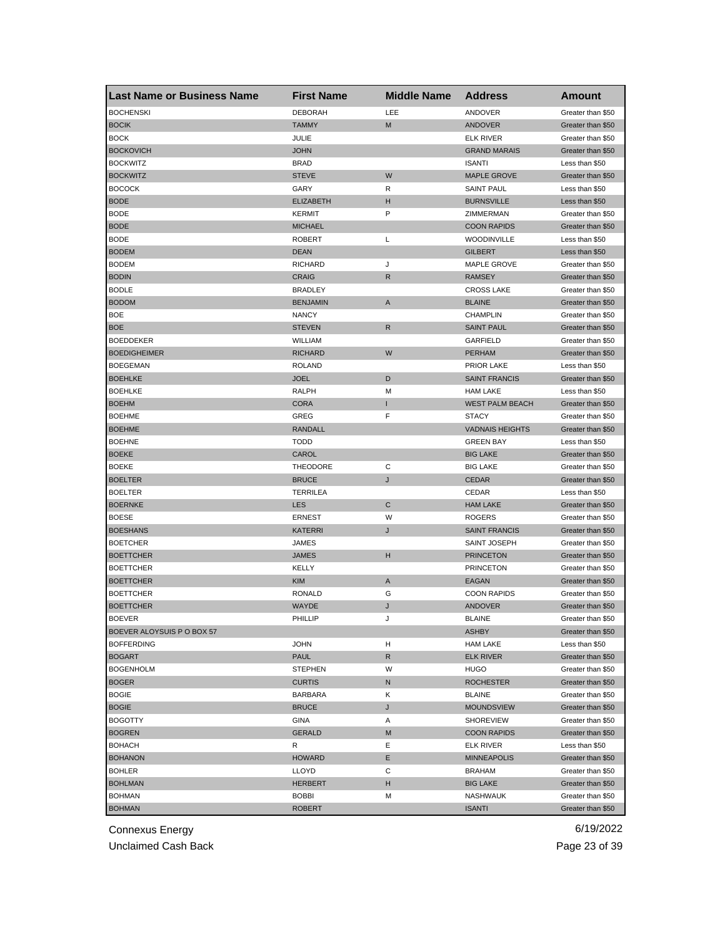| <b>BOCHENSKI</b><br><b>DEBORAH</b><br>LEE<br>ANDOVER<br>Greater than \$50<br><b>BOCIK</b><br><b>TAMMY</b><br>M<br><b>ANDOVER</b><br>Greater than \$50<br><b>BOCK</b><br>JULIE<br><b>ELK RIVER</b><br>Greater than \$50<br><b>BOCKOVICH</b><br><b>JOHN</b><br><b>GRAND MARAIS</b><br>Greater than \$50<br><b>BOCKWITZ</b><br><b>BRAD</b><br><b>ISANTI</b><br>Less than \$50<br>W<br><b>BOCKWITZ</b><br><b>STEVE</b><br><b>MAPLE GROVE</b><br>Greater than \$50<br><b>BOCOCK</b><br>GARY<br><b>SAINT PAUL</b><br>R<br>Less than \$50<br><b>BODE</b><br><b>ELIZABETH</b><br><b>BURNSVILLE</b><br>H<br>Less than \$50<br>P<br><b>BODE</b><br><b>KERMIT</b><br>ZIMMERMAN<br>Greater than \$50<br><b>BODE</b><br><b>COON RAPIDS</b><br><b>MICHAEL</b><br>Greater than \$50<br>BODE<br>L<br><b>WOODINVILLE</b><br>ROBERT<br>Less than \$50<br><b>BODEM</b><br><b>DEAN</b><br><b>GILBERT</b><br>Less than \$50<br>J<br>MAPLE GROVE<br><b>BODEM</b><br><b>RICHARD</b><br>Greater than \$50<br><b>CRAIG</b><br>R<br><b>RAMSEY</b><br><b>BODIN</b><br>Greater than \$50<br><b>BODLE</b><br><b>BRADLEY</b><br><b>CROSS LAKE</b><br>Greater than \$50<br><b>BODOM</b><br><b>BENJAMIN</b><br>A<br><b>BLAINE</b><br>Greater than \$50<br><b>BOE</b><br><b>NANCY</b><br><b>CHAMPLIN</b><br>Greater than \$50<br>$\mathsf{R}$<br><b>BOE</b><br><b>STEVEN</b><br><b>SAINT PAUL</b><br>Greater than \$50<br><b>BOEDDEKER</b><br><b>WILLIAM</b><br>GARFIELD<br>Greater than \$50<br>W<br><b>BOEDIGHEIMER</b><br><b>RICHARD</b><br><b>PERHAM</b><br>Greater than \$50<br><b>BOEGEMAN</b><br>PRIOR LAKE<br><b>ROLAND</b><br>Less than \$50<br><b>BOEHLKE</b><br><b>JOEL</b><br>D<br><b>SAINT FRANCIS</b><br>Greater than \$50<br><b>BOEHLKE</b><br>RALPH<br>М<br><b>HAM LAKE</b><br>Less than \$50<br><b>BOEHM</b><br><b>CORA</b><br>I<br><b>WEST PALM BEACH</b><br>Greater than \$50<br><b>BOEHME</b><br>GREG<br>F<br><b>STACY</b><br>Greater than \$50<br><b>BOEHME</b><br><b>RANDALL</b><br><b>VADNAIS HEIGHTS</b><br>Greater than \$50<br><b>BOEHNE</b><br><b>TODD</b><br><b>GREEN BAY</b><br>Less than \$50<br>CAROL<br><b>BOEKE</b><br><b>BIG LAKE</b><br>Greater than \$50<br>С<br><b>BOEKE</b><br><b>THEODORE</b><br><b>BIG LAKE</b><br>Greater than \$50<br><b>BOELTER</b><br><b>BRUCE</b><br>J<br><b>CEDAR</b><br>Greater than \$50<br><b>BOELTER</b><br><b>TERRILEA</b><br>CEDAR<br>Less than \$50<br>C<br><b>BOERNKE</b><br><b>LES</b><br><b>HAM LAKE</b><br>Greater than \$50<br><b>BOESE</b><br>W<br><b>ERNEST</b><br><b>ROGERS</b><br>Greater than \$50<br><b>BOESHANS</b><br><b>KATERRI</b><br>J<br><b>SAINT FRANCIS</b><br>Greater than \$50<br><b>BOETCHER</b><br><b>JAMES</b><br>SAINT JOSEPH<br>Greater than \$50<br>н<br><b>JAMES</b><br><b>PRINCETON</b><br><b>BOETTCHER</b><br>Greater than \$50<br><b>PRINCETON</b><br><b>BOETTCHER</b><br>KELLY<br>Greater than \$50<br><b>BOETTCHER</b><br><b>KIM</b><br>A<br>EAGAN<br>Greater than \$50<br><b>RONALD</b><br>G<br><b>COON RAPIDS</b><br>Greater than \$50<br><b>BOETTCHER</b><br>WAYDE<br><b>ANDOVER</b><br>Greater than \$50<br><b>BOETTCHER</b><br>J<br><b>BOFAFK</b><br><b>PHILLIP</b><br><b>BLAINE</b><br>Greater than \$50<br>BOEVER ALOYSUIS P O BOX 57<br>ASHBY<br>Greater than \$50<br><b>BOFFERDING</b><br><b>JOHN</b><br>н<br><b>HAM LAKE</b><br>Less than \$50<br><b>BOGART</b><br><b>PAUL</b><br>R<br>ELK RIVER<br>Greater than \$50<br><b>BOGENHOLM</b><br><b>STEPHEN</b><br>W<br>HUGO<br>Greater than \$50<br><b>BOGER</b><br><b>CURTIS</b><br>N<br><b>ROCHESTER</b><br>Greater than \$50 | Last Name or Business Name | <b>First Name</b> | <b>Middle Name</b> | <b>Address</b> | Amount            |
|-------------------------------------------------------------------------------------------------------------------------------------------------------------------------------------------------------------------------------------------------------------------------------------------------------------------------------------------------------------------------------------------------------------------------------------------------------------------------------------------------------------------------------------------------------------------------------------------------------------------------------------------------------------------------------------------------------------------------------------------------------------------------------------------------------------------------------------------------------------------------------------------------------------------------------------------------------------------------------------------------------------------------------------------------------------------------------------------------------------------------------------------------------------------------------------------------------------------------------------------------------------------------------------------------------------------------------------------------------------------------------------------------------------------------------------------------------------------------------------------------------------------------------------------------------------------------------------------------------------------------------------------------------------------------------------------------------------------------------------------------------------------------------------------------------------------------------------------------------------------------------------------------------------------------------------------------------------------------------------------------------------------------------------------------------------------------------------------------------------------------------------------------------------------------------------------------------------------------------------------------------------------------------------------------------------------------------------------------------------------------------------------------------------------------------------------------------------------------------------------------------------------------------------------------------------------------------------------------------------------------------------------------------------------------------------------------------------------------------------------------------------------------------------------------------------------------------------------------------------------------------------------------------------------------------------------------------------------------------------------------------------------------------------------------------------------------------------------------------------------------------------------------------------------------------------------------------------------------------------------------------------------------------------------------------------------------------------------------------------------------------------------------------------------------------------------------------------------------------------------------------------------------------------------------------------|----------------------------|-------------------|--------------------|----------------|-------------------|
|                                                                                                                                                                                                                                                                                                                                                                                                                                                                                                                                                                                                                                                                                                                                                                                                                                                                                                                                                                                                                                                                                                                                                                                                                                                                                                                                                                                                                                                                                                                                                                                                                                                                                                                                                                                                                                                                                                                                                                                                                                                                                                                                                                                                                                                                                                                                                                                                                                                                                                                                                                                                                                                                                                                                                                                                                                                                                                                                                                                                                                                                                                                                                                                                                                                                                                                                                                                                                                                                                                                                                             |                            |                   |                    |                |                   |
|                                                                                                                                                                                                                                                                                                                                                                                                                                                                                                                                                                                                                                                                                                                                                                                                                                                                                                                                                                                                                                                                                                                                                                                                                                                                                                                                                                                                                                                                                                                                                                                                                                                                                                                                                                                                                                                                                                                                                                                                                                                                                                                                                                                                                                                                                                                                                                                                                                                                                                                                                                                                                                                                                                                                                                                                                                                                                                                                                                                                                                                                                                                                                                                                                                                                                                                                                                                                                                                                                                                                                             |                            |                   |                    |                |                   |
|                                                                                                                                                                                                                                                                                                                                                                                                                                                                                                                                                                                                                                                                                                                                                                                                                                                                                                                                                                                                                                                                                                                                                                                                                                                                                                                                                                                                                                                                                                                                                                                                                                                                                                                                                                                                                                                                                                                                                                                                                                                                                                                                                                                                                                                                                                                                                                                                                                                                                                                                                                                                                                                                                                                                                                                                                                                                                                                                                                                                                                                                                                                                                                                                                                                                                                                                                                                                                                                                                                                                                             |                            |                   |                    |                |                   |
|                                                                                                                                                                                                                                                                                                                                                                                                                                                                                                                                                                                                                                                                                                                                                                                                                                                                                                                                                                                                                                                                                                                                                                                                                                                                                                                                                                                                                                                                                                                                                                                                                                                                                                                                                                                                                                                                                                                                                                                                                                                                                                                                                                                                                                                                                                                                                                                                                                                                                                                                                                                                                                                                                                                                                                                                                                                                                                                                                                                                                                                                                                                                                                                                                                                                                                                                                                                                                                                                                                                                                             |                            |                   |                    |                |                   |
|                                                                                                                                                                                                                                                                                                                                                                                                                                                                                                                                                                                                                                                                                                                                                                                                                                                                                                                                                                                                                                                                                                                                                                                                                                                                                                                                                                                                                                                                                                                                                                                                                                                                                                                                                                                                                                                                                                                                                                                                                                                                                                                                                                                                                                                                                                                                                                                                                                                                                                                                                                                                                                                                                                                                                                                                                                                                                                                                                                                                                                                                                                                                                                                                                                                                                                                                                                                                                                                                                                                                                             |                            |                   |                    |                |                   |
|                                                                                                                                                                                                                                                                                                                                                                                                                                                                                                                                                                                                                                                                                                                                                                                                                                                                                                                                                                                                                                                                                                                                                                                                                                                                                                                                                                                                                                                                                                                                                                                                                                                                                                                                                                                                                                                                                                                                                                                                                                                                                                                                                                                                                                                                                                                                                                                                                                                                                                                                                                                                                                                                                                                                                                                                                                                                                                                                                                                                                                                                                                                                                                                                                                                                                                                                                                                                                                                                                                                                                             |                            |                   |                    |                |                   |
|                                                                                                                                                                                                                                                                                                                                                                                                                                                                                                                                                                                                                                                                                                                                                                                                                                                                                                                                                                                                                                                                                                                                                                                                                                                                                                                                                                                                                                                                                                                                                                                                                                                                                                                                                                                                                                                                                                                                                                                                                                                                                                                                                                                                                                                                                                                                                                                                                                                                                                                                                                                                                                                                                                                                                                                                                                                                                                                                                                                                                                                                                                                                                                                                                                                                                                                                                                                                                                                                                                                                                             |                            |                   |                    |                |                   |
|                                                                                                                                                                                                                                                                                                                                                                                                                                                                                                                                                                                                                                                                                                                                                                                                                                                                                                                                                                                                                                                                                                                                                                                                                                                                                                                                                                                                                                                                                                                                                                                                                                                                                                                                                                                                                                                                                                                                                                                                                                                                                                                                                                                                                                                                                                                                                                                                                                                                                                                                                                                                                                                                                                                                                                                                                                                                                                                                                                                                                                                                                                                                                                                                                                                                                                                                                                                                                                                                                                                                                             |                            |                   |                    |                |                   |
|                                                                                                                                                                                                                                                                                                                                                                                                                                                                                                                                                                                                                                                                                                                                                                                                                                                                                                                                                                                                                                                                                                                                                                                                                                                                                                                                                                                                                                                                                                                                                                                                                                                                                                                                                                                                                                                                                                                                                                                                                                                                                                                                                                                                                                                                                                                                                                                                                                                                                                                                                                                                                                                                                                                                                                                                                                                                                                                                                                                                                                                                                                                                                                                                                                                                                                                                                                                                                                                                                                                                                             |                            |                   |                    |                |                   |
|                                                                                                                                                                                                                                                                                                                                                                                                                                                                                                                                                                                                                                                                                                                                                                                                                                                                                                                                                                                                                                                                                                                                                                                                                                                                                                                                                                                                                                                                                                                                                                                                                                                                                                                                                                                                                                                                                                                                                                                                                                                                                                                                                                                                                                                                                                                                                                                                                                                                                                                                                                                                                                                                                                                                                                                                                                                                                                                                                                                                                                                                                                                                                                                                                                                                                                                                                                                                                                                                                                                                                             |                            |                   |                    |                |                   |
|                                                                                                                                                                                                                                                                                                                                                                                                                                                                                                                                                                                                                                                                                                                                                                                                                                                                                                                                                                                                                                                                                                                                                                                                                                                                                                                                                                                                                                                                                                                                                                                                                                                                                                                                                                                                                                                                                                                                                                                                                                                                                                                                                                                                                                                                                                                                                                                                                                                                                                                                                                                                                                                                                                                                                                                                                                                                                                                                                                                                                                                                                                                                                                                                                                                                                                                                                                                                                                                                                                                                                             |                            |                   |                    |                |                   |
|                                                                                                                                                                                                                                                                                                                                                                                                                                                                                                                                                                                                                                                                                                                                                                                                                                                                                                                                                                                                                                                                                                                                                                                                                                                                                                                                                                                                                                                                                                                                                                                                                                                                                                                                                                                                                                                                                                                                                                                                                                                                                                                                                                                                                                                                                                                                                                                                                                                                                                                                                                                                                                                                                                                                                                                                                                                                                                                                                                                                                                                                                                                                                                                                                                                                                                                                                                                                                                                                                                                                                             |                            |                   |                    |                |                   |
|                                                                                                                                                                                                                                                                                                                                                                                                                                                                                                                                                                                                                                                                                                                                                                                                                                                                                                                                                                                                                                                                                                                                                                                                                                                                                                                                                                                                                                                                                                                                                                                                                                                                                                                                                                                                                                                                                                                                                                                                                                                                                                                                                                                                                                                                                                                                                                                                                                                                                                                                                                                                                                                                                                                                                                                                                                                                                                                                                                                                                                                                                                                                                                                                                                                                                                                                                                                                                                                                                                                                                             |                            |                   |                    |                |                   |
|                                                                                                                                                                                                                                                                                                                                                                                                                                                                                                                                                                                                                                                                                                                                                                                                                                                                                                                                                                                                                                                                                                                                                                                                                                                                                                                                                                                                                                                                                                                                                                                                                                                                                                                                                                                                                                                                                                                                                                                                                                                                                                                                                                                                                                                                                                                                                                                                                                                                                                                                                                                                                                                                                                                                                                                                                                                                                                                                                                                                                                                                                                                                                                                                                                                                                                                                                                                                                                                                                                                                                             |                            |                   |                    |                |                   |
|                                                                                                                                                                                                                                                                                                                                                                                                                                                                                                                                                                                                                                                                                                                                                                                                                                                                                                                                                                                                                                                                                                                                                                                                                                                                                                                                                                                                                                                                                                                                                                                                                                                                                                                                                                                                                                                                                                                                                                                                                                                                                                                                                                                                                                                                                                                                                                                                                                                                                                                                                                                                                                                                                                                                                                                                                                                                                                                                                                                                                                                                                                                                                                                                                                                                                                                                                                                                                                                                                                                                                             |                            |                   |                    |                |                   |
|                                                                                                                                                                                                                                                                                                                                                                                                                                                                                                                                                                                                                                                                                                                                                                                                                                                                                                                                                                                                                                                                                                                                                                                                                                                                                                                                                                                                                                                                                                                                                                                                                                                                                                                                                                                                                                                                                                                                                                                                                                                                                                                                                                                                                                                                                                                                                                                                                                                                                                                                                                                                                                                                                                                                                                                                                                                                                                                                                                                                                                                                                                                                                                                                                                                                                                                                                                                                                                                                                                                                                             |                            |                   |                    |                |                   |
|                                                                                                                                                                                                                                                                                                                                                                                                                                                                                                                                                                                                                                                                                                                                                                                                                                                                                                                                                                                                                                                                                                                                                                                                                                                                                                                                                                                                                                                                                                                                                                                                                                                                                                                                                                                                                                                                                                                                                                                                                                                                                                                                                                                                                                                                                                                                                                                                                                                                                                                                                                                                                                                                                                                                                                                                                                                                                                                                                                                                                                                                                                                                                                                                                                                                                                                                                                                                                                                                                                                                                             |                            |                   |                    |                |                   |
|                                                                                                                                                                                                                                                                                                                                                                                                                                                                                                                                                                                                                                                                                                                                                                                                                                                                                                                                                                                                                                                                                                                                                                                                                                                                                                                                                                                                                                                                                                                                                                                                                                                                                                                                                                                                                                                                                                                                                                                                                                                                                                                                                                                                                                                                                                                                                                                                                                                                                                                                                                                                                                                                                                                                                                                                                                                                                                                                                                                                                                                                                                                                                                                                                                                                                                                                                                                                                                                                                                                                                             |                            |                   |                    |                |                   |
|                                                                                                                                                                                                                                                                                                                                                                                                                                                                                                                                                                                                                                                                                                                                                                                                                                                                                                                                                                                                                                                                                                                                                                                                                                                                                                                                                                                                                                                                                                                                                                                                                                                                                                                                                                                                                                                                                                                                                                                                                                                                                                                                                                                                                                                                                                                                                                                                                                                                                                                                                                                                                                                                                                                                                                                                                                                                                                                                                                                                                                                                                                                                                                                                                                                                                                                                                                                                                                                                                                                                                             |                            |                   |                    |                |                   |
|                                                                                                                                                                                                                                                                                                                                                                                                                                                                                                                                                                                                                                                                                                                                                                                                                                                                                                                                                                                                                                                                                                                                                                                                                                                                                                                                                                                                                                                                                                                                                                                                                                                                                                                                                                                                                                                                                                                                                                                                                                                                                                                                                                                                                                                                                                                                                                                                                                                                                                                                                                                                                                                                                                                                                                                                                                                                                                                                                                                                                                                                                                                                                                                                                                                                                                                                                                                                                                                                                                                                                             |                            |                   |                    |                |                   |
|                                                                                                                                                                                                                                                                                                                                                                                                                                                                                                                                                                                                                                                                                                                                                                                                                                                                                                                                                                                                                                                                                                                                                                                                                                                                                                                                                                                                                                                                                                                                                                                                                                                                                                                                                                                                                                                                                                                                                                                                                                                                                                                                                                                                                                                                                                                                                                                                                                                                                                                                                                                                                                                                                                                                                                                                                                                                                                                                                                                                                                                                                                                                                                                                                                                                                                                                                                                                                                                                                                                                                             |                            |                   |                    |                |                   |
|                                                                                                                                                                                                                                                                                                                                                                                                                                                                                                                                                                                                                                                                                                                                                                                                                                                                                                                                                                                                                                                                                                                                                                                                                                                                                                                                                                                                                                                                                                                                                                                                                                                                                                                                                                                                                                                                                                                                                                                                                                                                                                                                                                                                                                                                                                                                                                                                                                                                                                                                                                                                                                                                                                                                                                                                                                                                                                                                                                                                                                                                                                                                                                                                                                                                                                                                                                                                                                                                                                                                                             |                            |                   |                    |                |                   |
|                                                                                                                                                                                                                                                                                                                                                                                                                                                                                                                                                                                                                                                                                                                                                                                                                                                                                                                                                                                                                                                                                                                                                                                                                                                                                                                                                                                                                                                                                                                                                                                                                                                                                                                                                                                                                                                                                                                                                                                                                                                                                                                                                                                                                                                                                                                                                                                                                                                                                                                                                                                                                                                                                                                                                                                                                                                                                                                                                                                                                                                                                                                                                                                                                                                                                                                                                                                                                                                                                                                                                             |                            |                   |                    |                |                   |
|                                                                                                                                                                                                                                                                                                                                                                                                                                                                                                                                                                                                                                                                                                                                                                                                                                                                                                                                                                                                                                                                                                                                                                                                                                                                                                                                                                                                                                                                                                                                                                                                                                                                                                                                                                                                                                                                                                                                                                                                                                                                                                                                                                                                                                                                                                                                                                                                                                                                                                                                                                                                                                                                                                                                                                                                                                                                                                                                                                                                                                                                                                                                                                                                                                                                                                                                                                                                                                                                                                                                                             |                            |                   |                    |                |                   |
|                                                                                                                                                                                                                                                                                                                                                                                                                                                                                                                                                                                                                                                                                                                                                                                                                                                                                                                                                                                                                                                                                                                                                                                                                                                                                                                                                                                                                                                                                                                                                                                                                                                                                                                                                                                                                                                                                                                                                                                                                                                                                                                                                                                                                                                                                                                                                                                                                                                                                                                                                                                                                                                                                                                                                                                                                                                                                                                                                                                                                                                                                                                                                                                                                                                                                                                                                                                                                                                                                                                                                             |                            |                   |                    |                |                   |
|                                                                                                                                                                                                                                                                                                                                                                                                                                                                                                                                                                                                                                                                                                                                                                                                                                                                                                                                                                                                                                                                                                                                                                                                                                                                                                                                                                                                                                                                                                                                                                                                                                                                                                                                                                                                                                                                                                                                                                                                                                                                                                                                                                                                                                                                                                                                                                                                                                                                                                                                                                                                                                                                                                                                                                                                                                                                                                                                                                                                                                                                                                                                                                                                                                                                                                                                                                                                                                                                                                                                                             |                            |                   |                    |                |                   |
|                                                                                                                                                                                                                                                                                                                                                                                                                                                                                                                                                                                                                                                                                                                                                                                                                                                                                                                                                                                                                                                                                                                                                                                                                                                                                                                                                                                                                                                                                                                                                                                                                                                                                                                                                                                                                                                                                                                                                                                                                                                                                                                                                                                                                                                                                                                                                                                                                                                                                                                                                                                                                                                                                                                                                                                                                                                                                                                                                                                                                                                                                                                                                                                                                                                                                                                                                                                                                                                                                                                                                             |                            |                   |                    |                |                   |
|                                                                                                                                                                                                                                                                                                                                                                                                                                                                                                                                                                                                                                                                                                                                                                                                                                                                                                                                                                                                                                                                                                                                                                                                                                                                                                                                                                                                                                                                                                                                                                                                                                                                                                                                                                                                                                                                                                                                                                                                                                                                                                                                                                                                                                                                                                                                                                                                                                                                                                                                                                                                                                                                                                                                                                                                                                                                                                                                                                                                                                                                                                                                                                                                                                                                                                                                                                                                                                                                                                                                                             |                            |                   |                    |                |                   |
|                                                                                                                                                                                                                                                                                                                                                                                                                                                                                                                                                                                                                                                                                                                                                                                                                                                                                                                                                                                                                                                                                                                                                                                                                                                                                                                                                                                                                                                                                                                                                                                                                                                                                                                                                                                                                                                                                                                                                                                                                                                                                                                                                                                                                                                                                                                                                                                                                                                                                                                                                                                                                                                                                                                                                                                                                                                                                                                                                                                                                                                                                                                                                                                                                                                                                                                                                                                                                                                                                                                                                             |                            |                   |                    |                |                   |
|                                                                                                                                                                                                                                                                                                                                                                                                                                                                                                                                                                                                                                                                                                                                                                                                                                                                                                                                                                                                                                                                                                                                                                                                                                                                                                                                                                                                                                                                                                                                                                                                                                                                                                                                                                                                                                                                                                                                                                                                                                                                                                                                                                                                                                                                                                                                                                                                                                                                                                                                                                                                                                                                                                                                                                                                                                                                                                                                                                                                                                                                                                                                                                                                                                                                                                                                                                                                                                                                                                                                                             |                            |                   |                    |                |                   |
|                                                                                                                                                                                                                                                                                                                                                                                                                                                                                                                                                                                                                                                                                                                                                                                                                                                                                                                                                                                                                                                                                                                                                                                                                                                                                                                                                                                                                                                                                                                                                                                                                                                                                                                                                                                                                                                                                                                                                                                                                                                                                                                                                                                                                                                                                                                                                                                                                                                                                                                                                                                                                                                                                                                                                                                                                                                                                                                                                                                                                                                                                                                                                                                                                                                                                                                                                                                                                                                                                                                                                             |                            |                   |                    |                |                   |
|                                                                                                                                                                                                                                                                                                                                                                                                                                                                                                                                                                                                                                                                                                                                                                                                                                                                                                                                                                                                                                                                                                                                                                                                                                                                                                                                                                                                                                                                                                                                                                                                                                                                                                                                                                                                                                                                                                                                                                                                                                                                                                                                                                                                                                                                                                                                                                                                                                                                                                                                                                                                                                                                                                                                                                                                                                                                                                                                                                                                                                                                                                                                                                                                                                                                                                                                                                                                                                                                                                                                                             |                            |                   |                    |                |                   |
|                                                                                                                                                                                                                                                                                                                                                                                                                                                                                                                                                                                                                                                                                                                                                                                                                                                                                                                                                                                                                                                                                                                                                                                                                                                                                                                                                                                                                                                                                                                                                                                                                                                                                                                                                                                                                                                                                                                                                                                                                                                                                                                                                                                                                                                                                                                                                                                                                                                                                                                                                                                                                                                                                                                                                                                                                                                                                                                                                                                                                                                                                                                                                                                                                                                                                                                                                                                                                                                                                                                                                             |                            |                   |                    |                |                   |
|                                                                                                                                                                                                                                                                                                                                                                                                                                                                                                                                                                                                                                                                                                                                                                                                                                                                                                                                                                                                                                                                                                                                                                                                                                                                                                                                                                                                                                                                                                                                                                                                                                                                                                                                                                                                                                                                                                                                                                                                                                                                                                                                                                                                                                                                                                                                                                                                                                                                                                                                                                                                                                                                                                                                                                                                                                                                                                                                                                                                                                                                                                                                                                                                                                                                                                                                                                                                                                                                                                                                                             |                            |                   |                    |                |                   |
|                                                                                                                                                                                                                                                                                                                                                                                                                                                                                                                                                                                                                                                                                                                                                                                                                                                                                                                                                                                                                                                                                                                                                                                                                                                                                                                                                                                                                                                                                                                                                                                                                                                                                                                                                                                                                                                                                                                                                                                                                                                                                                                                                                                                                                                                                                                                                                                                                                                                                                                                                                                                                                                                                                                                                                                                                                                                                                                                                                                                                                                                                                                                                                                                                                                                                                                                                                                                                                                                                                                                                             |                            |                   |                    |                |                   |
|                                                                                                                                                                                                                                                                                                                                                                                                                                                                                                                                                                                                                                                                                                                                                                                                                                                                                                                                                                                                                                                                                                                                                                                                                                                                                                                                                                                                                                                                                                                                                                                                                                                                                                                                                                                                                                                                                                                                                                                                                                                                                                                                                                                                                                                                                                                                                                                                                                                                                                                                                                                                                                                                                                                                                                                                                                                                                                                                                                                                                                                                                                                                                                                                                                                                                                                                                                                                                                                                                                                                                             |                            |                   |                    |                |                   |
|                                                                                                                                                                                                                                                                                                                                                                                                                                                                                                                                                                                                                                                                                                                                                                                                                                                                                                                                                                                                                                                                                                                                                                                                                                                                                                                                                                                                                                                                                                                                                                                                                                                                                                                                                                                                                                                                                                                                                                                                                                                                                                                                                                                                                                                                                                                                                                                                                                                                                                                                                                                                                                                                                                                                                                                                                                                                                                                                                                                                                                                                                                                                                                                                                                                                                                                                                                                                                                                                                                                                                             |                            |                   |                    |                |                   |
|                                                                                                                                                                                                                                                                                                                                                                                                                                                                                                                                                                                                                                                                                                                                                                                                                                                                                                                                                                                                                                                                                                                                                                                                                                                                                                                                                                                                                                                                                                                                                                                                                                                                                                                                                                                                                                                                                                                                                                                                                                                                                                                                                                                                                                                                                                                                                                                                                                                                                                                                                                                                                                                                                                                                                                                                                                                                                                                                                                                                                                                                                                                                                                                                                                                                                                                                                                                                                                                                                                                                                             |                            |                   |                    |                |                   |
|                                                                                                                                                                                                                                                                                                                                                                                                                                                                                                                                                                                                                                                                                                                                                                                                                                                                                                                                                                                                                                                                                                                                                                                                                                                                                                                                                                                                                                                                                                                                                                                                                                                                                                                                                                                                                                                                                                                                                                                                                                                                                                                                                                                                                                                                                                                                                                                                                                                                                                                                                                                                                                                                                                                                                                                                                                                                                                                                                                                                                                                                                                                                                                                                                                                                                                                                                                                                                                                                                                                                                             |                            |                   |                    |                |                   |
|                                                                                                                                                                                                                                                                                                                                                                                                                                                                                                                                                                                                                                                                                                                                                                                                                                                                                                                                                                                                                                                                                                                                                                                                                                                                                                                                                                                                                                                                                                                                                                                                                                                                                                                                                                                                                                                                                                                                                                                                                                                                                                                                                                                                                                                                                                                                                                                                                                                                                                                                                                                                                                                                                                                                                                                                                                                                                                                                                                                                                                                                                                                                                                                                                                                                                                                                                                                                                                                                                                                                                             |                            |                   |                    |                |                   |
|                                                                                                                                                                                                                                                                                                                                                                                                                                                                                                                                                                                                                                                                                                                                                                                                                                                                                                                                                                                                                                                                                                                                                                                                                                                                                                                                                                                                                                                                                                                                                                                                                                                                                                                                                                                                                                                                                                                                                                                                                                                                                                                                                                                                                                                                                                                                                                                                                                                                                                                                                                                                                                                                                                                                                                                                                                                                                                                                                                                                                                                                                                                                                                                                                                                                                                                                                                                                                                                                                                                                                             |                            |                   |                    |                |                   |
|                                                                                                                                                                                                                                                                                                                                                                                                                                                                                                                                                                                                                                                                                                                                                                                                                                                                                                                                                                                                                                                                                                                                                                                                                                                                                                                                                                                                                                                                                                                                                                                                                                                                                                                                                                                                                                                                                                                                                                                                                                                                                                                                                                                                                                                                                                                                                                                                                                                                                                                                                                                                                                                                                                                                                                                                                                                                                                                                                                                                                                                                                                                                                                                                                                                                                                                                                                                                                                                                                                                                                             |                            |                   |                    |                |                   |
|                                                                                                                                                                                                                                                                                                                                                                                                                                                                                                                                                                                                                                                                                                                                                                                                                                                                                                                                                                                                                                                                                                                                                                                                                                                                                                                                                                                                                                                                                                                                                                                                                                                                                                                                                                                                                                                                                                                                                                                                                                                                                                                                                                                                                                                                                                                                                                                                                                                                                                                                                                                                                                                                                                                                                                                                                                                                                                                                                                                                                                                                                                                                                                                                                                                                                                                                                                                                                                                                                                                                                             |                            |                   |                    |                |                   |
|                                                                                                                                                                                                                                                                                                                                                                                                                                                                                                                                                                                                                                                                                                                                                                                                                                                                                                                                                                                                                                                                                                                                                                                                                                                                                                                                                                                                                                                                                                                                                                                                                                                                                                                                                                                                                                                                                                                                                                                                                                                                                                                                                                                                                                                                                                                                                                                                                                                                                                                                                                                                                                                                                                                                                                                                                                                                                                                                                                                                                                                                                                                                                                                                                                                                                                                                                                                                                                                                                                                                                             |                            |                   |                    |                |                   |
|                                                                                                                                                                                                                                                                                                                                                                                                                                                                                                                                                                                                                                                                                                                                                                                                                                                                                                                                                                                                                                                                                                                                                                                                                                                                                                                                                                                                                                                                                                                                                                                                                                                                                                                                                                                                                                                                                                                                                                                                                                                                                                                                                                                                                                                                                                                                                                                                                                                                                                                                                                                                                                                                                                                                                                                                                                                                                                                                                                                                                                                                                                                                                                                                                                                                                                                                                                                                                                                                                                                                                             |                            |                   |                    |                |                   |
|                                                                                                                                                                                                                                                                                                                                                                                                                                                                                                                                                                                                                                                                                                                                                                                                                                                                                                                                                                                                                                                                                                                                                                                                                                                                                                                                                                                                                                                                                                                                                                                                                                                                                                                                                                                                                                                                                                                                                                                                                                                                                                                                                                                                                                                                                                                                                                                                                                                                                                                                                                                                                                                                                                                                                                                                                                                                                                                                                                                                                                                                                                                                                                                                                                                                                                                                                                                                                                                                                                                                                             |                            |                   |                    |                |                   |
|                                                                                                                                                                                                                                                                                                                                                                                                                                                                                                                                                                                                                                                                                                                                                                                                                                                                                                                                                                                                                                                                                                                                                                                                                                                                                                                                                                                                                                                                                                                                                                                                                                                                                                                                                                                                                                                                                                                                                                                                                                                                                                                                                                                                                                                                                                                                                                                                                                                                                                                                                                                                                                                                                                                                                                                                                                                                                                                                                                                                                                                                                                                                                                                                                                                                                                                                                                                                                                                                                                                                                             | <b>BOGIE</b>               | <b>BARBARA</b>    | Κ                  | <b>BLAINE</b>  | Greater than \$50 |
| <b>BOGIE</b><br><b>BRUCE</b><br>J<br><b>MOUNDSVIEW</b><br>Greater than \$50                                                                                                                                                                                                                                                                                                                                                                                                                                                                                                                                                                                                                                                                                                                                                                                                                                                                                                                                                                                                                                                                                                                                                                                                                                                                                                                                                                                                                                                                                                                                                                                                                                                                                                                                                                                                                                                                                                                                                                                                                                                                                                                                                                                                                                                                                                                                                                                                                                                                                                                                                                                                                                                                                                                                                                                                                                                                                                                                                                                                                                                                                                                                                                                                                                                                                                                                                                                                                                                                                 |                            |                   |                    |                |                   |
| <b>BOGOTTY</b><br>GINA<br>Α<br>Greater than \$50<br><b>SHOREVIEW</b>                                                                                                                                                                                                                                                                                                                                                                                                                                                                                                                                                                                                                                                                                                                                                                                                                                                                                                                                                                                                                                                                                                                                                                                                                                                                                                                                                                                                                                                                                                                                                                                                                                                                                                                                                                                                                                                                                                                                                                                                                                                                                                                                                                                                                                                                                                                                                                                                                                                                                                                                                                                                                                                                                                                                                                                                                                                                                                                                                                                                                                                                                                                                                                                                                                                                                                                                                                                                                                                                                        |                            |                   |                    |                |                   |
| <b>BOGREN</b><br><b>GERALD</b><br>M<br><b>COON RAPIDS</b><br>Greater than \$50                                                                                                                                                                                                                                                                                                                                                                                                                                                                                                                                                                                                                                                                                                                                                                                                                                                                                                                                                                                                                                                                                                                                                                                                                                                                                                                                                                                                                                                                                                                                                                                                                                                                                                                                                                                                                                                                                                                                                                                                                                                                                                                                                                                                                                                                                                                                                                                                                                                                                                                                                                                                                                                                                                                                                                                                                                                                                                                                                                                                                                                                                                                                                                                                                                                                                                                                                                                                                                                                              |                            |                   |                    |                |                   |
| Ε<br><b>BOHACH</b><br>ELK RIVER<br>Less than \$50<br>R                                                                                                                                                                                                                                                                                                                                                                                                                                                                                                                                                                                                                                                                                                                                                                                                                                                                                                                                                                                                                                                                                                                                                                                                                                                                                                                                                                                                                                                                                                                                                                                                                                                                                                                                                                                                                                                                                                                                                                                                                                                                                                                                                                                                                                                                                                                                                                                                                                                                                                                                                                                                                                                                                                                                                                                                                                                                                                                                                                                                                                                                                                                                                                                                                                                                                                                                                                                                                                                                                                      |                            |                   |                    |                |                   |
| <b>BOHANON</b><br><b>HOWARD</b><br>Е<br><b>MINNEAPOLIS</b><br>Greater than \$50                                                                                                                                                                                                                                                                                                                                                                                                                                                                                                                                                                                                                                                                                                                                                                                                                                                                                                                                                                                                                                                                                                                                                                                                                                                                                                                                                                                                                                                                                                                                                                                                                                                                                                                                                                                                                                                                                                                                                                                                                                                                                                                                                                                                                                                                                                                                                                                                                                                                                                                                                                                                                                                                                                                                                                                                                                                                                                                                                                                                                                                                                                                                                                                                                                                                                                                                                                                                                                                                             |                            |                   |                    |                |                   |
| <b>BOHLER</b><br>LLOYD<br>С<br><b>BRAHAM</b><br>Greater than \$50                                                                                                                                                                                                                                                                                                                                                                                                                                                                                                                                                                                                                                                                                                                                                                                                                                                                                                                                                                                                                                                                                                                                                                                                                                                                                                                                                                                                                                                                                                                                                                                                                                                                                                                                                                                                                                                                                                                                                                                                                                                                                                                                                                                                                                                                                                                                                                                                                                                                                                                                                                                                                                                                                                                                                                                                                                                                                                                                                                                                                                                                                                                                                                                                                                                                                                                                                                                                                                                                                           |                            |                   |                    |                |                   |
| <b>BOHLMAN</b><br><b>HERBERT</b><br>н<br><b>BIG LAKE</b><br>Greater than \$50                                                                                                                                                                                                                                                                                                                                                                                                                                                                                                                                                                                                                                                                                                                                                                                                                                                                                                                                                                                                                                                                                                                                                                                                                                                                                                                                                                                                                                                                                                                                                                                                                                                                                                                                                                                                                                                                                                                                                                                                                                                                                                                                                                                                                                                                                                                                                                                                                                                                                                                                                                                                                                                                                                                                                                                                                                                                                                                                                                                                                                                                                                                                                                                                                                                                                                                                                                                                                                                                               |                            |                   |                    |                |                   |
| <b>BOHMAN</b><br><b>BOBBI</b><br>М<br>NASHWAUK<br>Greater than \$50                                                                                                                                                                                                                                                                                                                                                                                                                                                                                                                                                                                                                                                                                                                                                                                                                                                                                                                                                                                                                                                                                                                                                                                                                                                                                                                                                                                                                                                                                                                                                                                                                                                                                                                                                                                                                                                                                                                                                                                                                                                                                                                                                                                                                                                                                                                                                                                                                                                                                                                                                                                                                                                                                                                                                                                                                                                                                                                                                                                                                                                                                                                                                                                                                                                                                                                                                                                                                                                                                         |                            |                   |                    |                |                   |
| <b>BOHMAN</b><br><b>ROBERT</b><br><b>ISANTI</b><br>Greater than \$50                                                                                                                                                                                                                                                                                                                                                                                                                                                                                                                                                                                                                                                                                                                                                                                                                                                                                                                                                                                                                                                                                                                                                                                                                                                                                                                                                                                                                                                                                                                                                                                                                                                                                                                                                                                                                                                                                                                                                                                                                                                                                                                                                                                                                                                                                                                                                                                                                                                                                                                                                                                                                                                                                                                                                                                                                                                                                                                                                                                                                                                                                                                                                                                                                                                                                                                                                                                                                                                                                        |                            |                   |                    |                |                   |

Unclaimed Cash Back **Page 23 of 39**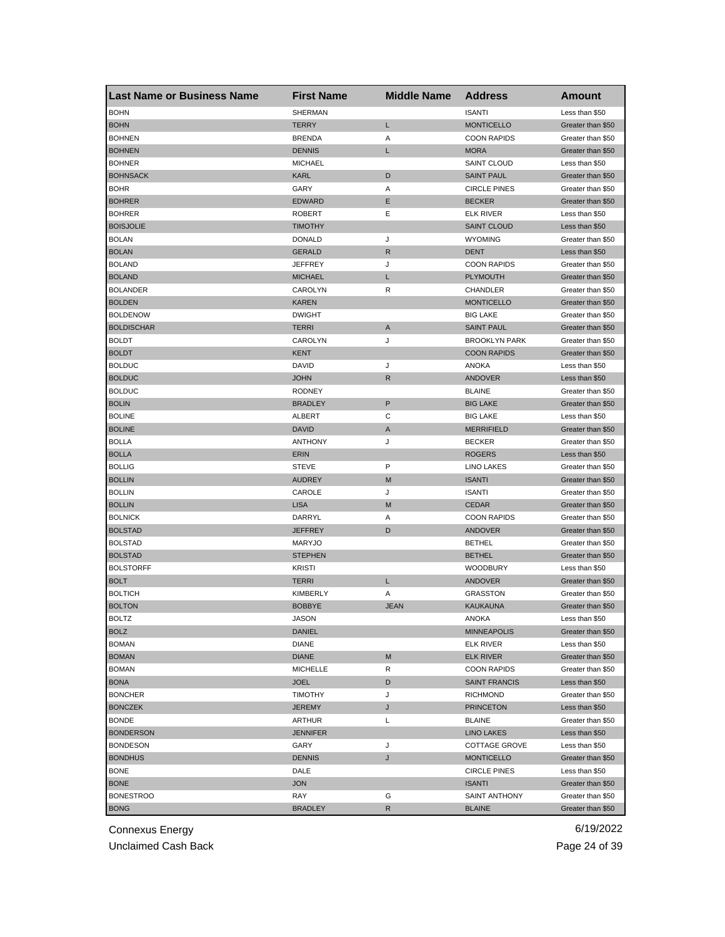| <b>Last Name or Business Name</b> | <b>First Name</b>              | <b>Middle Name</b> | <b>Address</b>                             | <b>Amount</b>                       |
|-----------------------------------|--------------------------------|--------------------|--------------------------------------------|-------------------------------------|
| <b>BOHN</b>                       | <b>SHERMAN</b>                 |                    | <b>ISANTI</b>                              | Less than \$50                      |
| <b>BOHN</b>                       | <b>TERRY</b>                   | Г                  | <b>MONTICELLO</b>                          | Greater than \$50                   |
| <b>BOHNEN</b>                     | <b>BRENDA</b>                  | Α                  | <b>COON RAPIDS</b>                         | Greater than \$50                   |
| <b>BOHNEN</b>                     | <b>DENNIS</b>                  | Г                  | <b>MORA</b>                                | Greater than \$50                   |
| <b>BOHNER</b>                     | <b>MICHAEL</b>                 |                    | <b>SAINT CLOUD</b>                         | Less than \$50                      |
| <b>BOHNSACK</b>                   | <b>KARL</b>                    | D                  | <b>SAINT PAUL</b>                          | Greater than \$50                   |
| <b>BOHR</b>                       | GARY                           | Α                  | <b>CIRCLE PINES</b>                        | Greater than \$50                   |
| <b>BOHRER</b>                     | <b>EDWARD</b>                  | Ε                  | <b>BECKER</b>                              | Greater than \$50                   |
| <b>BOHRER</b>                     | <b>ROBERT</b>                  | Ε                  | <b>ELK RIVER</b>                           | Less than \$50                      |
| <b>BOISJOLIE</b>                  | TIMOTHY                        |                    | <b>SAINT CLOUD</b>                         | Less than \$50                      |
| <b>BOLAN</b>                      | <b>DONALD</b>                  | J                  | <b>WYOMING</b>                             | Greater than \$50                   |
| <b>BOLAN</b>                      | <b>GERALD</b>                  | R                  | <b>DENT</b>                                | Less than \$50                      |
| <b>BOLAND</b>                     | <b>JEFFREY</b>                 | J                  | <b>COON RAPIDS</b>                         | Greater than \$50                   |
| <b>BOLAND</b>                     | <b>MICHAEL</b>                 | Г                  | <b>PLYMOUTH</b>                            | Greater than \$50                   |
| <b>BOLANDER</b>                   | CAROLYN                        | R                  | CHANDLER                                   | Greater than \$50                   |
| <b>BOLDEN</b>                     | <b>KAREN</b>                   |                    | <b>MONTICELLO</b>                          | Greater than \$50                   |
| <b>BOLDENOW</b>                   | <b>DWIGHT</b>                  |                    | <b>BIG LAKE</b>                            | Greater than \$50                   |
| <b>BOLDISCHAR</b>                 | <b>TERRI</b>                   | A                  | <b>SAINT PAUL</b>                          | Greater than \$50                   |
| <b>BOLDT</b>                      | CAROLYN                        | J                  | <b>BROOKLYN PARK</b>                       | Greater than \$50                   |
| <b>BOLDT</b>                      | <b>KENT</b>                    |                    | <b>COON RAPIDS</b>                         | Greater than \$50                   |
| <b>BOLDUC</b>                     | <b>DAVID</b>                   | J                  | ANOKA                                      | Less than \$50                      |
| <b>BOLDUC</b>                     | <b>JOHN</b>                    | R                  | <b>ANDOVER</b>                             | Less than \$50                      |
| <b>BOLDUC</b>                     | <b>RODNEY</b>                  |                    | <b>BLAINE</b>                              | Greater than \$50                   |
| <b>BOLIN</b>                      | <b>BRADLEY</b>                 | P                  | <b>BIG LAKE</b>                            | Greater than \$50                   |
| <b>BOLINE</b>                     | ALBERT                         | С                  | <b>BIG LAKE</b>                            | Less than \$50                      |
| <b>BOLINE</b>                     | <b>DAVID</b>                   | A                  | <b>MERRIFIELD</b>                          | Greater than \$50                   |
| <b>BOLLA</b>                      | <b>ANTHONY</b>                 | J                  | <b>BECKER</b>                              | Greater than \$50                   |
| <b>BOLLA</b>                      | <b>ERIN</b>                    |                    | <b>ROGERS</b>                              | Less than \$50                      |
| <b>BOLLIG</b>                     | <b>STEVE</b>                   | P                  | LINO LAKES                                 | Greater than \$50                   |
| <b>BOLLIN</b>                     | <b>AUDREY</b>                  | M                  | <b>ISANTI</b>                              | Greater than \$50                   |
| <b>BOLLIN</b>                     | CAROLE                         | J                  | <b>ISANTI</b>                              | Greater than \$50                   |
| <b>BOLLIN</b>                     | <b>LISA</b>                    | M                  | <b>CEDAR</b>                               | Greater than \$50                   |
| <b>BOLNICK</b>                    | DARRYL                         | Α                  | <b>COON RAPIDS</b>                         | Greater than \$50                   |
| <b>BOLSTAD</b>                    | <b>JEFFREY</b>                 | D                  | <b>ANDOVER</b>                             | Greater than \$50                   |
| <b>BOLSTAD</b>                    | <b>MARYJO</b>                  |                    | <b>BETHEL</b>                              | Greater than \$50                   |
| <b>BOLSTAD</b>                    | <b>STEPHEN</b>                 |                    | <b>BETHEL</b>                              | Greater than \$50                   |
| <b>BOLSTORFF</b>                  | <b>KRISTI</b>                  |                    | <b>WOODBURY</b>                            | Less than \$50                      |
| <b>BOLT</b>                       | <b>TERRI</b>                   | L                  | <b>ANDOVER</b>                             | Greater than \$50                   |
| <b>BOLTICH</b>                    | KIMBERLY                       | Α                  | <b>GRASSTON</b>                            | Greater than \$50                   |
| <b>BOLTON</b>                     | <b>BOBBYE</b>                  | <b>JEAN</b>        | <b>KAUKAUNA</b>                            | Greater than \$50                   |
|                                   | JASON                          |                    | ANOKA                                      |                                     |
| <b>BOLTZ</b><br><b>BOLZ</b>       | DANIEL                         |                    | <b>MINNEAPOLIS</b>                         | Less than \$50<br>Greater than \$50 |
| <b>BOMAN</b>                      | <b>DIANE</b>                   |                    | <b>ELK RIVER</b>                           | Less than \$50                      |
| <b>BOMAN</b>                      | <b>DIANE</b>                   | M                  | <b>ELK RIVER</b>                           | Greater than \$50                   |
| <b>BOMAN</b>                      |                                |                    |                                            |                                     |
|                                   | <b>MICHELLE</b><br><b>JOEL</b> | R<br>D             | <b>COON RAPIDS</b><br><b>SAINT FRANCIS</b> | Greater than \$50                   |
| <b>BONA</b>                       |                                |                    |                                            | Less than \$50                      |
| <b>BONCHER</b>                    | <b>TIMOTHY</b>                 | J                  | <b>RICHMOND</b>                            | Greater than \$50                   |
| <b>BONCZEK</b>                    | <b>JEREMY</b>                  | J                  | <b>PRINCETON</b>                           | Less than \$50                      |
| <b>BONDE</b>                      | ARTHUR                         | Г                  | <b>BLAINE</b>                              | Greater than \$50                   |
| <b>BONDERSON</b>                  | <b>JENNIFER</b>                |                    | <b>LINO LAKES</b>                          | Less than \$50                      |
| <b>BONDESON</b>                   | GARY                           | J                  | <b>COTTAGE GROVE</b>                       | Less than \$50                      |
| <b>BONDHUS</b>                    | <b>DENNIS</b>                  | J                  | <b>MONTICELLO</b>                          | Greater than \$50                   |
| <b>BONE</b>                       | DALE                           |                    | <b>CIRCLE PINES</b>                        | Less than \$50                      |
| <b>BONE</b>                       | <b>JON</b>                     |                    | <b>ISANTI</b>                              | Greater than \$50                   |
| <b>BONESTROO</b>                  | RAY                            | G                  | SAINT ANTHONY                              | Greater than \$50                   |
| <b>BONG</b>                       | <b>BRADLEY</b>                 | R                  | <b>BLAINE</b>                              | Greater than \$50                   |

Unclaimed Cash Back **Page 24 of 39**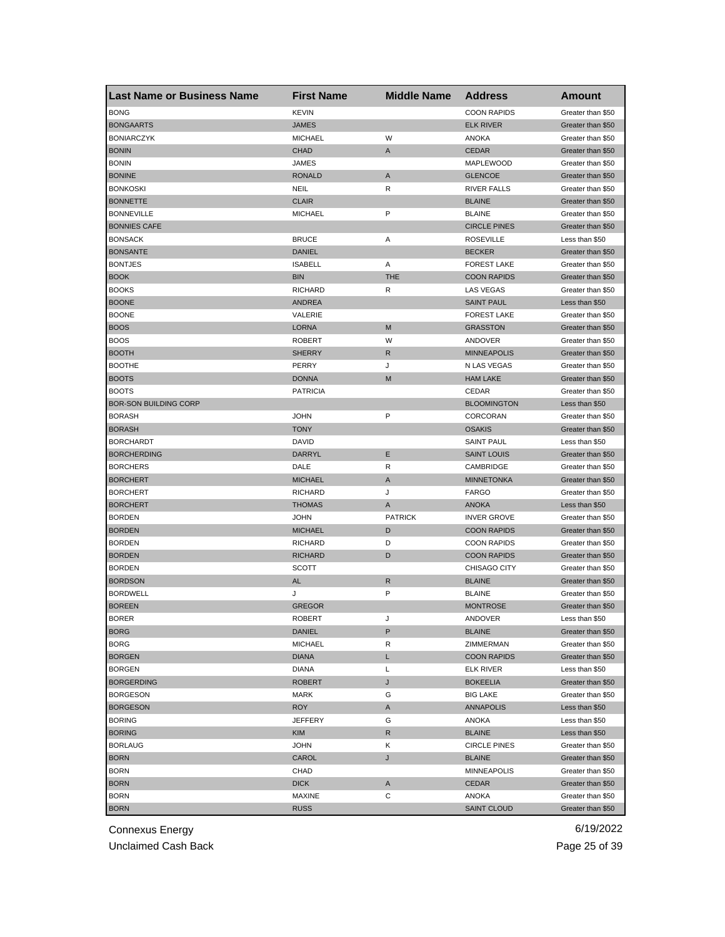| <b>Last Name or Business Name</b> | <b>First Name</b> | <b>Middle Name</b> | <b>Address</b>      | <b>Amount</b>     |
|-----------------------------------|-------------------|--------------------|---------------------|-------------------|
| <b>BONG</b>                       | <b>KEVIN</b>      |                    | <b>COON RAPIDS</b>  | Greater than \$50 |
| <b>BONGAARTS</b>                  | <b>JAMES</b>      |                    | <b>ELK RIVER</b>    | Greater than \$50 |
| <b>BONIARCZYK</b>                 | <b>MICHAEL</b>    | W                  | ANOKA               | Greater than \$50 |
| <b>BONIN</b>                      | <b>CHAD</b>       | Α                  | <b>CEDAR</b>        | Greater than \$50 |
| <b>BONIN</b>                      | JAMES             |                    | MAPLEWOOD           | Greater than \$50 |
| <b>BONINE</b>                     | <b>RONALD</b>     | Α                  | <b>GLENCOE</b>      | Greater than \$50 |
| <b>BONKOSKI</b>                   | NEIL              | R                  | <b>RIVER FALLS</b>  | Greater than \$50 |
| <b>BONNETTE</b>                   | <b>CLAIR</b>      |                    | <b>BLAINE</b>       | Greater than \$50 |
| <b>BONNEVILLE</b>                 | <b>MICHAEL</b>    | P                  | <b>BLAINE</b>       | Greater than \$50 |
| <b>BONNIES CAFE</b>               |                   |                    | <b>CIRCLE PINES</b> | Greater than \$50 |
| <b>BONSACK</b>                    | <b>BRUCE</b>      | Α                  | <b>ROSEVILLE</b>    | Less than \$50    |
| <b>BONSANTE</b>                   | <b>DANIEL</b>     |                    | <b>BECKER</b>       | Greater than \$50 |
| <b>BONTJES</b>                    | <b>ISABELL</b>    | Α                  | <b>FOREST LAKE</b>  | Greater than \$50 |
| <b>BOOK</b>                       | <b>BIN</b>        | <b>THE</b>         | <b>COON RAPIDS</b>  | Greater than \$50 |
| <b>BOOKS</b>                      | <b>RICHARD</b>    | R                  | <b>LAS VEGAS</b>    | Greater than \$50 |
| <b>BOONE</b>                      | <b>ANDREA</b>     |                    | <b>SAINT PAUL</b>   | Less than \$50    |
| <b>BOONE</b>                      | VALERIE           |                    | <b>FOREST LAKE</b>  | Greater than \$50 |
| <b>BOOS</b>                       | <b>LORNA</b>      | M                  | <b>GRASSTON</b>     | Greater than \$50 |
| <b>BOOS</b>                       | <b>ROBERT</b>     | W                  | ANDOVER             | Greater than \$50 |
| <b>BOOTH</b>                      | <b>SHERRY</b>     | R                  | <b>MINNEAPOLIS</b>  | Greater than \$50 |
| <b>BOOTHE</b>                     | PERRY             | J                  | N LAS VEGAS         | Greater than \$50 |
| <b>BOOTS</b>                      | <b>DONNA</b>      | M                  | <b>HAM LAKE</b>     | Greater than \$50 |
| <b>BOOTS</b>                      | <b>PATRICIA</b>   |                    | CEDAR               | Greater than \$50 |
| <b>BOR-SON BUILDING CORP</b>      |                   |                    | <b>BLOOMINGTON</b>  | Less than \$50    |
| <b>BORASH</b>                     | <b>JOHN</b>       | P                  | CORCORAN            | Greater than \$50 |
| <b>BORASH</b>                     | <b>TONY</b>       |                    | <b>OSAKIS</b>       | Greater than \$50 |
| <b>BORCHARDT</b>                  | DAVID             |                    | <b>SAINT PAUL</b>   | Less than \$50    |
| <b>BORCHERDING</b>                | DARRYL            | Е                  | <b>SAINT LOUIS</b>  | Greater than \$50 |
| <b>BORCHERS</b>                   | DALE              | R                  | CAMBRIDGE           | Greater than \$50 |
| <b>BORCHERT</b>                   | <b>MICHAEL</b>    | A                  | <b>MINNETONKA</b>   | Greater than \$50 |
| <b>BORCHERT</b>                   | <b>RICHARD</b>    | J                  | <b>FARGO</b>        | Greater than \$50 |
| <b>BORCHERT</b>                   | <b>THOMAS</b>     | A                  | <b>ANOKA</b>        | Less than \$50    |
| <b>BORDEN</b>                     | <b>JOHN</b>       | <b>PATRICK</b>     | <b>INVER GROVE</b>  | Greater than \$50 |
| <b>BORDEN</b>                     | <b>MICHAEL</b>    | D                  | <b>COON RAPIDS</b>  | Greater than \$50 |
| <b>BORDEN</b>                     | <b>RICHARD</b>    | D                  | <b>COON RAPIDS</b>  | Greater than \$50 |
| <b>BORDEN</b>                     | <b>RICHARD</b>    | D                  | <b>COON RAPIDS</b>  | Greater than \$50 |
| <b>BORDEN</b>                     | <b>SCOTT</b>      |                    | CHISAGO CITY        | Greater than \$50 |
| <b>BORDSON</b>                    | <b>AL</b>         | R                  | <b>BLAINE</b>       | Greater than \$50 |
| <b>BORDWELL</b>                   | J                 | P                  | <b>BLAINE</b>       | Greater than \$50 |
| <b>BOREEN</b>                     | <b>GREGOR</b>     |                    | <b>MONTROSE</b>     | Greater than \$50 |
| <b>BORER</b>                      | ROBERT            | J                  | ANDOVER             | Less than \$50    |
| <b>BORG</b>                       | DANIEL            | P                  | <b>BLAINE</b>       | Greater than \$50 |
| <b>BORG</b>                       | <b>MICHAEL</b>    | R                  | ZIMMERMAN           | Greater than \$50 |
| <b>BORGEN</b>                     | <b>DIANA</b>      | L                  | <b>COON RAPIDS</b>  | Greater than \$50 |
| <b>BORGEN</b>                     | <b>DIANA</b>      | L                  | <b>ELK RIVER</b>    | Less than \$50    |
| <b>BORGERDING</b>                 | <b>ROBERT</b>     | J                  | <b>BOKEELIA</b>     | Greater than \$50 |
| <b>BORGESON</b>                   | <b>MARK</b>       | G                  | <b>BIG LAKE</b>     | Greater than \$50 |
| <b>BORGESON</b>                   | <b>ROY</b>        | Α                  | <b>ANNAPOLIS</b>    | Less than \$50    |
| <b>BORING</b>                     | <b>JEFFERY</b>    | G                  | ANOKA               | Less than \$50    |
| <b>BORING</b>                     | <b>KIM</b>        | R                  | <b>BLAINE</b>       | Less than \$50    |
| <b>BORLAUG</b>                    | <b>JOHN</b>       | Κ                  | <b>CIRCLE PINES</b> | Greater than \$50 |
| <b>BORN</b>                       | CAROL             | J                  | <b>BLAINE</b>       | Greater than \$50 |
| <b>BORN</b>                       | CHAD              |                    | <b>MINNEAPOLIS</b>  | Greater than \$50 |
| <b>BORN</b>                       | <b>DICK</b>       | A                  | CEDAR               | Greater than \$50 |
| <b>BORN</b>                       | MAXINE            | С                  | ANOKA               | Greater than \$50 |
| <b>BORN</b>                       | <b>RUSS</b>       |                    | <b>SAINT CLOUD</b>  | Greater than \$50 |
|                                   |                   |                    |                     |                   |

Unclaimed Cash Back **Page 25 of 39**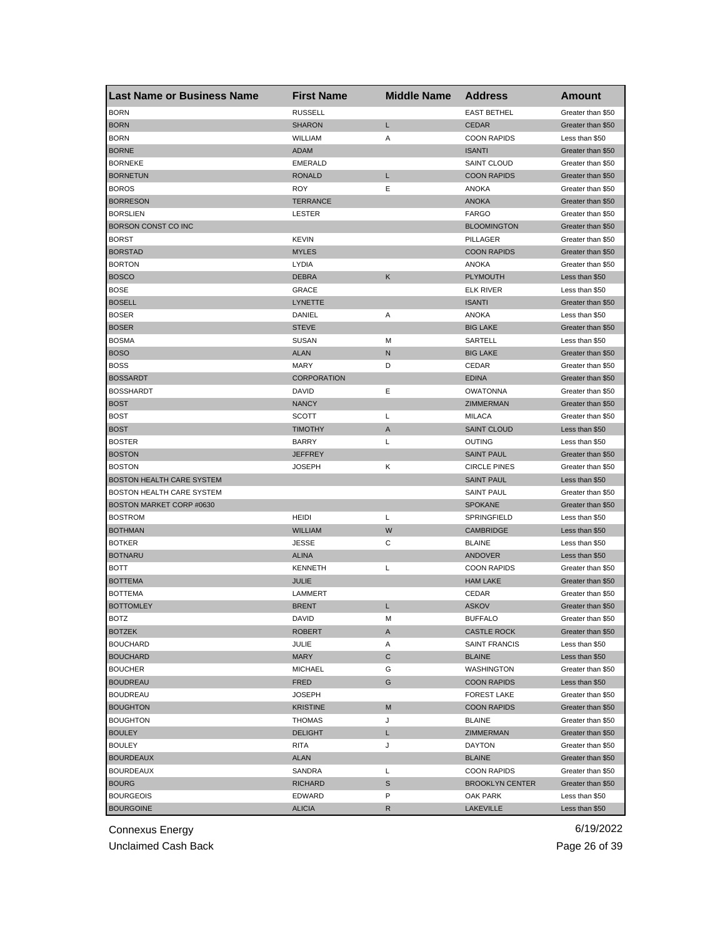| Last Name or Business Name | <b>First Name</b>  | <b>Middle Name</b> | <b>Address</b>         | <b>Amount</b>     |
|----------------------------|--------------------|--------------------|------------------------|-------------------|
| <b>BORN</b>                | <b>RUSSELL</b>     |                    | <b>EAST BETHEL</b>     | Greater than \$50 |
| <b>BORN</b>                | <b>SHARON</b>      | L                  | <b>CEDAR</b>           | Greater than \$50 |
| <b>BORN</b>                | WILLIAM            | Α                  | <b>COON RAPIDS</b>     | Less than \$50    |
| <b>BORNE</b>               | <b>ADAM</b>        |                    | <b>ISANTI</b>          | Greater than \$50 |
| <b>BORNEKE</b>             | <b>EMERALD</b>     |                    | <b>SAINT CLOUD</b>     | Greater than \$50 |
| <b>BORNETUN</b>            | <b>RONALD</b>      | L                  | <b>COON RAPIDS</b>     | Greater than \$50 |
| <b>BOROS</b>               | <b>ROY</b>         | Е                  | <b>ANOKA</b>           | Greater than \$50 |
| <b>BORRESON</b>            | <b>TERRANCE</b>    |                    | <b>ANOKA</b>           | Greater than \$50 |
| <b>BORSLIEN</b>            | <b>LESTER</b>      |                    | <b>FARGO</b>           | Greater than \$50 |
| BORSON CONST CO INC        |                    |                    | <b>BLOOMINGTON</b>     | Greater than \$50 |
| <b>BORST</b>               | <b>KEVIN</b>       |                    | PILLAGER               | Greater than \$50 |
| <b>BORSTAD</b>             | <b>MYLES</b>       |                    | <b>COON RAPIDS</b>     | Greater than \$50 |
| <b>BORTON</b>              | LYDIA              |                    | ANOKA                  | Greater than \$50 |
| <b>BOSCO</b>               | <b>DEBRA</b>       | K                  | <b>PLYMOUTH</b>        | Less than \$50    |
| <b>BOSE</b>                | <b>GRACE</b>       |                    | <b>ELK RIVER</b>       | Less than \$50    |
| <b>BOSELL</b>              | LYNETTE            |                    | <b>ISANTI</b>          | Greater than \$50 |
| <b>BOSER</b>               | DANIEL             | Α                  | <b>ANOKA</b>           | Less than \$50    |
| <b>BOSER</b>               | <b>STEVE</b>       |                    | <b>BIG LAKE</b>        | Greater than \$50 |
| <b>BOSMA</b>               | <b>SUSAN</b>       | М                  | SARTELL                | Less than \$50    |
| <b>BOSO</b>                | <b>ALAN</b>        | N                  | <b>BIG LAKE</b>        | Greater than \$50 |
| <b>BOSS</b>                | <b>MARY</b>        | D                  | CEDAR                  | Greater than \$50 |
| <b>BOSSARDT</b>            | <b>CORPORATION</b> |                    | <b>EDINA</b>           | Greater than \$50 |
| <b>BOSSHARDT</b>           | DAVID              | Ε                  | <b>OWATONNA</b>        | Greater than \$50 |
| <b>BOST</b>                | <b>NANCY</b>       |                    | ZIMMERMAN              | Greater than \$50 |
| <b>BOST</b>                | SCOTT              | Г                  | <b>MILACA</b>          | Greater than \$50 |
| <b>BOST</b>                | <b>TIMOTHY</b>     | Α                  | <b>SAINT CLOUD</b>     | Less than \$50    |
| <b>BOSTER</b>              | BARRY              | L                  | OUTING                 | Less than \$50    |
| <b>BOSTON</b>              | <b>JEFFREY</b>     |                    | <b>SAINT PAUL</b>      | Greater than \$50 |
| <b>BOSTON</b>              | JOSEPH             | Κ                  | <b>CIRCLE PINES</b>    | Greater than \$50 |
| BOSTON HEALTH CARE SYSTEM  |                    |                    | <b>SAINT PAUL</b>      | Less than \$50    |
| BOSTON HEALTH CARE SYSTEM  |                    |                    | <b>SAINT PAUL</b>      | Greater than \$50 |
| BOSTON MARKET CORP #0630   |                    |                    | <b>SPOKANE</b>         | Greater than \$50 |
| <b>BOSTROM</b>             | <b>HEIDI</b>       | Г                  | SPRINGFIELD            | Less than \$50    |
| <b>BOTHMAN</b>             | <b>WILLIAM</b>     | W                  | <b>CAMBRIDGE</b>       | Less than \$50    |
| <b>BOTKER</b>              | <b>JESSE</b>       | С                  | <b>BLAINE</b>          | Less than \$50    |
| <b>BOTNARU</b>             | <b>ALINA</b>       |                    | ANDOVER                | Less than \$50    |
| <b>BOTT</b>                | <b>KENNETH</b>     | Г                  | <b>COON RAPIDS</b>     | Greater than \$50 |
| <b>BOTTEMA</b>             | <b>JULIE</b>       |                    | <b>HAM LAKE</b>        | Greater than \$50 |
| <b>BOTTEMA</b>             | LAMMERT            |                    | CEDAR                  | Greater than \$50 |
| <b>BOTTOMLEY</b>           | <b>BRENT</b>       | Г                  | <b>ASKOV</b>           | Greater than \$50 |
| BOIZ                       | DAVID              | M                  | <b>BUFFALO</b>         | Greater than \$50 |
| <b>BOTZEK</b>              | <b>ROBERT</b>      | A                  | <b>CASTLE ROCK</b>     | Greater than \$50 |
| <b>BOUCHARD</b>            | JULIE              | Α                  | <b>SAINT FRANCIS</b>   | Less than \$50    |
| <b>BOUCHARD</b>            | MARY               | С                  | <b>BLAINE</b>          | Less than \$50    |
| <b>BOUCHER</b>             | <b>MICHAEL</b>     | G                  | WASHINGTON             | Greater than \$50 |
| <b>BOUDREAU</b>            | <b>FRED</b>        | G                  | <b>COON RAPIDS</b>     | Less than \$50    |
| <b>BOUDREAU</b>            | <b>JOSEPH</b>      |                    | <b>FOREST LAKE</b>     | Greater than \$50 |
| <b>BOUGHTON</b>            | <b>KRISTINE</b>    | M                  | <b>COON RAPIDS</b>     | Greater than \$50 |
| <b>BOUGHTON</b>            | <b>THOMAS</b>      | J                  | <b>BLAINE</b>          | Greater than \$50 |
|                            |                    |                    |                        |                   |
| <b>BOULEY</b>              | <b>DELIGHT</b>     | L                  | ZIMMERMAN              | Greater than \$50 |
| <b>BOULEY</b>              | RITA               | J                  | DAYTON                 | Greater than \$50 |
| <b>BOURDEAUX</b>           | <b>ALAN</b>        |                    | <b>BLAINE</b>          | Greater than \$50 |
| <b>BOURDEAUX</b>           | SANDRA             | L                  | <b>COON RAPIDS</b>     | Greater than \$50 |
| <b>BOURG</b>               | <b>RICHARD</b>     | S                  | <b>BROOKLYN CENTER</b> | Greater than \$50 |
| <b>BOURGEOIS</b>           | EDWARD             | P                  | OAK PARK               | Less than \$50    |
| <b>BOURGOINE</b>           | <b>ALICIA</b>      | R                  | <b>LAKEVILLE</b>       | Less than \$50    |

Unclaimed Cash Back **Page 26 of 39**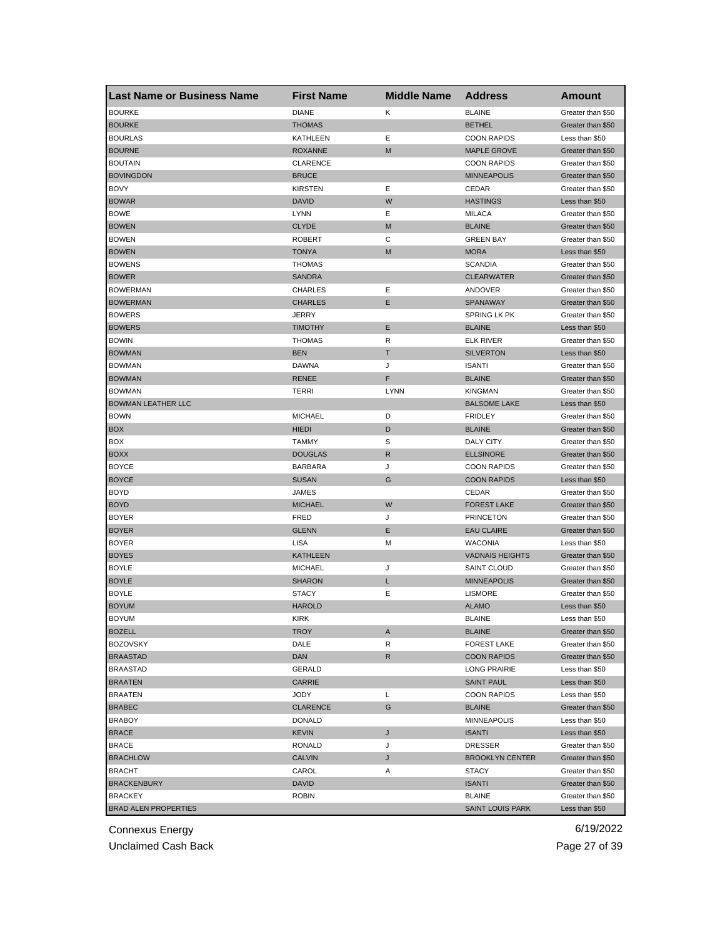| Last Name or Business Name  | <b>First Name</b>      | <b>Middle Name</b> | <b>Address</b>          | <b>Amount</b>     |
|-----------------------------|------------------------|--------------------|-------------------------|-------------------|
| <b>BOURKE</b>               | <b>DIANE</b>           | Κ                  | <b>BLAINE</b>           | Greater than \$50 |
| <b>BOURKE</b>               | <b>THOMAS</b>          |                    | <b>BETHEL</b>           | Greater than \$50 |
| <b>BOURLAS</b>              | KATHLEEN               | Ε                  | <b>COON RAPIDS</b>      | Less than \$50    |
| <b>BOURNE</b>               | <b>ROXANNE</b>         | M                  | <b>MAPLE GROVE</b>      | Greater than \$50 |
| <b>BOUTAIN</b>              | <b>CLARENCE</b>        |                    | <b>COON RAPIDS</b>      | Greater than \$50 |
| <b>BOVINGDON</b>            | <b>BRUCE</b>           |                    | <b>MINNEAPOLIS</b>      | Greater than \$50 |
| <b>BOVY</b>                 | <b>KIRSTEN</b>         | Ε                  | CEDAR                   | Greater than \$50 |
| <b>BOWAR</b>                | <b>DAVID</b>           | W                  | <b>HASTINGS</b>         | Less than \$50    |
| <b>BOWE</b>                 | <b>LYNN</b>            | Ε                  | <b>MILACA</b>           | Greater than \$50 |
| <b>BOWEN</b>                | <b>CLYDE</b>           | M                  | <b>BLAINE</b>           | Greater than \$50 |
| <b>BOWEN</b>                | <b>ROBERT</b>          | С                  | <b>GREEN BAY</b>        | Greater than \$50 |
| <b>BOWEN</b>                | <b>TONYA</b>           | M                  | <b>MORA</b>             | Less than \$50    |
| <b>BOWENS</b>               | THOMAS                 |                    | <b>SCANDIA</b>          | Greater than \$50 |
| <b>BOWER</b>                | <b>SANDRA</b>          |                    | <b>CLEARWATER</b>       | Greater than \$50 |
| <b>BOWERMAN</b>             | <b>CHARLES</b>         | Ε                  | ANDOVER                 | Greater than \$50 |
| <b>BOWERMAN</b>             | <b>CHARLES</b>         | Ε                  | SPANAWAY                | Greater than \$50 |
| <b>BOWERS</b>               | <b>JERRY</b>           |                    | SPRING LK PK            | Greater than \$50 |
| <b>BOWERS</b>               | <b>TIMOTHY</b>         | Ε                  | <b>BLAINE</b>           | Less than \$50    |
| <b>BOWIN</b>                | <b>THOMAS</b>          | R                  | <b>ELK RIVER</b>        | Greater than \$50 |
| <b>BOWMAN</b>               | <b>BEN</b>             | т                  | <b>SILVERTON</b>        | Less than \$50    |
| <b>BOWMAN</b>               | <b>DAWNA</b>           | J                  | <b>ISANTI</b>           | Greater than \$50 |
| <b>BOWMAN</b>               | <b>RENEE</b>           | F                  | <b>BLAINE</b>           | Greater than \$50 |
| <b>BOWMAN</b>               | TERRI                  | <b>LYNN</b>        | <b>KINGMAN</b>          | Greater than \$50 |
| <b>BOWMAN LEATHER LLC</b>   |                        |                    | <b>BALSOME LAKE</b>     | Less than \$50    |
| <b>BOWN</b>                 | <b>MICHAEL</b>         | D                  | <b>FRIDLEY</b>          | Greater than \$50 |
| <b>BOX</b>                  | <b>HIEDI</b>           | D                  | <b>BLAINE</b>           | Greater than \$50 |
| BOX                         | <b>TAMMY</b>           | S                  | DALY CITY               | Greater than \$50 |
| <b>BOXX</b>                 | <b>DOUGLAS</b>         | R                  | <b>ELLSINORE</b>        | Greater than \$50 |
| <b>BOYCE</b>                | <b>BARBARA</b>         | J                  | <b>COON RAPIDS</b>      | Greater than \$50 |
| <b>BOYCE</b>                | <b>SUSAN</b>           | G                  | <b>COON RAPIDS</b>      | Less than \$50    |
| <b>BOYD</b>                 | <b>JAMES</b>           |                    | CEDAR                   | Greater than \$50 |
| <b>BOYD</b>                 | <b>MICHAEL</b>         | W                  | <b>FOREST LAKE</b>      | Greater than \$50 |
| <b>BOYER</b>                | <b>FRED</b>            | J                  | <b>PRINCETON</b>        | Greater than \$50 |
| <b>BOYER</b>                | <b>GLENN</b>           | Ε                  | <b>EAU CLAIRE</b>       | Greater than \$50 |
| <b>BOYER</b>                | LISA                   | м                  | <b>WACONIA</b>          | Less than \$50    |
| <b>BOYES</b>                | <b>KATHLEEN</b>        |                    | <b>VADNAIS HEIGHTS</b>  | Greater than \$50 |
| <b>BOYLE</b>                | <b>MICHAEL</b>         | J                  | <b>SAINT CLOUD</b>      | Greater than \$50 |
| <b>BOYLE</b>                | <b>SHARON</b>          | L                  | <b>MINNEAPOLIS</b>      | Greater than \$50 |
| <b>BOYLE</b>                | <b>STACY</b>           | Ε                  | <b>LISMORE</b>          | Greater than \$50 |
| <b>BOYUM</b>                | <b>HAROLD</b>          |                    | <b>ALAMO</b>            | Less than \$50    |
| BOYUM                       | KIRK                   |                    | <b>BLAINE</b>           | Less than \$50    |
| <b>BOZELL</b>               | <b>TROY</b>            | Α                  | <b>BLAINE</b>           | Greater than \$50 |
| <b>BOZOVSKY</b>             | DALE                   | R                  | <b>FOREST LAKE</b>      | Greater than \$50 |
| <b>BRAASTAD</b>             | DAN                    | R                  | <b>COON RAPIDS</b>      | Greater than \$50 |
| <b>BRAASTAD</b>             | GERALD                 |                    | <b>LONG PRAIRIE</b>     | Less than \$50    |
| <b>BRAATEN</b>              | CARRIE                 |                    | <b>SAINT PAUL</b>       | Less than \$50    |
| <b>BRAATEN</b>              | JODY                   | Г                  | <b>COON RAPIDS</b>      | Less than \$50    |
| <b>BRABEC</b>               | <b>CLARENCE</b>        | G                  | <b>BLAINE</b>           | Greater than \$50 |
| <b>BRABOY</b>               | <b>DONALD</b>          |                    | <b>MINNEAPOLIS</b>      | Less than \$50    |
| <b>BRACE</b>                | <b>KEVIN</b>           | J                  | <b>ISANTI</b>           | Less than \$50    |
| <b>BRACE</b>                | <b>RONALD</b>          | J                  | <b>DRESSER</b>          | Greater than \$50 |
|                             |                        |                    | <b>BROOKLYN CENTER</b>  | Greater than \$50 |
| <b>BRACHLOW</b>             | <b>CALVIN</b><br>CAROL | J                  | <b>STACY</b>            |                   |
| <b>BRACHT</b>               |                        | Α                  |                         | Greater than \$50 |
| <b>BRACKENBURY</b>          | DAVID                  |                    | <b>ISANTI</b>           | Greater than \$50 |
| <b>BRACKEY</b>              | <b>ROBIN</b>           |                    | <b>BLAINE</b>           | Greater than \$50 |
| <b>BRAD ALEN PROPERTIES</b> |                        |                    | <b>SAINT LOUIS PARK</b> | Less than \$50    |

Unclaimed Cash Back **Page 27 of 39**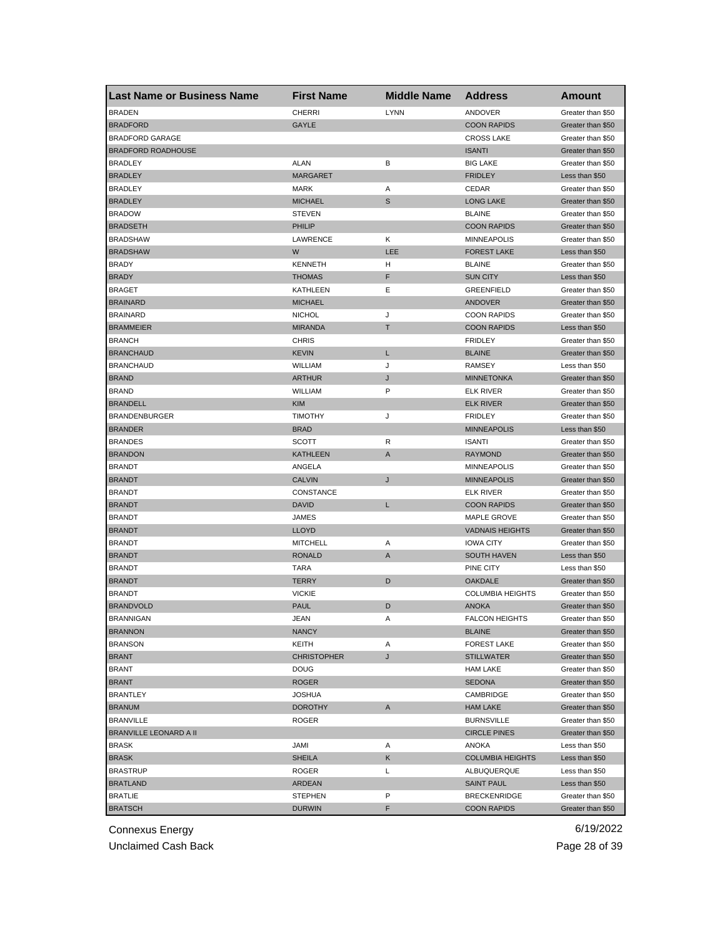| <b>Last Name or Business Name</b> | <b>First Name</b>  | <b>Middle Name</b> | <b>Address</b>          | Amount                                 |
|-----------------------------------|--------------------|--------------------|-------------------------|----------------------------------------|
| <b>BRADEN</b>                     | <b>CHERRI</b>      | <b>LYNN</b>        | ANDOVER                 | Greater than \$50                      |
| <b>BRADFORD</b>                   | GAYLE              |                    | <b>COON RAPIDS</b>      | Greater than \$50                      |
| <b>BRADFORD GARAGE</b>            |                    |                    | <b>CROSS LAKE</b>       | Greater than \$50                      |
| <b>BRADFORD ROADHOUSE</b>         |                    |                    | <b>ISANTI</b>           | Greater than \$50                      |
| <b>BRADLEY</b>                    | <b>ALAN</b>        | в                  | <b>BIG LAKE</b>         | Greater than \$50                      |
| <b>BRADLEY</b>                    | <b>MARGARET</b>    |                    | <b>FRIDLEY</b>          | Less than \$50                         |
| <b>BRADLEY</b>                    | <b>MARK</b>        | Α                  | CEDAR                   | Greater than \$50                      |
| <b>BRADLEY</b>                    | <b>MICHAEL</b>     | S                  | <b>LONG LAKE</b>        | Greater than \$50                      |
| <b>BRADOW</b>                     | <b>STEVEN</b>      |                    | <b>BLAINE</b>           | Greater than \$50                      |
| <b>BRADSETH</b>                   | <b>PHILIP</b>      |                    | <b>COON RAPIDS</b>      | Greater than \$50                      |
| <b>BRADSHAW</b>                   | LAWRENCE           | Κ                  | <b>MINNEAPOLIS</b>      | Greater than \$50                      |
| <b>BRADSHAW</b>                   | W                  | LEE                | <b>FOREST LAKE</b>      | Less than \$50                         |
| <b>BRADY</b>                      | <b>KENNETH</b>     | н                  | <b>BLAINE</b>           | Greater than \$50                      |
| <b>BRADY</b>                      | <b>THOMAS</b>      | F                  | <b>SUN CITY</b>         | Less than \$50                         |
| <b>BRAGET</b>                     | <b>KATHLEEN</b>    | Ε                  | <b>GREENFIELD</b>       | Greater than \$50                      |
| <b>BRAINARD</b>                   | <b>MICHAEL</b>     |                    | <b>ANDOVER</b>          | Greater than \$50                      |
| <b>BRAINARD</b>                   | <b>NICHOL</b>      | J                  | <b>COON RAPIDS</b>      | Greater than \$50                      |
| <b>BRAMMEIER</b>                  | <b>MIRANDA</b>     | т                  | <b>COON RAPIDS</b>      | Less than \$50                         |
| <b>BRANCH</b>                     | <b>CHRIS</b>       |                    | <b>FRIDLEY</b>          | Greater than \$50                      |
| <b>BRANCHAUD</b>                  | <b>KEVIN</b>       | L                  | <b>BLAINE</b>           | Greater than \$50                      |
| <b>BRANCHAUD</b>                  | <b>WILLIAM</b>     | J                  | <b>RAMSEY</b>           | Less than \$50                         |
| <b>BRAND</b>                      | <b>ARTHUR</b>      | J                  | <b>MINNETONKA</b>       | Greater than \$50                      |
| <b>BRAND</b>                      | WILLIAM            | P                  | <b>ELK RIVER</b>        | Greater than \$50                      |
| <b>BRANDELL</b>                   | <b>KIM</b>         |                    | <b>ELK RIVER</b>        | Greater than \$50                      |
| <b>BRANDENBURGER</b>              | <b>TIMOTHY</b>     | J                  | <b>FRIDLEY</b>          | Greater than \$50                      |
| <b>BRANDER</b>                    | <b>BRAD</b>        |                    | <b>MINNEAPOLIS</b>      | Less than \$50                         |
| <b>BRANDES</b>                    | <b>SCOTT</b>       | R                  | <b>ISANTI</b>           | Greater than \$50                      |
| <b>BRANDON</b>                    | <b>KATHLEEN</b>    | A                  | <b>RAYMOND</b>          | Greater than \$50                      |
| <b>BRANDT</b>                     | ANGELA             |                    | <b>MINNEAPOLIS</b>      | Greater than \$50                      |
| <b>BRANDT</b>                     | <b>CALVIN</b>      | J                  | <b>MINNEAPOLIS</b>      | Greater than \$50                      |
| <b>BRANDT</b>                     | CONSTANCE          |                    | <b>ELK RIVER</b>        | Greater than \$50                      |
| <b>BRANDT</b>                     | <b>DAVID</b>       | L                  | <b>COON RAPIDS</b>      | Greater than \$50                      |
| <b>BRANDT</b>                     | JAMES              |                    | <b>MAPLE GROVE</b>      | Greater than \$50                      |
| <b>BRANDT</b>                     | <b>LLOYD</b>       |                    | <b>VADNAIS HEIGHTS</b>  | Greater than \$50                      |
| <b>BRANDT</b>                     | <b>MITCHELL</b>    | Α                  | <b>IOWA CITY</b>        | Greater than \$50                      |
| <b>BRANDT</b>                     | <b>RONALD</b>      | A                  | <b>SOUTH HAVEN</b>      | Less than \$50                         |
| <b>BRANDT</b>                     | TARA               |                    | PINE CITY               | Less than \$50                         |
| <b>BRANDT</b>                     | <b>TERRY</b>       | D                  | <b>OAKDALE</b>          | Greater than \$50                      |
| <b>BRANDT</b>                     | <b>VICKIE</b>      |                    | <b>COLUMBIA HEIGHTS</b> |                                        |
| <b>BRANDVOLD</b>                  | <b>PAUL</b>        | D                  | <b>ANOKA</b>            | Greater than \$50<br>Greater than \$50 |
|                                   |                    |                    |                         |                                        |
| <b>BRANNIGAN</b>                  | JEAN               | Α                  | <b>FALCON HEIGHTS</b>   | Greater than \$50                      |
| <b>BRANNON</b>                    | <b>NANCY</b>       |                    | <b>BLAINE</b>           | Greater than \$50                      |
| <b>BRANSON</b>                    | KEITH              | Α                  | <b>FOREST LAKE</b>      | Greater than \$50                      |
| <b>BRANT</b>                      | <b>CHRISTOPHER</b> | J                  | <b>STILLWATER</b>       | Greater than \$50                      |
| <b>BRANT</b>                      | <b>DOUG</b>        |                    | <b>HAM LAKE</b>         | Greater than \$50                      |
| <b>BRANT</b>                      | <b>ROGER</b>       |                    | <b>SEDONA</b>           | Greater than \$50                      |
| <b>BRANTLEY</b>                   | <b>JOSHUA</b>      |                    | CAMBRIDGE               | Greater than \$50                      |
| <b>BRANUM</b>                     | <b>DOROTHY</b>     | A                  | <b>HAM LAKE</b>         | Greater than \$50                      |
| <b>BRANVILLE</b>                  | ROGER              |                    | <b>BURNSVILLE</b>       | Greater than \$50                      |
| <b>BRANVILLE LEONARD A II</b>     |                    |                    | <b>CIRCLE PINES</b>     | Greater than \$50                      |
| <b>BRASK</b>                      | JAMI               | Α                  | ANOKA                   | Less than \$50                         |
| <b>BRASK</b>                      | <b>SHEILA</b>      | Κ                  | <b>COLUMBIA HEIGHTS</b> | Less than \$50                         |
| <b>BRASTRUP</b>                   | ROGER              | Г                  | ALBUQUERQUE             | Less than \$50                         |
| <b>BRATLAND</b>                   | <b>ARDEAN</b>      |                    | <b>SAINT PAUL</b>       | Less than \$50                         |
| <b>BRATLIE</b>                    | STEPHEN            | P                  | <b>BRECKENRIDGE</b>     | Greater than \$50                      |
| <b>BRATSCH</b>                    | <b>DURWIN</b>      | F                  | <b>COON RAPIDS</b>      | Greater than \$50                      |

Unclaimed Cash Back **Page 28 of 39**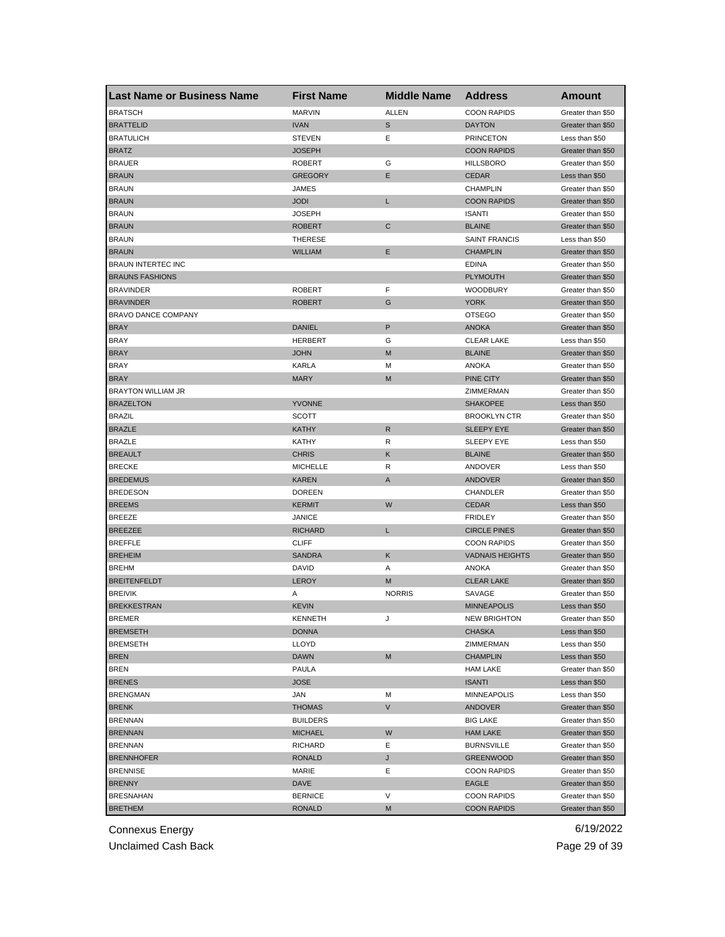| Last Name or Business Name | <b>First Name</b> | <b>Middle Name</b> | <b>Address</b>         | <b>Amount</b>     |
|----------------------------|-------------------|--------------------|------------------------|-------------------|
| <b>BRATSCH</b>             | <b>MARVIN</b>     | ALLEN              | <b>COON RAPIDS</b>     | Greater than \$50 |
| <b>BRATTELID</b>           | <b>IVAN</b>       | S                  | <b>DAYTON</b>          | Greater than \$50 |
| <b>BRATULICH</b>           | <b>STEVEN</b>     | Ε                  | <b>PRINCETON</b>       | Less than \$50    |
| <b>BRATZ</b>               | <b>JOSEPH</b>     |                    | <b>COON RAPIDS</b>     | Greater than \$50 |
| <b>BRAUER</b>              | <b>ROBERT</b>     | G                  | <b>HILLSBORO</b>       | Greater than \$50 |
| <b>BRAUN</b>               | <b>GREGORY</b>    | Е                  | <b>CEDAR</b>           | Less than \$50    |
| <b>BRAUN</b>               | JAMES             |                    | <b>CHAMPLIN</b>        | Greater than \$50 |
| <b>BRAUN</b>               | <b>JODI</b>       | L                  | <b>COON RAPIDS</b>     | Greater than \$50 |
| <b>BRAUN</b>               | <b>JOSEPH</b>     |                    | <b>ISANTI</b>          | Greater than \$50 |
| <b>BRAUN</b>               | <b>ROBERT</b>     | C                  | <b>BLAINE</b>          | Greater than \$50 |
| <b>BRAUN</b>               | <b>THERESE</b>    |                    | <b>SAINT FRANCIS</b>   | Less than \$50    |
| <b>BRAUN</b>               | <b>WILLIAM</b>    | Е                  | <b>CHAMPLIN</b>        | Greater than \$50 |
| <b>BRAUN INTERTEC INC</b>  |                   |                    | EDINA                  | Greater than \$50 |
| <b>BRAUNS FASHIONS</b>     |                   |                    | <b>PLYMOUTH</b>        | Greater than \$50 |
| <b>BRAVINDER</b>           | <b>ROBERT</b>     | F                  | <b>WOODBURY</b>        | Greater than \$50 |
| <b>BRAVINDER</b>           | <b>ROBERT</b>     | G                  | <b>YORK</b>            | Greater than \$50 |
| BRAVO DANCE COMPANY        |                   |                    | <b>OTSEGO</b>          | Greater than \$50 |
| <b>BRAY</b>                | <b>DANIEL</b>     | P                  | <b>ANOKA</b>           | Greater than \$50 |
| <b>BRAY</b>                | <b>HERBERT</b>    | G                  | <b>CLEAR LAKE</b>      | Less than \$50    |
| <b>BRAY</b>                | <b>JOHN</b>       | M                  | <b>BLAINE</b>          | Greater than \$50 |
| <b>BRAY</b>                | <b>KARLA</b>      | м                  | ANOKA                  | Greater than \$50 |
| <b>BRAY</b>                | <b>MARY</b>       | M                  | <b>PINE CITY</b>       | Greater than \$50 |
| <b>BRAYTON WILLIAM JR</b>  |                   |                    | ZIMMERMAN              | Greater than \$50 |
| <b>BRAZELTON</b>           | <b>YVONNE</b>     |                    | <b>SHAKOPEE</b>        | Less than \$50    |
| <b>BRAZIL</b>              | <b>SCOTT</b>      |                    | <b>BROOKLYN CTR</b>    | Greater than \$50 |
| <b>BRAZLE</b>              | <b>KATHY</b>      | R                  | <b>SLEEPY EYE</b>      | Greater than \$50 |
| <b>BRAZLE</b>              | KATHY             | R                  | SLEEPY EYE             | Less than \$50    |
| <b>BREAULT</b>             | <b>CHRIS</b>      | Κ                  | <b>BLAINE</b>          | Greater than \$50 |
| <b>BRECKE</b>              | <b>MICHELLE</b>   | R                  | ANDOVER                | Less than \$50    |
| <b>BREDEMUS</b>            | <b>KAREN</b>      | A                  | <b>ANDOVER</b>         | Greater than \$50 |
| <b>BREDESON</b>            | <b>DOREEN</b>     |                    | CHANDLER               | Greater than \$50 |
| <b>BREEMS</b>              | <b>KERMIT</b>     | W                  | <b>CEDAR</b>           | Less than \$50    |
| <b>BREEZE</b>              | <b>JANICE</b>     |                    | <b>FRIDLEY</b>         | Greater than \$50 |
| <b>BREEZEE</b>             | <b>RICHARD</b>    | L                  | <b>CIRCLE PINES</b>    | Greater than \$50 |
| <b>BREFFLE</b>             | <b>CLIFF</b>      |                    | <b>COON RAPIDS</b>     | Greater than \$50 |
| <b>BREHEIM</b>             | <b>SANDRA</b>     | Κ                  | <b>VADNAIS HEIGHTS</b> | Greater than \$50 |
| <b>BREHM</b>               | DAVID             | Α                  | ANOKA                  | Greater than \$50 |
| <b>BREITENFELDT</b>        | LEROY             | M                  | <b>CLEAR LAKE</b>      | Greater than \$50 |
| <b>BREIVIK</b>             | Α                 | <b>NORRIS</b>      | SAVAGE                 | Greater than \$50 |
| <b>BREKKESTRAN</b>         | <b>KEVIN</b>      |                    | <b>MINNEAPOLIS</b>     | Less than \$50    |
| BREMER                     | KENNE I H         |                    | <b>NEW BRIGHTON</b>    | Greater than \$50 |
| <b>BREMSETH</b>            | <b>DONNA</b>      |                    | <b>CHASKA</b>          | Less than \$50    |
| <b>BREMSETH</b>            | LLOYD             |                    | ZIMMERMAN              | Less than \$50    |
| <b>BREN</b>                | <b>DAWN</b>       | M                  | <b>CHAMPLIN</b>        | Less than \$50    |
| <b>BREN</b>                | PAULA             |                    | <b>HAM LAKE</b>        | Greater than \$50 |
| <b>BRENES</b>              | <b>JOSE</b>       |                    | <b>ISANTI</b>          | Less than \$50    |
| <b>BRENGMAN</b>            | JAN               | M                  | <b>MINNEAPOLIS</b>     | Less than \$50    |
| <b>BRENK</b>               | <b>THOMAS</b>     | V                  | <b>ANDOVER</b>         | Greater than \$50 |
| <b>BRENNAN</b>             | <b>BUILDERS</b>   |                    | <b>BIG LAKE</b>        | Greater than \$50 |
| <b>BRENNAN</b>             | <b>MICHAEL</b>    | W                  | <b>HAM LAKE</b>        | Greater than \$50 |
| <b>BRENNAN</b>             | RICHARD           | Ε                  | <b>BURNSVILLE</b>      | Greater than \$50 |
| <b>BRENNHOFER</b>          | <b>RONALD</b>     | J                  | <b>GREENWOOD</b>       | Greater than \$50 |
| <b>BRENNISE</b>            | MARIE             | Ε                  | <b>COON RAPIDS</b>     | Greater than \$50 |
| <b>BRENNY</b>              | DAVE              |                    | EAGLE                  | Greater than \$50 |
| <b>BRESNAHAN</b>           | <b>BERNICE</b>    | V                  | <b>COON RAPIDS</b>     | Greater than \$50 |
| <b>BRETHEM</b>             | <b>RONALD</b>     | M                  | <b>COON RAPIDS</b>     | Greater than \$50 |

Unclaimed Cash Back **Page 29 of 39**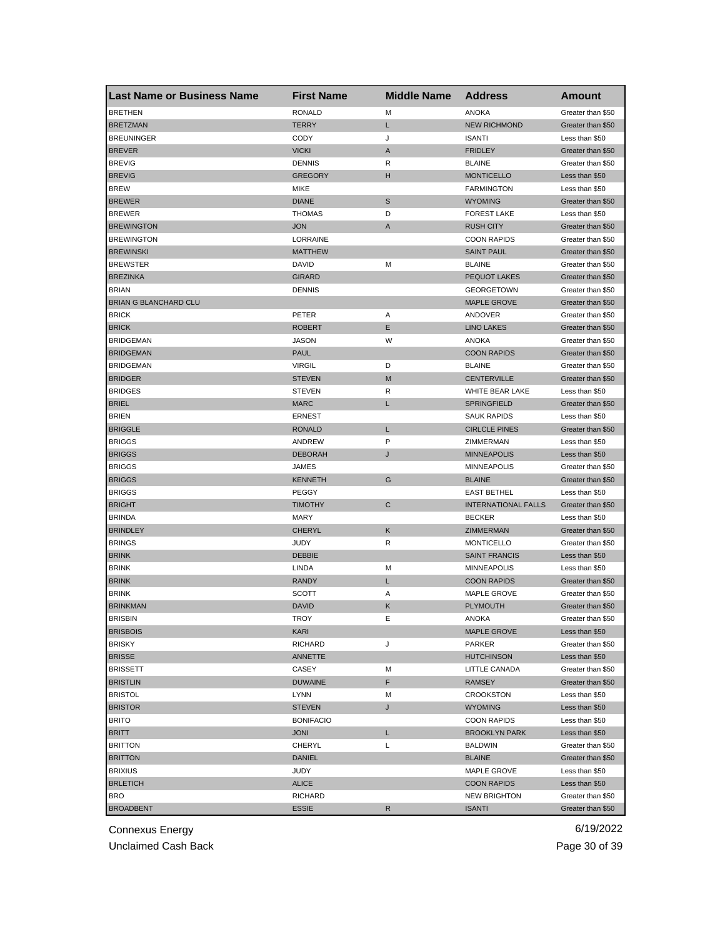| <b>Last Name or Business Name</b> | <b>First Name</b>            | <b>Middle Name</b> | <b>Address</b>             | <b>Amount</b>     |
|-----------------------------------|------------------------------|--------------------|----------------------------|-------------------|
| <b>BRETHEN</b>                    | <b>RONALD</b>                | М                  | <b>ANOKA</b>               | Greater than \$50 |
| <b>BRETZMAN</b>                   | <b>TERRY</b>                 | Г                  | <b>NEW RICHMOND</b>        | Greater than \$50 |
| <b>BREUNINGER</b>                 | <b>CODY</b>                  | J                  | <b>ISANTI</b>              | Less than \$50    |
| <b>BREVER</b>                     | <b>VICKI</b>                 | Α                  | <b>FRIDLEY</b>             | Greater than \$50 |
| <b>BREVIG</b>                     | <b>DENNIS</b>                | R                  | <b>BLAINE</b>              | Greater than \$50 |
| <b>BREVIG</b>                     | <b>GREGORY</b>               | н                  | <b>MONTICELLO</b>          | Less than \$50    |
| <b>BREW</b>                       | MIKE                         |                    | <b>FARMINGTON</b>          | Less than \$50    |
| <b>BREWER</b>                     | <b>DIANE</b>                 | S                  | <b>WYOMING</b>             | Greater than \$50 |
| <b>BREWER</b>                     | <b>THOMAS</b>                | D                  | <b>FOREST LAKE</b>         | Less than \$50    |
| <b>BREWINGTON</b>                 | <b>JON</b>                   | A                  | <b>RUSH CITY</b>           | Greater than \$50 |
| <b>BREWINGTON</b>                 | LORRAINE                     |                    | <b>COON RAPIDS</b>         | Greater than \$50 |
| <b>BREWINSKI</b>                  | <b>MATTHEW</b>               |                    | <b>SAINT PAUL</b>          | Greater than \$50 |
| <b>BREWSTER</b>                   | DAVID                        | м                  | <b>BLAINE</b>              | Greater than \$50 |
| <b>BREZINKA</b>                   | <b>GIRARD</b>                |                    | PEQUOT LAKES               | Greater than \$50 |
| <b>BRIAN</b>                      | <b>DENNIS</b>                |                    | <b>GEORGETOWN</b>          | Greater than \$50 |
| <b>BRIAN G BLANCHARD CLU</b>      |                              |                    | <b>MAPLE GROVE</b>         | Greater than \$50 |
| <b>BRICK</b>                      | PETER                        | Α                  | ANDOVER                    | Greater than \$50 |
| <b>BRICK</b>                      | <b>ROBERT</b>                | Ε                  | <b>LINO LAKES</b>          | Greater than \$50 |
| <b>BRIDGEMAN</b>                  | <b>JASON</b>                 | W                  | <b>ANOKA</b>               | Greater than \$50 |
| <b>BRIDGEMAN</b>                  | <b>PAUL</b>                  |                    | <b>COON RAPIDS</b>         | Greater than \$50 |
| <b>BRIDGEMAN</b>                  | <b>VIRGIL</b>                | D                  | <b>BLAINE</b>              | Greater than \$50 |
| <b>BRIDGER</b>                    | <b>STEVEN</b>                | M                  | <b>CENTERVILLE</b>         | Greater than \$50 |
| <b>BRIDGES</b>                    | <b>STEVEN</b>                | R                  | WHITE BEAR LAKE            | Less than \$50    |
| <b>BRIEL</b>                      | <b>MARC</b>                  | L                  | <b>SPRINGFIELD</b>         | Greater than \$50 |
| <b>BRIEN</b>                      | <b>ERNEST</b>                |                    | <b>SAUK RAPIDS</b>         | Less than \$50    |
| <b>BRIGGLE</b>                    | <b>RONALD</b>                | L                  | <b>CIRLCLE PINES</b>       | Greater than \$50 |
| <b>BRIGGS</b>                     | ANDREW                       | P                  | ZIMMERMAN                  | Less than \$50    |
| <b>BRIGGS</b>                     | <b>DEBORAH</b>               | J                  | <b>MINNEAPOLIS</b>         | Less than \$50    |
| <b>BRIGGS</b>                     | JAMES                        |                    | <b>MINNEAPOLIS</b>         | Greater than \$50 |
| <b>BRIGGS</b>                     | <b>KENNETH</b>               | G                  | <b>BLAINE</b>              | Greater than \$50 |
| <b>BRIGGS</b>                     | PEGGY                        |                    | <b>EAST BETHEL</b>         | Less than \$50    |
| <b>BRIGHT</b>                     | <b>TIMOTHY</b>               | C                  | <b>INTERNATIONAL FALLS</b> | Greater than \$50 |
| <b>BRINDA</b>                     | <b>MARY</b>                  |                    | <b>BECKER</b>              | Less than \$50    |
| <b>BRINDLEY</b>                   | <b>CHERYL</b>                | Κ                  | ZIMMERMAN                  | Greater than \$50 |
| <b>BRINGS</b>                     |                              |                    | <b>MONTICELLO</b>          |                   |
|                                   | <b>JUDY</b><br><b>DEBBIE</b> | R                  |                            | Greater than \$50 |
| <b>BRINK</b>                      |                              |                    | <b>SAINT FRANCIS</b>       | Less than \$50    |
| <b>BRINK</b>                      | LINDA                        | M                  | <b>MINNEAPOLIS</b>         | Less than \$50    |
| <b>BRINK</b>                      | <b>RANDY</b>                 | L                  | <b>COON RAPIDS</b>         | Greater than \$50 |
| <b>BRINK</b>                      | <b>SCOTT</b>                 | Α                  | <b>MAPLE GROVE</b>         | Greater than \$50 |
| <b>BRINKMAN</b>                   | <b>DAVID</b>                 | Κ                  | <b>PLYMOUTH</b>            | Greater than \$50 |
| <b>BRISBIN</b>                    | <b>IROY</b>                  | ь.                 | ANOKA                      | Greater than \$50 |
| <b>BRISBOIS</b>                   | KARI                         |                    | <b>MAPLE GROVE</b>         | Less than \$50    |
| <b>BRISKY</b>                     | <b>RICHARD</b>               | J                  | PARKER                     | Greater than \$50 |
| <b>BRISSE</b>                     | <b>ANNETTE</b>               |                    | <b>HUTCHINSON</b>          | Less than \$50    |
| <b>BRISSETT</b>                   | CASEY                        | M                  | LITTLE CANADA              | Greater than \$50 |
| <b>BRISTLIN</b>                   | <b>DUWAINE</b>               | F                  | RAMSEY                     | Greater than \$50 |
| <b>BRISTOL</b>                    | <b>LYNN</b>                  | M                  | <b>CROOKSTON</b>           | Less than \$50    |
| <b>BRISTOR</b>                    | <b>STEVEN</b>                | J                  | <b>WYOMING</b>             | Less than \$50    |
| <b>BRITO</b>                      | <b>BONIFACIO</b>             |                    | <b>COON RAPIDS</b>         | Less than \$50    |
| <b>BRITT</b>                      | <b>JONI</b>                  | L.                 | <b>BROOKLYN PARK</b>       | Less than \$50    |
| <b>BRITTON</b>                    | CHERYL                       | Г                  | <b>BALDWIN</b>             | Greater than \$50 |
| <b>BRITTON</b>                    | <b>DANIEL</b>                |                    | <b>BLAINE</b>              | Greater than \$50 |
| <b>BRIXIUS</b>                    | JUDY                         |                    | MAPLE GROVE                | Less than \$50    |
| <b>BRLETICH</b>                   | <b>ALICE</b>                 |                    | <b>COON RAPIDS</b>         | Less than \$50    |
| BRO                               | RICHARD                      |                    | <b>NEW BRIGHTON</b>        | Greater than \$50 |
| <b>BROADBENT</b>                  | <b>ESSIE</b>                 | R                  | <b>ISANTI</b>              | Greater than \$50 |

Unclaimed Cash Back **Page 30 of 39**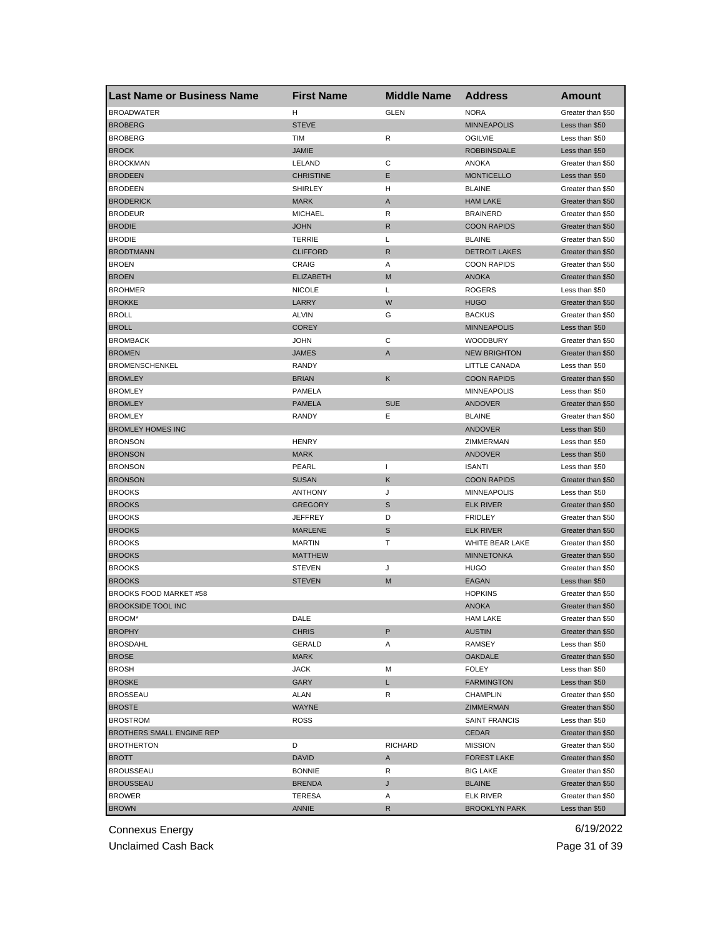| <b>Last Name or Business Name</b> | <b>First Name</b> | <b>Middle Name</b> | <b>Address</b>       | Amount            |
|-----------------------------------|-------------------|--------------------|----------------------|-------------------|
| <b>BROADWATER</b>                 | н                 | <b>GLEN</b>        | <b>NORA</b>          | Greater than \$50 |
| <b>BROBERG</b>                    | <b>STEVE</b>      |                    | <b>MINNEAPOLIS</b>   | Less than \$50    |
| <b>BROBERG</b>                    | TIM               | R                  | <b>OGILVIE</b>       | Less than \$50    |
| <b>BROCK</b>                      | <b>JAMIE</b>      |                    | <b>ROBBINSDALE</b>   | Less than \$50    |
| <b>BROCKMAN</b>                   | LELAND            | С                  | ANOKA                | Greater than \$50 |
| <b>BRODEEN</b>                    | <b>CHRISTINE</b>  | Ε                  | <b>MONTICELLO</b>    | Less than \$50    |
| <b>BRODEEN</b>                    | <b>SHIRLEY</b>    | н                  | <b>BLAINE</b>        | Greater than \$50 |
| <b>BRODERICK</b>                  | <b>MARK</b>       | A                  | <b>HAM LAKE</b>      | Greater than \$50 |
| <b>BRODEUR</b>                    | <b>MICHAEL</b>    | R                  | <b>BRAINERD</b>      | Greater than \$50 |
| <b>BRODIE</b>                     | <b>JOHN</b>       | R                  | <b>COON RAPIDS</b>   | Greater than \$50 |
| <b>BRODIE</b>                     | <b>TERRIE</b>     | Г                  | <b>BLAINE</b>        | Greater than \$50 |
| <b>BRODTMANN</b>                  | <b>CLIFFORD</b>   | R                  | <b>DETROIT LAKES</b> | Greater than \$50 |
| <b>BROEN</b>                      | CRAIG             | Α                  | <b>COON RAPIDS</b>   | Greater than \$50 |
| <b>BROEN</b>                      | <b>ELIZABETH</b>  | M                  | <b>ANOKA</b>         | Greater than \$50 |
| <b>BROHMER</b>                    | <b>NICOLE</b>     | L                  | <b>ROGERS</b>        | Less than \$50    |
| <b>BROKKE</b>                     | LARRY             | W                  | <b>HUGO</b>          | Greater than \$50 |
| <b>BROLL</b>                      | <b>ALVIN</b>      | G                  | <b>BACKUS</b>        | Greater than \$50 |
| <b>BROLL</b>                      | <b>COREY</b>      |                    | <b>MINNEAPOLIS</b>   | Less than \$50    |
| <b>BROMBACK</b>                   | <b>JOHN</b>       | С                  | <b>WOODBURY</b>      | Greater than \$50 |
| <b>BROMEN</b>                     | <b>JAMES</b>      | Α                  | <b>NEW BRIGHTON</b>  | Greater than \$50 |
| <b>BROMENSCHENKEL</b>             | <b>RANDY</b>      |                    | LITTLE CANADA        | Less than \$50    |
| <b>BROMLEY</b>                    | <b>BRIAN</b>      | Κ                  | <b>COON RAPIDS</b>   | Greater than \$50 |
| <b>BROMLEY</b>                    | PAMELA            |                    | <b>MINNEAPOLIS</b>   | Less than \$50    |
| <b>BROMLEY</b>                    | <b>PAMELA</b>     | <b>SUE</b>         | <b>ANDOVER</b>       | Greater than \$50 |
| <b>BROMLEY</b>                    | <b>RANDY</b>      | Ε                  | <b>BLAINE</b>        | Greater than \$50 |
| <b>BROMLEY HOMES INC</b>          |                   |                    | <b>ANDOVER</b>       | Less than \$50    |
| <b>BRONSON</b>                    | <b>HENRY</b>      |                    | ZIMMERMAN            | Less than \$50    |
| <b>BRONSON</b>                    | <b>MARK</b>       |                    | <b>ANDOVER</b>       | Less than \$50    |
| <b>BRONSON</b>                    | PEARL             | $\mathbf{I}$       | <b>ISANTI</b>        | Less than \$50    |
| <b>BRONSON</b>                    | <b>SUSAN</b>      | Κ                  | <b>COON RAPIDS</b>   | Greater than \$50 |
| <b>BROOKS</b>                     | <b>ANTHONY</b>    | J                  | <b>MINNEAPOLIS</b>   | Less than \$50    |
| <b>BROOKS</b>                     | <b>GREGORY</b>    | S                  | <b>ELK RIVER</b>     | Greater than \$50 |
| <b>BROOKS</b>                     | <b>JEFFREY</b>    | D                  | <b>FRIDLEY</b>       | Greater than \$50 |
| <b>BROOKS</b>                     | <b>MARLENE</b>    | S                  | <b>ELK RIVER</b>     | Greater than \$50 |
| <b>BROOKS</b>                     | <b>MARTIN</b>     | т                  | WHITE BEAR LAKE      | Greater than \$50 |
| <b>BROOKS</b>                     | <b>MATTHEW</b>    |                    | <b>MINNETONKA</b>    | Greater than \$50 |
| <b>BROOKS</b>                     | <b>STEVEN</b>     | J                  | <b>HUGO</b>          | Greater than \$50 |
| <b>BROOKS</b>                     | <b>STEVEN</b>     | M                  | EAGAN                | Less than \$50    |
| BROOKS FOOD MARKET #58            |                   |                    | <b>HOPKINS</b>       | Greater than \$50 |
| <b>BROOKSIDE TOOL INC</b>         |                   |                    | <b>ANOKA</b>         | Greater than \$50 |
| BROOM*                            | DALE              |                    | <b>HAM LAKE</b>      | Greater than \$50 |
| <b>BROPHY</b>                     | <b>CHRIS</b>      | P                  | <b>AUSTIN</b>        | Greater than \$50 |
| <b>BROSDAHL</b>                   | <b>GERALD</b>     | Α                  | <b>RAMSEY</b>        | Less than \$50    |
| <b>BROSE</b>                      | <b>MARK</b>       |                    | <b>OAKDALE</b>       | Greater than \$50 |
| <b>BROSH</b>                      | JACK              | M                  | <b>FOLEY</b>         | Less than \$50    |
| <b>BROSKE</b>                     | GARY              | L                  | <b>FARMINGTON</b>    | Less than \$50    |
| <b>BROSSEAU</b>                   | ALAN              | R                  | <b>CHAMPLIN</b>      | Greater than \$50 |
| <b>BROSTE</b>                     | WAYNE             |                    | ZIMMERMAN            | Greater than \$50 |
| <b>BROSTROM</b>                   | ROSS              |                    | <b>SAINT FRANCIS</b> | Less than \$50    |
| BROTHERS SMALL ENGINE REP         |                   |                    | <b>CEDAR</b>         | Greater than \$50 |
| <b>BROTHERTON</b>                 | D                 | <b>RICHARD</b>     | <b>MISSION</b>       | Greater than \$50 |
| <b>BROTT</b>                      | <b>DAVID</b>      | A                  | <b>FOREST LAKE</b>   | Greater than \$50 |
| <b>BROUSSEAU</b>                  | <b>BONNIE</b>     | R                  | <b>BIG LAKE</b>      | Greater than \$50 |
| <b>BROUSSEAU</b>                  | <b>BRENDA</b>     | J                  | <b>BLAINE</b>        | Greater than \$50 |
| <b>BROWER</b>                     | TERESA            | Α                  | <b>ELK RIVER</b>     | Greater than \$50 |
| <b>BROWN</b>                      | <b>ANNIE</b>      | R                  | <b>BROOKLYN PARK</b> | Less than \$50    |
|                                   |                   |                    |                      |                   |

Unclaimed Cash Back **Page 31** of 39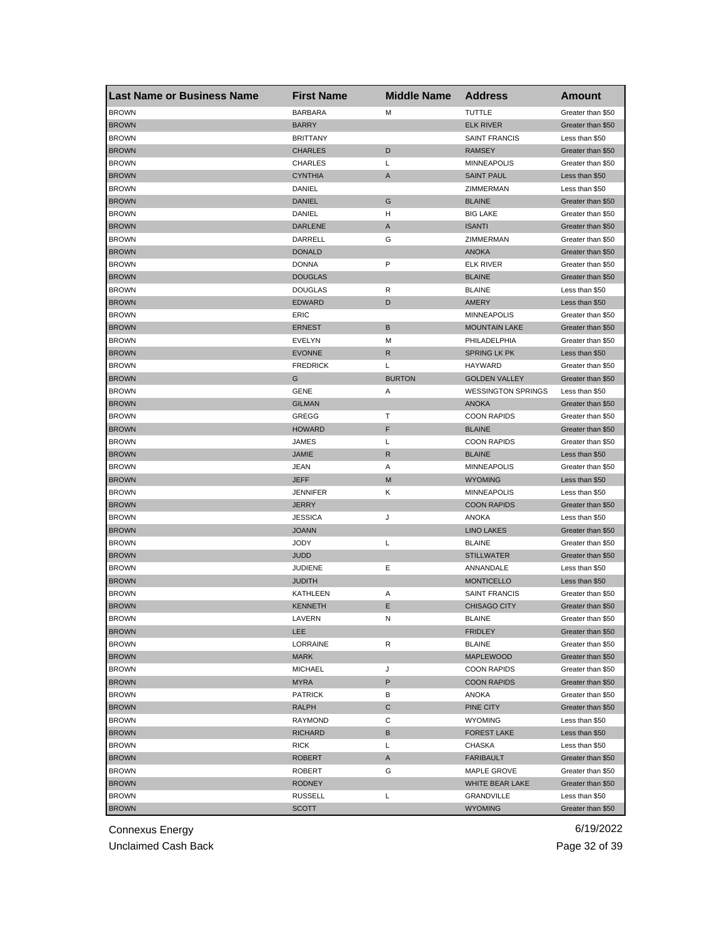| <b>Last Name or Business Name</b> | <b>First Name</b>        | <b>Middle Name</b> | <b>Address</b>                           | <b>Amount</b>     |
|-----------------------------------|--------------------------|--------------------|------------------------------------------|-------------------|
| <b>BROWN</b>                      | <b>BARBARA</b>           | M                  | <b>TUTTLE</b>                            | Greater than \$50 |
| <b>BROWN</b>                      | <b>BARRY</b>             |                    | <b>ELK RIVER</b>                         | Greater than \$50 |
| <b>BROWN</b>                      | <b>BRITTANY</b>          |                    | <b>SAINT FRANCIS</b>                     | Less than \$50    |
| <b>BROWN</b>                      | <b>CHARLES</b>           | D                  | <b>RAMSEY</b>                            | Greater than \$50 |
| <b>BROWN</b>                      | <b>CHARLES</b>           | L                  | <b>MINNEAPOLIS</b>                       | Greater than \$50 |
| <b>BROWN</b>                      | <b>CYNTHIA</b>           | A                  | <b>SAINT PAUL</b>                        | Less than \$50    |
| <b>BROWN</b>                      | DANIEL                   |                    | ZIMMERMAN                                | Less than \$50    |
| <b>BROWN</b>                      | <b>DANIEL</b>            | G                  | <b>BLAINE</b>                            | Greater than \$50 |
| <b>BROWN</b>                      | DANIEL                   | н                  | <b>BIG LAKE</b>                          | Greater than \$50 |
| <b>BROWN</b>                      | <b>DARLENE</b>           | A                  | <b>ISANTI</b>                            | Greater than \$50 |
| <b>BROWN</b>                      | DARRELL                  | G                  | ZIMMERMAN                                | Greater than \$50 |
| <b>BROWN</b>                      | <b>DONALD</b>            |                    | <b>ANOKA</b>                             | Greater than \$50 |
| <b>BROWN</b>                      | <b>DONNA</b>             | P                  | <b>ELK RIVER</b>                         | Greater than \$50 |
| <b>BROWN</b>                      | <b>DOUGLAS</b>           |                    | <b>BLAINE</b>                            | Greater than \$50 |
| <b>BROWN</b>                      | <b>DOUGLAS</b>           | R                  | <b>BLAINE</b>                            | Less than \$50    |
| <b>BROWN</b>                      | EDWARD                   | D                  | AMERY                                    | Less than \$50    |
| <b>BROWN</b>                      | ERIC                     |                    | <b>MINNEAPOLIS</b>                       | Greater than \$50 |
| <b>BROWN</b>                      | <b>ERNEST</b>            | B                  | <b>MOUNTAIN LAKE</b>                     | Greater than \$50 |
| <b>BROWN</b>                      | <b>EVELYN</b>            | М                  | PHILADELPHIA                             | Greater than \$50 |
| <b>BROWN</b>                      | <b>EVONNE</b>            | R                  | <b>SPRING LK PK</b>                      | Less than \$50    |
| <b>BROWN</b>                      | <b>FREDRICK</b>          | Г                  | <b>HAYWARD</b>                           | Greater than \$50 |
| <b>BROWN</b>                      | G                        | <b>BURTON</b>      | <b>GOLDEN VALLEY</b>                     | Greater than \$50 |
| <b>BROWN</b>                      | GENE                     | Α                  | <b>WESSINGTON SPRINGS</b>                | Less than \$50    |
| <b>BROWN</b>                      | <b>GILMAN</b>            |                    | <b>ANOKA</b>                             | Greater than \$50 |
| <b>BROWN</b>                      | GREGG                    | т                  | <b>COON RAPIDS</b>                       | Greater than \$50 |
| <b>BROWN</b>                      | <b>HOWARD</b>            | F                  | <b>BLAINE</b>                            | Greater than \$50 |
| <b>BROWN</b>                      | JAMES                    | Г                  | <b>COON RAPIDS</b>                       | Greater than \$50 |
| <b>BROWN</b>                      | JAMIE                    | R                  | <b>BLAINE</b>                            | Less than \$50    |
| <b>BROWN</b>                      | JEAN                     | Α                  | <b>MINNEAPOLIS</b>                       | Greater than \$50 |
| <b>BROWN</b>                      | JEFF                     | M                  | <b>WYOMING</b>                           | Less than \$50    |
|                                   |                          |                    |                                          |                   |
| <b>BROWN</b><br><b>BROWN</b>      | <b>JENNIFER</b><br>JERRY | Κ                  | <b>MINNEAPOLIS</b><br><b>COON RAPIDS</b> | Less than \$50    |
|                                   |                          |                    |                                          | Greater than \$50 |
| <b>BROWN</b><br><b>BROWN</b>      | <b>JESSICA</b>           | J                  | <b>ANOKA</b><br><b>LINO LAKES</b>        | Less than \$50    |
|                                   | <b>JOANN</b>             |                    |                                          | Greater than \$50 |
| <b>BROWN</b>                      | JODY                     | L                  | <b>BLAINE</b>                            | Greater than \$50 |
| <b>BROWN</b>                      | JUDD                     |                    | <b>STILLWATER</b>                        | Greater than \$50 |
| <b>BROWN</b>                      | <b>JUDIENE</b>           | Е                  | ANNANDALE                                | Less than \$50    |
| <b>BROWN</b>                      | <b>JUDITH</b>            |                    | <b>MONTICELLO</b>                        | Less than \$50    |
| <b>BROWN</b>                      | KATHLEEN                 | Α                  | <b>SAINT FRANCIS</b>                     | Greater than \$50 |
| <b>BROWN</b>                      | <b>KENNETH</b>           | Ε                  | <b>CHISAGO CITY</b>                      | Greater than \$50 |
| <b>BROWN</b>                      | LAVERN                   | N                  | <b>BLAINE</b>                            | Greater than \$50 |
| <b>BROWN</b>                      | LEE                      |                    | <b>FRIDLEY</b>                           | Greater than \$50 |
| <b>BROWN</b>                      | LORRAINE                 | R                  | <b>BLAINE</b>                            | Greater than \$50 |
| <b>BROWN</b>                      | <b>MARK</b>              |                    | <b>MAPLEWOOD</b>                         | Greater than \$50 |
| <b>BROWN</b>                      | <b>MICHAEL</b>           | J                  | <b>COON RAPIDS</b>                       | Greater than \$50 |
| <b>BROWN</b>                      | <b>MYRA</b>              | P                  | <b>COON RAPIDS</b>                       | Greater than \$50 |
| <b>BROWN</b>                      | <b>PATRICK</b>           | В                  | <b>ANOKA</b>                             | Greater than \$50 |
| <b>BROWN</b>                      | <b>RALPH</b>             | С                  | PINE CITY                                | Greater than \$50 |
| <b>BROWN</b>                      | RAYMOND                  | С                  | <b>WYOMING</b>                           | Less than \$50    |
| <b>BROWN</b>                      | <b>RICHARD</b>           | В                  | <b>FOREST LAKE</b>                       | Less than \$50    |
| <b>BROWN</b>                      | RICK                     | Г                  | CHASKA                                   | Less than \$50    |
| <b>BROWN</b>                      | ROBERT                   | A                  | <b>FARIBAULT</b>                         | Greater than \$50 |
| <b>BROWN</b>                      | ROBERT                   | G                  | MAPLE GROVE                              | Greater than \$50 |
| <b>BROWN</b>                      | <b>RODNEY</b>            |                    | WHITE BEAR LAKE                          | Greater than \$50 |
| <b>BROWN</b>                      | <b>RUSSELL</b>           | L                  | GRANDVILLE                               | Less than \$50    |
| <b>BROWN</b>                      | <b>SCOTT</b>             |                    | <b>WYOMING</b>                           | Greater than \$50 |

Unclaimed Cash Back **Page 32 of 39**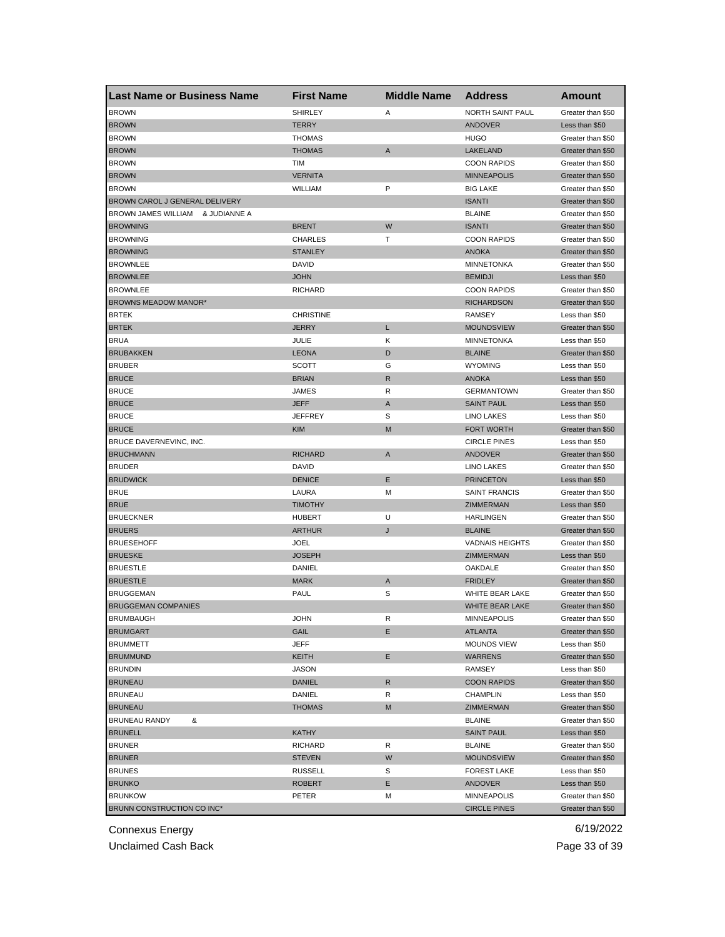| <b>Last Name or Business Name</b>   | <b>First Name</b> | <b>Middle Name</b> | <b>Address</b>         | Amount            |
|-------------------------------------|-------------------|--------------------|------------------------|-------------------|
| <b>BROWN</b>                        | <b>SHIRLEY</b>    | Α                  | NORTH SAINT PAUL       | Greater than \$50 |
| <b>BROWN</b>                        | <b>TERRY</b>      |                    | <b>ANDOVER</b>         | Less than \$50    |
| <b>BROWN</b>                        | <b>THOMAS</b>     |                    | <b>HUGO</b>            | Greater than \$50 |
| <b>BROWN</b>                        | <b>THOMAS</b>     | A                  | LAKELAND               | Greater than \$50 |
| <b>BROWN</b>                        | TIM               |                    | <b>COON RAPIDS</b>     | Greater than \$50 |
| <b>BROWN</b>                        | <b>VERNITA</b>    |                    | <b>MINNEAPOLIS</b>     | Greater than \$50 |
| <b>BROWN</b>                        | WILLIAM           | P                  | <b>BIG LAKE</b>        | Greater than \$50 |
| BROWN CAROL J GENERAL DELIVERY      |                   |                    | <b>ISANTI</b>          | Greater than \$50 |
| BROWN JAMES WILLIAM<br>& JUDIANNE A |                   |                    | <b>BLAINE</b>          | Greater than \$50 |
| <b>BROWNING</b>                     | <b>BRENT</b>      | W                  | <b>ISANTI</b>          | Greater than \$50 |
| <b>BROWNING</b>                     | <b>CHARLES</b>    | т                  | <b>COON RAPIDS</b>     | Greater than \$50 |
| <b>BROWNING</b>                     | <b>STANLEY</b>    |                    | <b>ANOKA</b>           | Greater than \$50 |
| <b>BROWNLEE</b>                     | <b>DAVID</b>      |                    | <b>MINNETONKA</b>      | Greater than \$50 |
| <b>BROWNLEE</b>                     | <b>JOHN</b>       |                    | <b>BEMIDJI</b>         | Less than \$50    |
| <b>BROWNLEE</b>                     | <b>RICHARD</b>    |                    | <b>COON RAPIDS</b>     | Greater than \$50 |
| BROWNS MEADOW MANOR*                |                   |                    | <b>RICHARDSON</b>      | Greater than \$50 |
| <b>BRTEK</b>                        | <b>CHRISTINE</b>  |                    | <b>RAMSEY</b>          | Less than \$50    |
| <b>BRTEK</b>                        | <b>JERRY</b>      | L                  | <b>MOUNDSVIEW</b>      | Greater than \$50 |
| <b>BRUA</b>                         | JULIE             | κ                  | MINNETONKA             | Less than \$50    |
| <b>BRUBAKKEN</b>                    | <b>LEONA</b>      | D                  | <b>BLAINE</b>          | Greater than \$50 |
| <b>BRUBER</b>                       | <b>SCOTT</b>      | G                  | <b>WYOMING</b>         | Less than \$50    |
| <b>BRUCE</b>                        | <b>BRIAN</b>      | R                  | <b>ANOKA</b>           | Less than \$50    |
| <b>BRUCE</b>                        | JAMES             | R                  | <b>GERMANTOWN</b>      | Greater than \$50 |
| <b>BRUCE</b>                        | <b>JEFF</b>       | A                  | <b>SAINT PAUL</b>      | Less than \$50    |
| <b>BRUCE</b>                        | <b>JEFFREY</b>    | S                  | <b>LINO LAKES</b>      | Less than \$50    |
| <b>BRUCE</b>                        | <b>KIM</b>        | M                  | <b>FORT WORTH</b>      | Greater than \$50 |
| BRUCE DAVERNEVINC, INC.             |                   |                    | <b>CIRCLE PINES</b>    | Less than \$50    |
| <b>BRUCHMANN</b>                    | <b>RICHARD</b>    | A                  | <b>ANDOVER</b>         | Greater than \$50 |
| <b>BRUDER</b>                       | <b>DAVID</b>      |                    | LINO LAKES             | Greater than \$50 |
| <b>BRUDWICK</b>                     | <b>DENICE</b>     | Ε                  | <b>PRINCETON</b>       | Less than \$50    |
| <b>BRUE</b>                         | LAURA             | М                  | <b>SAINT FRANCIS</b>   | Greater than \$50 |
| <b>BRUE</b>                         | <b>TIMOTHY</b>    |                    | ZIMMERMAN              | Less than \$50    |
| <b>BRUECKNER</b>                    | <b>HUBERT</b>     | U                  | <b>HARLINGEN</b>       | Greater than \$50 |
| <b>BRUERS</b>                       | <b>ARTHUR</b>     | J                  | <b>BLAINE</b>          | Greater than \$50 |
| <b>BRUESEHOFF</b>                   | <b>JOEL</b>       |                    | <b>VADNAIS HEIGHTS</b> | Greater than \$50 |
| <b>BRUESKE</b>                      | <b>JOSEPH</b>     |                    | <b>ZIMMERMAN</b>       | Less than \$50    |
| <b>BRUESTLE</b>                     | DANIEL            |                    | OAKDALE                | Greater than \$50 |
| <b>BRUESTLE</b>                     | <b>MARK</b>       | Α                  | <b>FRIDLEY</b>         | Greater than \$50 |
| BRUGGEMAN                           | <b>PAUL</b>       | S                  | WHITE BEAR LAKE        | Greater than \$50 |
| <b>BRUGGEMAN COMPANIES</b>          |                   |                    | WHITE BEAR LAKE        | Greater than \$50 |
| <b>BRUMBAUGH</b>                    | JOHN              | R                  | MINNEAPOLIS            | Greater than \$50 |
| <b>BRUMGART</b>                     | GAIL              | Ε                  | <b>ATLANTA</b>         | Greater than \$50 |
| <b>BRUMMETT</b>                     | JEFF              |                    | <b>MOUNDS VIEW</b>     | Less than \$50    |
| <b>BRUMMUND</b>                     | KEITH             | Ε                  | <b>WARRENS</b>         | Greater than \$50 |
| <b>BRUNDIN</b>                      | JASON             |                    | RAMSEY                 | Less than \$50    |
| <b>BRUNEAU</b>                      | <b>DANIEL</b>     | R                  | <b>COON RAPIDS</b>     | Greater than \$50 |
| <b>BRUNEAU</b>                      | DANIEL            | R                  | <b>CHAMPLIN</b>        | Less than \$50    |
| <b>BRUNEAU</b>                      | <b>THOMAS</b>     | М                  | ZIMMERMAN              | Greater than \$50 |
| <b>BRUNEAU RANDY</b><br>&           |                   |                    | <b>BLAINE</b>          | Greater than \$50 |
| <b>BRUNELL</b>                      | <b>KATHY</b>      |                    | <b>SAINT PAUL</b>      | Less than \$50    |
| <b>BRUNER</b>                       | <b>RICHARD</b>    | R                  | <b>BLAINE</b>          | Greater than \$50 |
| <b>BRUNER</b>                       | <b>STEVEN</b>     | W                  | <b>MOUNDSVIEW</b>      | Greater than \$50 |
| <b>BRUNES</b>                       | <b>RUSSELL</b>    | S                  | <b>FOREST LAKE</b>     | Less than \$50    |
| <b>BRUNKO</b>                       | ROBERT            | Ε                  | <b>ANDOVER</b>         | Less than \$50    |
| <b>BRUNKOW</b>                      | PETER             | М                  | <b>MINNEAPOLIS</b>     | Greater than \$50 |
| BRUNN CONSTRUCTION CO INC*          |                   |                    | <b>CIRCLE PINES</b>    | Greater than \$50 |
|                                     |                   |                    |                        |                   |

Unclaimed Cash Back **Page 33** of 39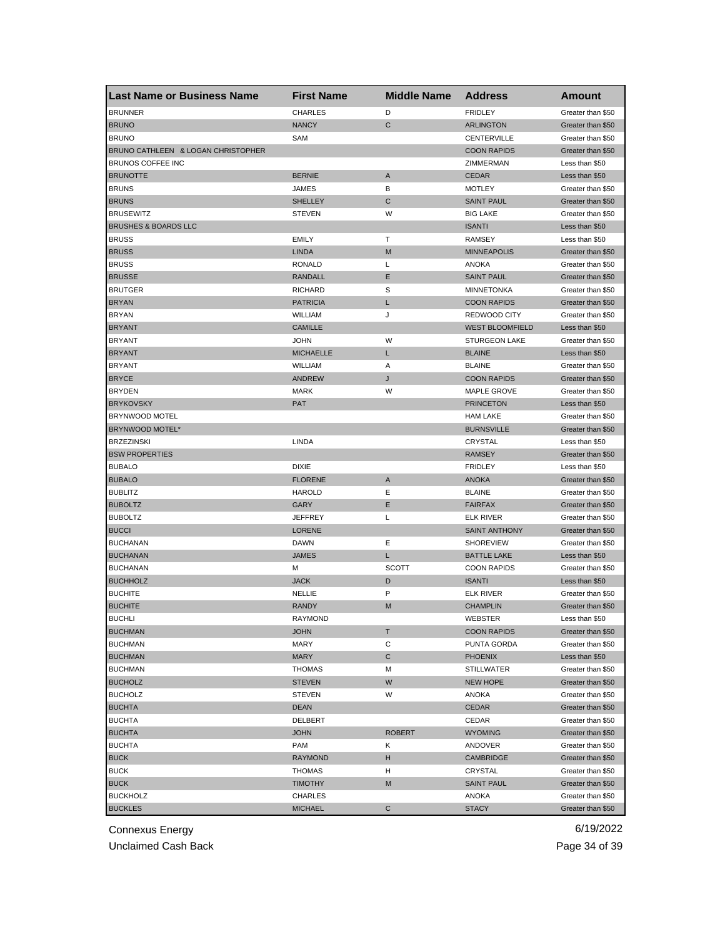| <b>Last Name or Business Name</b>  | <b>First Name</b> | <b>Middle Name</b> | <b>Address</b>         | <b>Amount</b>     |
|------------------------------------|-------------------|--------------------|------------------------|-------------------|
| <b>BRUNNER</b>                     | <b>CHARLES</b>    | D                  | <b>FRIDLEY</b>         | Greater than \$50 |
| <b>BRUNO</b>                       | <b>NANCY</b>      | $\mathsf{C}$       | <b>ARLINGTON</b>       | Greater than \$50 |
| <b>BRUNO</b>                       | SAM               |                    | CENTERVILLE            | Greater than \$50 |
| BRUNO CATHLEEN & LOGAN CHRISTOPHER |                   |                    | <b>COON RAPIDS</b>     | Greater than \$50 |
| BRUNOS COFFEE INC                  |                   |                    | ZIMMERMAN              | Less than \$50    |
| <b>BRUNOTTE</b>                    | <b>BERNIE</b>     | A                  | <b>CEDAR</b>           | Less than \$50    |
| <b>BRUNS</b>                       | JAMES             | в                  | <b>MOTLEY</b>          | Greater than \$50 |
| <b>BRUNS</b>                       | <b>SHELLEY</b>    | C                  | <b>SAINT PAUL</b>      | Greater than \$50 |
| <b>BRUSEWITZ</b>                   | <b>STEVEN</b>     | W                  | <b>BIG LAKE</b>        | Greater than \$50 |
| <b>BRUSHES &amp; BOARDS LLC</b>    |                   |                    | <b>ISANTI</b>          | Less than \$50    |
| <b>BRUSS</b>                       | <b>EMILY</b>      | т                  | <b>RAMSEY</b>          | Less than \$50    |
| <b>BRUSS</b>                       | <b>LINDA</b>      | M                  | <b>MINNEAPOLIS</b>     | Greater than \$50 |
| <b>BRUSS</b>                       | RONALD            | Г                  | ANOKA                  | Greater than \$50 |
| <b>BRUSSE</b>                      | <b>RANDALL</b>    | Ε                  | <b>SAINT PAUL</b>      | Greater than \$50 |
| <b>BRUTGER</b>                     | <b>RICHARD</b>    | S                  | <b>MINNETONKA</b>      | Greater than \$50 |
| <b>BRYAN</b>                       | <b>PATRICIA</b>   | L                  | <b>COON RAPIDS</b>     | Greater than \$50 |
| <b>BRYAN</b>                       | WILLIAM           | J                  | <b>REDWOOD CITY</b>    | Greater than \$50 |
| <b>BRYANT</b>                      | <b>CAMILLE</b>    |                    | <b>WEST BLOOMFIELD</b> | Less than \$50    |
| <b>BRYANT</b>                      | <b>JOHN</b>       | W                  | <b>STURGEON LAKE</b>   | Greater than \$50 |
| <b>BRYANT</b>                      | <b>MICHAELLE</b>  | L                  | <b>BLAINE</b>          | Less than \$50    |
| <b>BRYANT</b>                      | WILLIAM           | Α                  | <b>BLAINE</b>          | Greater than \$50 |
| <b>BRYCE</b>                       | <b>ANDREW</b>     | J                  | <b>COON RAPIDS</b>     | Greater than \$50 |
| <b>BRYDEN</b>                      | <b>MARK</b>       | W                  | MAPLE GROVE            | Greater than \$50 |
| <b>BRYKOVSKY</b>                   | <b>PAT</b>        |                    | <b>PRINCETON</b>       | Less than \$50    |
| BRYNWOOD MOTEL                     |                   |                    | <b>HAM LAKE</b>        | Greater than \$50 |
| BRYNWOOD MOTEL*                    |                   |                    | <b>BURNSVILLE</b>      | Greater than \$50 |
| <b>BRZEZINSKI</b>                  | LINDA             |                    | CRYSTAL                | Less than \$50    |
| <b>BSW PROPERTIES</b>              |                   |                    | <b>RAMSEY</b>          | Greater than \$50 |
| <b>BUBALO</b>                      | <b>DIXIE</b>      |                    | <b>FRIDLEY</b>         | Less than \$50    |
| <b>BUBALO</b>                      | <b>FLORENE</b>    | A                  | <b>ANOKA</b>           | Greater than \$50 |
| <b>BUBLITZ</b>                     | <b>HAROLD</b>     | Ε                  | <b>BLAINE</b>          | Greater than \$50 |
| <b>BUBOLTZ</b>                     | GARY              | Ε                  | <b>FAIRFAX</b>         | Greater than \$50 |
| <b>BUBOLTZ</b>                     | <b>JEFFREY</b>    | L                  | <b>ELK RIVER</b>       | Greater than \$50 |
| <b>BUCCI</b>                       | <b>LORENE</b>     |                    | <b>SAINT ANTHONY</b>   | Greater than \$50 |
| <b>BUCHANAN</b>                    | <b>DAWN</b>       | Ε                  | <b>SHOREVIEW</b>       | Greater than \$50 |
| <b>BUCHANAN</b>                    | <b>JAMES</b>      | L                  | <b>BATTLE LAKE</b>     | Less than \$50    |
| <b>BUCHANAN</b>                    | м                 | <b>SCOTT</b>       | <b>COON RAPIDS</b>     | Greater than \$50 |
| <b>BUCHHOLZ</b>                    | <b>JACK</b>       | D                  | <b>ISANTI</b>          | Less than \$50    |
| <b>BUCHITE</b>                     | NELLIE            | P                  | <b>ELK RIVER</b>       | Greater than \$50 |
| <b>BUCHITE</b>                     | <b>RANDY</b>      | M                  | <b>CHAMPLIN</b>        | Greater than \$50 |
| <b>BUCHLI</b>                      | RAYMOND           |                    | <b>WEBSIER</b>         | Less than \$50    |
| <b>BUCHMAN</b>                     | <b>JOHN</b>       | т                  | <b>COON RAPIDS</b>     | Greater than \$50 |
| <b>BUCHMAN</b>                     | <b>MARY</b>       | С                  | <b>PUNTA GORDA</b>     | Greater than \$50 |
| <b>BUCHMAN</b>                     | <b>MARY</b>       | C                  | <b>PHOENIX</b>         | Less than \$50    |
| <b>BUCHMAN</b>                     | <b>THOMAS</b>     | М                  | <b>STILLWATER</b>      | Greater than \$50 |
| <b>BUCHOLZ</b>                     | <b>STEVEN</b>     | W                  | <b>NEW HOPE</b>        | Greater than \$50 |
| <b>BUCHOLZ</b>                     | <b>STEVEN</b>     | W                  | ANOKA                  | Greater than \$50 |
| <b>BUCHTA</b>                      | <b>DEAN</b>       |                    | CEDAR                  | Greater than \$50 |
| <b>BUCHTA</b>                      | DELBERT           |                    | CEDAR                  | Greater than \$50 |
| <b>BUCHTA</b>                      | <b>JOHN</b>       | <b>ROBERT</b>      | <b>WYOMING</b>         | Greater than \$50 |
| <b>BUCHTA</b>                      | PAM               | Κ                  | ANDOVER                | Greater than \$50 |
| <b>BUCK</b>                        | <b>RAYMOND</b>    |                    | CAMBRIDGE              | Greater than \$50 |
| <b>BUCK</b>                        |                   | н<br>н             | CRYSTAL                | Greater than \$50 |
|                                    | THOMAS            |                    |                        |                   |
| <b>BUCK</b>                        | <b>TIMOTHY</b>    | M                  | <b>SAINT PAUL</b>      | Greater than \$50 |
| <b>BUCKHOLZ</b>                    | CHARLES           |                    | ANOKA                  | Greater than \$50 |
| <b>BUCKLES</b>                     | <b>MICHAEL</b>    | C                  | <b>STACY</b>           | Greater than \$50 |

Unclaimed Cash Back **Page 34 of 39**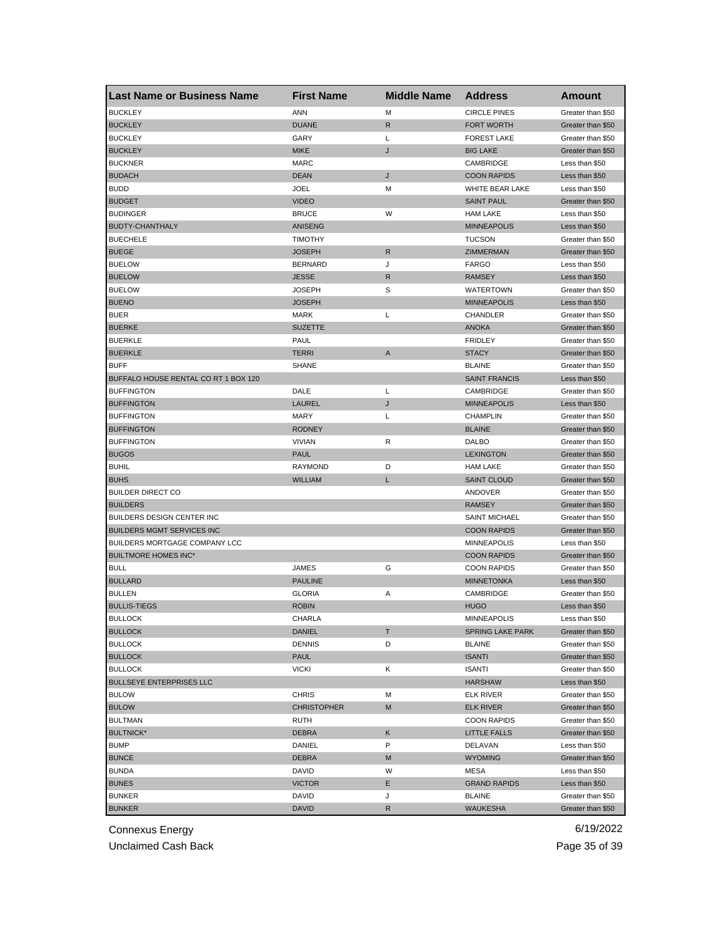| Last Name or Business Name           | <b>First Name</b>  | <b>Middle Name</b> | <b>Address</b>          | <b>Amount</b>     |
|--------------------------------------|--------------------|--------------------|-------------------------|-------------------|
| <b>BUCKLEY</b>                       | ANN                | M                  | <b>CIRCLE PINES</b>     | Greater than \$50 |
| <b>BUCKLEY</b>                       | <b>DUANE</b>       | R                  | <b>FORT WORTH</b>       | Greater than \$50 |
| <b>BUCKLEY</b>                       | GARY               | L                  | <b>FOREST LAKE</b>      | Greater than \$50 |
| <b>BUCKLEY</b>                       | <b>MIKE</b>        | J                  | <b>BIG LAKE</b>         | Greater than \$50 |
| <b>BUCKNER</b>                       | <b>MARC</b>        |                    | CAMBRIDGE               | Less than \$50    |
| <b>BUDACH</b>                        | <b>DEAN</b>        | J                  | <b>COON RAPIDS</b>      | Less than \$50    |
| <b>BUDD</b>                          | <b>JOEL</b>        | М                  | WHITE BEAR LAKE         | Less than \$50    |
| <b>BUDGET</b>                        | <b>VIDEO</b>       |                    | <b>SAINT PAUL</b>       | Greater than \$50 |
| <b>BUDINGER</b>                      | <b>BRUCE</b>       | W                  | <b>HAM LAKE</b>         | Less than \$50    |
| BUDTY-CHANTHALY                      | ANISENG            |                    | <b>MINNEAPOLIS</b>      | Less than \$50    |
| <b>BUECHELE</b>                      | <b>TIMOTHY</b>     |                    | <b>TUCSON</b>           | Greater than \$50 |
| <b>BUEGE</b>                         | <b>JOSEPH</b>      | R                  | ZIMMERMAN               | Greater than \$50 |
| <b>BUELOW</b>                        | <b>BERNARD</b>     | J                  | <b>FARGO</b>            | Less than \$50    |
| <b>BUELOW</b>                        | <b>JESSE</b>       | R                  | <b>RAMSEY</b>           | Less than \$50    |
| <b>BUELOW</b>                        | <b>JOSEPH</b>      | S                  | <b>WATERTOWN</b>        | Greater than \$50 |
| <b>BUENO</b>                         | <b>JOSEPH</b>      |                    | <b>MINNEAPOLIS</b>      | Less than \$50    |
| <b>BUER</b>                          | <b>MARK</b>        | L                  | CHANDLER                | Greater than \$50 |
| <b>BUERKE</b>                        | <b>SUZETTE</b>     |                    | <b>ANOKA</b>            | Greater than \$50 |
| <b>BUERKLE</b>                       | <b>PAUL</b>        |                    | <b>FRIDLEY</b>          | Greater than \$50 |
| <b>BUERKLE</b>                       | <b>TERRI</b>       | A                  | <b>STACY</b>            | Greater than \$50 |
| <b>BUFF</b>                          | <b>SHANE</b>       |                    | <b>BLAINE</b>           | Greater than \$50 |
| BUFFALO HOUSE RENTAL CO RT 1 BOX 120 |                    |                    | <b>SAINT FRANCIS</b>    | Less than \$50    |
| <b>BUFFINGTON</b>                    | DALE               | L                  | CAMBRIDGE               | Greater than \$50 |
| <b>BUFFINGTON</b>                    | LAUREL             | J                  | <b>MINNEAPOLIS</b>      | Less than \$50    |
| <b>BUFFINGTON</b>                    | <b>MARY</b>        | L                  | <b>CHAMPLIN</b>         | Greater than \$50 |
| <b>BUFFINGTON</b>                    | <b>RODNEY</b>      |                    | <b>BLAINE</b>           | Greater than \$50 |
| <b>BUFFINGTON</b>                    | <b>VIVIAN</b>      | R                  | DALBO                   | Greater than \$50 |
| <b>BUGOS</b>                         | <b>PAUL</b>        |                    | <b>LEXINGTON</b>        | Greater than \$50 |
| <b>BUHIL</b>                         | <b>RAYMOND</b>     | D                  | <b>HAM LAKE</b>         | Greater than \$50 |
| <b>BUHS</b>                          | <b>WILLIAM</b>     | L                  | <b>SAINT CLOUD</b>      |                   |
|                                      |                    |                    |                         | Greater than \$50 |
| <b>BUILDER DIRECT CO</b>             |                    |                    | ANDOVER                 | Greater than \$50 |
| <b>BUILDERS</b>                      |                    |                    | <b>RAMSEY</b>           | Greater than \$50 |
| BUILDERS DESIGN CENTER INC           |                    |                    | <b>SAINT MICHAEL</b>    | Greater than \$50 |
| <b>BUILDERS MGMT SERVICES INC</b>    |                    |                    | <b>COON RAPIDS</b>      | Greater than \$50 |
| BUILDERS MORTGAGE COMPANY LCC        |                    |                    | <b>MINNEAPOLIS</b>      | Less than \$50    |
| <b>BUILTMORE HOMES INC*</b>          |                    |                    | <b>COON RAPIDS</b>      | Greater than \$50 |
| <b>BULL</b>                          | JAMES              | G                  | <b>COON RAPIDS</b>      | Greater than \$50 |
| <b>BULLARD</b>                       | <b>PAULINE</b>     |                    | <b>MINNETONKA</b>       | Less than \$50    |
| <b>BULLEN</b>                        | <b>GLORIA</b>      | Α                  | CAMBRIDGE               | Greater than \$50 |
| <b>BULLIS-TIEGS</b>                  | <b>ROBIN</b>       |                    | <b>HUGO</b>             | Less than \$50    |
| <b>BULLOCK</b>                       | CHARLA             |                    | <b>MINNEAPOLIS</b>      | Less than \$50    |
| <b>BULLOCK</b>                       | DANIEL             | Τ                  | <b>SPRING LAKE PARK</b> | Greater than \$50 |
| <b>BULLOCK</b>                       | <b>DENNIS</b>      | D                  | <b>BLAINE</b>           | Greater than \$50 |
| <b>BULLOCK</b>                       | <b>PAUL</b>        |                    | ISANTI                  | Greater than \$50 |
| <b>BULLOCK</b>                       | <b>VICKI</b>       | Κ                  | <b>ISANTI</b>           | Greater than \$50 |
| <b>BULLSEYE ENTERPRISES LLC</b>      |                    |                    | <b>HARSHAW</b>          | Less than \$50    |
| <b>BULOW</b>                         | <b>CHRIS</b>       | M                  | <b>ELK RIVER</b>        | Greater than \$50 |
| <b>BULOW</b>                         | <b>CHRISTOPHER</b> | M                  | <b>ELK RIVER</b>        | Greater than \$50 |
| <b>BULTMAN</b>                       | <b>RUTH</b>        |                    | <b>COON RAPIDS</b>      | Greater than \$50 |
| <b>BULTNICK*</b>                     | <b>DEBRA</b>       | Κ                  | <b>LITTLE FALLS</b>     | Greater than \$50 |
| <b>BUMP</b>                          | DANIEL             | P                  | DELAVAN                 | Less than \$50    |
| <b>BUNCE</b>                         | <b>DEBRA</b>       | M                  | <b>WYOMING</b>          | Greater than \$50 |
| <b>BUNDA</b>                         | DAVID              | W                  | MESA                    | Less than \$50    |
| <b>BUNES</b>                         | <b>VICTOR</b>      | Ε                  | <b>GRAND RAPIDS</b>     | Less than \$50    |
| <b>BUNKER</b>                        | DAVID              | J                  | <b>BLAINE</b>           | Greater than \$50 |
| <b>BUNKER</b>                        | <b>DAVID</b>       | R                  | WAUKESHA                | Greater than \$50 |

Unclaimed Cash Back **Page 35 of 39**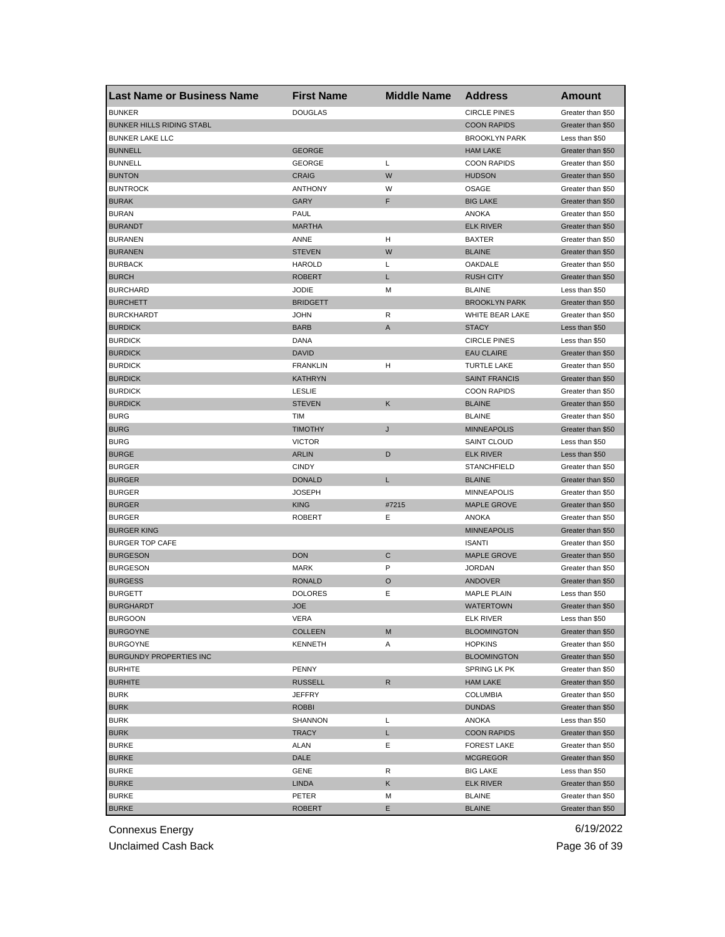| <b>Last Name or Business Name</b> | <b>First Name</b> | <b>Middle Name</b> | <b>Address</b>       | Amount            |
|-----------------------------------|-------------------|--------------------|----------------------|-------------------|
| <b>BUNKER</b>                     | <b>DOUGLAS</b>    |                    | <b>CIRCLE PINES</b>  | Greater than \$50 |
| <b>BUNKER HILLS RIDING STABL</b>  |                   |                    | <b>COON RAPIDS</b>   | Greater than \$50 |
| <b>BUNKER LAKE LLC</b>            |                   |                    | <b>BROOKLYN PARK</b> | Less than \$50    |
| <b>BUNNELL</b>                    | <b>GEORGE</b>     |                    | <b>HAM LAKE</b>      | Greater than \$50 |
| <b>BUNNELL</b>                    | GEORGE            | Г                  | <b>COON RAPIDS</b>   | Greater than \$50 |
| <b>BUNTON</b>                     | <b>CRAIG</b>      | W                  | <b>HUDSON</b>        | Greater than \$50 |
| <b>BUNTROCK</b>                   | <b>ANTHONY</b>    | W                  | OSAGE                | Greater than \$50 |
| <b>BURAK</b>                      | GARY              | F                  | <b>BIG LAKE</b>      | Greater than \$50 |
| <b>BURAN</b>                      | PAUL              |                    | <b>ANOKA</b>         | Greater than \$50 |
| <b>BURANDT</b>                    | <b>MARTHA</b>     |                    | <b>ELK RIVER</b>     | Greater than \$50 |
| <b>BURANEN</b>                    | ANNE              | H                  | <b>BAXTER</b>        | Greater than \$50 |
| <b>BURANEN</b>                    | <b>STEVEN</b>     | W                  | <b>BLAINE</b>        | Greater than \$50 |
| <b>BURBACK</b>                    | <b>HAROLD</b>     | L                  | OAKDALE              | Greater than \$50 |
| <b>BURCH</b>                      | <b>ROBERT</b>     | L                  | <b>RUSH CITY</b>     | Greater than \$50 |
| <b>BURCHARD</b>                   | <b>JODIE</b>      | M                  | <b>BLAINE</b>        | Less than \$50    |
| <b>BURCHETT</b>                   | <b>BRIDGETT</b>   |                    | <b>BROOKLYN PARK</b> | Greater than \$50 |
| <b>BURCKHARDT</b>                 | JOHN              | R                  | WHITE BEAR LAKE      | Greater than \$50 |
| <b>BURDICK</b>                    | <b>BARB</b>       | A                  | <b>STACY</b>         | Less than \$50    |
| <b>BURDICK</b>                    | DANA              |                    | <b>CIRCLE PINES</b>  | Less than \$50    |
| <b>BURDICK</b>                    | <b>DAVID</b>      |                    | <b>EAU CLAIRE</b>    | Greater than \$50 |
| <b>BURDICK</b>                    | <b>FRANKLIN</b>   | н                  | <b>TURTLE LAKE</b>   | Greater than \$50 |
| <b>BURDICK</b>                    | KATHRYN           |                    | <b>SAINT FRANCIS</b> | Greater than \$50 |
| <b>BURDICK</b>                    | <b>LESLIE</b>     |                    | <b>COON RAPIDS</b>   | Greater than \$50 |
| <b>BURDICK</b>                    | <b>STEVEN</b>     | Κ                  | <b>BLAINE</b>        | Greater than \$50 |
| <b>BURG</b>                       | TIM               |                    | <b>BLAINE</b>        | Greater than \$50 |
| <b>BURG</b>                       | TIMOTHY           | J                  | <b>MINNEAPOLIS</b>   | Greater than \$50 |
| <b>BURG</b>                       | <b>VICTOR</b>     |                    | <b>SAINT CLOUD</b>   | Less than \$50    |
| <b>BURGE</b>                      | <b>ARLIN</b>      | D                  | <b>ELK RIVER</b>     | Less than \$50    |
| <b>BURGER</b>                     | <b>CINDY</b>      |                    | <b>STANCHFIELD</b>   | Greater than \$50 |
| <b>BURGER</b>                     | <b>DONALD</b>     | Г                  | <b>BLAINE</b>        | Greater than \$50 |
| <b>BURGER</b>                     | <b>JOSEPH</b>     |                    | <b>MINNEAPOLIS</b>   | Greater than \$50 |
| <b>BURGER</b>                     | <b>KING</b>       | #7215              | <b>MAPLE GROVE</b>   | Greater than \$50 |
| <b>BURGER</b>                     | <b>ROBERT</b>     | Ε                  | ANOKA                | Greater than \$50 |
| <b>BURGER KING</b>                |                   |                    | <b>MINNEAPOLIS</b>   | Greater than \$50 |
| <b>BURGER TOP CAFE</b>            |                   |                    | <b>ISANTI</b>        | Greater than \$50 |
| <b>BURGESON</b>                   | <b>DON</b>        | C                  | <b>MAPLE GROVE</b>   | Greater than \$50 |
| <b>BURGESON</b>                   | <b>MARK</b>       | P                  | <b>JORDAN</b>        | Greater than \$50 |
| <b>BURGESS</b>                    | <b>RONALD</b>     | O                  | <b>ANDOVER</b>       | Greater than \$50 |
| <b>BURGETT</b>                    | <b>DOLORES</b>    | Ε                  | <b>MAPLE PLAIN</b>   | Less than \$50    |
| <b>BURGHARDT</b>                  | JOE               |                    | <b>WATERTOWN</b>     | Greater than \$50 |
| <b>BURGOON</b>                    | VERA              |                    | ELK RIVER            | Less than \$50    |
| <b>BURGOYNE</b>                   | COLLEEN           | M                  | <b>BLOOMINGTON</b>   | Greater than \$50 |
| <b>BURGOYNE</b>                   | <b>KENNETH</b>    | Α                  | <b>HOPKINS</b>       | Greater than \$50 |
| <b>BURGUNDY PROPERTIES INC</b>    |                   |                    | <b>BLOOMINGTON</b>   | Greater than \$50 |
| <b>BURHITE</b>                    | <b>PENNY</b>      |                    | SPRING LK PK         | Greater than \$50 |
| <b>BURHITE</b>                    | <b>RUSSELL</b>    | R                  | <b>HAM LAKE</b>      | Greater than \$50 |
| <b>BURK</b>                       | JEFFRY            |                    | <b>COLUMBIA</b>      | Greater than \$50 |
| <b>BURK</b>                       | <b>ROBBI</b>      |                    | <b>DUNDAS</b>        | Greater than \$50 |
| <b>BURK</b>                       | SHANNON           | Г                  | <b>ANOKA</b>         | Less than \$50    |
| <b>BURK</b>                       | TRACY             | L.                 | <b>COON RAPIDS</b>   | Greater than \$50 |
| <b>BURKE</b>                      | ALAN              | Е                  | <b>FOREST LAKE</b>   | Greater than \$50 |
| <b>BURKE</b>                      | DALE              |                    | <b>MCGREGOR</b>      | Greater than \$50 |
| <b>BURKE</b>                      | GENE              | R                  | <b>BIG LAKE</b>      | Less than \$50    |
| <b>BURKE</b>                      | LINDA             | Κ                  | <b>ELK RIVER</b>     | Greater than \$50 |
| <b>BURKE</b>                      | PETER             | M                  | <b>BLAINE</b>        | Greater than \$50 |
| <b>BURKE</b>                      | <b>ROBERT</b>     | Е                  | <b>BLAINE</b>        | Greater than \$50 |

Unclaimed Cash Back **Page 36 of 39**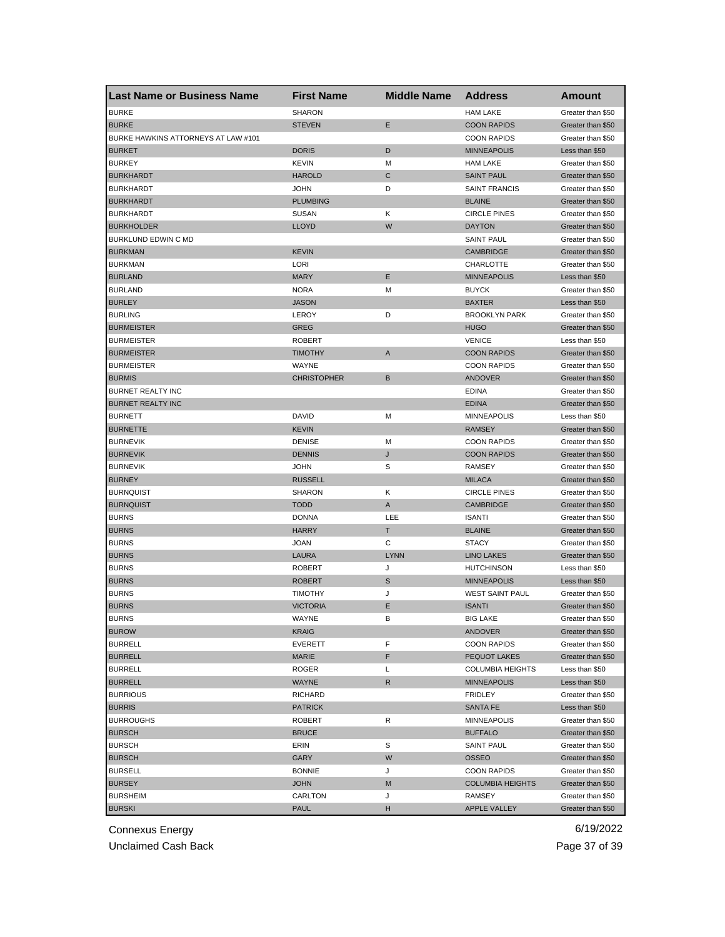| <b>Last Name or Business Name</b>   | <b>First Name</b>  | <b>Middle Name</b> | <b>Address</b>          | <b>Amount</b>     |
|-------------------------------------|--------------------|--------------------|-------------------------|-------------------|
| <b>BURKE</b>                        | <b>SHARON</b>      |                    | <b>HAM LAKE</b>         | Greater than \$50 |
| <b>BURKE</b>                        | <b>STEVEN</b>      | Е                  | <b>COON RAPIDS</b>      | Greater than \$50 |
| BURKE HAWKINS ATTORNEYS AT LAW #101 |                    |                    | <b>COON RAPIDS</b>      | Greater than \$50 |
| <b>BURKET</b>                       | <b>DORIS</b>       | D                  | <b>MINNEAPOLIS</b>      | Less than \$50    |
| <b>BURKEY</b>                       | <b>KEVIN</b>       | М                  | <b>HAM LAKE</b>         | Greater than \$50 |
| <b>BURKHARDT</b>                    | <b>HAROLD</b>      | C                  | <b>SAINT PAUL</b>       | Greater than \$50 |
| <b>BURKHARDT</b>                    | <b>JOHN</b>        | D                  | <b>SAINT FRANCIS</b>    | Greater than \$50 |
| <b>BURKHARDT</b>                    | <b>PLUMBING</b>    |                    | <b>BLAINE</b>           | Greater than \$50 |
| <b>BURKHARDT</b>                    | <b>SUSAN</b>       | Κ                  | <b>CIRCLE PINES</b>     | Greater than \$50 |
| <b>BURKHOLDER</b>                   | <b>LLOYD</b>       | W                  | <b>DAYTON</b>           | Greater than \$50 |
| BURKLUND EDWIN C MD                 |                    |                    | <b>SAINT PAUL</b>       | Greater than \$50 |
| <b>BURKMAN</b>                      | <b>KEVIN</b>       |                    | <b>CAMBRIDGE</b>        | Greater than \$50 |
| <b>BURKMAN</b>                      | LORI               |                    | CHARLOTTE               | Greater than \$50 |
| <b>BURLAND</b>                      | <b>MARY</b>        | E                  | <b>MINNEAPOLIS</b>      | Less than \$50    |
| <b>BURLAND</b>                      | <b>NORA</b>        | М                  | <b>BUYCK</b>            | Greater than \$50 |
| <b>BURLEY</b>                       | <b>JASON</b>       |                    | <b>BAXTER</b>           | Less than \$50    |
| <b>BURLING</b>                      | LEROY              | D                  | <b>BROOKLYN PARK</b>    | Greater than \$50 |
| <b>BURMEISTER</b>                   | <b>GREG</b>        |                    | <b>HUGO</b>             | Greater than \$50 |
| <b>BURMEISTER</b>                   | <b>ROBERT</b>      |                    | <b>VENICE</b>           | Less than \$50    |
| <b>BURMEISTER</b>                   | <b>TIMOTHY</b>     | A                  | <b>COON RAPIDS</b>      | Greater than \$50 |
| <b>BURMEISTER</b>                   | WAYNE              |                    | <b>COON RAPIDS</b>      | Greater than \$50 |
| <b>BURMIS</b>                       | <b>CHRISTOPHER</b> | B                  | ANDOVER                 | Greater than \$50 |
| <b>BURNET REALTY INC</b>            |                    |                    | <b>EDINA</b>            | Greater than \$50 |
| <b>BURNET REALTY INC</b>            |                    |                    | <b>EDINA</b>            | Greater than \$50 |
| <b>BURNETT</b>                      | <b>DAVID</b>       | M                  | <b>MINNEAPOLIS</b>      | Less than \$50    |
| <b>BURNETTE</b>                     | <b>KEVIN</b>       |                    | <b>RAMSEY</b>           | Greater than \$50 |
| <b>BURNEVIK</b>                     | <b>DENISE</b>      | M                  | <b>COON RAPIDS</b>      | Greater than \$50 |
| <b>BURNEVIK</b>                     | <b>DENNIS</b>      | J                  | <b>COON RAPIDS</b>      | Greater than \$50 |
| <b>BURNEVIK</b>                     | <b>JOHN</b>        | S                  | RAMSEY                  | Greater than \$50 |
| <b>BURNEY</b>                       | <b>RUSSELL</b>     |                    | <b>MILACA</b>           | Greater than \$50 |
| <b>BURNQUIST</b>                    | <b>SHARON</b>      | Κ                  | <b>CIRCLE PINES</b>     | Greater than \$50 |
| <b>BURNQUIST</b>                    | <b>TODD</b>        | A                  | <b>CAMBRIDGE</b>        | Greater than \$50 |
| <b>BURNS</b>                        | <b>DONNA</b>       | LEE                | <b>ISANTI</b>           | Greater than \$50 |
| <b>BURNS</b>                        | <b>HARRY</b>       | T                  | <b>BLAINE</b>           | Greater than \$50 |
| <b>BURNS</b>                        | <b>JOAN</b>        | С                  | <b>STACY</b>            | Greater than \$50 |
| <b>BURNS</b>                        | <b>LAURA</b>       | <b>LYNN</b>        | <b>LINO LAKES</b>       | Greater than \$50 |
| <b>BURNS</b>                        | <b>ROBERT</b>      | J                  | <b>HUTCHINSON</b>       | Less than \$50    |
| <b>BURNS</b>                        | <b>ROBERT</b>      | S                  | <b>MINNEAPOLIS</b>      | Less than \$50    |
| <b>BURNS</b>                        | <b>TIMOTHY</b>     | J                  | <b>WEST SAINT PAUL</b>  | Greater than \$50 |
| <b>BURNS</b>                        | <b>VICTORIA</b>    | Ε                  | <b>ISANTI</b>           | Greater than \$50 |
| <b>BURNS</b>                        | WAYNE              | в                  | <b>BIG LAKE</b>         | Greater than \$50 |
| <b>BUROW</b>                        | <b>KRAIG</b>       |                    | <b>ANDOVER</b>          | Greater than \$50 |
| <b>BURRELL</b>                      | <b>EVERETT</b>     | F                  | <b>COON RAPIDS</b>      | Greater than \$50 |
| <b>BURRELL</b>                      | MARIE              | F                  | PEQUOT LAKES            | Greater than \$50 |
| <b>BURRELL</b>                      | <b>ROGER</b>       | L                  | <b>COLUMBIA HEIGHTS</b> | Less than \$50    |
| <b>BURRELL</b>                      | WAYNE              | R                  | <b>MINNEAPOLIS</b>      | Less than \$50    |
| <b>BURRIOUS</b>                     | <b>RICHARD</b>     |                    | FRIDLEY                 | Greater than \$50 |
| <b>BURRIS</b>                       | <b>PATRICK</b>     |                    | <b>SANTA FE</b>         | Less than \$50    |
| <b>BURROUGHS</b>                    | <b>ROBERT</b>      | R                  | <b>MINNEAPOLIS</b>      | Greater than \$50 |
| <b>BURSCH</b>                       | <b>BRUCE</b>       |                    | <b>BUFFALO</b>          | Greater than \$50 |
| <b>BURSCH</b>                       | ERIN               | S                  | <b>SAINT PAUL</b>       | Greater than \$50 |
| <b>BURSCH</b>                       | GARY               | W                  | <b>OSSEO</b>            | Greater than \$50 |
| <b>BURSELL</b>                      | <b>BONNIE</b>      | J                  | <b>COON RAPIDS</b>      | Greater than \$50 |
| <b>BURSEY</b>                       | <b>JOHN</b>        | M                  | <b>COLUMBIA HEIGHTS</b> | Greater than \$50 |
| <b>BURSHEIM</b>                     | CARLTON            | J                  | RAMSEY                  | Greater than \$50 |
| <b>BURSKI</b>                       | <b>PAUL</b>        | н                  | APPLE VALLEY            | Greater than \$50 |
|                                     |                    |                    |                         |                   |

Unclaimed Cash Back **Page 37** of 39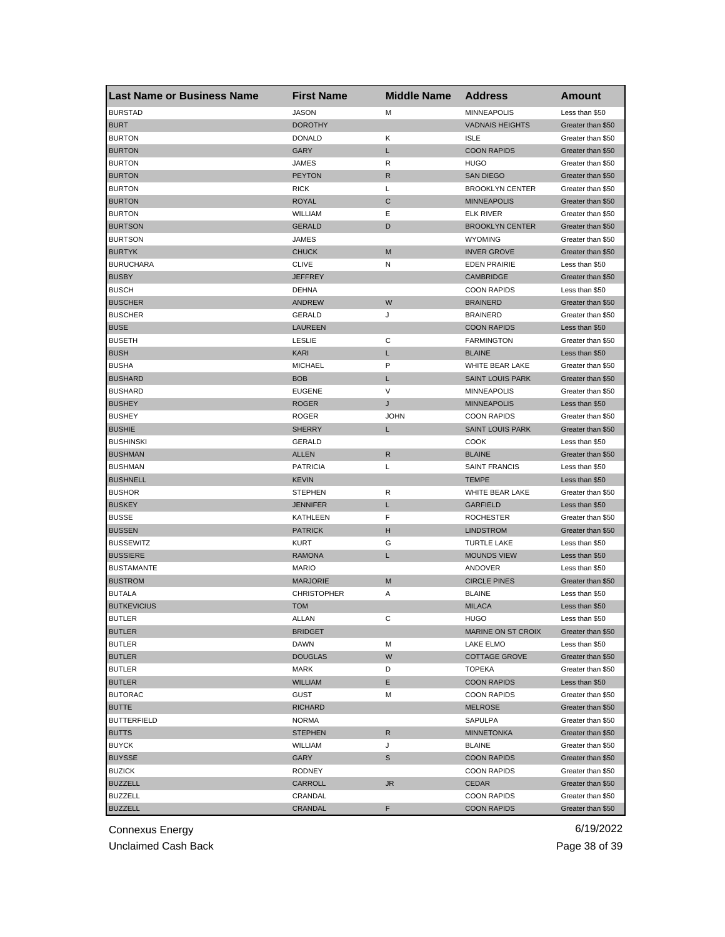| <b>Last Name or Business Name</b> | <b>First Name</b>  | <b>Middle Name</b> | <b>Address</b>          | <b>Amount</b>     |
|-----------------------------------|--------------------|--------------------|-------------------------|-------------------|
| <b>BURSTAD</b>                    | <b>JASON</b>       | M                  | <b>MINNEAPOLIS</b>      | Less than \$50    |
| <b>BURT</b>                       | <b>DOROTHY</b>     |                    | <b>VADNAIS HEIGHTS</b>  | Greater than \$50 |
| <b>BURTON</b>                     | <b>DONALD</b>      | Κ                  | <b>ISLE</b>             | Greater than \$50 |
| <b>BURTON</b>                     | GARY               | L                  | <b>COON RAPIDS</b>      | Greater than \$50 |
| <b>BURTON</b>                     | <b>JAMES</b>       | R                  | <b>HUGO</b>             | Greater than \$50 |
| <b>BURTON</b>                     | <b>PEYTON</b>      | R                  | <b>SAN DIEGO</b>        | Greater than \$50 |
| <b>BURTON</b>                     | <b>RICK</b>        | L                  | <b>BROOKLYN CENTER</b>  | Greater than \$50 |
| <b>BURTON</b>                     | <b>ROYAL</b>       | C                  | <b>MINNEAPOLIS</b>      | Greater than \$50 |
| <b>BURTON</b>                     | <b>WILLIAM</b>     | Ε                  | <b>ELK RIVER</b>        | Greater than \$50 |
| <b>BURTSON</b>                    | <b>GERALD</b>      | D                  | <b>BROOKLYN CENTER</b>  | Greater than \$50 |
| <b>BURTSON</b>                    | JAMES              |                    | <b>WYOMING</b>          | Greater than \$50 |
| <b>BURTYK</b>                     | <b>CHUCK</b>       | M                  | <b>INVER GROVE</b>      | Greater than \$50 |
| <b>BURUCHARA</b>                  | <b>CLIVE</b>       | Ν                  | <b>EDEN PRAIRIE</b>     | Less than \$50    |
| <b>BUSBY</b>                      | <b>JEFFREY</b>     |                    | <b>CAMBRIDGE</b>        | Greater than \$50 |
| <b>BUSCH</b>                      | <b>DEHNA</b>       |                    | <b>COON RAPIDS</b>      | Less than \$50    |
| <b>BUSCHER</b>                    | <b>ANDREW</b>      | W                  | <b>BRAINERD</b>         | Greater than \$50 |
| <b>BUSCHER</b>                    | <b>GERALD</b>      | J                  | <b>BRAINERD</b>         | Greater than \$50 |
| <b>BUSE</b>                       | <b>LAUREEN</b>     |                    | <b>COON RAPIDS</b>      | Less than \$50    |
| <b>BUSETH</b>                     | <b>LESLIE</b>      | С                  | <b>FARMINGTON</b>       | Greater than \$50 |
| <b>BUSH</b>                       | <b>KARI</b>        | L                  | <b>BLAINE</b>           | Less than \$50    |
| <b>BUSHA</b>                      | <b>MICHAEL</b>     | P                  | WHITE BEAR LAKE         | Greater than \$50 |
| <b>BUSHARD</b>                    | <b>BOB</b>         | L                  | <b>SAINT LOUIS PARK</b> | Greater than \$50 |
| <b>BUSHARD</b>                    | <b>EUGENE</b>      | V                  | <b>MINNEAPOLIS</b>      | Greater than \$50 |
| <b>BUSHEY</b>                     | <b>ROGER</b>       | J                  | <b>MINNEAPOLIS</b>      | Less than \$50    |
| <b>BUSHEY</b>                     | <b>ROGER</b>       | <b>JOHN</b>        | <b>COON RAPIDS</b>      | Greater than \$50 |
| <b>BUSHIE</b>                     | <b>SHERRY</b>      | L                  | <b>SAINT LOUIS PARK</b> | Greater than \$50 |
| <b>BUSHINSKI</b>                  | <b>GERALD</b>      |                    | <b>COOK</b>             | Less than \$50    |
| <b>BUSHMAN</b>                    | <b>ALLEN</b>       | R                  | <b>BLAINE</b>           | Greater than \$50 |
| <b>BUSHMAN</b>                    | <b>PATRICIA</b>    | L                  | <b>SAINT FRANCIS</b>    | Less than \$50    |
| <b>BUSHNELL</b>                   | <b>KEVIN</b>       |                    | <b>TEMPE</b>            | Less than \$50    |
| <b>BUSHOR</b>                     | <b>STEPHEN</b>     | R                  | WHITE BEAR LAKE         | Greater than \$50 |
| <b>BUSKEY</b>                     | <b>JENNIFER</b>    | L                  | <b>GARFIELD</b>         | Less than \$50    |
| <b>BUSSE</b>                      | KATHLEEN           | F                  | <b>ROCHESTER</b>        | Greater than \$50 |
| <b>BUSSEN</b>                     | <b>PATRICK</b>     | н                  | <b>LINDSTROM</b>        | Greater than \$50 |
| <b>BUSSEWITZ</b>                  | <b>KURT</b>        | G                  | <b>TURTLE LAKE</b>      | Less than \$50    |
| <b>BUSSIERE</b>                   | <b>RAMONA</b>      | L                  | <b>MOUNDS VIEW</b>      | Less than \$50    |
| <b>BUSTAMANTE</b>                 | <b>MARIO</b>       |                    | ANDOVER                 | Less than \$50    |
| <b>BUSTROM</b>                    | <b>MARJORIE</b>    | M                  | <b>CIRCLE PINES</b>     | Greater than \$50 |
| <b>BUTALA</b>                     | <b>CHRISTOPHER</b> | Α                  | <b>BLAINE</b>           | Less than \$50    |
| <b>BUTKEVICIUS</b>                | <b>TOM</b>         |                    | <b>MILACA</b>           | Less than \$50    |
| <b>BUILER</b>                     | ALLAN              | C                  | HUGO                    | Less than \$50    |
| <b>BUTLER</b>                     | <b>BRIDGET</b>     |                    | MARINE ON ST CROIX      | Greater than \$50 |
| <b>BUTLER</b>                     | <b>DAWN</b>        | M                  | LAKE ELMO               | Less than \$50    |
| <b>BUTLER</b>                     | <b>DOUGLAS</b>     | W                  | <b>COTTAGE GROVE</b>    | Greater than \$50 |
| <b>BUTLER</b>                     | MARK               | D                  | <b>TOPEKA</b>           | Greater than \$50 |
| <b>BUTLER</b>                     | <b>WILLIAM</b>     | Е                  | <b>COON RAPIDS</b>      | Less than \$50    |
| <b>BUTORAC</b>                    | GUST               | M                  | <b>COON RAPIDS</b>      | Greater than \$50 |
| <b>BUTTE</b>                      | <b>RICHARD</b>     |                    | <b>MELROSE</b>          | Greater than \$50 |
| <b>BUTTERFIELD</b>                | <b>NORMA</b>       |                    | <b>SAPULPA</b>          | Greater than \$50 |
| <b>BUTTS</b>                      | <b>STEPHEN</b>     | R                  | <b>MINNETONKA</b>       | Greater than \$50 |
| <b>BUYCK</b>                      | WILLIAM            | J                  | <b>BLAINE</b>           | Greater than \$50 |
| <b>BUYSSE</b>                     | GARY               |                    | <b>COON RAPIDS</b>      | Greater than \$50 |
| <b>BUZICK</b>                     | RODNEY             | S                  | <b>COON RAPIDS</b>      | Greater than \$50 |
|                                   |                    |                    |                         |                   |
| <b>BUZZELL</b><br><b>BUZZELL</b>  | CARROLL            | <b>JR</b>          | <b>CEDAR</b>            | Greater than \$50 |
|                                   | CRANDAL            |                    | <b>COON RAPIDS</b>      | Greater than \$50 |
| <b>BUZZELL</b>                    | CRANDAL            | F                  | <b>COON RAPIDS</b>      | Greater than \$50 |

Unclaimed Cash Back **Page 38 of 39**